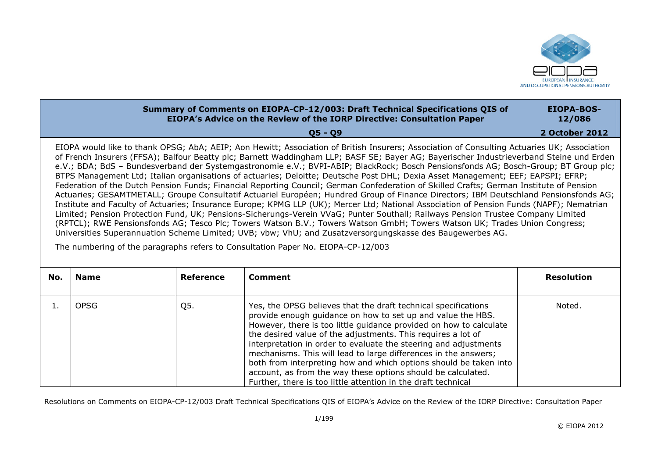

## **Summary of Comments on EIOPA-CP-12/003: Draft Technical Specifications OIS of EIOPA's Advice on the Review of the IORP Directive: Consultation Paper Q5 Q9 EIOPA-BOS-12/086 2 October 2012** EIOPA would like to thank OPSG; AbA; AEIP; Aon Hewitt; Association of British Insurers; Association of Consulting Actuaries UK; Association of French Insurers (FFSA); Balfour Beatty plc; Barnett Waddingham LLP; BASF SE; Bayer AG; Bayerischer Industrieverband Steine und Erden e.V.; BDA; BdS – Bundesverband der Systemgastronomie e.V.; BVPI-ABIP; BlackRock; Bosch Pensionsfonds AG; Bosch-Group; BT Group plc; BTPS Management Ltd; Italian organisations of actuaries; Deloitte; Deutsche Post DHL; Dexia Asset Management; EEF; EAPSPI; EFRP; Federation of the Dutch Pension Funds; Financial Reporting Council; German Confederation of Skilled Crafts; German Institute of Pension Actuaries; GESAMTMETALL; Groupe Consultatif Actuariel Européen; Hundred Group of Finance Directors; IBM Deutschland Pensionsfonds AG; Institute and Faculty of Actuaries; Insurance Europe; KPMG LLP (UK); Mercer Ltd; National Association of Pension Funds (NAPF); Nematrian Limited; Pension Protection Fund, UK; Pensions-Sicherungs-Verein VVaG; Punter Southall; Railways Pension Trustee Company Limited (RPTCL); RWE Pensionsfonds AG; Tesco Plc; Towers Watson B.V.; Towers Watson GmbH; Towers Watson UK; Trades Union Congress; Universities Superannuation Scheme Limited; UVB; vbw; VhU; and Zusatzversorgungskasse des Baugewerbes AG.

The numbering of the paragraphs refers to Consultation Paper No. EIOPA-CP-12/003

| No. | <b>Name</b> | <b>Reference</b> | Comment                                                                                                                                                                                                                                                                                                                                                                                                                                                                                                                                                                                                          | <b>Resolution</b> |
|-----|-------------|------------------|------------------------------------------------------------------------------------------------------------------------------------------------------------------------------------------------------------------------------------------------------------------------------------------------------------------------------------------------------------------------------------------------------------------------------------------------------------------------------------------------------------------------------------------------------------------------------------------------------------------|-------------------|
|     | <b>OPSG</b> | Q5.              | Yes, the OPSG believes that the draft technical specifications<br>provide enough guidance on how to set up and value the HBS.<br>However, there is too little quidance provided on how to calculate<br>the desired value of the adjustments. This requires a lot of<br>interpretation in order to evaluate the steering and adjustments<br>mechanisms. This will lead to large differences in the answers;<br>both from interpreting how and which options should be taken into<br>account, as from the way these options should be calculated.<br>Further, there is too little attention in the draft technical | Noted.            |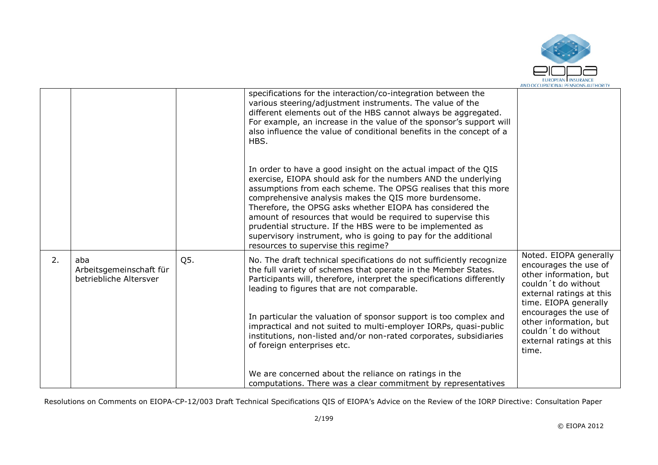

|    |                                                          |     | specifications for the interaction/co-integration between the<br>various steering/adjustment instruments. The value of the<br>different elements out of the HBS cannot always be aggregated.<br>For example, an increase in the value of the sponsor's support will<br>also influence the value of conditional benefits in the concept of a<br>HBS.                                                                                                                                                                                                             |                                                                                                                                                       |
|----|----------------------------------------------------------|-----|-----------------------------------------------------------------------------------------------------------------------------------------------------------------------------------------------------------------------------------------------------------------------------------------------------------------------------------------------------------------------------------------------------------------------------------------------------------------------------------------------------------------------------------------------------------------|-------------------------------------------------------------------------------------------------------------------------------------------------------|
|    |                                                          |     | In order to have a good insight on the actual impact of the QIS<br>exercise, EIOPA should ask for the numbers AND the underlying<br>assumptions from each scheme. The OPSG realises that this more<br>comprehensive analysis makes the QIS more burdensome.<br>Therefore, the OPSG asks whether EIOPA has considered the<br>amount of resources that would be required to supervise this<br>prudential structure. If the HBS were to be implemented as<br>supervisory instrument, who is going to pay for the additional<br>resources to supervise this regime? |                                                                                                                                                       |
| 2. | aba<br>Arbeitsgemeinschaft für<br>betriebliche Altersver | Q5. | No. The draft technical specifications do not sufficiently recognize<br>the full variety of schemes that operate in the Member States.<br>Participants will, therefore, interpret the specifications differently<br>leading to figures that are not comparable.                                                                                                                                                                                                                                                                                                 | Noted. EIOPA generally<br>encourages the use of<br>other information, but<br>couldn't do without<br>external ratings at this<br>time. EIOPA generally |
|    |                                                          |     | In particular the valuation of sponsor support is too complex and<br>impractical and not suited to multi-employer IORPs, quasi-public<br>institutions, non-listed and/or non-rated corporates, subsidiaries<br>of foreign enterprises etc.                                                                                                                                                                                                                                                                                                                      | encourages the use of<br>other information, but<br>couldn't do without<br>external ratings at this<br>time.                                           |
|    |                                                          |     | We are concerned about the reliance on ratings in the<br>computations. There was a clear commitment by representatives                                                                                                                                                                                                                                                                                                                                                                                                                                          |                                                                                                                                                       |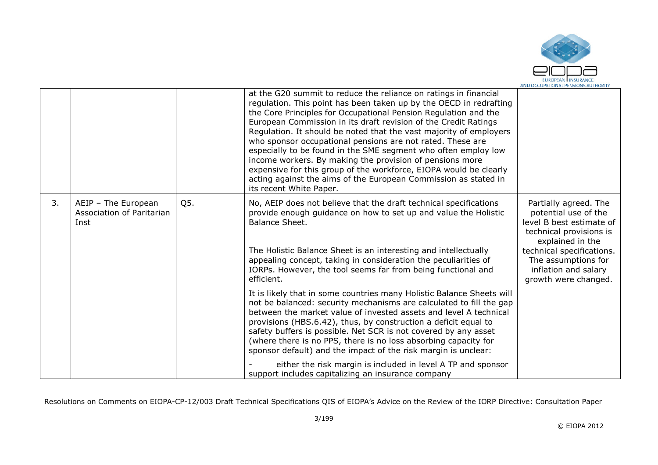

|    |                                                          |     | at the G20 summit to reduce the reliance on ratings in financial<br>regulation. This point has been taken up by the OECD in redrafting<br>the Core Principles for Occupational Pension Regulation and the<br>European Commission in its draft revision of the Credit Ratings<br>Regulation. It should be noted that the vast majority of employers<br>who sponsor occupational pensions are not rated. These are<br>especially to be found in the SME segment who often employ low<br>income workers. By making the provision of pensions more<br>expensive for this group of the workforce, EIOPA would be clearly<br>acting against the aims of the European Commission as stated in<br>its recent White Paper. |                                                                                                                                                                                                                              |
|----|----------------------------------------------------------|-----|-------------------------------------------------------------------------------------------------------------------------------------------------------------------------------------------------------------------------------------------------------------------------------------------------------------------------------------------------------------------------------------------------------------------------------------------------------------------------------------------------------------------------------------------------------------------------------------------------------------------------------------------------------------------------------------------------------------------|------------------------------------------------------------------------------------------------------------------------------------------------------------------------------------------------------------------------------|
| 3. | AEIP - The European<br>Association of Paritarian<br>Inst | Q5. | No, AEIP does not believe that the draft technical specifications<br>provide enough guidance on how to set up and value the Holistic<br>Balance Sheet.<br>The Holistic Balance Sheet is an interesting and intellectually<br>appealing concept, taking in consideration the peculiarities of<br>IORPs. However, the tool seems far from being functional and<br>efficient.                                                                                                                                                                                                                                                                                                                                        | Partially agreed. The<br>potential use of the<br>level B best estimate of<br>technical provisions is<br>explained in the<br>technical specifications.<br>The assumptions for<br>inflation and salary<br>growth were changed. |
|    |                                                          |     | It is likely that in some countries many Holistic Balance Sheets will<br>not be balanced: security mechanisms are calculated to fill the gap<br>between the market value of invested assets and level A technical<br>provisions (HBS.6.42), thus, by construction a deficit equal to<br>safety buffers is possible. Net SCR is not covered by any asset<br>(where there is no PPS, there is no loss absorbing capacity for<br>sponsor default) and the impact of the risk margin is unclear:<br>either the risk margin is included in level A TP and sponsor<br>support includes capitalizing an insurance company                                                                                                |                                                                                                                                                                                                                              |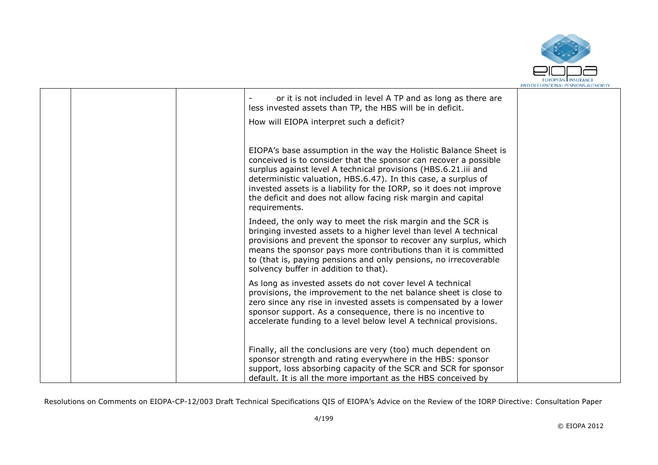

|  | or it is not included in level A TP and as long as there are<br>less invested assets than TP, the HBS will be in deficit.                                                                                                                                                                                                                                                                                                         |  |
|--|-----------------------------------------------------------------------------------------------------------------------------------------------------------------------------------------------------------------------------------------------------------------------------------------------------------------------------------------------------------------------------------------------------------------------------------|--|
|  | How will EIOPA interpret such a deficit?                                                                                                                                                                                                                                                                                                                                                                                          |  |
|  | EIOPA's base assumption in the way the Holistic Balance Sheet is<br>conceived is to consider that the sponsor can recover a possible<br>surplus against level A technical provisions (HBS.6.21.iii and<br>deterministic valuation, HBS.6.47). In this case, a surplus of<br>invested assets is a liability for the IORP, so it does not improve<br>the deficit and does not allow facing risk margin and capital<br>requirements. |  |
|  | Indeed, the only way to meet the risk margin and the SCR is<br>bringing invested assets to a higher level than level A technical<br>provisions and prevent the sponsor to recover any surplus, which<br>means the sponsor pays more contributions than it is committed<br>to (that is, paying pensions and only pensions, no irrecoverable<br>solvency buffer in addition to that).                                               |  |
|  | As long as invested assets do not cover level A technical<br>provisions, the improvement to the net balance sheet is close to<br>zero since any rise in invested assets is compensated by a lower<br>sponsor support. As a consequence, there is no incentive to<br>accelerate funding to a level below level A technical provisions.                                                                                             |  |
|  | Finally, all the conclusions are very (too) much dependent on<br>sponsor strength and rating everywhere in the HBS: sponsor<br>support, loss absorbing capacity of the SCR and SCR for sponsor<br>default. It is all the more important as the HBS conceived by                                                                                                                                                                   |  |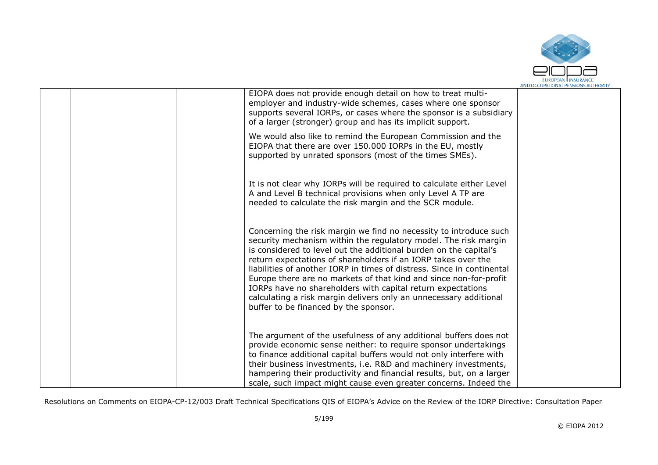

|  | EIOPA does not provide enough detail on how to treat multi-<br>employer and industry-wide schemes, cases where one sponsor<br>supports several IORPs, or cases where the sponsor is a subsidiary<br>of a larger (stronger) group and has its implicit support.                                                                                                                                                                                                                                                                                                                                         |  |
|--|--------------------------------------------------------------------------------------------------------------------------------------------------------------------------------------------------------------------------------------------------------------------------------------------------------------------------------------------------------------------------------------------------------------------------------------------------------------------------------------------------------------------------------------------------------------------------------------------------------|--|
|  | We would also like to remind the European Commission and the<br>EIOPA that there are over 150.000 IORPs in the EU, mostly<br>supported by unrated sponsors (most of the times SMEs).                                                                                                                                                                                                                                                                                                                                                                                                                   |  |
|  | It is not clear why IORPs will be required to calculate either Level<br>A and Level B technical provisions when only Level A TP are<br>needed to calculate the risk margin and the SCR module.                                                                                                                                                                                                                                                                                                                                                                                                         |  |
|  | Concerning the risk margin we find no necessity to introduce such<br>security mechanism within the regulatory model. The risk margin<br>is considered to level out the additional burden on the capital's<br>return expectations of shareholders if an IORP takes over the<br>liabilities of another IORP in times of distress. Since in continental<br>Europe there are no markets of that kind and since non-for-profit<br>IORPs have no shareholders with capital return expectations<br>calculating a risk margin delivers only an unnecessary additional<br>buffer to be financed by the sponsor. |  |
|  | The argument of the usefulness of any additional buffers does not<br>provide economic sense neither: to require sponsor undertakings<br>to finance additional capital buffers would not only interfere with<br>their business investments, i.e. R&D and machinery investments,<br>hampering their productivity and financial results, but, on a larger<br>scale, such impact might cause even greater concerns. Indeed the                                                                                                                                                                             |  |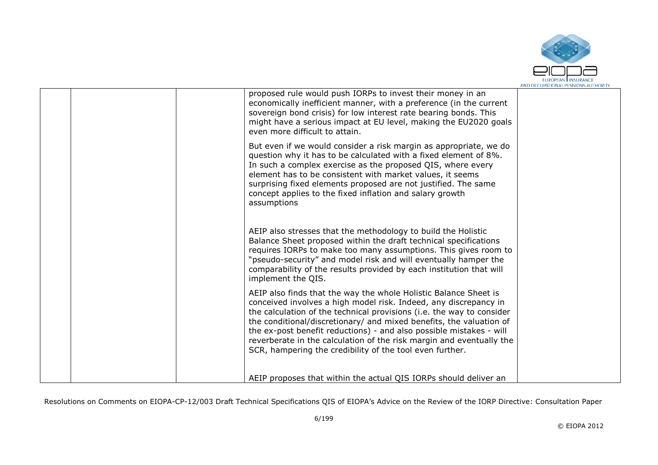

|  | proposed rule would push IORPs to invest their money in an<br>economically inefficient manner, with a preference (in the current<br>sovereign bond crisis) for low interest rate bearing bonds. This<br>might have a serious impact at EU level, making the EU2020 goals<br>even more difficult to attain.                                                                                                                                                                                      |  |
|--|-------------------------------------------------------------------------------------------------------------------------------------------------------------------------------------------------------------------------------------------------------------------------------------------------------------------------------------------------------------------------------------------------------------------------------------------------------------------------------------------------|--|
|  | But even if we would consider a risk margin as appropriate, we do<br>question why it has to be calculated with a fixed element of 8%.<br>In such a complex exercise as the proposed QIS, where every<br>element has to be consistent with market values, it seems<br>surprising fixed elements proposed are not justified. The same<br>concept applies to the fixed inflation and salary growth<br>assumptions                                                                                  |  |
|  | AEIP also stresses that the methodology to build the Holistic<br>Balance Sheet proposed within the draft technical specifications<br>requires IORPs to make too many assumptions. This gives room to<br>"pseudo-security" and model risk and will eventually hamper the<br>comparability of the results provided by each institution that will<br>implement the QIS.                                                                                                                            |  |
|  | AEIP also finds that the way the whole Holistic Balance Sheet is<br>conceived involves a high model risk. Indeed, any discrepancy in<br>the calculation of the technical provisions (i.e. the way to consider<br>the conditional/discretionary/ and mixed benefits, the valuation of<br>the ex-post benefit reductions) - and also possible mistakes - will<br>reverberate in the calculation of the risk margin and eventually the<br>SCR, hampering the credibility of the tool even further. |  |
|  | AEIP proposes that within the actual QIS IORPs should deliver an                                                                                                                                                                                                                                                                                                                                                                                                                                |  |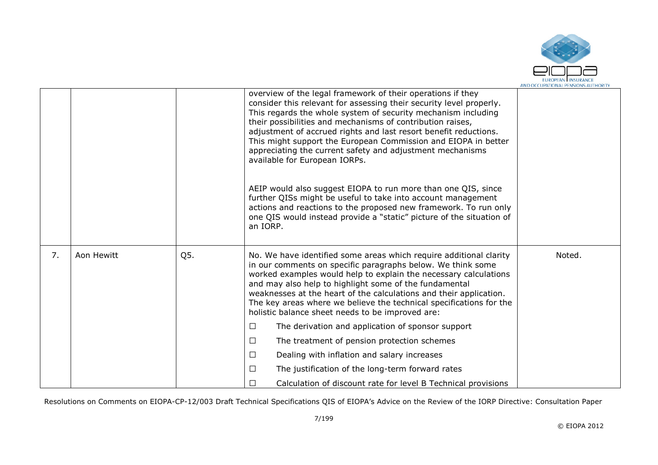

|    |            |     | overview of the legal framework of their operations if they<br>consider this relevant for assessing their security level properly.<br>This regards the whole system of security mechanism including<br>their possibilities and mechanisms of contribution raises,<br>adjustment of accrued rights and last resort benefit reductions.<br>This might support the European Commission and EIOPA in better<br>appreciating the current safety and adjustment mechanisms<br>available for European IORPs.<br>AEIP would also suggest EIOPA to run more than one QIS, since<br>further QISs might be useful to take into account management<br>actions and reactions to the proposed new framework. To run only<br>one QIS would instead provide a "static" picture of the situation of |        |
|----|------------|-----|------------------------------------------------------------------------------------------------------------------------------------------------------------------------------------------------------------------------------------------------------------------------------------------------------------------------------------------------------------------------------------------------------------------------------------------------------------------------------------------------------------------------------------------------------------------------------------------------------------------------------------------------------------------------------------------------------------------------------------------------------------------------------------|--------|
|    |            |     | an IORP.                                                                                                                                                                                                                                                                                                                                                                                                                                                                                                                                                                                                                                                                                                                                                                           |        |
| 7. | Aon Hewitt | Q5. | No. We have identified some areas which require additional clarity<br>in our comments on specific paragraphs below. We think some<br>worked examples would help to explain the necessary calculations<br>and may also help to highlight some of the fundamental<br>weaknesses at the heart of the calculations and their application.<br>The key areas where we believe the technical specifications for the<br>holistic balance sheet needs to be improved are:                                                                                                                                                                                                                                                                                                                   | Noted. |
|    |            |     | The derivation and application of sponsor support<br>П                                                                                                                                                                                                                                                                                                                                                                                                                                                                                                                                                                                                                                                                                                                             |        |
|    |            |     | The treatment of pension protection schemes<br>□                                                                                                                                                                                                                                                                                                                                                                                                                                                                                                                                                                                                                                                                                                                                   |        |
|    |            |     | Dealing with inflation and salary increases<br>П                                                                                                                                                                                                                                                                                                                                                                                                                                                                                                                                                                                                                                                                                                                                   |        |
|    |            |     | The justification of the long-term forward rates<br>П                                                                                                                                                                                                                                                                                                                                                                                                                                                                                                                                                                                                                                                                                                                              |        |
|    |            |     | Calculation of discount rate for level B Technical provisions                                                                                                                                                                                                                                                                                                                                                                                                                                                                                                                                                                                                                                                                                                                      |        |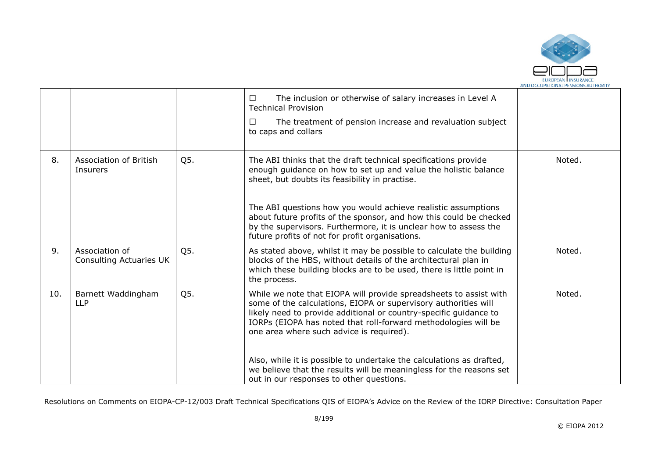

|     |                                                  |     | The inclusion or otherwise of salary increases in Level A<br>$\Box$<br><b>Technical Provision</b>                                                                                                                                                                                                                       |        |
|-----|--------------------------------------------------|-----|-------------------------------------------------------------------------------------------------------------------------------------------------------------------------------------------------------------------------------------------------------------------------------------------------------------------------|--------|
|     |                                                  |     | The treatment of pension increase and revaluation subject<br>$\Box$<br>to caps and collars                                                                                                                                                                                                                              |        |
| 8.  | <b>Association of British</b><br><b>Insurers</b> | Q5. | The ABI thinks that the draft technical specifications provide<br>enough guidance on how to set up and value the holistic balance<br>sheet, but doubts its feasibility in practise.                                                                                                                                     | Noted. |
|     |                                                  |     | The ABI questions how you would achieve realistic assumptions<br>about future profits of the sponsor, and how this could be checked<br>by the supervisors. Furthermore, it is unclear how to assess the<br>future profits of not for profit organisations.                                                              |        |
| 9.  | Association of<br><b>Consulting Actuaries UK</b> | Q5. | As stated above, whilst it may be possible to calculate the building<br>blocks of the HBS, without details of the architectural plan in<br>which these building blocks are to be used, there is little point in<br>the process.                                                                                         | Noted. |
| 10. | Barnett Waddingham<br><b>LLP</b>                 | Q5. | While we note that EIOPA will provide spreadsheets to assist with<br>some of the calculations, EIOPA or supervisory authorities will<br>likely need to provide additional or country-specific guidance to<br>IORPs (EIOPA has noted that roll-forward methodologies will be<br>one area where such advice is required). | Noted. |
|     |                                                  |     | Also, while it is possible to undertake the calculations as drafted,<br>we believe that the results will be meaningless for the reasons set<br>out in our responses to other questions.                                                                                                                                 |        |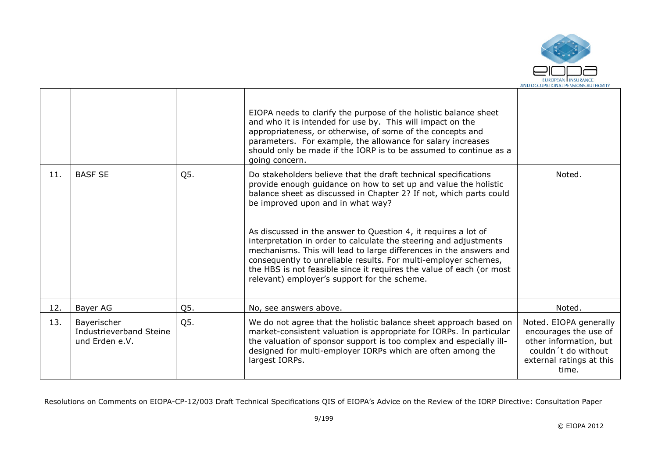

|     |                                                          |     | EIOPA needs to clarify the purpose of the holistic balance sheet<br>and who it is intended for use by. This will impact on the<br>appropriateness, or otherwise, of some of the concepts and<br>parameters. For example, the allowance for salary increases<br>should only be made if the IORP is to be assumed to continue as a<br>going concern.                                                                                                                                                                                                                                                                                                    |                                                                                                                                       |
|-----|----------------------------------------------------------|-----|-------------------------------------------------------------------------------------------------------------------------------------------------------------------------------------------------------------------------------------------------------------------------------------------------------------------------------------------------------------------------------------------------------------------------------------------------------------------------------------------------------------------------------------------------------------------------------------------------------------------------------------------------------|---------------------------------------------------------------------------------------------------------------------------------------|
| 11. | <b>BASF SE</b>                                           | Q5. | Do stakeholders believe that the draft technical specifications<br>provide enough guidance on how to set up and value the holistic<br>balance sheet as discussed in Chapter 2? If not, which parts could<br>be improved upon and in what way?<br>As discussed in the answer to Question 4, it requires a lot of<br>interpretation in order to calculate the steering and adjustments<br>mechanisms. This will lead to large differences in the answers and<br>consequently to unreliable results. For multi-employer schemes,<br>the HBS is not feasible since it requires the value of each (or most<br>relevant) employer's support for the scheme. | Noted.                                                                                                                                |
| 12. | Bayer AG                                                 | Q5. | No, see answers above.                                                                                                                                                                                                                                                                                                                                                                                                                                                                                                                                                                                                                                | Noted.                                                                                                                                |
| 13. | Bayerischer<br>Industrieverband Steine<br>und Erden e.V. | Q5. | We do not agree that the holistic balance sheet approach based on<br>market-consistent valuation is appropriate for IORPs. In particular<br>the valuation of sponsor support is too complex and especially ill-<br>designed for multi-employer IORPs which are often among the<br>largest IORPs.                                                                                                                                                                                                                                                                                                                                                      | Noted. EIOPA generally<br>encourages the use of<br>other information, but<br>couldn't do without<br>external ratings at this<br>time. |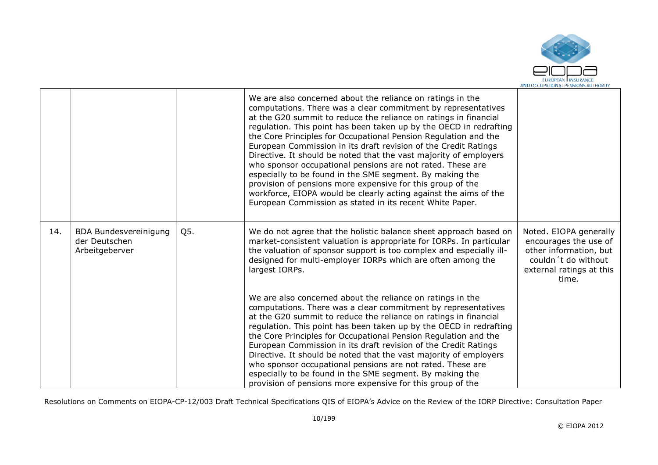

|     |                                                          |     | We are also concerned about the reliance on ratings in the<br>computations. There was a clear commitment by representatives<br>at the G20 summit to reduce the reliance on ratings in financial<br>regulation. This point has been taken up by the OECD in redrafting<br>the Core Principles for Occupational Pension Regulation and the<br>European Commission in its draft revision of the Credit Ratings<br>Directive. It should be noted that the vast majority of employers<br>who sponsor occupational pensions are not rated. These are<br>especially to be found in the SME segment. By making the<br>provision of pensions more expensive for this group of the<br>workforce, EIOPA would be clearly acting against the aims of the<br>European Commission as stated in its recent White Paper. |                                                                                                                                       |
|-----|----------------------------------------------------------|-----|----------------------------------------------------------------------------------------------------------------------------------------------------------------------------------------------------------------------------------------------------------------------------------------------------------------------------------------------------------------------------------------------------------------------------------------------------------------------------------------------------------------------------------------------------------------------------------------------------------------------------------------------------------------------------------------------------------------------------------------------------------------------------------------------------------|---------------------------------------------------------------------------------------------------------------------------------------|
| 14. | BDA Bundesvereinigung<br>der Deutschen<br>Arbeitgeberver | Q5. | We do not agree that the holistic balance sheet approach based on<br>market-consistent valuation is appropriate for IORPs. In particular<br>the valuation of sponsor support is too complex and especially ill-<br>designed for multi-employer IORPs which are often among the<br>largest IORPs.                                                                                                                                                                                                                                                                                                                                                                                                                                                                                                         | Noted. EIOPA generally<br>encourages the use of<br>other information, but<br>couldn't do without<br>external ratings at this<br>time. |
|     |                                                          |     | We are also concerned about the reliance on ratings in the<br>computations. There was a clear commitment by representatives<br>at the G20 summit to reduce the reliance on ratings in financial<br>regulation. This point has been taken up by the OECD in redrafting<br>the Core Principles for Occupational Pension Regulation and the<br>European Commission in its draft revision of the Credit Ratings<br>Directive. It should be noted that the vast majority of employers<br>who sponsor occupational pensions are not rated. These are<br>especially to be found in the SME segment. By making the<br>provision of pensions more expensive for this group of the                                                                                                                                 |                                                                                                                                       |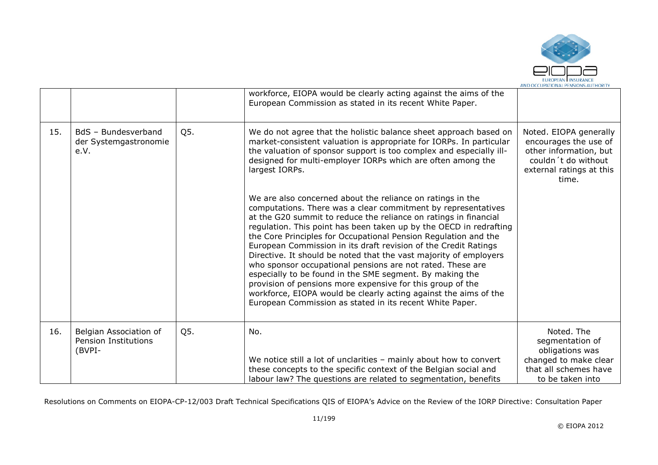

|     |                                                                 |     | workforce, EIOPA would be clearly acting against the aims of the<br>European Commission as stated in its recent White Paper.                                                                                                                                                                                                                                                                                                                                                                                                                                                                                                                                                                                                                                                                             |                                                                                                                                       |
|-----|-----------------------------------------------------------------|-----|----------------------------------------------------------------------------------------------------------------------------------------------------------------------------------------------------------------------------------------------------------------------------------------------------------------------------------------------------------------------------------------------------------------------------------------------------------------------------------------------------------------------------------------------------------------------------------------------------------------------------------------------------------------------------------------------------------------------------------------------------------------------------------------------------------|---------------------------------------------------------------------------------------------------------------------------------------|
| 15. | BdS - Bundesverband<br>der Systemgastronomie<br>e.V.            | Q5. | We do not agree that the holistic balance sheet approach based on<br>market-consistent valuation is appropriate for IORPs. In particular<br>the valuation of sponsor support is too complex and especially ill-<br>designed for multi-employer IORPs which are often among the<br>largest IORPs.                                                                                                                                                                                                                                                                                                                                                                                                                                                                                                         | Noted. EIOPA generally<br>encourages the use of<br>other information, but<br>couldn't do without<br>external ratings at this<br>time. |
|     |                                                                 |     | We are also concerned about the reliance on ratings in the<br>computations. There was a clear commitment by representatives<br>at the G20 summit to reduce the reliance on ratings in financial<br>regulation. This point has been taken up by the OECD in redrafting<br>the Core Principles for Occupational Pension Regulation and the<br>European Commission in its draft revision of the Credit Ratings<br>Directive. It should be noted that the vast majority of employers<br>who sponsor occupational pensions are not rated. These are<br>especially to be found in the SME segment. By making the<br>provision of pensions more expensive for this group of the<br>workforce, EIOPA would be clearly acting against the aims of the<br>European Commission as stated in its recent White Paper. |                                                                                                                                       |
| 16. | Belgian Association of<br><b>Pension Institutions</b><br>(BVPI- | Q5. | No.<br>We notice still a lot of unclarities - mainly about how to convert<br>these concepts to the specific context of the Belgian social and<br>labour law? The questions are related to segmentation, benefits                                                                                                                                                                                                                                                                                                                                                                                                                                                                                                                                                                                         | Noted. The<br>segmentation of<br>obligations was<br>changed to make clear<br>that all schemes have<br>to be taken into                |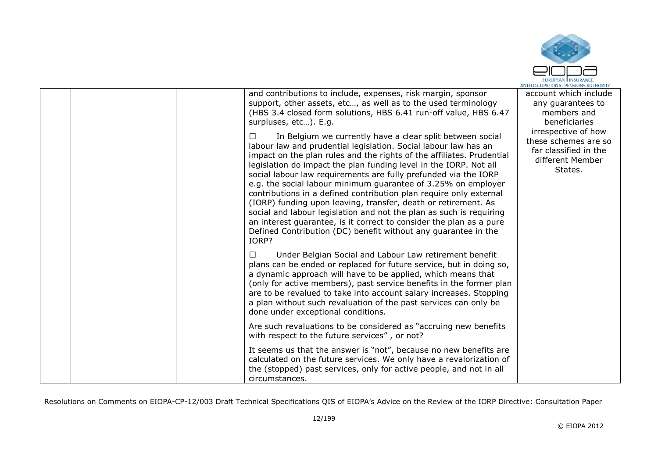

|  | and contributions to include, expenses, risk margin, sponsor<br>support, other assets, etc, as well as to the used terminology<br>(HBS 3.4 closed form solutions, HBS 6.41 run-off value, HBS 6.47<br>surpluses, etc). E.g.                                                                                                                                                                                                                                                                                                                                                                                                                                                                                                                                                                | account which include<br>any guarantees to<br>members and<br>beneficiaries                          |
|--|--------------------------------------------------------------------------------------------------------------------------------------------------------------------------------------------------------------------------------------------------------------------------------------------------------------------------------------------------------------------------------------------------------------------------------------------------------------------------------------------------------------------------------------------------------------------------------------------------------------------------------------------------------------------------------------------------------------------------------------------------------------------------------------------|-----------------------------------------------------------------------------------------------------|
|  | In Belgium we currently have a clear split between social<br>$\perp$<br>labour law and prudential legislation. Social labour law has an<br>impact on the plan rules and the rights of the affiliates. Prudential<br>legislation do impact the plan funding level in the IORP. Not all<br>social labour law requirements are fully prefunded via the IORP<br>e.g. the social labour minimum guarantee of 3.25% on employer<br>contributions in a defined contribution plan require only external<br>(IORP) funding upon leaving, transfer, death or retirement. As<br>social and labour legislation and not the plan as such is requiring<br>an interest guarantee, is it correct to consider the plan as a pure<br>Defined Contribution (DC) benefit without any guarantee in the<br>IORP? | irrespective of how<br>these schemes are so<br>far classified in the<br>different Member<br>States. |
|  | Under Belgian Social and Labour Law retirement benefit<br>$\perp$<br>plans can be ended or replaced for future service, but in doing so,<br>a dynamic approach will have to be applied, which means that<br>(only for active members), past service benefits in the former plan<br>are to be revalued to take into account salary increases. Stopping<br>a plan without such revaluation of the past services can only be<br>done under exceptional conditions.                                                                                                                                                                                                                                                                                                                            |                                                                                                     |
|  | Are such revaluations to be considered as "accruing new benefits"<br>with respect to the future services", or not?                                                                                                                                                                                                                                                                                                                                                                                                                                                                                                                                                                                                                                                                         |                                                                                                     |
|  | It seems us that the answer is "not", because no new benefits are<br>calculated on the future services. We only have a revalorization of<br>the (stopped) past services, only for active people, and not in all<br>circumstances.                                                                                                                                                                                                                                                                                                                                                                                                                                                                                                                                                          |                                                                                                     |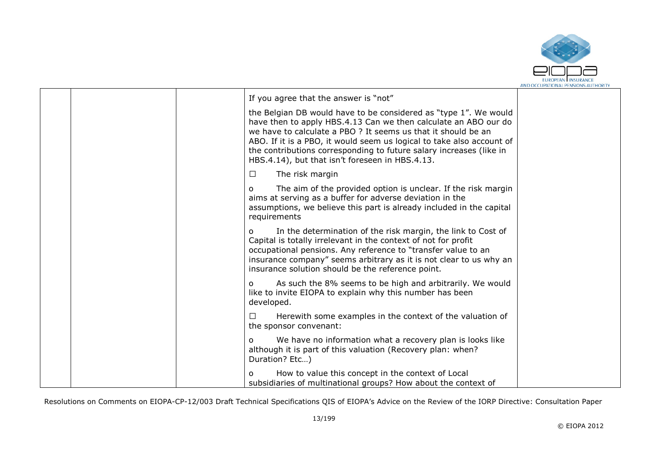

|  | If you agree that the answer is "not"                                                                                                                                                                                                                                                                                                                                                                   |  |
|--|---------------------------------------------------------------------------------------------------------------------------------------------------------------------------------------------------------------------------------------------------------------------------------------------------------------------------------------------------------------------------------------------------------|--|
|  | the Belgian DB would have to be considered as "type 1". We would<br>have then to apply HBS.4.13 Can we then calculate an ABO our do<br>we have to calculate a PBO ? It seems us that it should be an<br>ABO. If it is a PBO, it would seem us logical to take also account of<br>the contributions corresponding to future salary increases (like in<br>HBS.4.14), but that isn't foreseen in HBS.4.13. |  |
|  | The risk margin<br>$\Box$                                                                                                                                                                                                                                                                                                                                                                               |  |
|  | The aim of the provided option is unclear. If the risk margin<br>O<br>aims at serving as a buffer for adverse deviation in the<br>assumptions, we believe this part is already included in the capital<br>requirements                                                                                                                                                                                  |  |
|  | In the determination of the risk margin, the link to Cost of<br>O<br>Capital is totally irrelevant in the context of not for profit<br>occupational pensions. Any reference to "transfer value to an<br>insurance company" seems arbitrary as it is not clear to us why an<br>insurance solution should be the reference point.                                                                         |  |
|  | As such the 8% seems to be high and arbitrarily. We would<br>$\Omega$<br>like to invite EIOPA to explain why this number has been<br>developed.                                                                                                                                                                                                                                                         |  |
|  | Herewith some examples in the context of the valuation of<br>⊔<br>the sponsor convenant:                                                                                                                                                                                                                                                                                                                |  |
|  | We have no information what a recovery plan is looks like<br>O<br>although it is part of this valuation (Recovery plan: when?<br>Duration? Etc)                                                                                                                                                                                                                                                         |  |
|  | How to value this concept in the context of Local<br>O<br>subsidiaries of multinational groups? How about the context of                                                                                                                                                                                                                                                                                |  |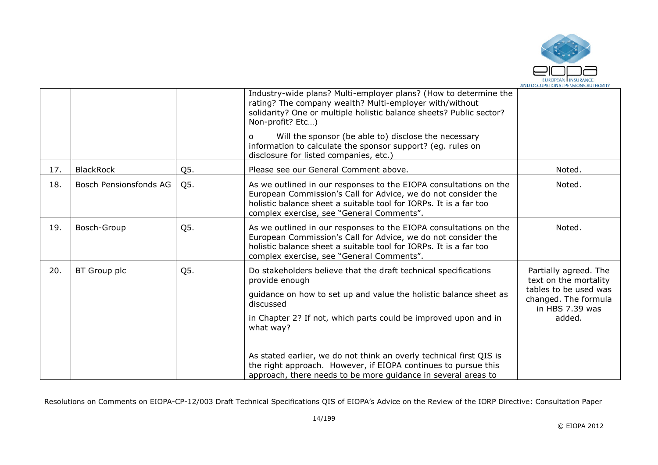

|     |                        |     | Industry-wide plans? Multi-employer plans? (How to determine the<br>rating? The company wealth? Multi-employer with/without<br>solidarity? One or multiple holistic balance sheets? Public sector?<br>Non-profit? Etc)                                                                                                                                                                                                                                        |                                                                                                                              |
|-----|------------------------|-----|---------------------------------------------------------------------------------------------------------------------------------------------------------------------------------------------------------------------------------------------------------------------------------------------------------------------------------------------------------------------------------------------------------------------------------------------------------------|------------------------------------------------------------------------------------------------------------------------------|
|     |                        |     | Will the sponsor (be able to) disclose the necessary<br>O<br>information to calculate the sponsor support? (eg. rules on<br>disclosure for listed companies, etc.)                                                                                                                                                                                                                                                                                            |                                                                                                                              |
| 17. | <b>BlackRock</b>       | Q5. | Please see our General Comment above.                                                                                                                                                                                                                                                                                                                                                                                                                         | Noted.                                                                                                                       |
| 18. | Bosch Pensionsfonds AG | Q5. | As we outlined in our responses to the EIOPA consultations on the<br>European Commission's Call for Advice, we do not consider the<br>holistic balance sheet a suitable tool for IORPs. It is a far too<br>complex exercise, see "General Comments".                                                                                                                                                                                                          | Noted.                                                                                                                       |
| 19. | Bosch-Group            | Q5. | As we outlined in our responses to the EIOPA consultations on the<br>European Commission's Call for Advice, we do not consider the<br>holistic balance sheet a suitable tool for IORPs. It is a far too<br>complex exercise, see "General Comments".                                                                                                                                                                                                          | Noted.                                                                                                                       |
| 20. | BT Group plc           | Q5. | Do stakeholders believe that the draft technical specifications<br>provide enough<br>guidance on how to set up and value the holistic balance sheet as<br>discussed<br>in Chapter 2? If not, which parts could be improved upon and in<br>what way?<br>As stated earlier, we do not think an overly technical first QIS is<br>the right approach. However, if EIOPA continues to pursue this<br>approach, there needs to be more guidance in several areas to | Partially agreed. The<br>text on the mortality<br>tables to be used was<br>changed. The formula<br>in HBS 7.39 was<br>added. |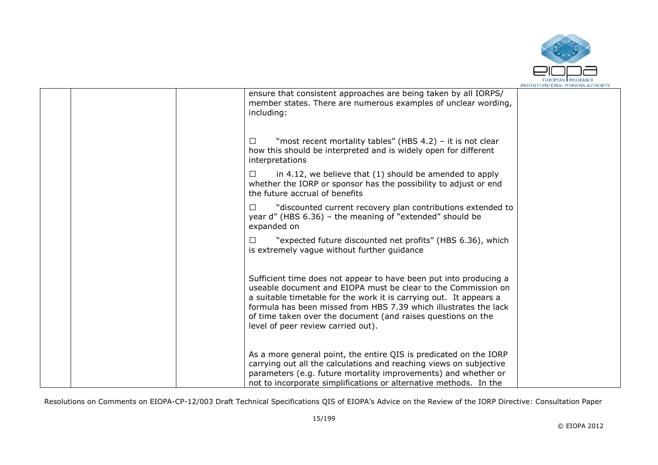

|  | ensure that consistent approaches are being taken by all IORPS/<br>member states. There are numerous examples of unclear wording,<br>including:                                                                                                                                                                                                                                    |  |
|--|------------------------------------------------------------------------------------------------------------------------------------------------------------------------------------------------------------------------------------------------------------------------------------------------------------------------------------------------------------------------------------|--|
|  | "most recent mortality tables" (HBS 4.2) - it is not clear<br>ப<br>how this should be interpreted and is widely open for different<br>interpretations                                                                                                                                                                                                                              |  |
|  | in 4.12, we believe that (1) should be amended to apply<br>□<br>whether the IORP or sponsor has the possibility to adjust or end<br>the future accrual of benefits                                                                                                                                                                                                                 |  |
|  | "discounted current recovery plan contributions extended to<br>□<br>year $d''$ (HBS 6.36) – the meaning of "extended" should be<br>expanded on                                                                                                                                                                                                                                     |  |
|  | "expected future discounted net profits" (HBS 6.36), which<br>ப<br>is extremely vague without further guidance                                                                                                                                                                                                                                                                     |  |
|  | Sufficient time does not appear to have been put into producing a<br>useable document and EIOPA must be clear to the Commission on<br>a suitable timetable for the work it is carrying out. It appears a<br>formula has been missed from HBS 7.39 which illustrates the lack<br>of time taken over the document (and raises questions on the<br>level of peer review carried out). |  |
|  | As a more general point, the entire QIS is predicated on the IORP<br>carrying out all the calculations and reaching views on subjective<br>parameters (e.g. future mortality improvements) and whether or<br>not to incorporate simplifications or alternative methods. In the                                                                                                     |  |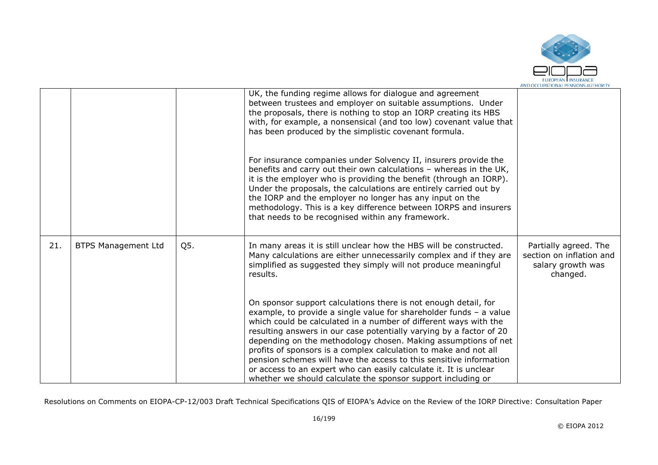

|     |                            |     | UK, the funding regime allows for dialogue and agreement<br>between trustees and employer on suitable assumptions. Under<br>the proposals, there is nothing to stop an IORP creating its HBS<br>with, for example, a nonsensical (and too low) covenant value that<br>has been produced by the simplistic covenant formula.                                                                                                                                                                                                                                                                                                       |                                                                                    |
|-----|----------------------------|-----|-----------------------------------------------------------------------------------------------------------------------------------------------------------------------------------------------------------------------------------------------------------------------------------------------------------------------------------------------------------------------------------------------------------------------------------------------------------------------------------------------------------------------------------------------------------------------------------------------------------------------------------|------------------------------------------------------------------------------------|
|     |                            |     | For insurance companies under Solvency II, insurers provide the<br>benefits and carry out their own calculations - whereas in the UK,<br>it is the employer who is providing the benefit (through an IORP).<br>Under the proposals, the calculations are entirely carried out by<br>the IORP and the employer no longer has any input on the<br>methodology. This is a key difference between IORPS and insurers<br>that needs to be recognised within any framework.                                                                                                                                                             |                                                                                    |
| 21. | <b>BTPS Management Ltd</b> | Q5. | In many areas it is still unclear how the HBS will be constructed.<br>Many calculations are either unnecessarily complex and if they are<br>simplified as suggested they simply will not produce meaningful<br>results.                                                                                                                                                                                                                                                                                                                                                                                                           | Partially agreed. The<br>section on inflation and<br>salary growth was<br>changed. |
|     |                            |     | On sponsor support calculations there is not enough detail, for<br>example, to provide a single value for shareholder funds - a value<br>which could be calculated in a number of different ways with the<br>resulting answers in our case potentially varying by a factor of 20<br>depending on the methodology chosen. Making assumptions of net<br>profits of sponsors is a complex calculation to make and not all<br>pension schemes will have the access to this sensitive information<br>or access to an expert who can easily calculate it. It is unclear<br>whether we should calculate the sponsor support including or |                                                                                    |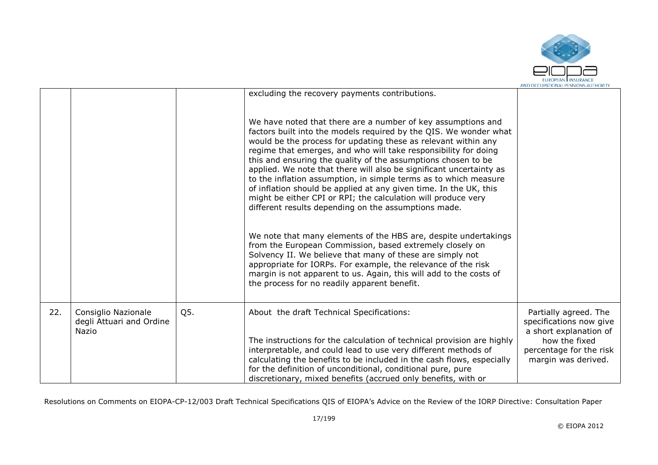

|     |                                                          |     |                                                                                                                                                                                                                                                                                                                                                                                                                                                                                                                                                                                                                                                                                                                                    | AND OCCUPATIONAL PENSIONS AUTHORI                                                                                                             |
|-----|----------------------------------------------------------|-----|------------------------------------------------------------------------------------------------------------------------------------------------------------------------------------------------------------------------------------------------------------------------------------------------------------------------------------------------------------------------------------------------------------------------------------------------------------------------------------------------------------------------------------------------------------------------------------------------------------------------------------------------------------------------------------------------------------------------------------|-----------------------------------------------------------------------------------------------------------------------------------------------|
|     |                                                          |     | excluding the recovery payments contributions.<br>We have noted that there are a number of key assumptions and<br>factors built into the models required by the QIS. We wonder what<br>would be the process for updating these as relevant within any<br>regime that emerges, and who will take responsibility for doing<br>this and ensuring the quality of the assumptions chosen to be<br>applied. We note that there will also be significant uncertainty as<br>to the inflation assumption, in simple terms as to which measure<br>of inflation should be applied at any given time. In the UK, this<br>might be either CPI or RPI; the calculation will produce very<br>different results depending on the assumptions made. |                                                                                                                                               |
|     |                                                          |     | We note that many elements of the HBS are, despite undertakings<br>from the European Commission, based extremely closely on<br>Solvency II. We believe that many of these are simply not<br>appropriate for IORPs. For example, the relevance of the risk<br>margin is not apparent to us. Again, this will add to the costs of<br>the process for no readily apparent benefit.                                                                                                                                                                                                                                                                                                                                                    |                                                                                                                                               |
| 22. | Consiglio Nazionale<br>degli Attuari and Ordine<br>Nazio | Q5. | About the draft Technical Specifications:<br>The instructions for the calculation of technical provision are highly<br>interpretable, and could lead to use very different methods of<br>calculating the benefits to be included in the cash flows, especially<br>for the definition of unconditional, conditional pure, pure<br>discretionary, mixed benefits (accrued only benefits, with or                                                                                                                                                                                                                                                                                                                                     | Partially agreed. The<br>specifications now give<br>a short explanation of<br>how the fixed<br>percentage for the risk<br>margin was derived. |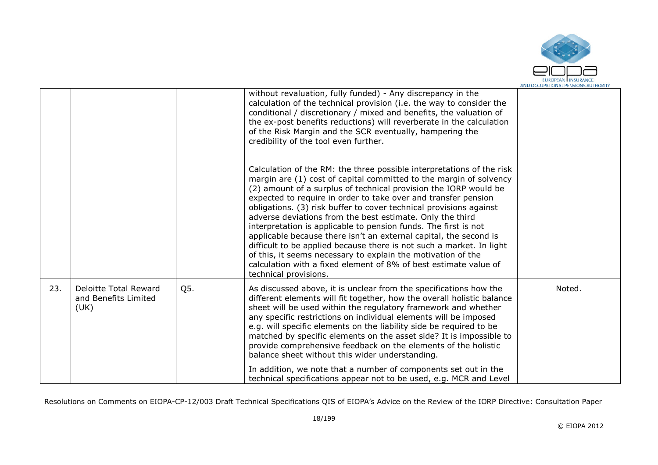

|     |                              |     | without revaluation, fully funded) - Any discrepancy in the                                                                                |        |
|-----|------------------------------|-----|--------------------------------------------------------------------------------------------------------------------------------------------|--------|
|     |                              |     | calculation of the technical provision (i.e. the way to consider the<br>conditional / discretionary / mixed and benefits, the valuation of |        |
|     |                              |     | the ex-post benefits reductions) will reverberate in the calculation                                                                       |        |
|     |                              |     | of the Risk Margin and the SCR eventually, hampering the                                                                                   |        |
|     |                              |     | credibility of the tool even further.                                                                                                      |        |
|     |                              |     |                                                                                                                                            |        |
|     |                              |     | Calculation of the RM: the three possible interpretations of the risk                                                                      |        |
|     |                              |     | margin are (1) cost of capital committed to the margin of solvency                                                                         |        |
|     |                              |     | (2) amount of a surplus of technical provision the IORP would be<br>expected to require in order to take over and transfer pension         |        |
|     |                              |     | obligations. (3) risk buffer to cover technical provisions against                                                                         |        |
|     |                              |     | adverse deviations from the best estimate. Only the third                                                                                  |        |
|     |                              |     | interpretation is applicable to pension funds. The first is not                                                                            |        |
|     |                              |     | applicable because there isn't an external capital, the second is<br>difficult to be applied because there is not such a market. In light  |        |
|     |                              |     | of this, it seems necessary to explain the motivation of the                                                                               |        |
|     |                              |     | calculation with a fixed element of 8% of best estimate value of                                                                           |        |
|     |                              |     | technical provisions.                                                                                                                      |        |
| 23. | Deloitte Total Reward        | Q5. | As discussed above, it is unclear from the specifications how the                                                                          | Noted. |
|     | and Benefits Limited<br>(UK) |     | different elements will fit together, how the overall holistic balance<br>sheet will be used within the regulatory framework and whether   |        |
|     |                              |     | any specific restrictions on individual elements will be imposed                                                                           |        |
|     |                              |     | e.g. will specific elements on the liability side be required to be                                                                        |        |
|     |                              |     | matched by specific elements on the asset side? It is impossible to                                                                        |        |
|     |                              |     | provide comprehensive feedback on the elements of the holistic<br>balance sheet without this wider understanding.                          |        |
|     |                              |     |                                                                                                                                            |        |
|     |                              |     | In addition, we note that a number of components set out in the<br>technical specifications appear not to be used, e.g. MCR and Level      |        |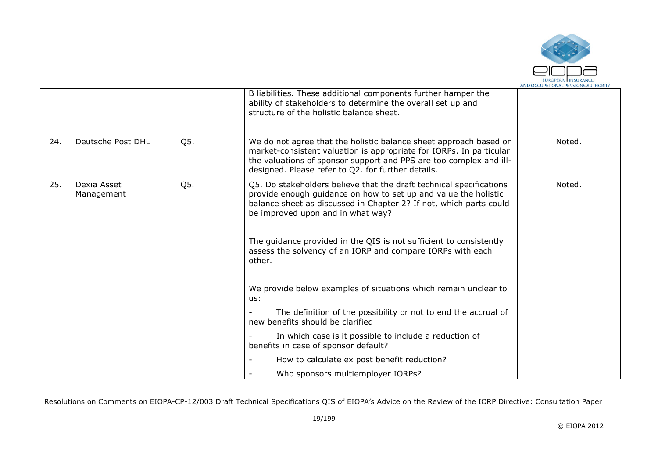

|     |                           |     | B liabilities. These additional components further hamper the<br>ability of stakeholders to determine the overall set up and<br>structure of the holistic balance sheet.                                                                                             |        |
|-----|---------------------------|-----|----------------------------------------------------------------------------------------------------------------------------------------------------------------------------------------------------------------------------------------------------------------------|--------|
| 24. | Deutsche Post DHL         | Q5. | We do not agree that the holistic balance sheet approach based on<br>market-consistent valuation is appropriate for IORPs. In particular<br>the valuations of sponsor support and PPS are too complex and ill-<br>designed. Please refer to Q2. for further details. | Noted. |
| 25. | Dexia Asset<br>Management | Q5. | Q5. Do stakeholders believe that the draft technical specifications<br>provide enough guidance on how to set up and value the holistic<br>balance sheet as discussed in Chapter 2? If not, which parts could<br>be improved upon and in what way?                    | Noted. |
|     |                           |     | The guidance provided in the QIS is not sufficient to consistently<br>assess the solvency of an IORP and compare IORPs with each<br>other.                                                                                                                           |        |
|     |                           |     | We provide below examples of situations which remain unclear to<br>us:                                                                                                                                                                                               |        |
|     |                           |     | The definition of the possibility or not to end the accrual of<br>new benefits should be clarified                                                                                                                                                                   |        |
|     |                           |     | In which case is it possible to include a reduction of<br>benefits in case of sponsor default?                                                                                                                                                                       |        |
|     |                           |     | How to calculate ex post benefit reduction?                                                                                                                                                                                                                          |        |
|     |                           |     | Who sponsors multiemployer IORPs?                                                                                                                                                                                                                                    |        |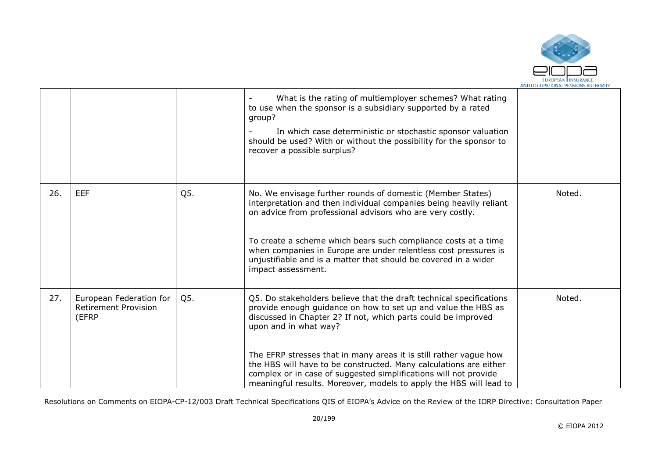

|     |                                                                 |     | What is the rating of multiemployer schemes? What rating<br>to use when the sponsor is a subsidiary supported by a rated<br>group?<br>In which case deterministic or stochastic sponsor valuation<br>should be used? With or without the possibility for the sponsor to<br>recover a possible surplus?                                                                                                                                                                                                             |        |
|-----|-----------------------------------------------------------------|-----|--------------------------------------------------------------------------------------------------------------------------------------------------------------------------------------------------------------------------------------------------------------------------------------------------------------------------------------------------------------------------------------------------------------------------------------------------------------------------------------------------------------------|--------|
| 26. | <b>EEF</b>                                                      | Q5. | No. We envisage further rounds of domestic (Member States)<br>interpretation and then individual companies being heavily reliant<br>on advice from professional advisors who are very costly.<br>To create a scheme which bears such compliance costs at a time<br>when companies in Europe are under relentless cost pressures is<br>unjustifiable and is a matter that should be covered in a wider<br>impact assessment.                                                                                        | Noted. |
| 27. | European Federation for<br><b>Retirement Provision</b><br>(EFRP | Q5. | Q5. Do stakeholders believe that the draft technical specifications<br>provide enough guidance on how to set up and value the HBS as<br>discussed in Chapter 2? If not, which parts could be improved<br>upon and in what way?<br>The EFRP stresses that in many areas it is still rather vague how<br>the HBS will have to be constructed. Many calculations are either<br>complex or in case of suggested simplifications will not provide<br>meaningful results. Moreover, models to apply the HBS will lead to | Noted. |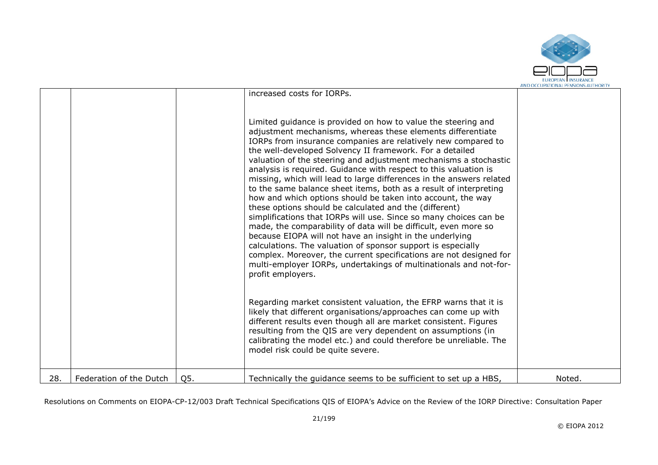

|     |                         |     | increased costs for IORPs.                                                                                                                                                                                                                                                                                                                                                                                                                                                                                                                                                                                                                                                                                                                                                                                                                                                                                                                                                                                                                                                                                  |        |
|-----|-------------------------|-----|-------------------------------------------------------------------------------------------------------------------------------------------------------------------------------------------------------------------------------------------------------------------------------------------------------------------------------------------------------------------------------------------------------------------------------------------------------------------------------------------------------------------------------------------------------------------------------------------------------------------------------------------------------------------------------------------------------------------------------------------------------------------------------------------------------------------------------------------------------------------------------------------------------------------------------------------------------------------------------------------------------------------------------------------------------------------------------------------------------------|--------|
|     |                         |     | Limited guidance is provided on how to value the steering and<br>adjustment mechanisms, whereas these elements differentiate<br>IORPs from insurance companies are relatively new compared to<br>the well-developed Solvency II framework. For a detailed<br>valuation of the steering and adjustment mechanisms a stochastic<br>analysis is required. Guidance with respect to this valuation is<br>missing, which will lead to large differences in the answers related<br>to the same balance sheet items, both as a result of interpreting<br>how and which options should be taken into account, the way<br>these options should be calculated and the (different)<br>simplifications that IORPs will use. Since so many choices can be<br>made, the comparability of data will be difficult, even more so<br>because EIOPA will not have an insight in the underlying<br>calculations. The valuation of sponsor support is especially<br>complex. Moreover, the current specifications are not designed for<br>multi-employer IORPs, undertakings of multinationals and not-for-<br>profit employers. |        |
|     |                         |     | Regarding market consistent valuation, the EFRP warns that it is<br>likely that different organisations/approaches can come up with<br>different results even though all are market consistent. Figures<br>resulting from the QIS are very dependent on assumptions (in<br>calibrating the model etc.) and could therefore be unreliable. The<br>model risk could be quite severe.                                                                                                                                                                                                                                                                                                                                                                                                                                                                                                                                                                                                                                                                                                                          |        |
| 28. | Federation of the Dutch | Q5. | Technically the guidance seems to be sufficient to set up a HBS,                                                                                                                                                                                                                                                                                                                                                                                                                                                                                                                                                                                                                                                                                                                                                                                                                                                                                                                                                                                                                                            | Noted. |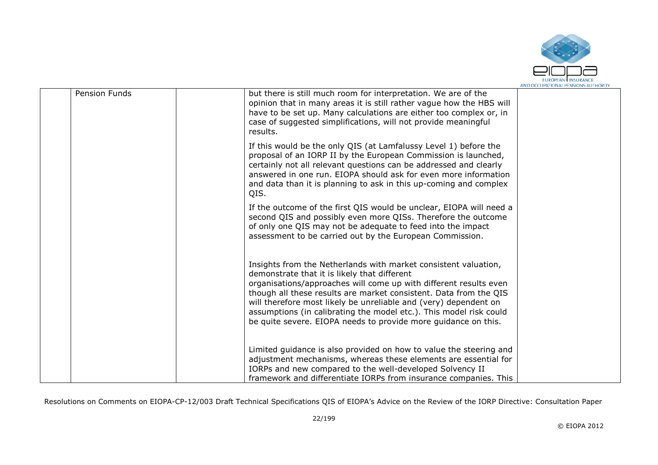

| Pension Funds | but there is still much room for interpretation. We are of the<br>opinion that in many areas it is still rather vague how the HBS will<br>have to be set up. Many calculations are either too complex or, in<br>case of suggested simplifications, will not provide meaningful<br>results.                                                                                                                                                                            |  |
|---------------|-----------------------------------------------------------------------------------------------------------------------------------------------------------------------------------------------------------------------------------------------------------------------------------------------------------------------------------------------------------------------------------------------------------------------------------------------------------------------|--|
|               | If this would be the only QIS (at Lamfalussy Level 1) before the<br>proposal of an IORP II by the European Commission is launched,<br>certainly not all relevant questions can be addressed and clearly<br>answered in one run. EIOPA should ask for even more information<br>and data than it is planning to ask in this up-coming and complex<br>QIS.                                                                                                               |  |
|               | If the outcome of the first QIS would be unclear, EIOPA will need a<br>second QIS and possibly even more QISs. Therefore the outcome<br>of only one QIS may not be adequate to feed into the impact<br>assessment to be carried out by the European Commission.                                                                                                                                                                                                       |  |
|               | Insights from the Netherlands with market consistent valuation,<br>demonstrate that it is likely that different<br>organisations/approaches will come up with different results even<br>though all these results are market consistent. Data from the QIS<br>will therefore most likely be unreliable and (very) dependent on<br>assumptions (in calibrating the model etc.). This model risk could<br>be quite severe. EIOPA needs to provide more quidance on this. |  |
|               | Limited guidance is also provided on how to value the steering and<br>adjustment mechanisms, whereas these elements are essential for<br>IORPs and new compared to the well-developed Solvency II<br>framework and differentiate IORPs from insurance companies. This                                                                                                                                                                                                 |  |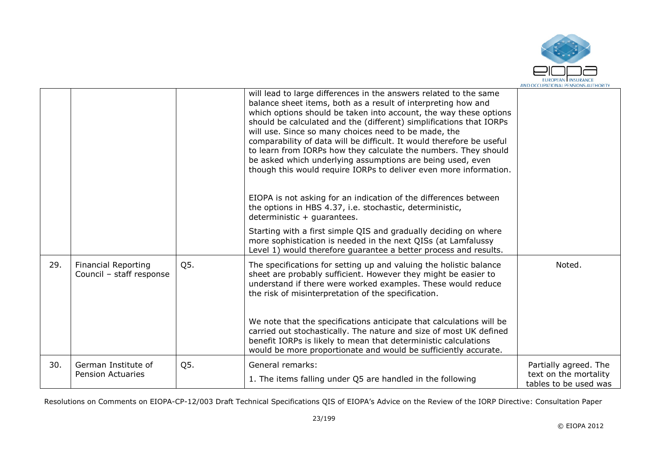

|     |                                                        |     | will lead to large differences in the answers related to the same<br>balance sheet items, both as a result of interpreting how and<br>which options should be taken into account, the way these options<br>should be calculated and the (different) simplifications that IORPs<br>will use. Since so many choices need to be made, the<br>comparability of data will be difficult. It would therefore be useful<br>to learn from IORPs how they calculate the numbers. They should<br>be asked which underlying assumptions are being used, even<br>though this would require IORPs to deliver even more information. |                                                                         |
|-----|--------------------------------------------------------|-----|-----------------------------------------------------------------------------------------------------------------------------------------------------------------------------------------------------------------------------------------------------------------------------------------------------------------------------------------------------------------------------------------------------------------------------------------------------------------------------------------------------------------------------------------------------------------------------------------------------------------------|-------------------------------------------------------------------------|
|     |                                                        |     | EIOPA is not asking for an indication of the differences between<br>the options in HBS 4.37, i.e. stochastic, deterministic,<br>deterministic $+$ guarantees.                                                                                                                                                                                                                                                                                                                                                                                                                                                         |                                                                         |
|     |                                                        |     | Starting with a first simple QIS and gradually deciding on where<br>more sophistication is needed in the next QISs (at Lamfalussy<br>Level 1) would therefore quarantee a better process and results.                                                                                                                                                                                                                                                                                                                                                                                                                 |                                                                         |
| 29. | <b>Financial Reporting</b><br>Council - staff response | Q5. | The specifications for setting up and valuing the holistic balance<br>sheet are probably sufficient. However they might be easier to<br>understand if there were worked examples. These would reduce<br>the risk of misinterpretation of the specification.                                                                                                                                                                                                                                                                                                                                                           | Noted.                                                                  |
|     |                                                        |     | We note that the specifications anticipate that calculations will be<br>carried out stochastically. The nature and size of most UK defined<br>benefit IORPs is likely to mean that deterministic calculations<br>would be more proportionate and would be sufficiently accurate.                                                                                                                                                                                                                                                                                                                                      |                                                                         |
| 30. | German Institute of<br><b>Pension Actuaries</b>        | Q5. | General remarks:<br>1. The items falling under Q5 are handled in the following                                                                                                                                                                                                                                                                                                                                                                                                                                                                                                                                        | Partially agreed. The<br>text on the mortality<br>tables to be used was |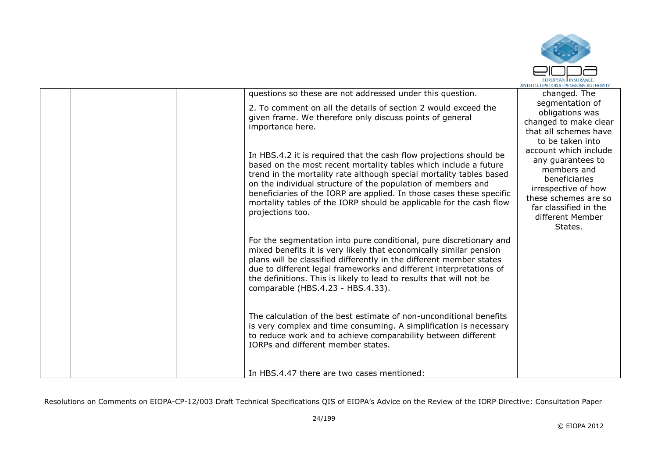

|  | questions so these are not addressed under this question.                                                                                                                                                                                                                                                                                                                                                                                        | changed. The                                                                                                                                                                                          |
|--|--------------------------------------------------------------------------------------------------------------------------------------------------------------------------------------------------------------------------------------------------------------------------------------------------------------------------------------------------------------------------------------------------------------------------------------------------|-------------------------------------------------------------------------------------------------------------------------------------------------------------------------------------------------------|
|  |                                                                                                                                                                                                                                                                                                                                                                                                                                                  |                                                                                                                                                                                                       |
|  | 2. To comment on all the details of section 2 would exceed the<br>given frame. We therefore only discuss points of general<br>importance here.                                                                                                                                                                                                                                                                                                   | segmentation of<br>obligations was<br>changed to make clear<br>that all schemes have                                                                                                                  |
|  | In HBS.4.2 it is required that the cash flow projections should be<br>based on the most recent mortality tables which include a future<br>trend in the mortality rate although special mortality tables based<br>on the individual structure of the population of members and<br>beneficiaries of the IORP are applied. In those cases these specific<br>mortality tables of the IORP should be applicable for the cash flow<br>projections too. | to be taken into<br>account which include<br>any guarantees to<br>members and<br>beneficiaries<br>irrespective of how<br>these schemes are so<br>far classified in the<br>different Member<br>States. |
|  | For the segmentation into pure conditional, pure discretionary and<br>mixed benefits it is very likely that economically similar pension<br>plans will be classified differently in the different member states<br>due to different legal frameworks and different interpretations of<br>the definitions. This is likely to lead to results that will not be<br>comparable (HBS.4.23 - HBS.4.33).                                                |                                                                                                                                                                                                       |
|  | The calculation of the best estimate of non-unconditional benefits<br>is very complex and time consuming. A simplification is necessary<br>to reduce work and to achieve comparability between different<br>IORPs and different member states.                                                                                                                                                                                                   |                                                                                                                                                                                                       |
|  | In HBS.4.47 there are two cases mentioned:                                                                                                                                                                                                                                                                                                                                                                                                       |                                                                                                                                                                                                       |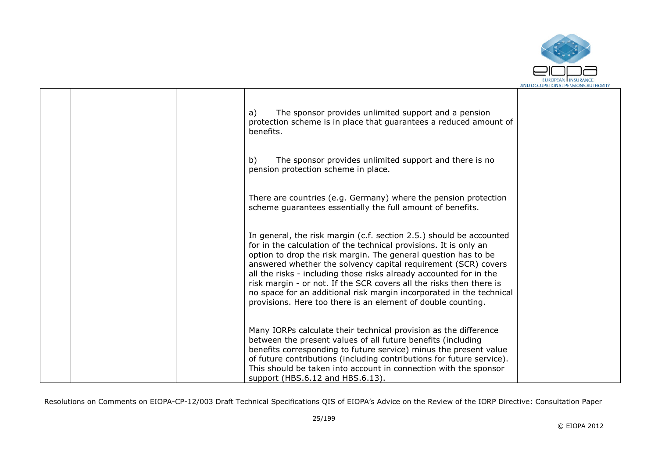

|  | The sponsor provides unlimited support and a pension<br>a)<br>protection scheme is in place that guarantees a reduced amount of<br>benefits.                                                                                                                                                                                                                                                                                                                                                                                                                      |  |
|--|-------------------------------------------------------------------------------------------------------------------------------------------------------------------------------------------------------------------------------------------------------------------------------------------------------------------------------------------------------------------------------------------------------------------------------------------------------------------------------------------------------------------------------------------------------------------|--|
|  | The sponsor provides unlimited support and there is no<br>b)<br>pension protection scheme in place.                                                                                                                                                                                                                                                                                                                                                                                                                                                               |  |
|  | There are countries (e.g. Germany) where the pension protection<br>scheme guarantees essentially the full amount of benefits.                                                                                                                                                                                                                                                                                                                                                                                                                                     |  |
|  | In general, the risk margin (c.f. section 2.5.) should be accounted<br>for in the calculation of the technical provisions. It is only an<br>option to drop the risk margin. The general question has to be<br>answered whether the solvency capital requirement (SCR) covers<br>all the risks - including those risks already accounted for in the<br>risk margin - or not. If the SCR covers all the risks then there is<br>no space for an additional risk margin incorporated in the technical<br>provisions. Here too there is an element of double counting. |  |
|  | Many IORPs calculate their technical provision as the difference<br>between the present values of all future benefits (including<br>benefits corresponding to future service) minus the present value<br>of future contributions (including contributions for future service).<br>This should be taken into account in connection with the sponsor<br>support (HBS.6.12 and HBS.6.13).                                                                                                                                                                            |  |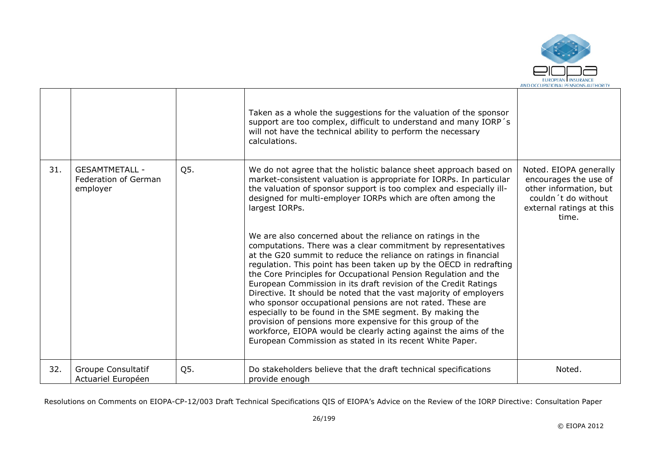

|     |                                                           |     | Taken as a whole the suggestions for the valuation of the sponsor<br>support are too complex, difficult to understand and many IORP's<br>will not have the technical ability to perform the necessary<br>calculations.                                                                                                                                                                                                                                                                                                                                                                                                                                                                                                                                                                                                                                                                                                                                                                                                                                                                                       |                                                                                                                                       |
|-----|-----------------------------------------------------------|-----|--------------------------------------------------------------------------------------------------------------------------------------------------------------------------------------------------------------------------------------------------------------------------------------------------------------------------------------------------------------------------------------------------------------------------------------------------------------------------------------------------------------------------------------------------------------------------------------------------------------------------------------------------------------------------------------------------------------------------------------------------------------------------------------------------------------------------------------------------------------------------------------------------------------------------------------------------------------------------------------------------------------------------------------------------------------------------------------------------------------|---------------------------------------------------------------------------------------------------------------------------------------|
| 31. | <b>GESAMTMETALL -</b><br>Federation of German<br>employer | Q5. | We do not agree that the holistic balance sheet approach based on<br>market-consistent valuation is appropriate for IORPs. In particular<br>the valuation of sponsor support is too complex and especially ill-<br>designed for multi-employer IORPs which are often among the<br>largest IORPs.<br>We are also concerned about the reliance on ratings in the<br>computations. There was a clear commitment by representatives<br>at the G20 summit to reduce the reliance on ratings in financial<br>regulation. This point has been taken up by the OECD in redrafting<br>the Core Principles for Occupational Pension Regulation and the<br>European Commission in its draft revision of the Credit Ratings<br>Directive. It should be noted that the vast majority of employers<br>who sponsor occupational pensions are not rated. These are<br>especially to be found in the SME segment. By making the<br>provision of pensions more expensive for this group of the<br>workforce, EIOPA would be clearly acting against the aims of the<br>European Commission as stated in its recent White Paper. | Noted. EIOPA generally<br>encourages the use of<br>other information, but<br>couldn't do without<br>external ratings at this<br>time. |
| 32. | Groupe Consultatif<br>Actuariel Européen                  | Q5. | Do stakeholders believe that the draft technical specifications<br>provide enough                                                                                                                                                                                                                                                                                                                                                                                                                                                                                                                                                                                                                                                                                                                                                                                                                                                                                                                                                                                                                            | Noted.                                                                                                                                |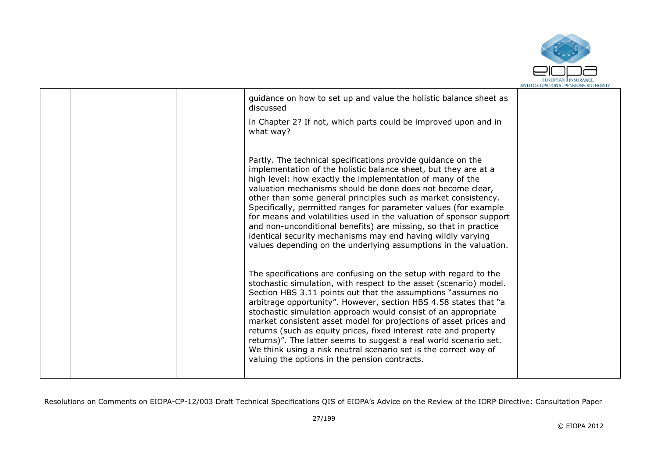

|  | guidance on how to set up and value the holistic balance sheet as<br>discussed                                                                                                                                                                                                                                                                                                                                                                                                                                                                                                                                                                                                  |  |
|--|---------------------------------------------------------------------------------------------------------------------------------------------------------------------------------------------------------------------------------------------------------------------------------------------------------------------------------------------------------------------------------------------------------------------------------------------------------------------------------------------------------------------------------------------------------------------------------------------------------------------------------------------------------------------------------|--|
|  | in Chapter 2? If not, which parts could be improved upon and in<br>what way?                                                                                                                                                                                                                                                                                                                                                                                                                                                                                                                                                                                                    |  |
|  | Partly. The technical specifications provide guidance on the<br>implementation of the holistic balance sheet, but they are at a<br>high level: how exactly the implementation of many of the<br>valuation mechanisms should be done does not become clear,<br>other than some general principles such as market consistency.<br>Specifically, permitted ranges for parameter values (for example<br>for means and volatilities used in the valuation of sponsor support<br>and non-unconditional benefits) are missing, so that in practice<br>identical security mechanisms may end having wildly varying<br>values depending on the underlying assumptions in the valuation.  |  |
|  | The specifications are confusing on the setup with regard to the<br>stochastic simulation, with respect to the asset (scenario) model.<br>Section HBS 3.11 points out that the assumptions "assumes no<br>arbitrage opportunity". However, section HBS 4.58 states that "a<br>stochastic simulation approach would consist of an appropriate<br>market consistent asset model for projections of asset prices and<br>returns (such as equity prices, fixed interest rate and property<br>returns)". The latter seems to suggest a real world scenario set.<br>We think using a risk neutral scenario set is the correct way of<br>valuing the options in the pension contracts. |  |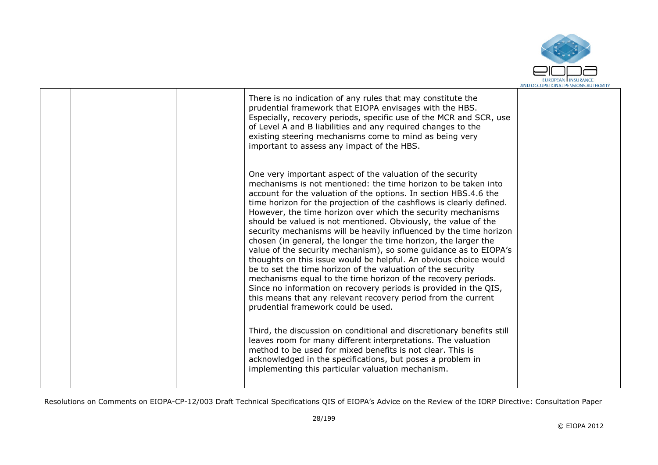

|  | There is no indication of any rules that may constitute the<br>prudential framework that EIOPA envisages with the HBS.<br>Especially, recovery periods, specific use of the MCR and SCR, use<br>of Level A and B liabilities and any required changes to the<br>existing steering mechanisms come to mind as being very<br>important to assess any impact of the HBS.                                                                                                                                                                                                                                                                                                                                                                                                                                                                                                                                                                                                                                   |  |
|--|---------------------------------------------------------------------------------------------------------------------------------------------------------------------------------------------------------------------------------------------------------------------------------------------------------------------------------------------------------------------------------------------------------------------------------------------------------------------------------------------------------------------------------------------------------------------------------------------------------------------------------------------------------------------------------------------------------------------------------------------------------------------------------------------------------------------------------------------------------------------------------------------------------------------------------------------------------------------------------------------------------|--|
|  | One very important aspect of the valuation of the security<br>mechanisms is not mentioned: the time horizon to be taken into<br>account for the valuation of the options. In section HBS.4.6 the<br>time horizon for the projection of the cashflows is clearly defined.<br>However, the time horizon over which the security mechanisms<br>should be valued is not mentioned. Obviously, the value of the<br>security mechanisms will be heavily influenced by the time horizon<br>chosen (in general, the longer the time horizon, the larger the<br>value of the security mechanism), so some guidance as to EIOPA's<br>thoughts on this issue would be helpful. An obvious choice would<br>be to set the time horizon of the valuation of the security<br>mechanisms equal to the time horizon of the recovery periods.<br>Since no information on recovery periods is provided in the QIS,<br>this means that any relevant recovery period from the current<br>prudential framework could be used. |  |
|  | Third, the discussion on conditional and discretionary benefits still<br>leaves room for many different interpretations. The valuation<br>method to be used for mixed benefits is not clear. This is<br>acknowledged in the specifications, but poses a problem in<br>implementing this particular valuation mechanism.                                                                                                                                                                                                                                                                                                                                                                                                                                                                                                                                                                                                                                                                                 |  |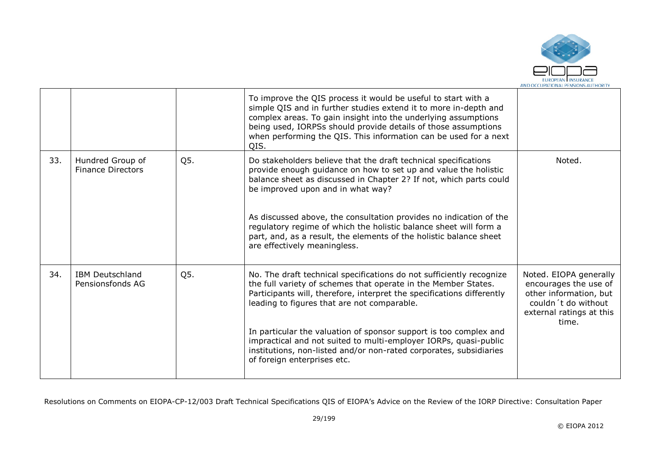

|     |                                              |     | To improve the QIS process it would be useful to start with a<br>simple QIS and in further studies extend it to more in-depth and<br>complex areas. To gain insight into the underlying assumptions<br>being used, IORPSs should provide details of those assumptions<br>when performing the QIS. This information can be used for a next<br>OIS. |                                                                                                                                       |
|-----|----------------------------------------------|-----|---------------------------------------------------------------------------------------------------------------------------------------------------------------------------------------------------------------------------------------------------------------------------------------------------------------------------------------------------|---------------------------------------------------------------------------------------------------------------------------------------|
| 33. | Hundred Group of<br><b>Finance Directors</b> | Q5. | Do stakeholders believe that the draft technical specifications<br>provide enough guidance on how to set up and value the holistic<br>balance sheet as discussed in Chapter 2? If not, which parts could<br>be improved upon and in what way?                                                                                                     | Noted.                                                                                                                                |
|     |                                              |     | As discussed above, the consultation provides no indication of the<br>regulatory regime of which the holistic balance sheet will form a<br>part, and, as a result, the elements of the holistic balance sheet<br>are effectively meaningless.                                                                                                     |                                                                                                                                       |
| 34. | <b>IBM Deutschland</b><br>Pensionsfonds AG   | Q5. | No. The draft technical specifications do not sufficiently recognize<br>the full variety of schemes that operate in the Member States.<br>Participants will, therefore, interpret the specifications differently<br>leading to figures that are not comparable.                                                                                   | Noted. EIOPA generally<br>encourages the use of<br>other information, but<br>couldn't do without<br>external ratings at this<br>time. |
|     |                                              |     | In particular the valuation of sponsor support is too complex and<br>impractical and not suited to multi-employer IORPs, quasi-public<br>institutions, non-listed and/or non-rated corporates, subsidiaries<br>of foreign enterprises etc.                                                                                                        |                                                                                                                                       |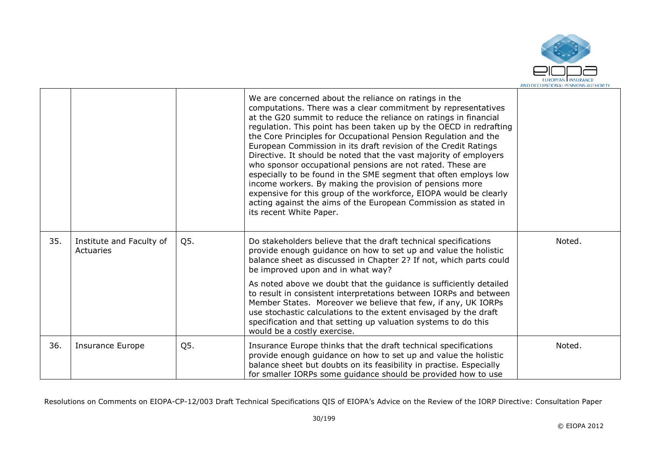

|     |                                       |     | We are concerned about the reliance on ratings in the<br>computations. There was a clear commitment by representatives<br>at the G20 summit to reduce the reliance on ratings in financial<br>regulation. This point has been taken up by the OECD in redrafting<br>the Core Principles for Occupational Pension Regulation and the<br>European Commission in its draft revision of the Credit Ratings<br>Directive. It should be noted that the vast majority of employers<br>who sponsor occupational pensions are not rated. These are<br>especially to be found in the SME segment that often employs low<br>income workers. By making the provision of pensions more<br>expensive for this group of the workforce, EIOPA would be clearly<br>acting against the aims of the European Commission as stated in<br>its recent White Paper. |        |
|-----|---------------------------------------|-----|----------------------------------------------------------------------------------------------------------------------------------------------------------------------------------------------------------------------------------------------------------------------------------------------------------------------------------------------------------------------------------------------------------------------------------------------------------------------------------------------------------------------------------------------------------------------------------------------------------------------------------------------------------------------------------------------------------------------------------------------------------------------------------------------------------------------------------------------|--------|
| 35. | Institute and Faculty of<br>Actuaries | Q5. | Do stakeholders believe that the draft technical specifications<br>provide enough guidance on how to set up and value the holistic<br>balance sheet as discussed in Chapter 2? If not, which parts could<br>be improved upon and in what way?                                                                                                                                                                                                                                                                                                                                                                                                                                                                                                                                                                                                | Noted. |
|     |                                       |     | As noted above we doubt that the guidance is sufficiently detailed<br>to result in consistent interpretations between IORPs and between<br>Member States. Moreover we believe that few, if any, UK IORPs<br>use stochastic calculations to the extent envisaged by the draft<br>specification and that setting up valuation systems to do this<br>would be a costly exercise.                                                                                                                                                                                                                                                                                                                                                                                                                                                                |        |
| 36. | <b>Insurance Europe</b>               | Q5. | Insurance Europe thinks that the draft technical specifications<br>provide enough guidance on how to set up and value the holistic<br>balance sheet but doubts on its feasibility in practise. Especially<br>for smaller IORPs some guidance should be provided how to use                                                                                                                                                                                                                                                                                                                                                                                                                                                                                                                                                                   | Noted. |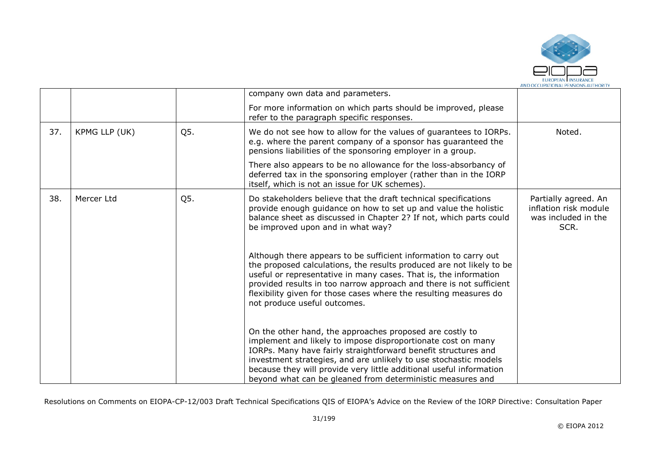

|     |               |     | company own data and parameters.                                                                                                                                                                                                                                                                                                                                                                    |                                                                              |
|-----|---------------|-----|-----------------------------------------------------------------------------------------------------------------------------------------------------------------------------------------------------------------------------------------------------------------------------------------------------------------------------------------------------------------------------------------------------|------------------------------------------------------------------------------|
|     |               |     | For more information on which parts should be improved, please<br>refer to the paragraph specific responses.                                                                                                                                                                                                                                                                                        |                                                                              |
| 37. | KPMG LLP (UK) | Q5. | We do not see how to allow for the values of guarantees to IORPs.<br>e.g. where the parent company of a sponsor has guaranteed the<br>pensions liabilities of the sponsoring employer in a group.                                                                                                                                                                                                   | Noted.                                                                       |
|     |               |     | There also appears to be no allowance for the loss-absorbancy of<br>deferred tax in the sponsoring employer (rather than in the IORP<br>itself, which is not an issue for UK schemes).                                                                                                                                                                                                              |                                                                              |
| 38. | Mercer Ltd    | Q5. | Do stakeholders believe that the draft technical specifications<br>provide enough quidance on how to set up and value the holistic<br>balance sheet as discussed in Chapter 2? If not, which parts could<br>be improved upon and in what way?                                                                                                                                                       | Partially agreed. An<br>inflation risk module<br>was included in the<br>SCR. |
|     |               |     | Although there appears to be sufficient information to carry out<br>the proposed calculations, the results produced are not likely to be<br>useful or representative in many cases. That is, the information<br>provided results in too narrow approach and there is not sufficient<br>flexibility given for those cases where the resulting measures do<br>not produce useful outcomes.            |                                                                              |
|     |               |     | On the other hand, the approaches proposed are costly to<br>implement and likely to impose disproportionate cost on many<br>IORPs. Many have fairly straightforward benefit structures and<br>investment strategies, and are unlikely to use stochastic models<br>because they will provide very little additional useful information<br>beyond what can be gleaned from deterministic measures and |                                                                              |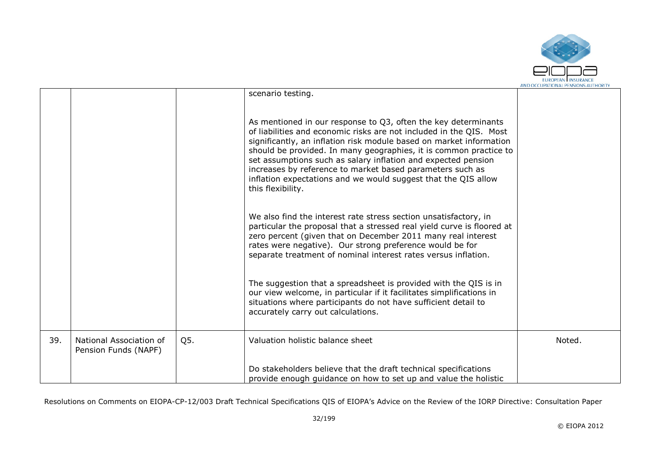

|     |                                                 |     | scenario testing.                                                                                                                                                                                                                                                                                                                                                                                                                                                                                      |        |
|-----|-------------------------------------------------|-----|--------------------------------------------------------------------------------------------------------------------------------------------------------------------------------------------------------------------------------------------------------------------------------------------------------------------------------------------------------------------------------------------------------------------------------------------------------------------------------------------------------|--------|
|     |                                                 |     | As mentioned in our response to Q3, often the key determinants<br>of liabilities and economic risks are not included in the QIS. Most<br>significantly, an inflation risk module based on market information<br>should be provided. In many geographies, it is common practice to<br>set assumptions such as salary inflation and expected pension<br>increases by reference to market based parameters such as<br>inflation expectations and we would suggest that the QIS allow<br>this flexibility. |        |
|     |                                                 |     | We also find the interest rate stress section unsatisfactory, in<br>particular the proposal that a stressed real yield curve is floored at<br>zero percent (given that on December 2011 many real interest<br>rates were negative). Our strong preference would be for<br>separate treatment of nominal interest rates versus inflation.                                                                                                                                                               |        |
|     |                                                 |     | The suggestion that a spreadsheet is provided with the QIS is in<br>our view welcome, in particular if it facilitates simplifications in<br>situations where participants do not have sufficient detail to<br>accurately carry out calculations.                                                                                                                                                                                                                                                       |        |
| 39. | National Association of<br>Pension Funds (NAPF) | Q5. | Valuation holistic balance sheet                                                                                                                                                                                                                                                                                                                                                                                                                                                                       | Noted. |
|     |                                                 |     | Do stakeholders believe that the draft technical specifications<br>provide enough guidance on how to set up and value the holistic                                                                                                                                                                                                                                                                                                                                                                     |        |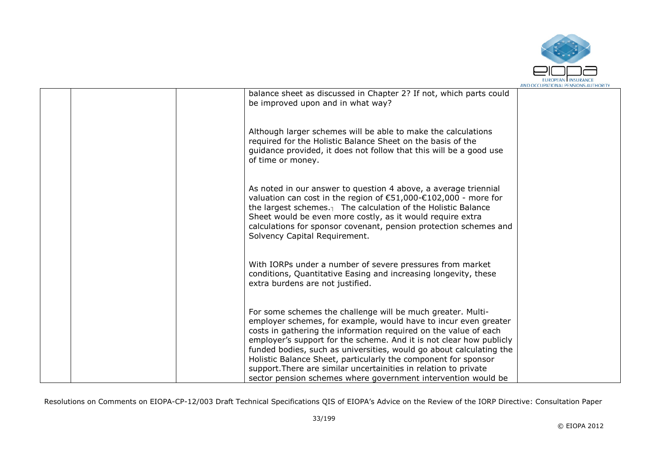

|  |                                                                                                                                                                                                                                                                                                                                                                                                                                                                                                                                                         | AND OCCUPATIONAL PENSIONS AUTHORI |
|--|---------------------------------------------------------------------------------------------------------------------------------------------------------------------------------------------------------------------------------------------------------------------------------------------------------------------------------------------------------------------------------------------------------------------------------------------------------------------------------------------------------------------------------------------------------|-----------------------------------|
|  | balance sheet as discussed in Chapter 2? If not, which parts could<br>be improved upon and in what way?                                                                                                                                                                                                                                                                                                                                                                                                                                                 |                                   |
|  | Although larger schemes will be able to make the calculations<br>required for the Holistic Balance Sheet on the basis of the<br>guidance provided, it does not follow that this will be a good use<br>of time or money.                                                                                                                                                                                                                                                                                                                                 |                                   |
|  | As noted in our answer to question 4 above, a average triennial<br>valuation can cost in the region of €51,000-€102,000 - more for<br>the largest schemes. $\frac{1}{1}$ The calculation of the Holistic Balance<br>Sheet would be even more costly, as it would require extra<br>calculations for sponsor covenant, pension protection schemes and<br>Solvency Capital Requirement.                                                                                                                                                                    |                                   |
|  | With IORPs under a number of severe pressures from market<br>conditions, Quantitative Easing and increasing longevity, these<br>extra burdens are not justified.                                                                                                                                                                                                                                                                                                                                                                                        |                                   |
|  | For some schemes the challenge will be much greater. Multi-<br>employer schemes, for example, would have to incur even greater<br>costs in gathering the information required on the value of each<br>employer's support for the scheme. And it is not clear how publicly<br>funded bodies, such as universities, would go about calculating the<br>Holistic Balance Sheet, particularly the component for sponsor<br>support. There are similar uncertainities in relation to private<br>sector pension schemes where government intervention would be |                                   |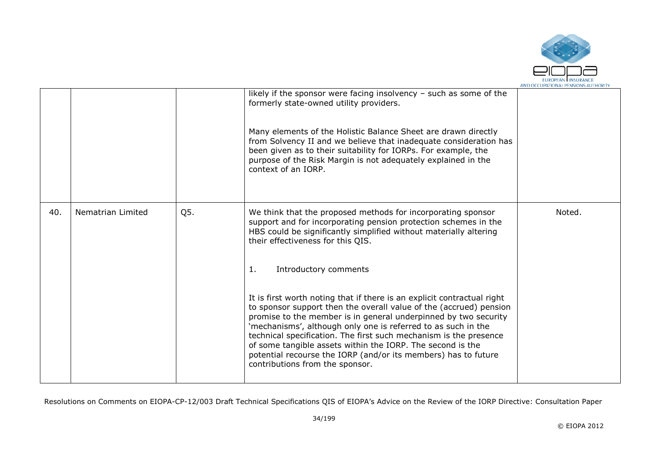

|     |                   |     | likely if the sponsor were facing insolvency $-$ such as some of the<br>formerly state-owned utility providers.<br>Many elements of the Holistic Balance Sheet are drawn directly<br>from Solvency II and we believe that inadequate consideration has<br>been given as to their suitability for IORPs. For example, the<br>purpose of the Risk Margin is not adequately explained in the<br>context of an IORP.                                                                                                          |        |
|-----|-------------------|-----|---------------------------------------------------------------------------------------------------------------------------------------------------------------------------------------------------------------------------------------------------------------------------------------------------------------------------------------------------------------------------------------------------------------------------------------------------------------------------------------------------------------------------|--------|
| 40. | Nematrian Limited | Q5. | We think that the proposed methods for incorporating sponsor<br>support and for incorporating pension protection schemes in the<br>HBS could be significantly simplified without materially altering<br>their effectiveness for this QIS.                                                                                                                                                                                                                                                                                 | Noted. |
|     |                   |     | Introductory comments<br>1.                                                                                                                                                                                                                                                                                                                                                                                                                                                                                               |        |
|     |                   |     | It is first worth noting that if there is an explicit contractual right<br>to sponsor support then the overall value of the (accrued) pension<br>promise to the member is in general underpinned by two security<br>'mechanisms', although only one is referred to as such in the<br>technical specification. The first such mechanism is the presence<br>of some tangible assets within the IORP. The second is the<br>potential recourse the IORP (and/or its members) has to future<br>contributions from the sponsor. |        |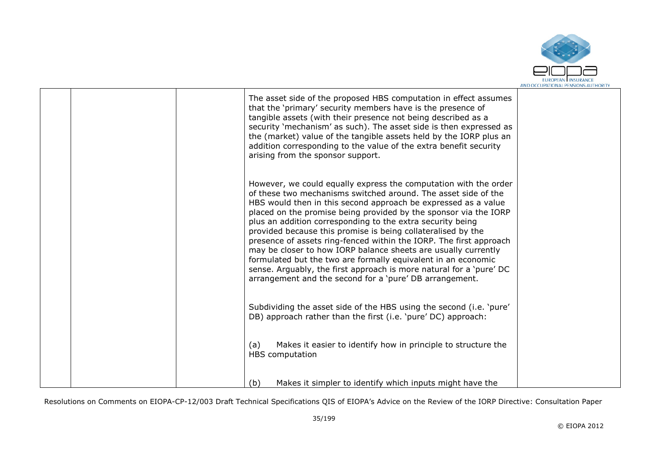

|  | The asset side of the proposed HBS computation in effect assumes<br>that the 'primary' security members have is the presence of<br>tangible assets (with their presence not being described as a<br>security 'mechanism' as such). The asset side is then expressed as<br>the (market) value of the tangible assets held by the IORP plus an<br>addition corresponding to the value of the extra benefit security<br>arising from the sponsor support.                                                                                                                                                                                                                                                                                            |  |
|--|---------------------------------------------------------------------------------------------------------------------------------------------------------------------------------------------------------------------------------------------------------------------------------------------------------------------------------------------------------------------------------------------------------------------------------------------------------------------------------------------------------------------------------------------------------------------------------------------------------------------------------------------------------------------------------------------------------------------------------------------------|--|
|  | However, we could equally express the computation with the order<br>of these two mechanisms switched around. The asset side of the<br>HBS would then in this second approach be expressed as a value<br>placed on the promise being provided by the sponsor via the IORP<br>plus an addition corresponding to the extra security being<br>provided because this promise is being collateralised by the<br>presence of assets ring-fenced within the IORP. The first approach<br>may be closer to how IORP balance sheets are usually currently<br>formulated but the two are formally equivalent in an economic<br>sense. Arguably, the first approach is more natural for a 'pure' DC<br>arrangement and the second for a 'pure' DB arrangement. |  |
|  | Subdividing the asset side of the HBS using the second (i.e. 'pure'<br>DB) approach rather than the first (i.e. 'pure' DC) approach:                                                                                                                                                                                                                                                                                                                                                                                                                                                                                                                                                                                                              |  |
|  | Makes it easier to identify how in principle to structure the<br>(a)<br>HBS computation                                                                                                                                                                                                                                                                                                                                                                                                                                                                                                                                                                                                                                                           |  |
|  | Makes it simpler to identify which inputs might have the<br>(b)                                                                                                                                                                                                                                                                                                                                                                                                                                                                                                                                                                                                                                                                                   |  |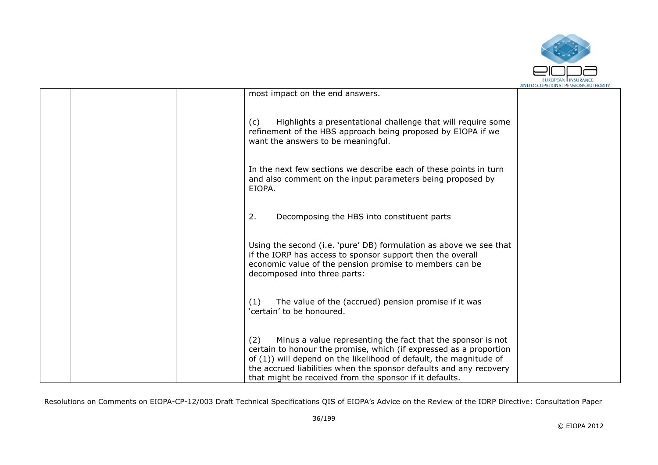

|  |                                                                                                                                                                                                                                                                                                                                                 | AND OCCUPATIONAL FENSIONS AUTHONT |
|--|-------------------------------------------------------------------------------------------------------------------------------------------------------------------------------------------------------------------------------------------------------------------------------------------------------------------------------------------------|-----------------------------------|
|  | most impact on the end answers.                                                                                                                                                                                                                                                                                                                 |                                   |
|  | Highlights a presentational challenge that will require some<br>(c)<br>refinement of the HBS approach being proposed by EIOPA if we<br>want the answers to be meaningful.                                                                                                                                                                       |                                   |
|  | In the next few sections we describe each of these points in turn<br>and also comment on the input parameters being proposed by<br>EIOPA.                                                                                                                                                                                                       |                                   |
|  | 2.<br>Decomposing the HBS into constituent parts                                                                                                                                                                                                                                                                                                |                                   |
|  | Using the second (i.e. 'pure' DB) formulation as above we see that<br>if the IORP has access to sponsor support then the overall<br>economic value of the pension promise to members can be<br>decomposed into three parts:                                                                                                                     |                                   |
|  | The value of the (accrued) pension promise if it was<br>(1)<br>'certain' to be honoured.                                                                                                                                                                                                                                                        |                                   |
|  | Minus a value representing the fact that the sponsor is not<br>(2)<br>certain to honour the promise, which (if expressed as a proportion<br>of (1)) will depend on the likelihood of default, the magnitude of<br>the accrued liabilities when the sponsor defaults and any recovery<br>that might be received from the sponsor if it defaults. |                                   |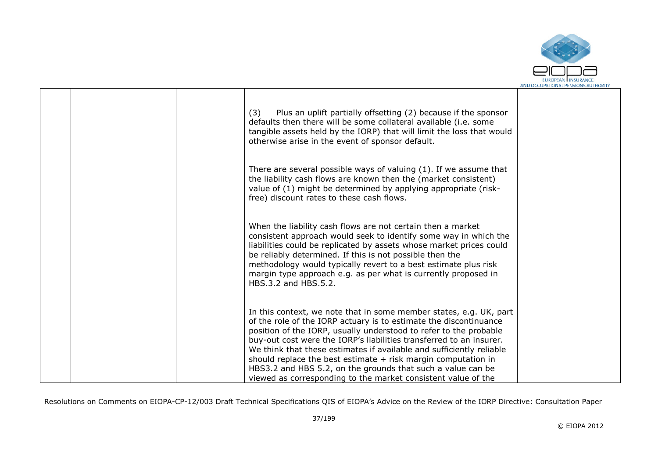

|  | Plus an uplift partially offsetting (2) because if the sponsor<br>(3)<br>defaults then there will be some collateral available (i.e. some<br>tangible assets held by the IORP) that will limit the loss that would<br>otherwise arise in the event of sponsor default.                                                                                                                                                                                                                                                                                         |  |
|--|----------------------------------------------------------------------------------------------------------------------------------------------------------------------------------------------------------------------------------------------------------------------------------------------------------------------------------------------------------------------------------------------------------------------------------------------------------------------------------------------------------------------------------------------------------------|--|
|  | There are several possible ways of valuing (1). If we assume that<br>the liability cash flows are known then the (market consistent)<br>value of (1) might be determined by applying appropriate (risk-<br>free) discount rates to these cash flows.                                                                                                                                                                                                                                                                                                           |  |
|  | When the liability cash flows are not certain then a market<br>consistent approach would seek to identify some way in which the<br>liabilities could be replicated by assets whose market prices could<br>be reliably determined. If this is not possible then the<br>methodology would typically revert to a best estimate plus risk<br>margin type approach e.g. as per what is currently proposed in<br>HBS.3.2 and HBS.5.2.                                                                                                                                |  |
|  | In this context, we note that in some member states, e.g. UK, part<br>of the role of the IORP actuary is to estimate the discontinuance<br>position of the IORP, usually understood to refer to the probable<br>buy-out cost were the IORP's liabilities transferred to an insurer.<br>We think that these estimates if available and sufficiently reliable<br>should replace the best estimate $+$ risk margin computation in<br>HBS3.2 and HBS 5.2, on the grounds that such a value can be<br>viewed as corresponding to the market consistent value of the |  |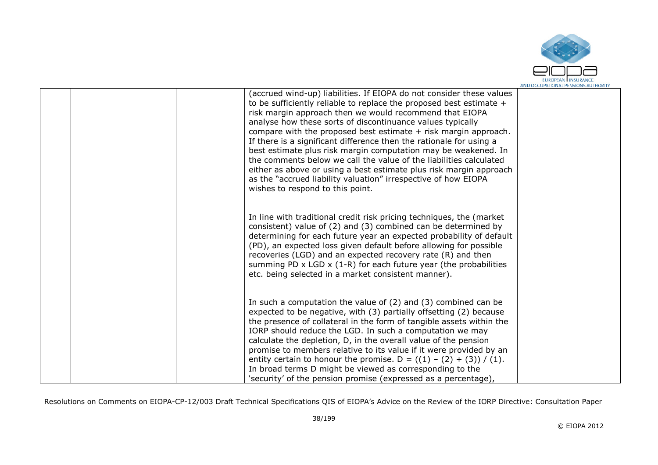

| (accrued wind-up) liabilities. If EIOPA do not consider these values<br>to be sufficiently reliable to replace the proposed best estimate +<br>risk margin approach then we would recommend that EIOPA<br>analyse how these sorts of discontinuance values typically<br>compare with the proposed best estimate + risk margin approach.<br>If there is a significant difference then the rationale for using a<br>best estimate plus risk margin computation may be weakened. In<br>the comments below we call the value of the liabilities calculated<br>either as above or using a best estimate plus risk margin approach<br>as the "accrued liability valuation" irrespective of how EIOPA<br>wishes to respond to this point. |  |
|------------------------------------------------------------------------------------------------------------------------------------------------------------------------------------------------------------------------------------------------------------------------------------------------------------------------------------------------------------------------------------------------------------------------------------------------------------------------------------------------------------------------------------------------------------------------------------------------------------------------------------------------------------------------------------------------------------------------------------|--|
| In line with traditional credit risk pricing techniques, the (market<br>consistent) value of (2) and (3) combined can be determined by<br>determining for each future year an expected probability of default<br>(PD), an expected loss given default before allowing for possible<br>recoveries (LGD) and an expected recovery rate (R) and then<br>summing PD $\times$ LGD $\times$ (1-R) for each future year (the probabilities<br>etc. being selected in a market consistent manner).                                                                                                                                                                                                                                         |  |
| In such a computation the value of $(2)$ and $(3)$ combined can be<br>expected to be negative, with (3) partially offsetting (2) because<br>the presence of collateral in the form of tangible assets within the<br>IORP should reduce the LGD. In such a computation we may<br>calculate the depletion, D, in the overall value of the pension<br>promise to members relative to its value if it were provided by an<br>entity certain to honour the promise. D = $((1) - (2) + (3)) / (1)$ .<br>In broad terms D might be viewed as corresponding to the<br>'security' of the pension promise (expressed as a percentage),                                                                                                       |  |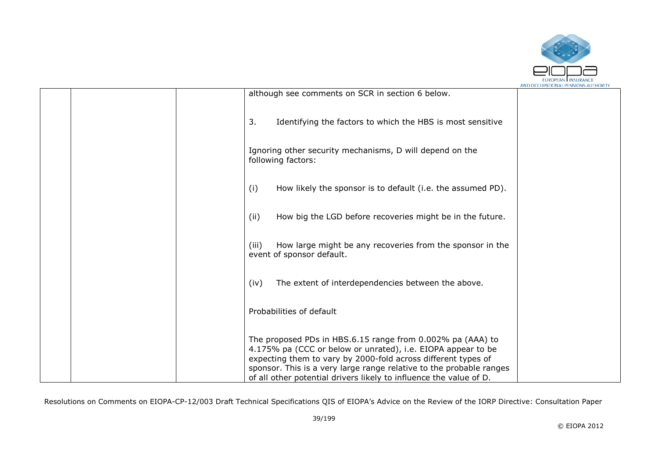

|  |                                                                                                                                                                                                                                                                                                                                          | AND OCCUPATIONAL PENSIONS AUTHORIT |
|--|------------------------------------------------------------------------------------------------------------------------------------------------------------------------------------------------------------------------------------------------------------------------------------------------------------------------------------------|------------------------------------|
|  | although see comments on SCR in section 6 below.                                                                                                                                                                                                                                                                                         |                                    |
|  | Identifying the factors to which the HBS is most sensitive<br>3.                                                                                                                                                                                                                                                                         |                                    |
|  | Ignoring other security mechanisms, D will depend on the<br>following factors:                                                                                                                                                                                                                                                           |                                    |
|  | How likely the sponsor is to default (i.e. the assumed PD).<br>(i)                                                                                                                                                                                                                                                                       |                                    |
|  | How big the LGD before recoveries might be in the future.<br>(ii)                                                                                                                                                                                                                                                                        |                                    |
|  | How large might be any recoveries from the sponsor in the<br>(iii)<br>event of sponsor default.                                                                                                                                                                                                                                          |                                    |
|  | The extent of interdependencies between the above.<br>(iv)                                                                                                                                                                                                                                                                               |                                    |
|  | Probabilities of default                                                                                                                                                                                                                                                                                                                 |                                    |
|  | The proposed PDs in HBS.6.15 range from 0.002% pa (AAA) to<br>4.175% pa (CCC or below or unrated), i.e. EIOPA appear to be<br>expecting them to vary by 2000-fold across different types of<br>sponsor. This is a very large range relative to the probable ranges<br>of all other potential drivers likely to influence the value of D. |                                    |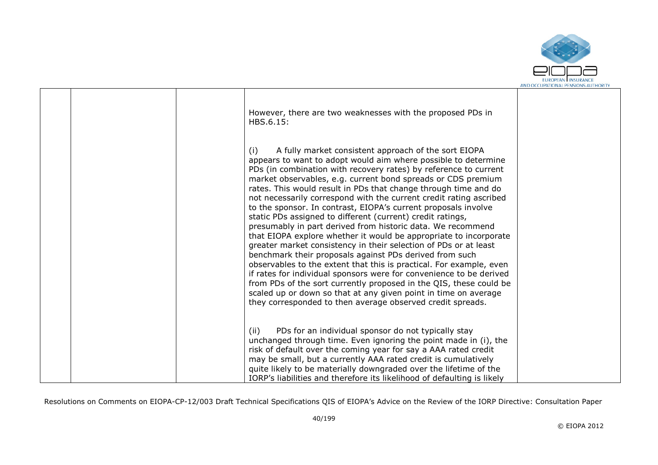

|  | However, there are two weaknesses with the proposed PDs in<br>HBS.6.15:<br>A fully market consistent approach of the sort EIOPA<br>(i)<br>appears to want to adopt would aim where possible to determine<br>PDs (in combination with recovery rates) by reference to current<br>market observables, e.g. current bond spreads or CDS premium<br>rates. This would result in PDs that change through time and do<br>not necessarily correspond with the current credit rating ascribed<br>to the sponsor. In contrast, EIOPA's current proposals involve<br>static PDs assigned to different (current) credit ratings,<br>presumably in part derived from historic data. We recommend<br>that EIOPA explore whether it would be appropriate to incorporate<br>greater market consistency in their selection of PDs or at least<br>benchmark their proposals against PDs derived from such<br>observables to the extent that this is practical. For example, even<br>if rates for individual sponsors were for convenience to be derived<br>from PDs of the sort currently proposed in the QIS, these could be<br>scaled up or down so that at any given point in time on average<br>they corresponded to then average observed credit spreads. |  |
|--|-----------------------------------------------------------------------------------------------------------------------------------------------------------------------------------------------------------------------------------------------------------------------------------------------------------------------------------------------------------------------------------------------------------------------------------------------------------------------------------------------------------------------------------------------------------------------------------------------------------------------------------------------------------------------------------------------------------------------------------------------------------------------------------------------------------------------------------------------------------------------------------------------------------------------------------------------------------------------------------------------------------------------------------------------------------------------------------------------------------------------------------------------------------------------------------------------------------------------------------------------|--|
|  | PDs for an individual sponsor do not typically stay<br>(ii)<br>unchanged through time. Even ignoring the point made in (i), the<br>risk of default over the coming year for say a AAA rated credit<br>may be small, but a currently AAA rated credit is cumulatively<br>quite likely to be materially downgraded over the lifetime of the<br>IORP's liabilities and therefore its likelihood of defaulting is likely                                                                                                                                                                                                                                                                                                                                                                                                                                                                                                                                                                                                                                                                                                                                                                                                                          |  |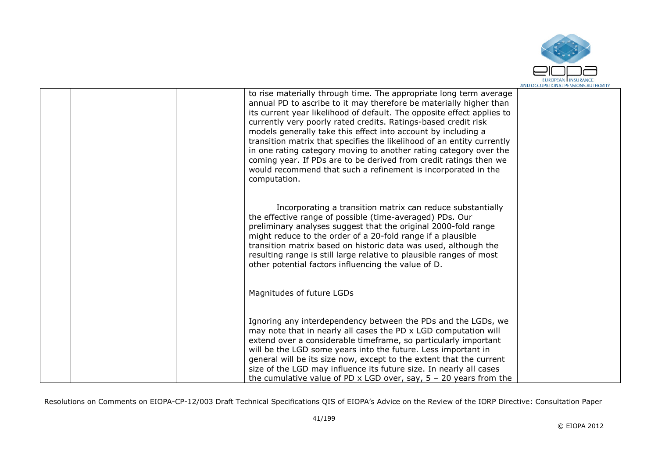

| to rise materially through time. The appropriate long term average<br>annual PD to ascribe to it may therefore be materially higher than<br>its current year likelihood of default. The opposite effect applies to<br>currently very poorly rated credits. Ratings-based credit risk<br>models generally take this effect into account by including a<br>transition matrix that specifies the likelihood of an entity currently<br>in one rating category moving to another rating category over the<br>coming year. If PDs are to be derived from credit ratings then we<br>would recommend that such a refinement is incorporated in the<br>computation. |  |
|------------------------------------------------------------------------------------------------------------------------------------------------------------------------------------------------------------------------------------------------------------------------------------------------------------------------------------------------------------------------------------------------------------------------------------------------------------------------------------------------------------------------------------------------------------------------------------------------------------------------------------------------------------|--|
| Incorporating a transition matrix can reduce substantially<br>the effective range of possible (time-averaged) PDs. Our<br>preliminary analyses suggest that the original 2000-fold range<br>might reduce to the order of a 20-fold range if a plausible<br>transition matrix based on historic data was used, although the<br>resulting range is still large relative to plausible ranges of most<br>other potential factors influencing the value of D.                                                                                                                                                                                                   |  |
| Magnitudes of future LGDs                                                                                                                                                                                                                                                                                                                                                                                                                                                                                                                                                                                                                                  |  |
| Ignoring any interdependency between the PDs and the LGDs, we<br>may note that in nearly all cases the PD x LGD computation will<br>extend over a considerable timeframe, so particularly important<br>will be the LGD some years into the future. Less important in<br>general will be its size now, except to the extent that the current<br>size of the LGD may influence its future size. In nearly all cases<br>the cumulative value of PD x LGD over, say, $5 - 20$ years from the                                                                                                                                                                   |  |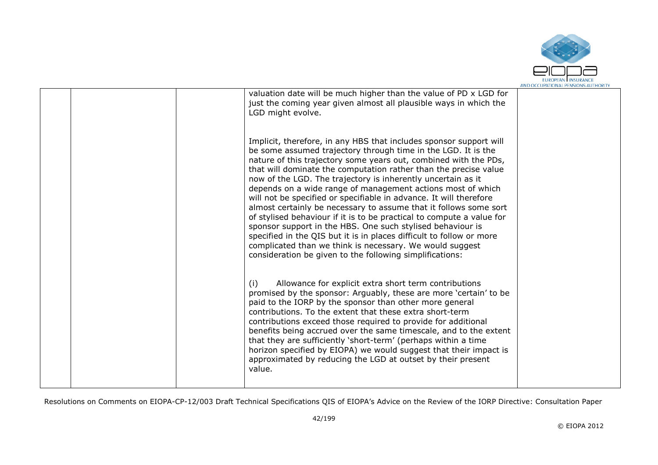

|  | valuation date will be much higher than the value of PD x LGD for<br>just the coming year given almost all plausible ways in which the<br>LGD might evolve.                                                                                                                                                                                                                                                                                                                                                                                                                                                                                                                                                                                                                                                                                                                                  |  |
|--|----------------------------------------------------------------------------------------------------------------------------------------------------------------------------------------------------------------------------------------------------------------------------------------------------------------------------------------------------------------------------------------------------------------------------------------------------------------------------------------------------------------------------------------------------------------------------------------------------------------------------------------------------------------------------------------------------------------------------------------------------------------------------------------------------------------------------------------------------------------------------------------------|--|
|  | Implicit, therefore, in any HBS that includes sponsor support will<br>be some assumed trajectory through time in the LGD. It is the<br>nature of this trajectory some years out, combined with the PDs,<br>that will dominate the computation rather than the precise value<br>now of the LGD. The trajectory is inherently uncertain as it<br>depends on a wide range of management actions most of which<br>will not be specified or specifiable in advance. It will therefore<br>almost certainly be necessary to assume that it follows some sort<br>of stylised behaviour if it is to be practical to compute a value for<br>sponsor support in the HBS. One such stylised behaviour is<br>specified in the QIS but it is in places difficult to follow or more<br>complicated than we think is necessary. We would suggest<br>consideration be given to the following simplifications: |  |
|  | Allowance for explicit extra short term contributions<br>(i)<br>promised by the sponsor: Arguably, these are more 'certain' to be<br>paid to the IORP by the sponsor than other more general<br>contributions. To the extent that these extra short-term<br>contributions exceed those required to provide for additional<br>benefits being accrued over the same timescale, and to the extent<br>that they are sufficiently 'short-term' (perhaps within a time<br>horizon specified by EIOPA) we would suggest that their impact is<br>approximated by reducing the LGD at outset by their present<br>value.                                                                                                                                                                                                                                                                               |  |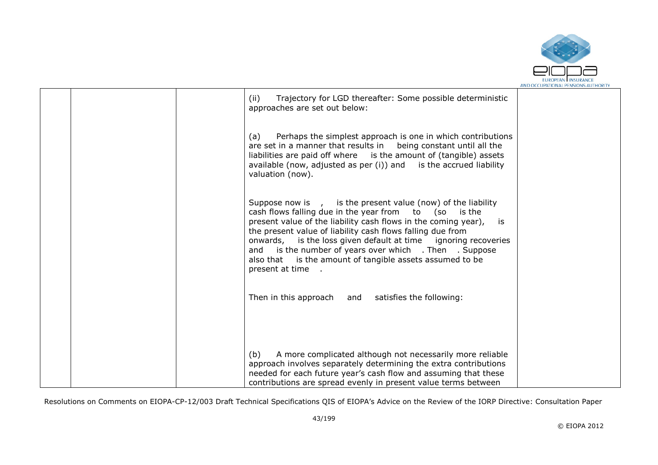

|  | Trajectory for LGD thereafter: Some possible deterministic<br>(ii)<br>approaches are set out below:                                                                                                                                                                                                                                                                                                                                                                      |  |
|--|--------------------------------------------------------------------------------------------------------------------------------------------------------------------------------------------------------------------------------------------------------------------------------------------------------------------------------------------------------------------------------------------------------------------------------------------------------------------------|--|
|  | Perhaps the simplest approach is one in which contributions<br>(a)<br>are set in a manner that results in being constant until all the<br>liabilities are paid off where is the amount of (tangible) assets<br>available (now, adjusted as per $(i)$ ) and is the accrued liability<br>valuation (now).                                                                                                                                                                  |  |
|  | Suppose now is , is the present value (now) of the liability<br>cash flows falling due in the year from to (so is the<br>present value of the liability cash flows in the coming year),<br>is<br>the present value of liability cash flows falling due from<br>onwards, is the loss given default at time ignoring recoveries<br>and is the number of years over which . Then . Suppose<br>also that is the amount of tangible assets assumed to be<br>present at time . |  |
|  | Then in this approach and satisfies the following:                                                                                                                                                                                                                                                                                                                                                                                                                       |  |
|  | A more complicated although not necessarily more reliable<br>(b)<br>approach involves separately determining the extra contributions<br>needed for each future year's cash flow and assuming that these<br>contributions are spread evenly in present value terms between                                                                                                                                                                                                |  |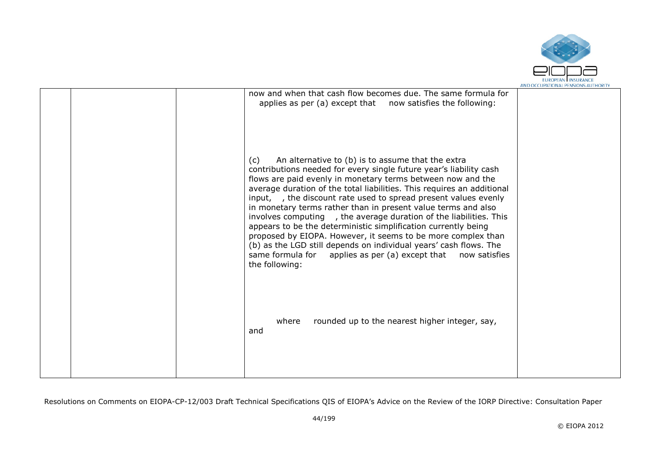

|  | now and when that cash flow becomes due. The same formula for<br>applies as per (a) except that now satisfies the following:                                                                                                                                                                                                                                                                                                                                                                                                                                                                                                                                                                                                                                                  |  |
|--|-------------------------------------------------------------------------------------------------------------------------------------------------------------------------------------------------------------------------------------------------------------------------------------------------------------------------------------------------------------------------------------------------------------------------------------------------------------------------------------------------------------------------------------------------------------------------------------------------------------------------------------------------------------------------------------------------------------------------------------------------------------------------------|--|
|  | An alternative to (b) is to assume that the extra<br>(c)<br>contributions needed for every single future year's liability cash<br>flows are paid evenly in monetary terms between now and the<br>average duration of the total liabilities. This requires an additional<br>input, , the discount rate used to spread present values evenly<br>in monetary terms rather than in present value terms and also<br>involves computing, the average duration of the liabilities. This<br>appears to be the deterministic simplification currently being<br>proposed by EIOPA. However, it seems to be more complex than<br>(b) as the LGD still depends on individual years' cash flows. The<br>same formula for applies as per (a) except that<br>now satisfies<br>the following: |  |
|  | rounded up to the nearest higher integer, say,<br>where<br>and                                                                                                                                                                                                                                                                                                                                                                                                                                                                                                                                                                                                                                                                                                                |  |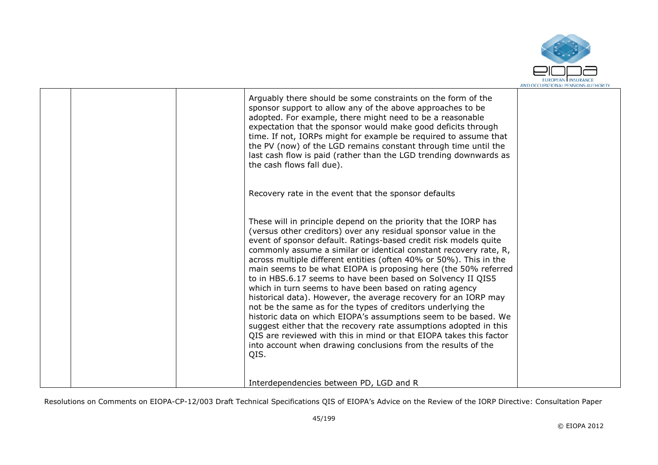

|  | Arguably there should be some constraints on the form of the<br>sponsor support to allow any of the above approaches to be<br>adopted. For example, there might need to be a reasonable<br>expectation that the sponsor would make good deficits through<br>time. If not, IORPs might for example be required to assume that<br>the PV (now) of the LGD remains constant through time until the<br>last cash flow is paid (rather than the LGD trending downwards as<br>the cash flows fall due).<br>Recovery rate in the event that the sponsor defaults                                                                                                                                                                                                                                                                                                                                                                                                                 |  |
|--|---------------------------------------------------------------------------------------------------------------------------------------------------------------------------------------------------------------------------------------------------------------------------------------------------------------------------------------------------------------------------------------------------------------------------------------------------------------------------------------------------------------------------------------------------------------------------------------------------------------------------------------------------------------------------------------------------------------------------------------------------------------------------------------------------------------------------------------------------------------------------------------------------------------------------------------------------------------------------|--|
|  | These will in principle depend on the priority that the IORP has<br>(versus other creditors) over any residual sponsor value in the<br>event of sponsor default. Ratings-based credit risk models quite<br>commonly assume a similar or identical constant recovery rate, R,<br>across multiple different entities (often 40% or 50%). This in the<br>main seems to be what EIOPA is proposing here (the 50% referred<br>to in HBS.6.17 seems to have been based on Solvency II QIS5<br>which in turn seems to have been based on rating agency<br>historical data). However, the average recovery for an IORP may<br>not be the same as for the types of creditors underlying the<br>historic data on which EIOPA's assumptions seem to be based. We<br>suggest either that the recovery rate assumptions adopted in this<br>QIS are reviewed with this in mind or that EIOPA takes this factor<br>into account when drawing conclusions from the results of the<br>QIS. |  |
|  | Interdependencies between PD, LGD and R                                                                                                                                                                                                                                                                                                                                                                                                                                                                                                                                                                                                                                                                                                                                                                                                                                                                                                                                   |  |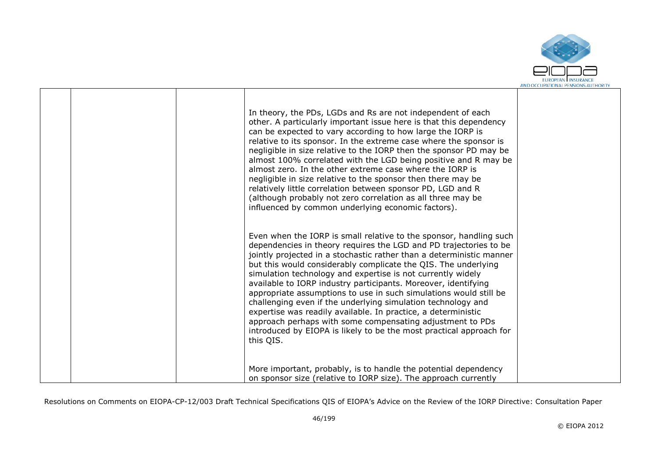

|  | In theory, the PDs, LGDs and Rs are not independent of each<br>other. A particularly important issue here is that this dependency<br>can be expected to vary according to how large the IORP is<br>relative to its sponsor. In the extreme case where the sponsor is<br>negligible in size relative to the IORP then the sponsor PD may be<br>almost 100% correlated with the LGD being positive and R may be<br>almost zero. In the other extreme case where the IORP is<br>negligible in size relative to the sponsor then there may be<br>relatively little correlation between sponsor PD, LGD and R<br>(although probably not zero correlation as all three may be<br>influenced by common underlying economic factors).                                             |  |
|--|---------------------------------------------------------------------------------------------------------------------------------------------------------------------------------------------------------------------------------------------------------------------------------------------------------------------------------------------------------------------------------------------------------------------------------------------------------------------------------------------------------------------------------------------------------------------------------------------------------------------------------------------------------------------------------------------------------------------------------------------------------------------------|--|
|  | Even when the IORP is small relative to the sponsor, handling such<br>dependencies in theory requires the LGD and PD trajectories to be<br>jointly projected in a stochastic rather than a deterministic manner<br>but this would considerably complicate the QIS. The underlying<br>simulation technology and expertise is not currently widely<br>available to IORP industry participants. Moreover, identifying<br>appropriate assumptions to use in such simulations would still be<br>challenging even if the underlying simulation technology and<br>expertise was readily available. In practice, a deterministic<br>approach perhaps with some compensating adjustment to PDs<br>introduced by EIOPA is likely to be the most practical approach for<br>this QIS. |  |
|  | More important, probably, is to handle the potential dependency<br>on sponsor size (relative to IORP size). The approach currently                                                                                                                                                                                                                                                                                                                                                                                                                                                                                                                                                                                                                                        |  |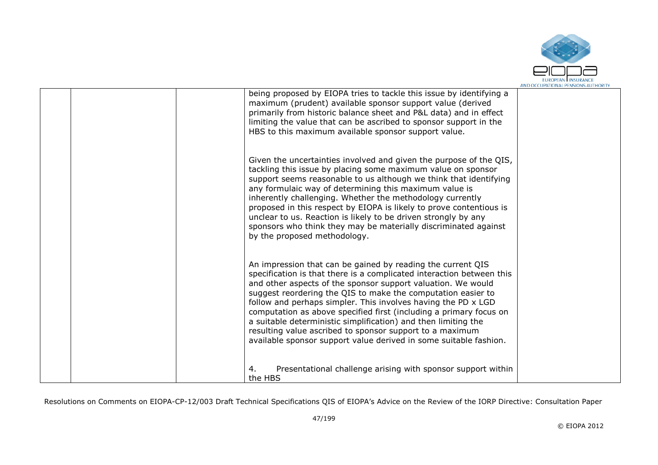

|  | being proposed by EIOPA tries to tackle this issue by identifying a<br>maximum (prudent) available sponsor support value (derived<br>primarily from historic balance sheet and P&L data) and in effect<br>limiting the value that can be ascribed to sponsor support in the<br>HBS to this maximum available sponsor support value.                                                                                                                                                                                                                                                                            |  |
|--|----------------------------------------------------------------------------------------------------------------------------------------------------------------------------------------------------------------------------------------------------------------------------------------------------------------------------------------------------------------------------------------------------------------------------------------------------------------------------------------------------------------------------------------------------------------------------------------------------------------|--|
|  | Given the uncertainties involved and given the purpose of the QIS,<br>tackling this issue by placing some maximum value on sponsor<br>support seems reasonable to us although we think that identifying<br>any formulaic way of determining this maximum value is<br>inherently challenging. Whether the methodology currently<br>proposed in this respect by EIOPA is likely to prove contentious is<br>unclear to us. Reaction is likely to be driven strongly by any<br>sponsors who think they may be materially discriminated against<br>by the proposed methodology.                                     |  |
|  | An impression that can be gained by reading the current QIS<br>specification is that there is a complicated interaction between this<br>and other aspects of the sponsor support valuation. We would<br>suggest reordering the QIS to make the computation easier to<br>follow and perhaps simpler. This involves having the PD x LGD<br>computation as above specified first (including a primary focus on<br>a suitable deterministic simplification) and then limiting the<br>resulting value ascribed to sponsor support to a maximum<br>available sponsor support value derived in some suitable fashion. |  |
|  | Presentational challenge arising with sponsor support within<br>4.<br>the HBS                                                                                                                                                                                                                                                                                                                                                                                                                                                                                                                                  |  |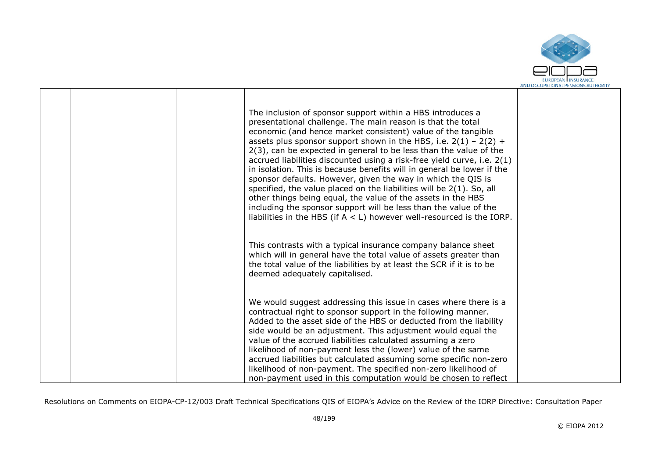

|  | The inclusion of sponsor support within a HBS introduces a<br>presentational challenge. The main reason is that the total<br>economic (and hence market consistent) value of the tangible<br>assets plus sponsor support shown in the HBS, i.e. $2(1) - 2(2) +$<br>2(3), can be expected in general to be less than the value of the<br>accrued liabilities discounted using a risk-free yield curve, i.e. 2(1)<br>in isolation. This is because benefits will in general be lower if the<br>sponsor defaults. However, given the way in which the QIS is<br>specified, the value placed on the liabilities will be 2(1). So, all<br>other things being equal, the value of the assets in the HBS<br>including the sponsor support will be less than the value of the<br>liabilities in the HBS (if $A < L$ ) however well-resourced is the IORP. |  |
|--|---------------------------------------------------------------------------------------------------------------------------------------------------------------------------------------------------------------------------------------------------------------------------------------------------------------------------------------------------------------------------------------------------------------------------------------------------------------------------------------------------------------------------------------------------------------------------------------------------------------------------------------------------------------------------------------------------------------------------------------------------------------------------------------------------------------------------------------------------|--|
|  | This contrasts with a typical insurance company balance sheet<br>which will in general have the total value of assets greater than<br>the total value of the liabilities by at least the SCR if it is to be<br>deemed adequately capitalised.                                                                                                                                                                                                                                                                                                                                                                                                                                                                                                                                                                                                     |  |
|  | We would suggest addressing this issue in cases where there is a<br>contractual right to sponsor support in the following manner.<br>Added to the asset side of the HBS or deducted from the liability<br>side would be an adjustment. This adjustment would equal the<br>value of the accrued liabilities calculated assuming a zero<br>likelihood of non-payment less the (lower) value of the same<br>accrued liabilities but calculated assuming some specific non-zero<br>likelihood of non-payment. The specified non-zero likelihood of<br>non-payment used in this computation would be chosen to reflect                                                                                                                                                                                                                                 |  |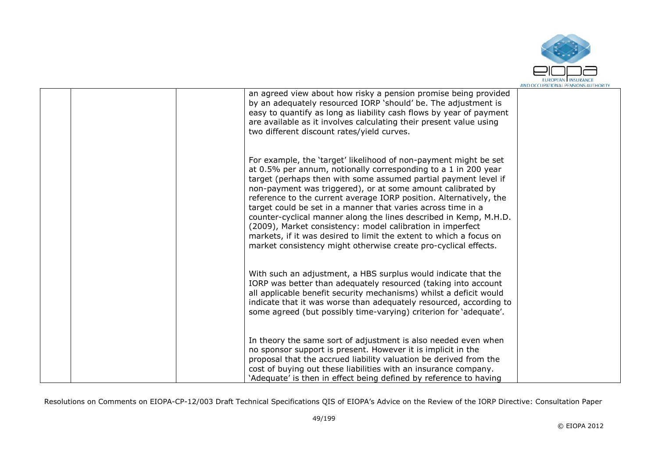

|  | an agreed view about how risky a pension promise being provided<br>by an adequately resourced IORP 'should' be. The adjustment is<br>easy to quantify as long as liability cash flows by year of payment<br>are available as it involves calculating their present value using<br>two different discount rates/yield curves.                                                                                                                                                                                                                                                                                                                                                           |  |
|--|----------------------------------------------------------------------------------------------------------------------------------------------------------------------------------------------------------------------------------------------------------------------------------------------------------------------------------------------------------------------------------------------------------------------------------------------------------------------------------------------------------------------------------------------------------------------------------------------------------------------------------------------------------------------------------------|--|
|  | For example, the 'target' likelihood of non-payment might be set<br>at 0.5% per annum, notionally corresponding to a 1 in 200 year<br>target (perhaps then with some assumed partial payment level if<br>non-payment was triggered), or at some amount calibrated by<br>reference to the current average IORP position. Alternatively, the<br>target could be set in a manner that varies across time in a<br>counter-cyclical manner along the lines described in Kemp, M.H.D.<br>(2009), Market consistency: model calibration in imperfect<br>markets, if it was desired to limit the extent to which a focus on<br>market consistency might otherwise create pro-cyclical effects. |  |
|  | With such an adjustment, a HBS surplus would indicate that the<br>IORP was better than adequately resourced (taking into account<br>all applicable benefit security mechanisms) whilst a deficit would<br>indicate that it was worse than adequately resourced, according to<br>some agreed (but possibly time-varying) criterion for 'adequate'.                                                                                                                                                                                                                                                                                                                                      |  |
|  | In theory the same sort of adjustment is also needed even when<br>no sponsor support is present. However it is implicit in the<br>proposal that the accrued liability valuation be derived from the<br>cost of buying out these liabilities with an insurance company.<br>'Adequate' is then in effect being defined by reference to having                                                                                                                                                                                                                                                                                                                                            |  |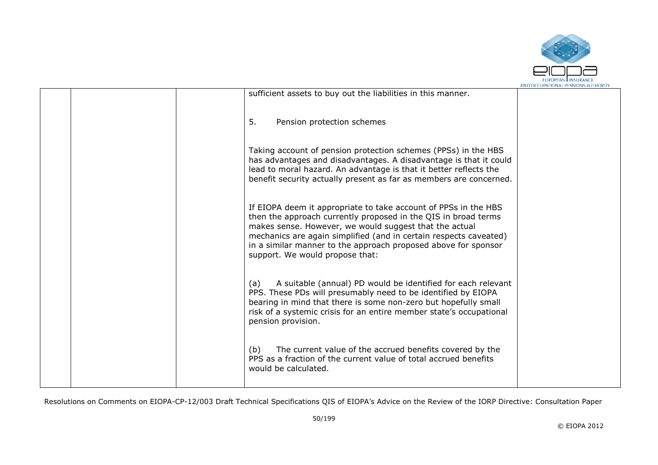

|  |                                                                                                                                                                                                                                                                                                                                                                       | AND OCCUPATIONAL PENSIONS AUTHORIT |
|--|-----------------------------------------------------------------------------------------------------------------------------------------------------------------------------------------------------------------------------------------------------------------------------------------------------------------------------------------------------------------------|------------------------------------|
|  | sufficient assets to buy out the liabilities in this manner.                                                                                                                                                                                                                                                                                                          |                                    |
|  | 5.<br>Pension protection schemes                                                                                                                                                                                                                                                                                                                                      |                                    |
|  | Taking account of pension protection schemes (PPSs) in the HBS<br>has advantages and disadvantages. A disadvantage is that it could<br>lead to moral hazard. An advantage is that it better reflects the<br>benefit security actually present as far as members are concerned.                                                                                        |                                    |
|  | If EIOPA deem it appropriate to take account of PPSs in the HBS<br>then the approach currently proposed in the QIS in broad terms<br>makes sense. However, we would suggest that the actual<br>mechanics are again simplified (and in certain respects caveated)<br>in a similar manner to the approach proposed above for sponsor<br>support. We would propose that: |                                    |
|  | A suitable (annual) PD would be identified for each relevant<br>(a)<br>PPS. These PDs will presumably need to be identified by EIOPA<br>bearing in mind that there is some non-zero but hopefully small<br>risk of a systemic crisis for an entire member state's occupational<br>pension provision.                                                                  |                                    |
|  | The current value of the accrued benefits covered by the<br>(b)<br>PPS as a fraction of the current value of total accrued benefits<br>would be calculated.                                                                                                                                                                                                           |                                    |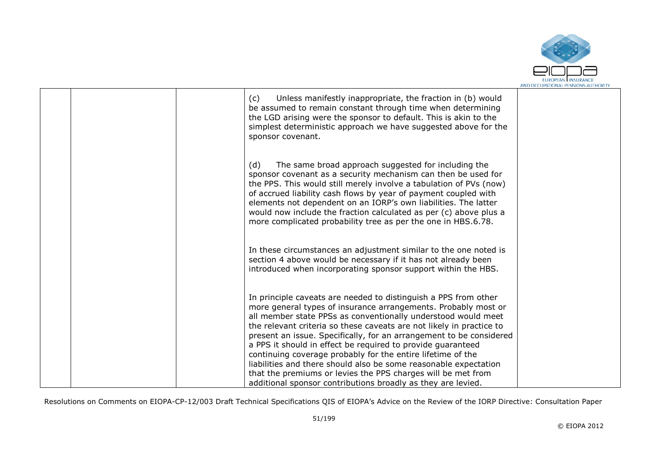

|  | Unless manifestly inappropriate, the fraction in (b) would<br>(c)<br>be assumed to remain constant through time when determining<br>the LGD arising were the sponsor to default. This is akin to the<br>simplest deterministic approach we have suggested above for the<br>sponsor covenant.                                                                                                                                                                                                                                                                                                                                                                                        |  |
|--|-------------------------------------------------------------------------------------------------------------------------------------------------------------------------------------------------------------------------------------------------------------------------------------------------------------------------------------------------------------------------------------------------------------------------------------------------------------------------------------------------------------------------------------------------------------------------------------------------------------------------------------------------------------------------------------|--|
|  | The same broad approach suggested for including the<br>(d)<br>sponsor covenant as a security mechanism can then be used for<br>the PPS. This would still merely involve a tabulation of PVs (now)<br>of accrued liability cash flows by year of payment coupled with<br>elements not dependent on an IORP's own liabilities. The latter<br>would now include the fraction calculated as per (c) above plus a<br>more complicated probability tree as per the one in HBS.6.78.                                                                                                                                                                                                       |  |
|  | In these circumstances an adjustment similar to the one noted is<br>section 4 above would be necessary if it has not already been<br>introduced when incorporating sponsor support within the HBS.                                                                                                                                                                                                                                                                                                                                                                                                                                                                                  |  |
|  | In principle caveats are needed to distinguish a PPS from other<br>more general types of insurance arrangements. Probably most or<br>all member state PPSs as conventionally understood would meet<br>the relevant criteria so these caveats are not likely in practice to<br>present an issue. Specifically, for an arrangement to be considered<br>a PPS it should in effect be required to provide guaranteed<br>continuing coverage probably for the entire lifetime of the<br>liabilities and there should also be some reasonable expectation<br>that the premiums or levies the PPS charges will be met from<br>additional sponsor contributions broadly as they are levied. |  |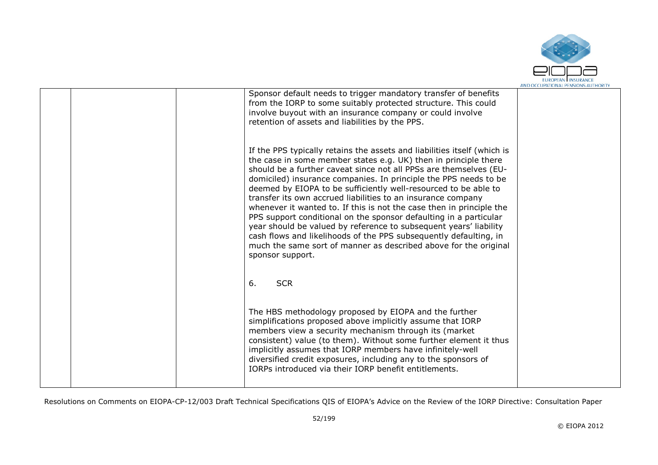

|  | Sponsor default needs to trigger mandatory transfer of benefits<br>from the IORP to some suitably protected structure. This could<br>involve buyout with an insurance company or could involve<br>retention of assets and liabilities by the PPS.                                                                                                                                                                                                                                                                                                                                                                                                                                                                                                                                                      |  |
|--|--------------------------------------------------------------------------------------------------------------------------------------------------------------------------------------------------------------------------------------------------------------------------------------------------------------------------------------------------------------------------------------------------------------------------------------------------------------------------------------------------------------------------------------------------------------------------------------------------------------------------------------------------------------------------------------------------------------------------------------------------------------------------------------------------------|--|
|  | If the PPS typically retains the assets and liabilities itself (which is<br>the case in some member states e.g. UK) then in principle there<br>should be a further caveat since not all PPSs are themselves (EU-<br>domiciled) insurance companies. In principle the PPS needs to be<br>deemed by EIOPA to be sufficiently well-resourced to be able to<br>transfer its own accrued liabilities to an insurance company<br>whenever it wanted to. If this is not the case then in principle the<br>PPS support conditional on the sponsor defaulting in a particular<br>year should be valued by reference to subsequent years' liability<br>cash flows and likelihoods of the PPS subsequently defaulting, in<br>much the same sort of manner as described above for the original<br>sponsor support. |  |
|  | 6.<br><b>SCR</b>                                                                                                                                                                                                                                                                                                                                                                                                                                                                                                                                                                                                                                                                                                                                                                                       |  |
|  | The HBS methodology proposed by EIOPA and the further<br>simplifications proposed above implicitly assume that IORP<br>members view a security mechanism through its (market<br>consistent) value (to them). Without some further element it thus<br>implicitly assumes that IORP members have infinitely-well<br>diversified credit exposures, including any to the sponsors of<br>IORPs introduced via their IORP benefit entitlements.                                                                                                                                                                                                                                                                                                                                                              |  |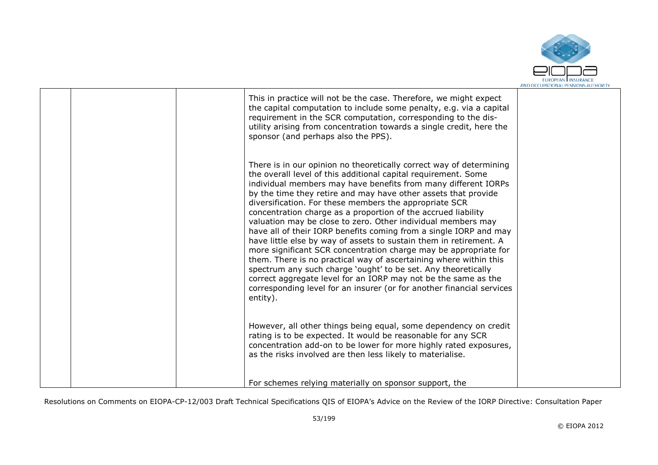

|  | This in practice will not be the case. Therefore, we might expect<br>the capital computation to include some penalty, e.g. via a capital<br>requirement in the SCR computation, corresponding to the dis-<br>utility arising from concentration towards a single credit, here the<br>sponsor (and perhaps also the PPS).                                                                                                                                                                                                                                                                                                                                                                                                                                                                                                                                                                                                                                                         |  |
|--|----------------------------------------------------------------------------------------------------------------------------------------------------------------------------------------------------------------------------------------------------------------------------------------------------------------------------------------------------------------------------------------------------------------------------------------------------------------------------------------------------------------------------------------------------------------------------------------------------------------------------------------------------------------------------------------------------------------------------------------------------------------------------------------------------------------------------------------------------------------------------------------------------------------------------------------------------------------------------------|--|
|  | There is in our opinion no theoretically correct way of determining<br>the overall level of this additional capital requirement. Some<br>individual members may have benefits from many different IORPs<br>by the time they retire and may have other assets that provide<br>diversification. For these members the appropriate SCR<br>concentration charge as a proportion of the accrued liability<br>valuation may be close to zero. Other individual members may<br>have all of their IORP benefits coming from a single IORP and may<br>have little else by way of assets to sustain them in retirement. A<br>more significant SCR concentration charge may be appropriate for<br>them. There is no practical way of ascertaining where within this<br>spectrum any such charge 'ought' to be set. Any theoretically<br>correct aggregate level for an IORP may not be the same as the<br>corresponding level for an insurer (or for another financial services<br>entity). |  |
|  | However, all other things being equal, some dependency on credit<br>rating is to be expected. It would be reasonable for any SCR<br>concentration add-on to be lower for more highly rated exposures,<br>as the risks involved are then less likely to materialise.                                                                                                                                                                                                                                                                                                                                                                                                                                                                                                                                                                                                                                                                                                              |  |
|  | For schemes relying materially on sponsor support, the                                                                                                                                                                                                                                                                                                                                                                                                                                                                                                                                                                                                                                                                                                                                                                                                                                                                                                                           |  |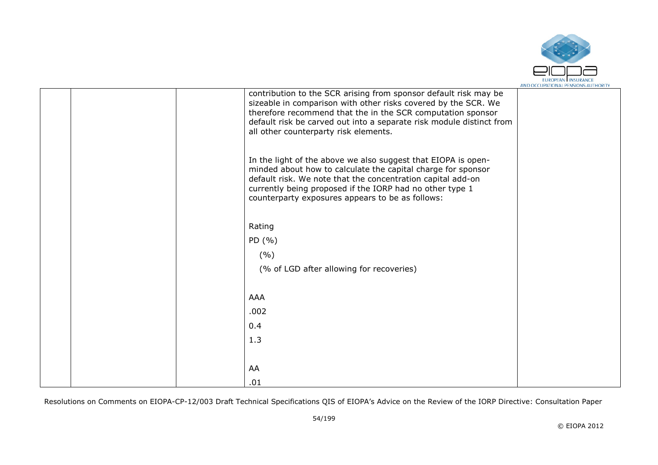

|  | contribution to the SCR arising from sponsor default risk may be<br>sizeable in comparison with other risks covered by the SCR. We<br>therefore recommend that the in the SCR computation sponsor<br>default risk be carved out into a separate risk module distinct from<br>all other counterparty risk elements. |  |
|--|--------------------------------------------------------------------------------------------------------------------------------------------------------------------------------------------------------------------------------------------------------------------------------------------------------------------|--|
|  | In the light of the above we also suggest that EIOPA is open-<br>minded about how to calculate the capital charge for sponsor<br>default risk. We note that the concentration capital add-on<br>currently being proposed if the IORP had no other type 1<br>counterparty exposures appears to be as follows:       |  |
|  |                                                                                                                                                                                                                                                                                                                    |  |
|  | Rating                                                                                                                                                                                                                                                                                                             |  |
|  | PD $(% )$                                                                                                                                                                                                                                                                                                          |  |
|  | (%)                                                                                                                                                                                                                                                                                                                |  |
|  | (% of LGD after allowing for recoveries)                                                                                                                                                                                                                                                                           |  |
|  |                                                                                                                                                                                                                                                                                                                    |  |
|  | AAA                                                                                                                                                                                                                                                                                                                |  |
|  | .002                                                                                                                                                                                                                                                                                                               |  |
|  | 0.4                                                                                                                                                                                                                                                                                                                |  |
|  | 1.3                                                                                                                                                                                                                                                                                                                |  |
|  |                                                                                                                                                                                                                                                                                                                    |  |
|  | AA                                                                                                                                                                                                                                                                                                                 |  |
|  | .01                                                                                                                                                                                                                                                                                                                |  |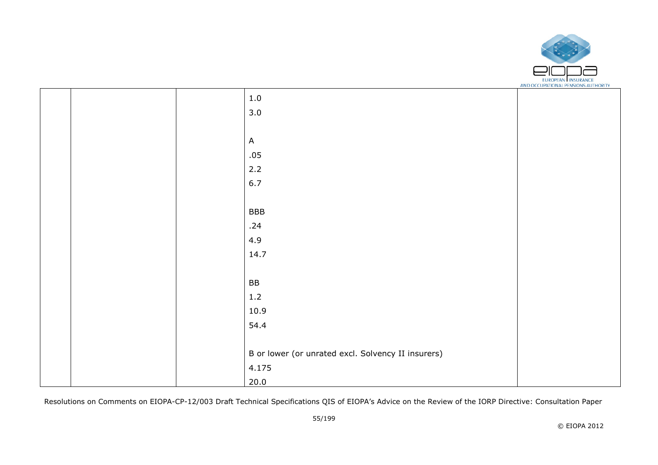

|  | $1.0\,$                                            |  |
|--|----------------------------------------------------|--|
|  | 3.0                                                |  |
|  |                                                    |  |
|  | $\mathsf{A}$                                       |  |
|  | .05                                                |  |
|  | 2.2                                                |  |
|  | 6.7                                                |  |
|  |                                                    |  |
|  | <b>BBB</b>                                         |  |
|  | .24                                                |  |
|  | 4.9                                                |  |
|  | 14.7                                               |  |
|  |                                                    |  |
|  | BB                                                 |  |
|  | $1.2\,$                                            |  |
|  | 10.9                                               |  |
|  | 54.4                                               |  |
|  |                                                    |  |
|  | B or lower (or unrated excl. Solvency II insurers) |  |
|  | 4.175                                              |  |
|  | 20.0                                               |  |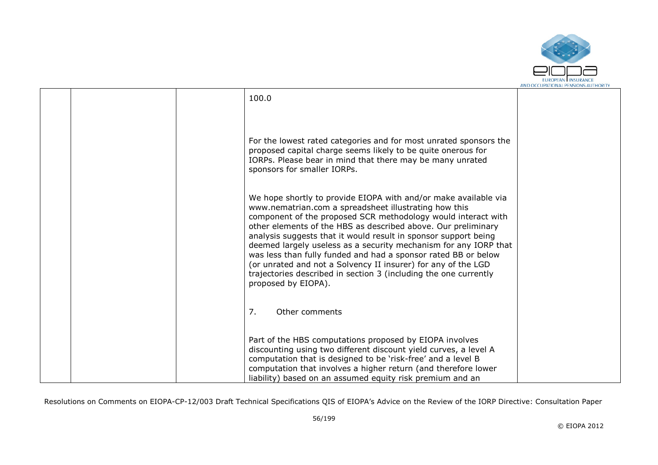

|  | 100.0                                                             |  |
|--|-------------------------------------------------------------------|--|
|  |                                                                   |  |
|  |                                                                   |  |
|  |                                                                   |  |
|  |                                                                   |  |
|  | For the lowest rated categories and for most unrated sponsors the |  |
|  | proposed capital charge seems likely to be quite onerous for      |  |
|  | IORPs. Please bear in mind that there may be many unrated         |  |
|  | sponsors for smaller IORPs.                                       |  |
|  |                                                                   |  |
|  |                                                                   |  |
|  | We hope shortly to provide EIOPA with and/or make available via   |  |
|  | www.nematrian.com a spreadsheet illustrating how this             |  |
|  | component of the proposed SCR methodology would interact with     |  |
|  | other elements of the HBS as described above. Our preliminary     |  |
|  | analysis suggests that it would result in sponsor support being   |  |
|  | deemed largely useless as a security mechanism for any IORP that  |  |
|  | was less than fully funded and had a sponsor rated BB or below    |  |
|  | (or unrated and not a Solvency II insurer) for any of the LGD     |  |
|  | trajectories described in section 3 (including the one currently  |  |
|  | proposed by EIOPA).                                               |  |
|  |                                                                   |  |
|  |                                                                   |  |
|  | 7.<br>Other comments                                              |  |
|  |                                                                   |  |
|  |                                                                   |  |
|  | Part of the HBS computations proposed by EIOPA involves           |  |
|  | discounting using two different discount yield curves, a level A  |  |
|  | computation that is designed to be 'risk-free' and a level B      |  |
|  | computation that involves a higher return (and therefore lower    |  |
|  | liability) based on an assumed equity risk premium and an         |  |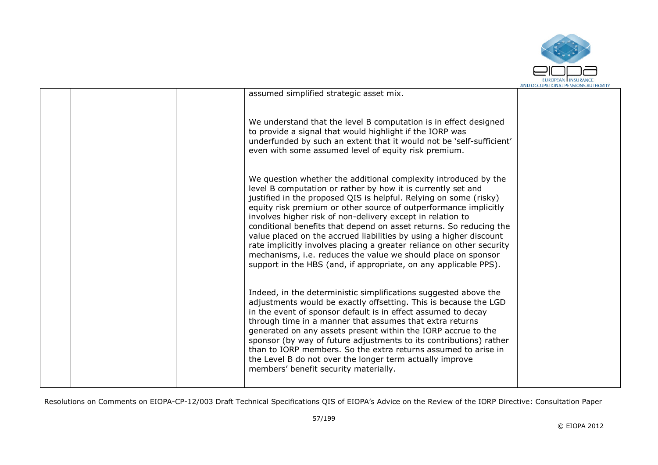

|  |                                                                                                                                                                                                                                                                                                                                                                                                                                                                                                                                                                                                                                                                                                  | ARD OCCUPATIONAL FERDIORD AUTHORIT |
|--|--------------------------------------------------------------------------------------------------------------------------------------------------------------------------------------------------------------------------------------------------------------------------------------------------------------------------------------------------------------------------------------------------------------------------------------------------------------------------------------------------------------------------------------------------------------------------------------------------------------------------------------------------------------------------------------------------|------------------------------------|
|  | assumed simplified strategic asset mix.                                                                                                                                                                                                                                                                                                                                                                                                                                                                                                                                                                                                                                                          |                                    |
|  | We understand that the level B computation is in effect designed<br>to provide a signal that would highlight if the IORP was<br>underfunded by such an extent that it would not be 'self-sufficient'<br>even with some assumed level of equity risk premium.                                                                                                                                                                                                                                                                                                                                                                                                                                     |                                    |
|  | We question whether the additional complexity introduced by the<br>level B computation or rather by how it is currently set and<br>justified in the proposed QIS is helpful. Relying on some (risky)<br>equity risk premium or other source of outperformance implicitly<br>involves higher risk of non-delivery except in relation to<br>conditional benefits that depend on asset returns. So reducing the<br>value placed on the accrued liabilities by using a higher discount<br>rate implicitly involves placing a greater reliance on other security<br>mechanisms, i.e. reduces the value we should place on sponsor<br>support in the HBS (and, if appropriate, on any applicable PPS). |                                    |
|  | Indeed, in the deterministic simplifications suggested above the<br>adjustments would be exactly offsetting. This is because the LGD<br>in the event of sponsor default is in effect assumed to decay<br>through time in a manner that assumes that extra returns<br>generated on any assets present within the IORP accrue to the<br>sponsor (by way of future adjustments to its contributions) rather<br>than to IORP members. So the extra returns assumed to arise in<br>the Level B do not over the longer term actually improve<br>members' benefit security materially.                                                                                                                  |                                    |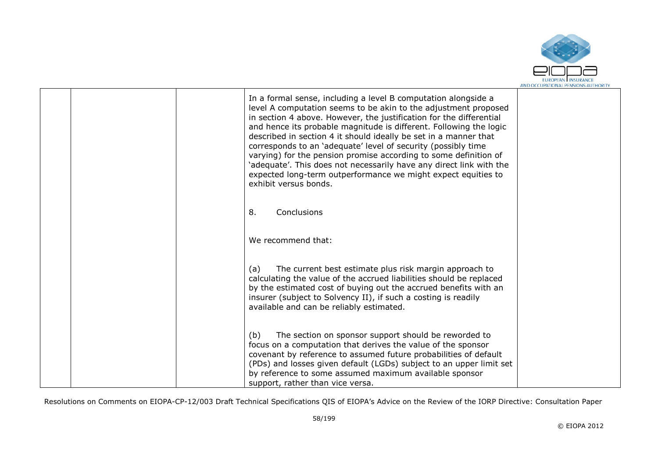

|  | In a formal sense, including a level B computation alongside a<br>level A computation seems to be akin to the adjustment proposed<br>in section 4 above. However, the justification for the differential<br>and hence its probable magnitude is different. Following the logic<br>described in section 4 it should ideally be set in a manner that<br>corresponds to an 'adequate' level of security (possibly time<br>varying) for the pension promise according to some definition of<br>'adequate'. This does not necessarily have any direct link with the<br>expected long-term outperformance we might expect equities to<br>exhibit versus bonds. |  |
|--|----------------------------------------------------------------------------------------------------------------------------------------------------------------------------------------------------------------------------------------------------------------------------------------------------------------------------------------------------------------------------------------------------------------------------------------------------------------------------------------------------------------------------------------------------------------------------------------------------------------------------------------------------------|--|
|  | Conclusions<br>8.                                                                                                                                                                                                                                                                                                                                                                                                                                                                                                                                                                                                                                        |  |
|  | We recommend that:                                                                                                                                                                                                                                                                                                                                                                                                                                                                                                                                                                                                                                       |  |
|  | The current best estimate plus risk margin approach to<br>(a)<br>calculating the value of the accrued liabilities should be replaced<br>by the estimated cost of buying out the accrued benefits with an<br>insurer (subject to Solvency II), if such a costing is readily<br>available and can be reliably estimated.                                                                                                                                                                                                                                                                                                                                   |  |
|  | The section on sponsor support should be reworded to<br>(b)<br>focus on a computation that derives the value of the sponsor<br>covenant by reference to assumed future probabilities of default<br>(PDs) and losses given default (LGDs) subject to an upper limit set<br>by reference to some assumed maximum available sponsor<br>support, rather than vice versa.                                                                                                                                                                                                                                                                                     |  |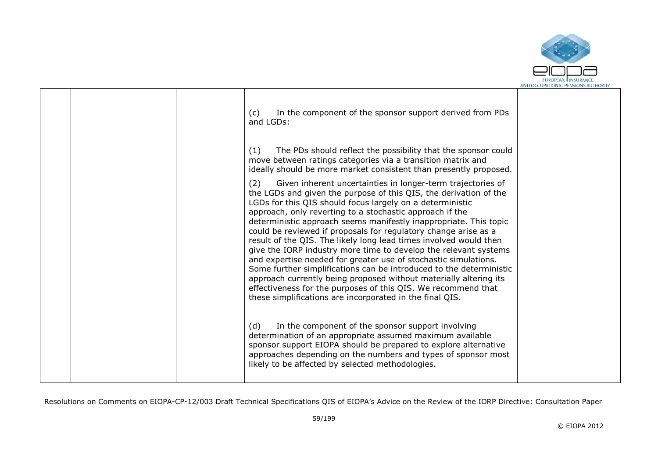

|  | In the component of the sponsor support derived from PDs<br>(c)<br>and LGDs:                                                                                                                                                                                                                                                                                                                                                                                                                                                                                                                                                                                                                                                                                                                                                                                                                  |  |
|--|-----------------------------------------------------------------------------------------------------------------------------------------------------------------------------------------------------------------------------------------------------------------------------------------------------------------------------------------------------------------------------------------------------------------------------------------------------------------------------------------------------------------------------------------------------------------------------------------------------------------------------------------------------------------------------------------------------------------------------------------------------------------------------------------------------------------------------------------------------------------------------------------------|--|
|  | (1)<br>The PDs should reflect the possibility that the sponsor could<br>move between ratings categories via a transition matrix and<br>ideally should be more market consistent than presently proposed.                                                                                                                                                                                                                                                                                                                                                                                                                                                                                                                                                                                                                                                                                      |  |
|  | Given inherent uncertainties in longer-term trajectories of<br>(2)<br>the LGDs and given the purpose of this QIS, the derivation of the<br>LGDs for this QIS should focus largely on a deterministic<br>approach, only reverting to a stochastic approach if the<br>deterministic approach seems manifestly inappropriate. This topic<br>could be reviewed if proposals for regulatory change arise as a<br>result of the QIS. The likely long lead times involved would then<br>give the IORP industry more time to develop the relevant systems<br>and expertise needed for greater use of stochastic simulations.<br>Some further simplifications can be introduced to the deterministic<br>approach currently being proposed without materially altering its<br>effectiveness for the purposes of this QIS. We recommend that<br>these simplifications are incorporated in the final QIS. |  |
|  | In the component of the sponsor support involving<br>(d)<br>determination of an appropriate assumed maximum available<br>sponsor support EIOPA should be prepared to explore alternative<br>approaches depending on the numbers and types of sponsor most<br>likely to be affected by selected methodologies.                                                                                                                                                                                                                                                                                                                                                                                                                                                                                                                                                                                 |  |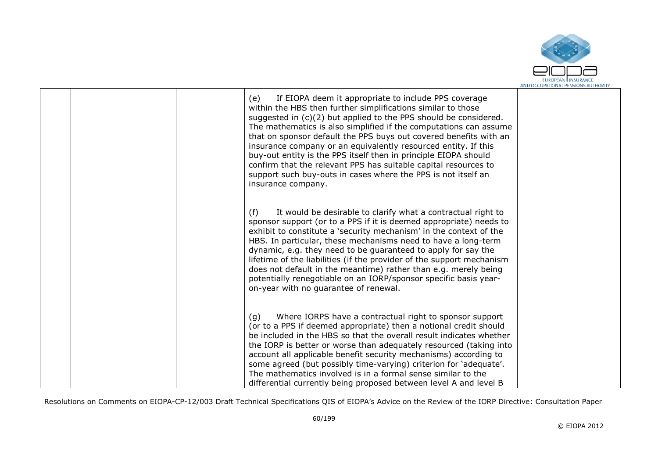

|  | If EIOPA deem it appropriate to include PPS coverage<br>(e)<br>within the HBS then further simplifications similar to those<br>suggested in (c)(2) but applied to the PPS should be considered.<br>The mathematics is also simplified if the computations can assume<br>that on sponsor default the PPS buys out covered benefits with an<br>insurance company or an equivalently resourced entity. If this<br>buy-out entity is the PPS itself then in principle EIOPA should<br>confirm that the relevant PPS has suitable capital resources to<br>support such buy-outs in cases where the PPS is not itself an<br>insurance company. |  |
|--|------------------------------------------------------------------------------------------------------------------------------------------------------------------------------------------------------------------------------------------------------------------------------------------------------------------------------------------------------------------------------------------------------------------------------------------------------------------------------------------------------------------------------------------------------------------------------------------------------------------------------------------|--|
|  | It would be desirable to clarify what a contractual right to<br>(f)<br>sponsor support (or to a PPS if it is deemed appropriate) needs to<br>exhibit to constitute a 'security mechanism' in the context of the<br>HBS. In particular, these mechanisms need to have a long-term<br>dynamic, e.g. they need to be guaranteed to apply for say the<br>lifetime of the liabilities (if the provider of the support mechanism<br>does not default in the meantime) rather than e.g. merely being<br>potentially renegotiable on an IORP/sponsor specific basis year-<br>on-year with no guarantee of renewal.                               |  |
|  | Where IORPS have a contractual right to sponsor support<br>(q)<br>(or to a PPS if deemed appropriate) then a notional credit should<br>be included in the HBS so that the overall result indicates whether<br>the IORP is better or worse than adequately resourced (taking into<br>account all applicable benefit security mechanisms) according to<br>some agreed (but possibly time-varying) criterion for 'adequate'.<br>The mathematics involved is in a formal sense similar to the<br>differential currently being proposed between level A and level B                                                                           |  |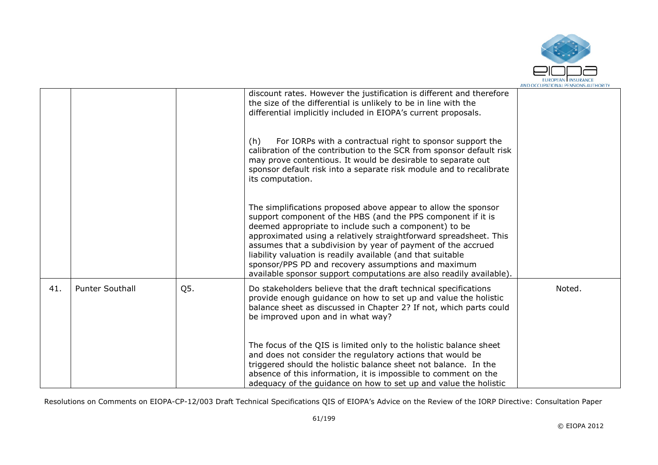

|     |                        |     | discount rates. However the justification is different and therefore<br>the size of the differential is unlikely to be in line with the<br>differential implicitly included in EIOPA's current proposals.                                                                                                                                                                                                                                                                                                                 |        |
|-----|------------------------|-----|---------------------------------------------------------------------------------------------------------------------------------------------------------------------------------------------------------------------------------------------------------------------------------------------------------------------------------------------------------------------------------------------------------------------------------------------------------------------------------------------------------------------------|--------|
|     |                        |     | For IORPs with a contractual right to sponsor support the<br>(h)<br>calibration of the contribution to the SCR from sponsor default risk<br>may prove contentious. It would be desirable to separate out<br>sponsor default risk into a separate risk module and to recalibrate<br>its computation.                                                                                                                                                                                                                       |        |
|     |                        |     | The simplifications proposed above appear to allow the sponsor<br>support component of the HBS (and the PPS component if it is<br>deemed appropriate to include such a component) to be<br>approximated using a relatively straightforward spreadsheet. This<br>assumes that a subdivision by year of payment of the accrued<br>liability valuation is readily available (and that suitable<br>sponsor/PPS PD and recovery assumptions and maximum<br>available sponsor support computations are also readily available). |        |
| 41. | <b>Punter Southall</b> | Q5. | Do stakeholders believe that the draft technical specifications<br>provide enough guidance on how to set up and value the holistic<br>balance sheet as discussed in Chapter 2? If not, which parts could<br>be improved upon and in what way?                                                                                                                                                                                                                                                                             | Noted. |
|     |                        |     | The focus of the QIS is limited only to the holistic balance sheet<br>and does not consider the regulatory actions that would be<br>triggered should the holistic balance sheet not balance. In the<br>absence of this information, it is impossible to comment on the<br>adequacy of the quidance on how to set up and value the holistic                                                                                                                                                                                |        |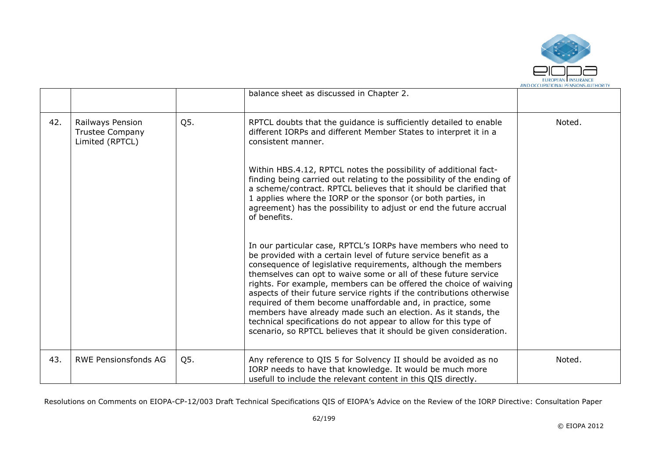

|     |                                                        |     | balance sheet as discussed in Chapter 2.                                                                                                                                                                                                                                                                                                                                                                                                                                                                                                                                                                                                                                                                                                                                                                                                                                                                                                                                                                                    |        |
|-----|--------------------------------------------------------|-----|-----------------------------------------------------------------------------------------------------------------------------------------------------------------------------------------------------------------------------------------------------------------------------------------------------------------------------------------------------------------------------------------------------------------------------------------------------------------------------------------------------------------------------------------------------------------------------------------------------------------------------------------------------------------------------------------------------------------------------------------------------------------------------------------------------------------------------------------------------------------------------------------------------------------------------------------------------------------------------------------------------------------------------|--------|
| 42. | Railways Pension<br>Trustee Company<br>Limited (RPTCL) | Q5. | RPTCL doubts that the guidance is sufficiently detailed to enable<br>different IORPs and different Member States to interpret it in a<br>consistent manner.<br>Within HBS.4.12, RPTCL notes the possibility of additional fact-<br>finding being carried out relating to the possibility of the ending of<br>a scheme/contract. RPTCL believes that it should be clarified that<br>1 applies where the IORP or the sponsor (or both parties, in<br>agreement) has the possibility to adjust or end the future accrual<br>of benefits.<br>In our particular case, RPTCL's IORPs have members who need to<br>be provided with a certain level of future service benefit as a<br>consequence of legislative requirements, although the members<br>themselves can opt to waive some or all of these future service<br>rights. For example, members can be offered the choice of waiving<br>aspects of their future service rights if the contributions otherwise<br>required of them become unaffordable and, in practice, some | Noted. |
|     |                                                        |     | members have already made such an election. As it stands, the<br>technical specifications do not appear to allow for this type of<br>scenario, so RPTCL believes that it should be given consideration.                                                                                                                                                                                                                                                                                                                                                                                                                                                                                                                                                                                                                                                                                                                                                                                                                     |        |
| 43. | <b>RWE Pensionsfonds AG</b>                            | Q5. | Any reference to QIS 5 for Solvency II should be avoided as no<br>IORP needs to have that knowledge. It would be much more<br>usefull to include the relevant content in this QIS directly.                                                                                                                                                                                                                                                                                                                                                                                                                                                                                                                                                                                                                                                                                                                                                                                                                                 | Noted. |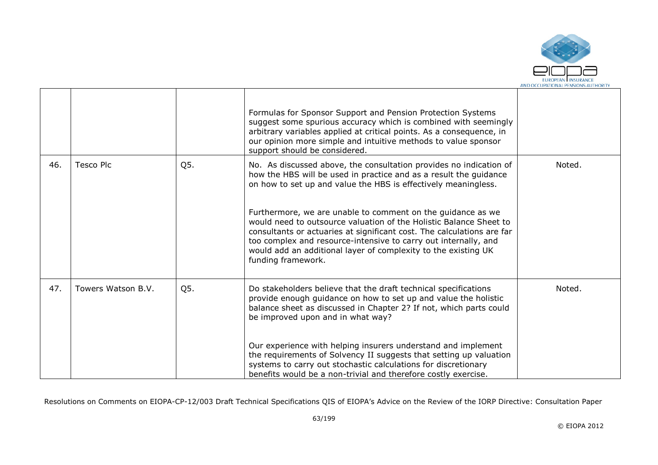

|     |                    |     | Formulas for Sponsor Support and Pension Protection Systems<br>suggest some spurious accuracy which is combined with seemingly<br>arbitrary variables applied at critical points. As a consequence, in<br>our opinion more simple and intuitive methods to value sponsor<br>support should be considered.                                                                                                                                                                                                                                                                           |        |
|-----|--------------------|-----|-------------------------------------------------------------------------------------------------------------------------------------------------------------------------------------------------------------------------------------------------------------------------------------------------------------------------------------------------------------------------------------------------------------------------------------------------------------------------------------------------------------------------------------------------------------------------------------|--------|
| 46. | <b>Tesco Plc</b>   | Q5. | No. As discussed above, the consultation provides no indication of<br>how the HBS will be used in practice and as a result the guidance<br>on how to set up and value the HBS is effectively meaningless.<br>Furthermore, we are unable to comment on the guidance as we<br>would need to outsource valuation of the Holistic Balance Sheet to<br>consultants or actuaries at significant cost. The calculations are far<br>too complex and resource-intensive to carry out internally, and<br>would add an additional layer of complexity to the existing UK<br>funding framework. | Noted. |
| 47. | Towers Watson B.V. | Q5. | Do stakeholders believe that the draft technical specifications<br>provide enough guidance on how to set up and value the holistic<br>balance sheet as discussed in Chapter 2? If not, which parts could<br>be improved upon and in what way?<br>Our experience with helping insurers understand and implement<br>the requirements of Solvency II suggests that setting up valuation<br>systems to carry out stochastic calculations for discretionary<br>benefits would be a non-trivial and therefore costly exercise.                                                            | Noted. |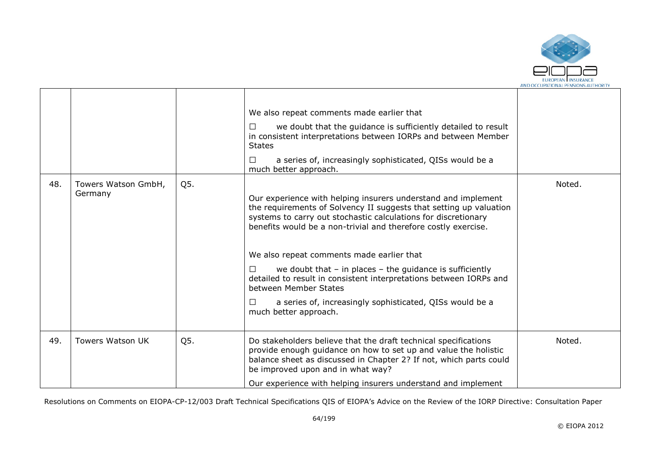

|     |                                |     | We also repeat comments made earlier that<br>we doubt that the guidance is sufficiently detailed to result<br>П<br>in consistent interpretations between IORPs and between Member<br><b>States</b><br>a series of, increasingly sophisticated, QISs would be a<br>□<br>much better approach.                                                                                                                                                                                                                                                                                             |        |
|-----|--------------------------------|-----|------------------------------------------------------------------------------------------------------------------------------------------------------------------------------------------------------------------------------------------------------------------------------------------------------------------------------------------------------------------------------------------------------------------------------------------------------------------------------------------------------------------------------------------------------------------------------------------|--------|
| 48. | Towers Watson GmbH,<br>Germany | Q5. | Our experience with helping insurers understand and implement<br>the requirements of Solvency II suggests that setting up valuation<br>systems to carry out stochastic calculations for discretionary<br>benefits would be a non-trivial and therefore costly exercise.<br>We also repeat comments made earlier that<br>we doubt that $-$ in places $-$ the guidance is sufficiently<br>detailed to result in consistent interpretations between IORPs and<br>between Member States<br>a series of, increasingly sophisticated, QISs would be a<br>$\mathsf{L}$<br>much better approach. | Noted. |
| 49. | <b>Towers Watson UK</b>        | Q5. | Do stakeholders believe that the draft technical specifications<br>provide enough guidance on how to set up and value the holistic<br>balance sheet as discussed in Chapter 2? If not, which parts could<br>be improved upon and in what way?<br>Our experience with helping insurers understand and implement                                                                                                                                                                                                                                                                           | Noted. |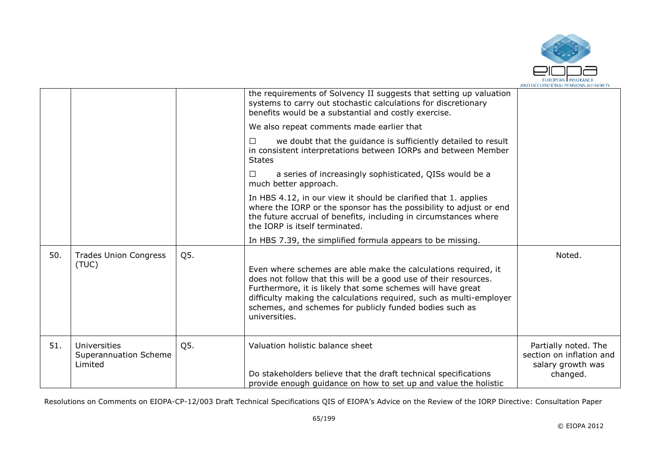

|     |                                                  |     | the requirements of Solvency II suggests that setting up valuation<br>systems to carry out stochastic calculations for discretionary<br>benefits would be a substantial and costly exercise.                                                                                                                                                         |                                                                                   |
|-----|--------------------------------------------------|-----|------------------------------------------------------------------------------------------------------------------------------------------------------------------------------------------------------------------------------------------------------------------------------------------------------------------------------------------------------|-----------------------------------------------------------------------------------|
|     |                                                  |     | We also repeat comments made earlier that                                                                                                                                                                                                                                                                                                            |                                                                                   |
|     |                                                  |     | we doubt that the guidance is sufficiently detailed to result<br>П<br>in consistent interpretations between IORPs and between Member<br><b>States</b>                                                                                                                                                                                                |                                                                                   |
|     |                                                  |     | a series of increasingly sophisticated, QISs would be a<br>$\perp$<br>much better approach.                                                                                                                                                                                                                                                          |                                                                                   |
|     |                                                  |     | In HBS 4.12, in our view it should be clarified that 1. applies<br>where the IORP or the sponsor has the possibility to adjust or end<br>the future accrual of benefits, including in circumstances where<br>the IORP is itself terminated.                                                                                                          |                                                                                   |
|     |                                                  |     | In HBS 7.39, the simplified formula appears to be missing.                                                                                                                                                                                                                                                                                           |                                                                                   |
| 50. | <b>Trades Union Congress</b><br>(TUC)            | Q5. | Even where schemes are able make the calculations required, it<br>does not follow that this will be a good use of their resources.<br>Furthermore, it is likely that some schemes will have great<br>difficulty making the calculations required, such as multi-employer<br>schemes, and schemes for publicly funded bodies such as<br>universities. | Noted.                                                                            |
| 51. | Universities<br>Superannuation Scheme<br>Limited | Q5. | Valuation holistic balance sheet<br>Do stakeholders believe that the draft technical specifications<br>provide enough guidance on how to set up and value the holistic                                                                                                                                                                               | Partially noted. The<br>section on inflation and<br>salary growth was<br>changed. |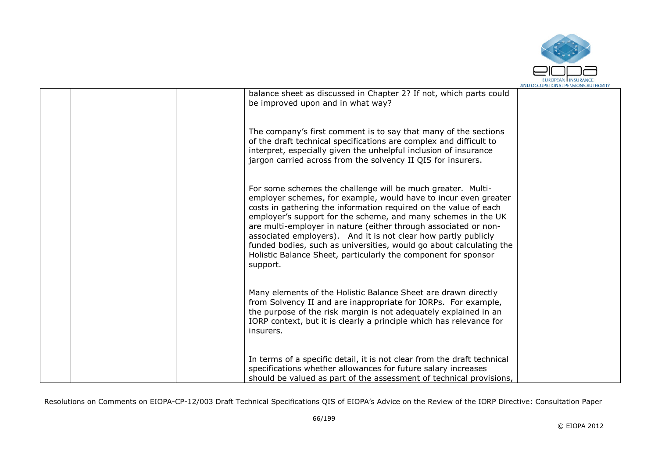

|  |                                                                                                                                                                                                                                                                                                                                                                                                                                                                                                                                                               | AND OCCUPATIONAL PENSIONS AUTHORIT |
|--|---------------------------------------------------------------------------------------------------------------------------------------------------------------------------------------------------------------------------------------------------------------------------------------------------------------------------------------------------------------------------------------------------------------------------------------------------------------------------------------------------------------------------------------------------------------|------------------------------------|
|  | balance sheet as discussed in Chapter 2? If not, which parts could<br>be improved upon and in what way?                                                                                                                                                                                                                                                                                                                                                                                                                                                       |                                    |
|  | The company's first comment is to say that many of the sections<br>of the draft technical specifications are complex and difficult to<br>interpret, especially given the unhelpful inclusion of insurance<br>jargon carried across from the solvency II QIS for insurers.                                                                                                                                                                                                                                                                                     |                                    |
|  | For some schemes the challenge will be much greater. Multi-<br>employer schemes, for example, would have to incur even greater<br>costs in gathering the information required on the value of each<br>employer's support for the scheme, and many schemes in the UK<br>are multi-employer in nature (either through associated or non-<br>associated employers). And it is not clear how partly publicly<br>funded bodies, such as universities, would go about calculating the<br>Holistic Balance Sheet, particularly the component for sponsor<br>support. |                                    |
|  | Many elements of the Holistic Balance Sheet are drawn directly<br>from Solvency II and are inappropriate for IORPs. For example,<br>the purpose of the risk margin is not adequately explained in an<br>IORP context, but it is clearly a principle which has relevance for<br>insurers.                                                                                                                                                                                                                                                                      |                                    |
|  | In terms of a specific detail, it is not clear from the draft technical<br>specifications whether allowances for future salary increases<br>should be valued as part of the assessment of technical provisions,                                                                                                                                                                                                                                                                                                                                               |                                    |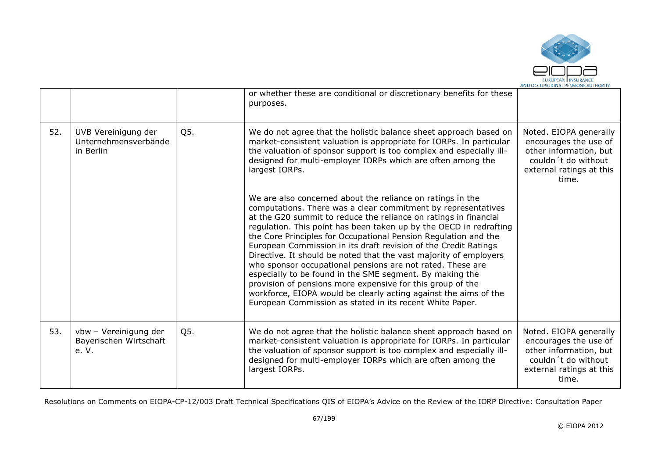

|     |                                                          |     | or whether these are conditional or discretionary benefits for these<br>purposes.                                                                                                                                                                                                                                                                                                                                                                                                                                                                                                                                                                                                                                                                                                                        |                                                                                                                                       |
|-----|----------------------------------------------------------|-----|----------------------------------------------------------------------------------------------------------------------------------------------------------------------------------------------------------------------------------------------------------------------------------------------------------------------------------------------------------------------------------------------------------------------------------------------------------------------------------------------------------------------------------------------------------------------------------------------------------------------------------------------------------------------------------------------------------------------------------------------------------------------------------------------------------|---------------------------------------------------------------------------------------------------------------------------------------|
| 52. | UVB Vereinigung der<br>Unternehmensverbände<br>in Berlin | Q5. | We do not agree that the holistic balance sheet approach based on<br>market-consistent valuation is appropriate for IORPs. In particular<br>the valuation of sponsor support is too complex and especially ill-<br>designed for multi-employer IORPs which are often among the<br>largest IORPs.                                                                                                                                                                                                                                                                                                                                                                                                                                                                                                         | Noted. EIOPA generally<br>encourages the use of<br>other information, but<br>couldn't do without<br>external ratings at this<br>time. |
|     |                                                          |     | We are also concerned about the reliance on ratings in the<br>computations. There was a clear commitment by representatives<br>at the G20 summit to reduce the reliance on ratings in financial<br>regulation. This point has been taken up by the OECD in redrafting<br>the Core Principles for Occupational Pension Regulation and the<br>European Commission in its draft revision of the Credit Ratings<br>Directive. It should be noted that the vast majority of employers<br>who sponsor occupational pensions are not rated. These are<br>especially to be found in the SME segment. By making the<br>provision of pensions more expensive for this group of the<br>workforce, EIOPA would be clearly acting against the aims of the<br>European Commission as stated in its recent White Paper. |                                                                                                                                       |
| 53. | vbw - Vereinigung der<br>Bayerischen Wirtschaft<br>e. V. | Q5. | We do not agree that the holistic balance sheet approach based on<br>market-consistent valuation is appropriate for IORPs. In particular<br>the valuation of sponsor support is too complex and especially ill-<br>designed for multi-employer IORPs which are often among the<br>largest IORPs.                                                                                                                                                                                                                                                                                                                                                                                                                                                                                                         | Noted. EIOPA generally<br>encourages the use of<br>other information, but<br>couldn't do without<br>external ratings at this<br>time. |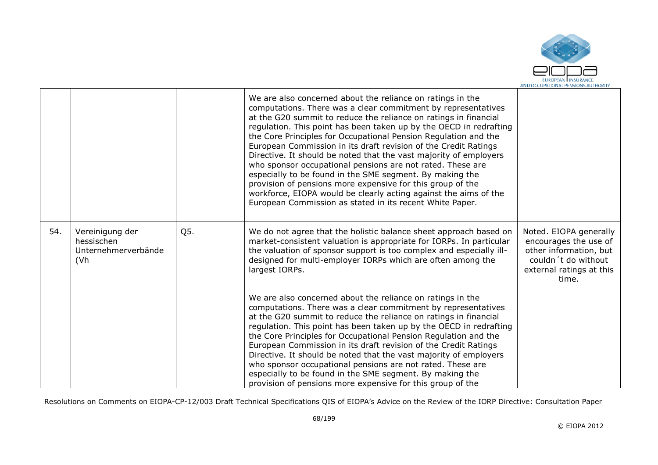

|     |                                                                           |     | We are also concerned about the reliance on ratings in the<br>computations. There was a clear commitment by representatives<br>at the G20 summit to reduce the reliance on ratings in financial<br>regulation. This point has been taken up by the OECD in redrafting<br>the Core Principles for Occupational Pension Regulation and the<br>European Commission in its draft revision of the Credit Ratings<br>Directive. It should be noted that the vast majority of employers<br>who sponsor occupational pensions are not rated. These are<br>especially to be found in the SME segment. By making the<br>provision of pensions more expensive for this group of the<br>workforce, EIOPA would be clearly acting against the aims of the<br>European Commission as stated in its recent White Paper. |                                                                                                                                       |
|-----|---------------------------------------------------------------------------|-----|----------------------------------------------------------------------------------------------------------------------------------------------------------------------------------------------------------------------------------------------------------------------------------------------------------------------------------------------------------------------------------------------------------------------------------------------------------------------------------------------------------------------------------------------------------------------------------------------------------------------------------------------------------------------------------------------------------------------------------------------------------------------------------------------------------|---------------------------------------------------------------------------------------------------------------------------------------|
| 54. | Vereinigung der<br>hessischen<br>Unternehmerverbände<br>(V <sub>h</sub> ) | Q5. | We do not agree that the holistic balance sheet approach based on<br>market-consistent valuation is appropriate for IORPs. In particular<br>the valuation of sponsor support is too complex and especially ill-<br>designed for multi-employer IORPs which are often among the<br>largest IORPs.                                                                                                                                                                                                                                                                                                                                                                                                                                                                                                         | Noted. EIOPA generally<br>encourages the use of<br>other information, but<br>couldn't do without<br>external ratings at this<br>time. |
|     |                                                                           |     | We are also concerned about the reliance on ratings in the<br>computations. There was a clear commitment by representatives<br>at the G20 summit to reduce the reliance on ratings in financial<br>regulation. This point has been taken up by the OECD in redrafting<br>the Core Principles for Occupational Pension Regulation and the<br>European Commission in its draft revision of the Credit Ratings<br>Directive. It should be noted that the vast majority of employers<br>who sponsor occupational pensions are not rated. These are<br>especially to be found in the SME segment. By making the<br>provision of pensions more expensive for this group of the                                                                                                                                 |                                                                                                                                       |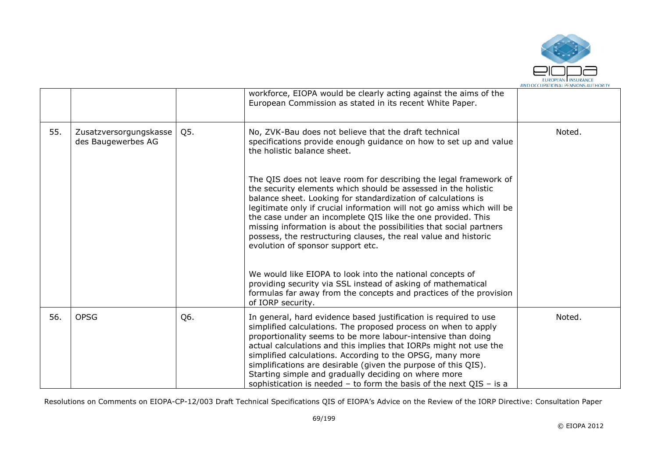

|     |                                              |     | workforce, EIOPA would be clearly acting against the aims of the<br>European Commission as stated in its recent White Paper.                                                                                                                                                                                                                                                                                                                                                                                                              |        |
|-----|----------------------------------------------|-----|-------------------------------------------------------------------------------------------------------------------------------------------------------------------------------------------------------------------------------------------------------------------------------------------------------------------------------------------------------------------------------------------------------------------------------------------------------------------------------------------------------------------------------------------|--------|
| 55. | Zusatzversorgungskasse<br>des Baugewerbes AG | Q5. | No, ZVK-Bau does not believe that the draft technical<br>specifications provide enough guidance on how to set up and value<br>the holistic balance sheet.                                                                                                                                                                                                                                                                                                                                                                                 | Noted. |
|     |                                              |     | The QIS does not leave room for describing the legal framework of<br>the security elements which should be assessed in the holistic<br>balance sheet. Looking for standardization of calculations is<br>legitimate only if crucial information will not go amiss which will be<br>the case under an incomplete QIS like the one provided. This<br>missing information is about the possibilities that social partners<br>possess, the restructuring clauses, the real value and historic<br>evolution of sponsor support etc.             |        |
|     |                                              |     | We would like EIOPA to look into the national concepts of<br>providing security via SSL instead of asking of mathematical<br>formulas far away from the concepts and practices of the provision<br>of IORP security.                                                                                                                                                                                                                                                                                                                      |        |
| 56. | <b>OPSG</b>                                  | Q6. | In general, hard evidence based justification is required to use<br>simplified calculations. The proposed process on when to apply<br>proportionality seems to be more labour-intensive than doing<br>actual calculations and this implies that IORPs might not use the<br>simplified calculations. According to the OPSG, many more<br>simplifications are desirable (given the purpose of this QIS).<br>Starting simple and gradually deciding on where more<br>sophistication is needed $-$ to form the basis of the next QIS $-$ is a | Noted. |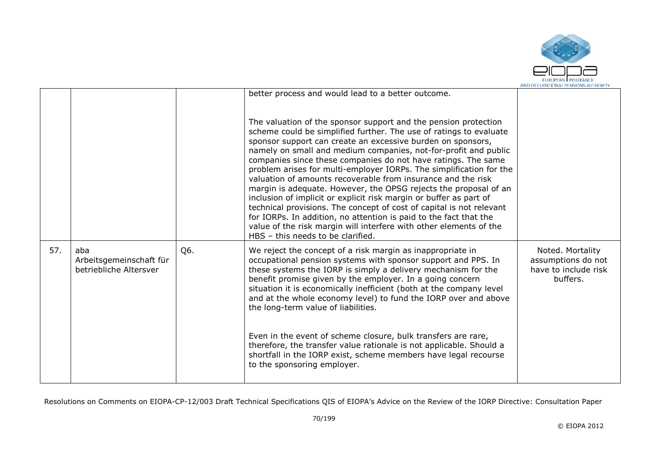

|     |                                                          |     | better process and would lead to a better outcome.<br>The valuation of the sponsor support and the pension protection<br>scheme could be simplified further. The use of ratings to evaluate                                                                                                                                                                                                                                                                                                                                                                                                                                                                                                                                              |                                                                            |
|-----|----------------------------------------------------------|-----|------------------------------------------------------------------------------------------------------------------------------------------------------------------------------------------------------------------------------------------------------------------------------------------------------------------------------------------------------------------------------------------------------------------------------------------------------------------------------------------------------------------------------------------------------------------------------------------------------------------------------------------------------------------------------------------------------------------------------------------|----------------------------------------------------------------------------|
|     |                                                          |     | sponsor support can create an excessive burden on sponsors,<br>namely on small and medium companies, not-for-profit and public<br>companies since these companies do not have ratings. The same<br>problem arises for multi-employer IORPs. The simplification for the<br>valuation of amounts recoverable from insurance and the risk<br>margin is adequate. However, the OPSG rejects the proposal of an<br>inclusion of implicit or explicit risk margin or buffer as part of<br>technical provisions. The concept of cost of capital is not relevant<br>for IORPs. In addition, no attention is paid to the fact that the<br>value of the risk margin will interfere with other elements of the<br>HBS - this needs to be clarified. |                                                                            |
| 57. | aba<br>Arbeitsgemeinschaft für<br>betriebliche Altersver | Q6. | We reject the concept of a risk margin as inappropriate in<br>occupational pension systems with sponsor support and PPS. In<br>these systems the IORP is simply a delivery mechanism for the<br>benefit promise given by the employer. In a going concern<br>situation it is economically inefficient (both at the company level<br>and at the whole economy level) to fund the IORP over and above<br>the long-term value of liabilities.                                                                                                                                                                                                                                                                                               | Noted. Mortality<br>assumptions do not<br>have to include risk<br>buffers. |
|     |                                                          |     | Even in the event of scheme closure, bulk transfers are rare,<br>therefore, the transfer value rationale is not applicable. Should a<br>shortfall in the IORP exist, scheme members have legal recourse<br>to the sponsoring employer.                                                                                                                                                                                                                                                                                                                                                                                                                                                                                                   |                                                                            |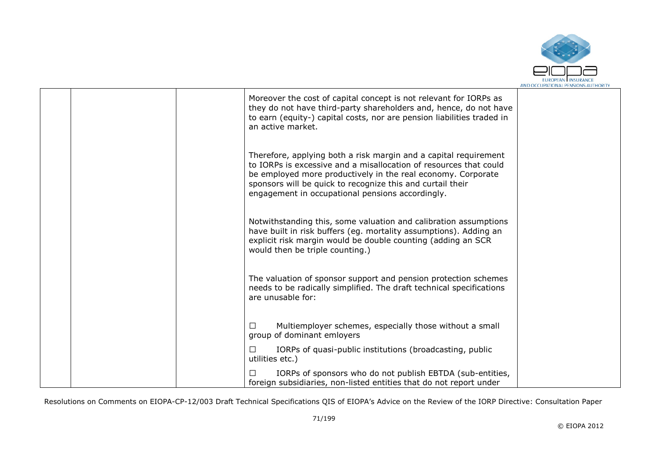

|  | Moreover the cost of capital concept is not relevant for IORPs as<br>they do not have third-party shareholders and, hence, do not have<br>to earn (equity-) capital costs, nor are pension liabilities traded in<br>an active market.                                                                                   |  |
|--|-------------------------------------------------------------------------------------------------------------------------------------------------------------------------------------------------------------------------------------------------------------------------------------------------------------------------|--|
|  | Therefore, applying both a risk margin and a capital requirement<br>to IORPs is excessive and a misallocation of resources that could<br>be employed more productively in the real economy. Corporate<br>sponsors will be quick to recognize this and curtail their<br>engagement in occupational pensions accordingly. |  |
|  | Notwithstanding this, some valuation and calibration assumptions<br>have built in risk buffers (eg. mortality assumptions). Adding an<br>explicit risk margin would be double counting (adding an SCR<br>would then be triple counting.)                                                                                |  |
|  | The valuation of sponsor support and pension protection schemes<br>needs to be radically simplified. The draft technical specifications<br>are unusable for:                                                                                                                                                            |  |
|  | Multiemployer schemes, especially those without a small<br>□<br>group of dominant emloyers                                                                                                                                                                                                                              |  |
|  | IORPs of quasi-public institutions (broadcasting, public<br>П<br>utilities etc.)                                                                                                                                                                                                                                        |  |
|  | IORPs of sponsors who do not publish EBTDA (sub-entities,<br>П<br>foreign subsidiaries, non-listed entities that do not report under                                                                                                                                                                                    |  |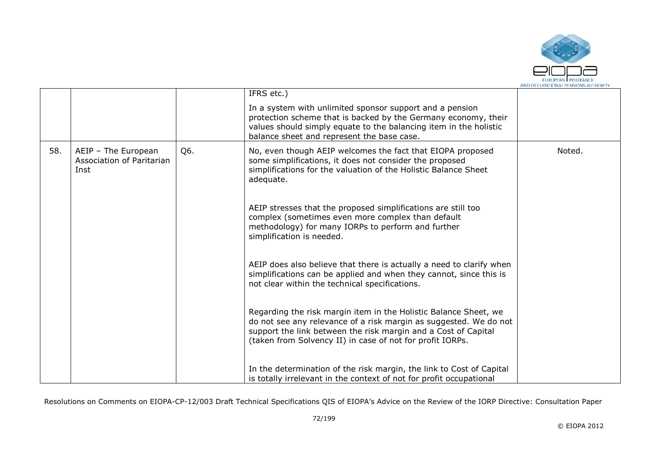

|     |                                                          |     | IFRS etc.)                                                                                                                                                                                                                                                           |        |
|-----|----------------------------------------------------------|-----|----------------------------------------------------------------------------------------------------------------------------------------------------------------------------------------------------------------------------------------------------------------------|--------|
|     |                                                          |     | In a system with unlimited sponsor support and a pension<br>protection scheme that is backed by the Germany economy, their<br>values should simply equate to the balancing item in the holistic<br>balance sheet and represent the base case.                        |        |
| 58. | AEIP - The European<br>Association of Paritarian<br>Inst | Q6. | No, even though AEIP welcomes the fact that EIOPA proposed<br>some simplifications, it does not consider the proposed<br>simplifications for the valuation of the Holistic Balance Sheet<br>adequate.                                                                | Noted. |
|     |                                                          |     | AEIP stresses that the proposed simplifications are still too<br>complex (sometimes even more complex than default<br>methodology) for many IORPs to perform and further<br>simplification is needed.                                                                |        |
|     |                                                          |     | AEIP does also believe that there is actually a need to clarify when<br>simplifications can be applied and when they cannot, since this is<br>not clear within the technical specifications.                                                                         |        |
|     |                                                          |     | Regarding the risk margin item in the Holistic Balance Sheet, we<br>do not see any relevance of a risk margin as suggested. We do not<br>support the link between the risk margin and a Cost of Capital<br>(taken from Solvency II) in case of not for profit IORPs. |        |
|     |                                                          |     | In the determination of the risk margin, the link to Cost of Capital<br>is totally irrelevant in the context of not for profit occupational                                                                                                                          |        |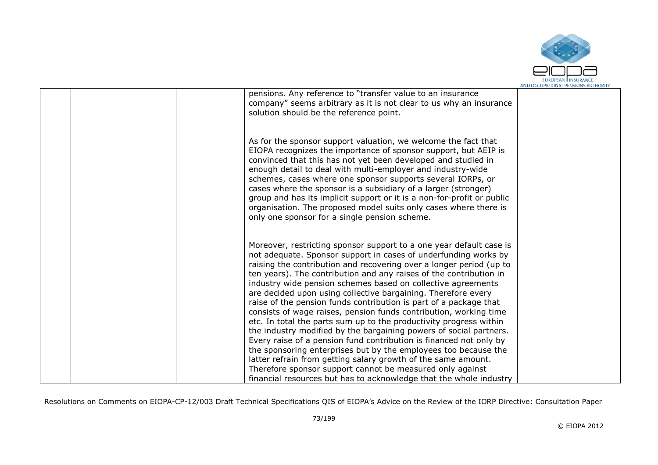

|  | pensions. Any reference to "transfer value to an insurance<br>company" seems arbitrary as it is not clear to us why an insurance<br>solution should be the reference point.                                                                                                                                                                                                                                                                                                                                                                                                                                                                                                                                                                                                                                                                                                                                                                                                                                                                             |  |
|--|---------------------------------------------------------------------------------------------------------------------------------------------------------------------------------------------------------------------------------------------------------------------------------------------------------------------------------------------------------------------------------------------------------------------------------------------------------------------------------------------------------------------------------------------------------------------------------------------------------------------------------------------------------------------------------------------------------------------------------------------------------------------------------------------------------------------------------------------------------------------------------------------------------------------------------------------------------------------------------------------------------------------------------------------------------|--|
|  | As for the sponsor support valuation, we welcome the fact that<br>EIOPA recognizes the importance of sponsor support, but AEIP is<br>convinced that this has not yet been developed and studied in<br>enough detail to deal with multi-employer and industry-wide<br>schemes, cases where one sponsor supports several IORPs, or<br>cases where the sponsor is a subsidiary of a larger (stronger)<br>group and has its implicit support or it is a non-for-profit or public<br>organisation. The proposed model suits only cases where there is<br>only one sponsor for a single pension scheme.                                                                                                                                                                                                                                                                                                                                                                                                                                                       |  |
|  | Moreover, restricting sponsor support to a one year default case is<br>not adequate. Sponsor support in cases of underfunding works by<br>raising the contribution and recovering over a longer period (up to<br>ten years). The contribution and any raises of the contribution in<br>industry wide pension schemes based on collective agreements<br>are decided upon using collective bargaining. Therefore every<br>raise of the pension funds contribution is part of a package that<br>consists of wage raises, pension funds contribution, working time<br>etc. In total the parts sum up to the productivity progress within<br>the industry modified by the bargaining powers of social partners.<br>Every raise of a pension fund contribution is financed not only by<br>the sponsoring enterprises but by the employees too because the<br>latter refrain from getting salary growth of the same amount.<br>Therefore sponsor support cannot be measured only against<br>financial resources but has to acknowledge that the whole industry |  |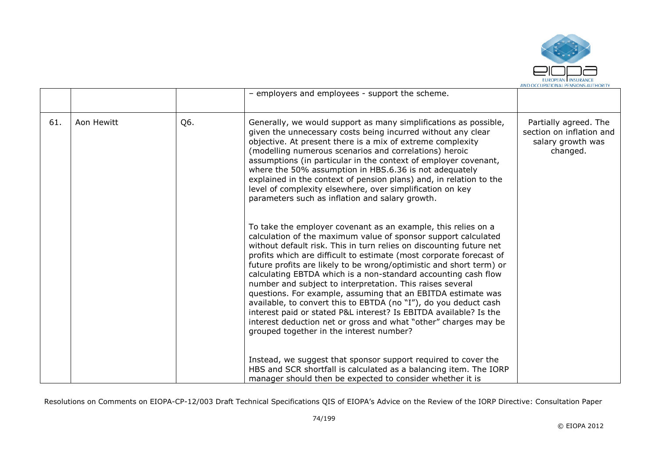

|     |            |     | - employers and employees - support the scheme.                                                                                                                                                                                                                                                                                                                                                                                                                                                                                                                                                                                                                                                                                                                                                             |                                                                                    |
|-----|------------|-----|-------------------------------------------------------------------------------------------------------------------------------------------------------------------------------------------------------------------------------------------------------------------------------------------------------------------------------------------------------------------------------------------------------------------------------------------------------------------------------------------------------------------------------------------------------------------------------------------------------------------------------------------------------------------------------------------------------------------------------------------------------------------------------------------------------------|------------------------------------------------------------------------------------|
| 61. | Aon Hewitt | Q6. | Generally, we would support as many simplifications as possible,<br>given the unnecessary costs being incurred without any clear<br>objective. At present there is a mix of extreme complexity<br>(modelling numerous scenarios and correlations) heroic<br>assumptions (in particular in the context of employer covenant,<br>where the 50% assumption in HBS.6.36 is not adequately<br>explained in the context of pension plans) and, in relation to the<br>level of complexity elsewhere, over simplification on key<br>parameters such as inflation and salary growth.                                                                                                                                                                                                                                 | Partially agreed. The<br>section on inflation and<br>salary growth was<br>changed. |
|     |            |     | To take the employer covenant as an example, this relies on a<br>calculation of the maximum value of sponsor support calculated<br>without default risk. This in turn relies on discounting future net<br>profits which are difficult to estimate (most corporate forecast of<br>future profits are likely to be wrong/optimistic and short term) or<br>calculating EBTDA which is a non-standard accounting cash flow<br>number and subject to interpretation. This raises several<br>questions. For example, assuming that an EBITDA estimate was<br>available, to convert this to EBTDA (no "I"), do you deduct cash<br>interest paid or stated P&L interest? Is EBITDA available? Is the<br>interest deduction net or gross and what "other" charges may be<br>grouped together in the interest number? |                                                                                    |
|     |            |     | Instead, we suggest that sponsor support required to cover the<br>HBS and SCR shortfall is calculated as a balancing item. The IORP<br>manager should then be expected to consider whether it is                                                                                                                                                                                                                                                                                                                                                                                                                                                                                                                                                                                                            |                                                                                    |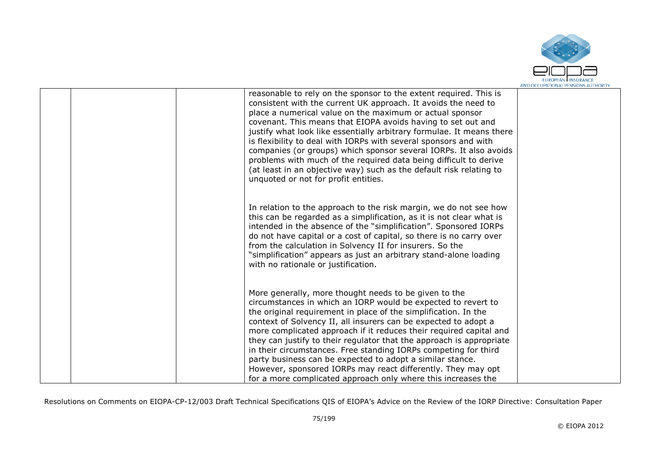

|  | reasonable to rely on the sponsor to the extent required. This is<br>consistent with the current UK approach. It avoids the need to<br>place a numerical value on the maximum or actual sponsor<br>covenant. This means that EIOPA avoids having to set out and<br>justify what look like essentially arbitrary formulae. It means there<br>is flexibility to deal with IORPs with several sponsors and with<br>companies (or groups) which sponsor several IORPs. It also avoids<br>problems with much of the required data being difficult to derive<br>(at least in an objective way) such as the default risk relating to<br>unquoted or not for profit entities.       |  |
|--|-----------------------------------------------------------------------------------------------------------------------------------------------------------------------------------------------------------------------------------------------------------------------------------------------------------------------------------------------------------------------------------------------------------------------------------------------------------------------------------------------------------------------------------------------------------------------------------------------------------------------------------------------------------------------------|--|
|  | In relation to the approach to the risk margin, we do not see how<br>this can be regarded as a simplification, as it is not clear what is<br>intended in the absence of the "simplification". Sponsored IORPs<br>do not have capital or a cost of capital, so there is no carry over<br>from the calculation in Solvency II for insurers. So the<br>"simplification" appears as just an arbitrary stand-alone loading<br>with no rationale or justification.                                                                                                                                                                                                                |  |
|  | More generally, more thought needs to be given to the<br>circumstances in which an IORP would be expected to revert to<br>the original requirement in place of the simplification. In the<br>context of Solvency II, all insurers can be expected to adopt a<br>more complicated approach if it reduces their required capital and<br>they can justify to their regulator that the approach is appropriate<br>in their circumstances. Free standing IORPs competing for third<br>party business can be expected to adopt a similar stance.<br>However, sponsored IORPs may react differently. They may opt<br>for a more complicated approach only where this increases the |  |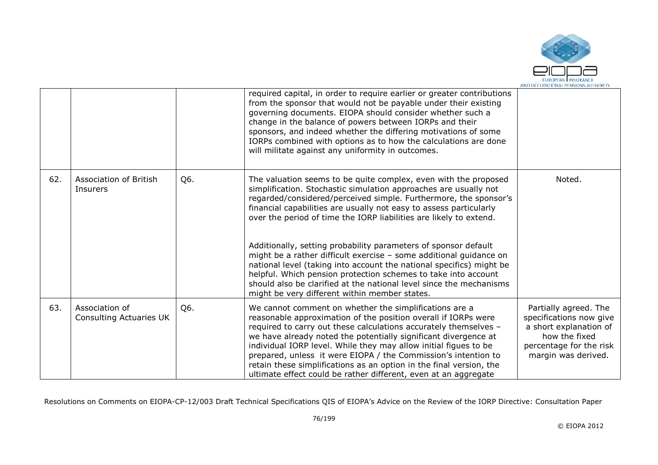

|     |                                           |     | required capital, in order to require earlier or greater contributions<br>from the sponsor that would not be payable under their existing<br>governing documents. EIOPA should consider whether such a<br>change in the balance of powers between IORPs and their<br>sponsors, and indeed whether the differing motivations of some<br>IORPs combined with options as to how the calculations are done<br>will militate against any uniformity in outcomes.                                                                                     |                                                                                                                                               |
|-----|-------------------------------------------|-----|-------------------------------------------------------------------------------------------------------------------------------------------------------------------------------------------------------------------------------------------------------------------------------------------------------------------------------------------------------------------------------------------------------------------------------------------------------------------------------------------------------------------------------------------------|-----------------------------------------------------------------------------------------------------------------------------------------------|
| 62. | Association of British<br>Insurers        | Q6. | The valuation seems to be quite complex, even with the proposed<br>simplification. Stochastic simulation approaches are usually not<br>regarded/considered/perceived simple. Furthermore, the sponsor's<br>financial capabilities are usually not easy to assess particularly<br>over the period of time the IORP liabilities are likely to extend.                                                                                                                                                                                             | Noted.                                                                                                                                        |
|     |                                           |     | Additionally, setting probability parameters of sponsor default<br>might be a rather difficult exercise - some additional guidance on<br>national level (taking into account the national specifics) might be<br>helpful. Which pension protection schemes to take into account<br>should also be clarified at the national level since the mechanisms<br>might be very different within member states.                                                                                                                                         |                                                                                                                                               |
| 63. | Association of<br>Consulting Actuaries UK | Q6. | We cannot comment on whether the simplifications are a<br>reasonable approximation of the position overall if IORPs were<br>required to carry out these calculations accurately themselves -<br>we have already noted the potentially significant divergence at<br>individual IORP level. While they may allow initial figues to be<br>prepared, unless it were EIOPA / the Commission's intention to<br>retain these simplifications as an option in the final version, the<br>ultimate effect could be rather different, even at an aggregate | Partially agreed. The<br>specifications now give<br>a short explanation of<br>how the fixed<br>percentage for the risk<br>margin was derived. |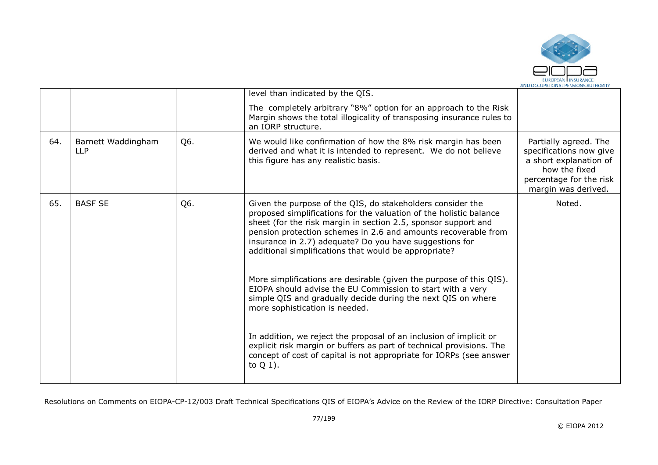

|     |                                  |     | level than indicated by the QIS.                                                                                                                                                                                                                                                                                                                                                                                                                                                                                                                                                                                                                                                                                                                                                                                                                                    |                                                                                                                                               |
|-----|----------------------------------|-----|---------------------------------------------------------------------------------------------------------------------------------------------------------------------------------------------------------------------------------------------------------------------------------------------------------------------------------------------------------------------------------------------------------------------------------------------------------------------------------------------------------------------------------------------------------------------------------------------------------------------------------------------------------------------------------------------------------------------------------------------------------------------------------------------------------------------------------------------------------------------|-----------------------------------------------------------------------------------------------------------------------------------------------|
|     |                                  |     | The completely arbitrary "8%" option for an approach to the Risk<br>Margin shows the total illogicality of transposing insurance rules to<br>an IORP structure.                                                                                                                                                                                                                                                                                                                                                                                                                                                                                                                                                                                                                                                                                                     |                                                                                                                                               |
| 64. | Barnett Waddingham<br><b>LLP</b> | Q6. | We would like confirmation of how the 8% risk margin has been<br>derived and what it is intended to represent. We do not believe<br>this figure has any realistic basis.                                                                                                                                                                                                                                                                                                                                                                                                                                                                                                                                                                                                                                                                                            | Partially agreed. The<br>specifications now give<br>a short explanation of<br>how the fixed<br>percentage for the risk<br>margin was derived. |
| 65. | <b>BASF SE</b>                   | Q6. | Given the purpose of the QIS, do stakeholders consider the<br>proposed simplifications for the valuation of the holistic balance<br>sheet (for the risk margin in section 2.5, sponsor support and<br>pension protection schemes in 2.6 and amounts recoverable from<br>insurance in 2.7) adequate? Do you have suggestions for<br>additional simplifications that would be appropriate?<br>More simplifications are desirable (given the purpose of this QIS).<br>EIOPA should advise the EU Commission to start with a very<br>simple QIS and gradually decide during the next QIS on where<br>more sophistication is needed.<br>In addition, we reject the proposal of an inclusion of implicit or<br>explicit risk margin or buffers as part of technical provisions. The<br>concept of cost of capital is not appropriate for IORPs (see answer<br>to $Q_1$ ). | Noted.                                                                                                                                        |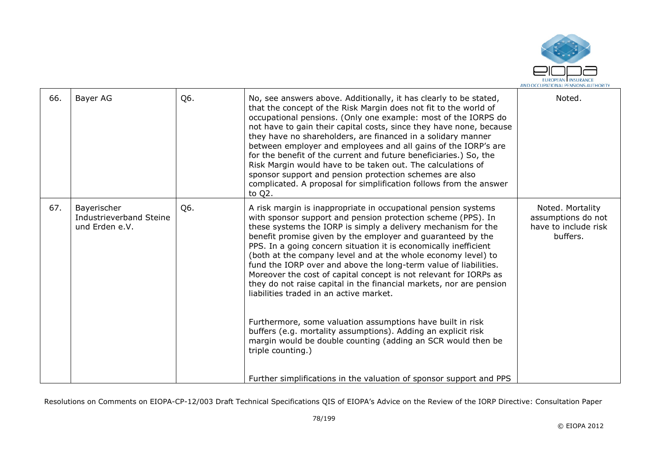

| 66. | Bayer AG                                                 | Q6. | No, see answers above. Additionally, it has clearly to be stated,<br>that the concept of the Risk Margin does not fit to the world of<br>occupational pensions. (Only one example: most of the IORPS do<br>not have to gain their capital costs, since they have none, because<br>they have no shareholders, are financed in a solidary manner<br>between employer and employees and all gains of the IORP's are<br>for the benefit of the current and future beneficiaries.) So, the<br>Risk Margin would have to be taken out. The calculations of<br>sponsor support and pension protection schemes are also<br>complicated. A proposal for simplification follows from the answer<br>to Q2.                                                                                                                                                                                                                                                           | Noted.                                                                     |
|-----|----------------------------------------------------------|-----|-----------------------------------------------------------------------------------------------------------------------------------------------------------------------------------------------------------------------------------------------------------------------------------------------------------------------------------------------------------------------------------------------------------------------------------------------------------------------------------------------------------------------------------------------------------------------------------------------------------------------------------------------------------------------------------------------------------------------------------------------------------------------------------------------------------------------------------------------------------------------------------------------------------------------------------------------------------|----------------------------------------------------------------------------|
| 67. | Bayerischer<br>Industrieverband Steine<br>und Erden e.V. | Q6. | A risk margin is inappropriate in occupational pension systems<br>with sponsor support and pension protection scheme (PPS). In<br>these systems the IORP is simply a delivery mechanism for the<br>benefit promise given by the employer and guaranteed by the<br>PPS. In a going concern situation it is economically inefficient<br>(both at the company level and at the whole economy level) to<br>fund the IORP over and above the long-term value of liabilities.<br>Moreover the cost of capital concept is not relevant for IORPs as<br>they do not raise capital in the financial markets, nor are pension<br>liabilities traded in an active market.<br>Furthermore, some valuation assumptions have built in risk<br>buffers (e.g. mortality assumptions). Adding an explicit risk<br>margin would be double counting (adding an SCR would then be<br>triple counting.)<br>Further simplifications in the valuation of sponsor support and PPS | Noted. Mortality<br>assumptions do not<br>have to include risk<br>buffers. |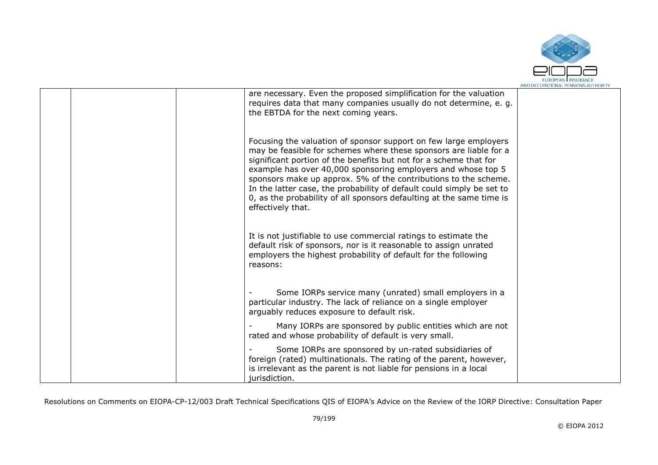

|  | are necessary. Even the proposed simplification for the valuation<br>requires data that many companies usually do not determine, e. g.<br>the EBTDA for the next coming years.                                                                                                                                                                                                                                                                                                                                      |  |
|--|---------------------------------------------------------------------------------------------------------------------------------------------------------------------------------------------------------------------------------------------------------------------------------------------------------------------------------------------------------------------------------------------------------------------------------------------------------------------------------------------------------------------|--|
|  | Focusing the valuation of sponsor support on few large employers<br>may be feasible for schemes where these sponsors are liable for a<br>significant portion of the benefits but not for a scheme that for<br>example has over 40,000 sponsoring employers and whose top 5<br>sponsors make up approx. 5% of the contributions to the scheme.<br>In the latter case, the probability of default could simply be set to<br>0, as the probability of all sponsors defaulting at the same time is<br>effectively that. |  |
|  | It is not justifiable to use commercial ratings to estimate the<br>default risk of sponsors, nor is it reasonable to assign unrated<br>employers the highest probability of default for the following<br>reasons:                                                                                                                                                                                                                                                                                                   |  |
|  | Some IORPs service many (unrated) small employers in a<br>particular industry. The lack of reliance on a single employer<br>arguably reduces exposure to default risk.                                                                                                                                                                                                                                                                                                                                              |  |
|  | Many IORPs are sponsored by public entities which are not<br>rated and whose probability of default is very small.                                                                                                                                                                                                                                                                                                                                                                                                  |  |
|  | Some IORPs are sponsored by un-rated subsidiaries of<br>foreign (rated) multinationals. The rating of the parent, however,<br>is irrelevant as the parent is not liable for pensions in a local<br>jurisdiction.                                                                                                                                                                                                                                                                                                    |  |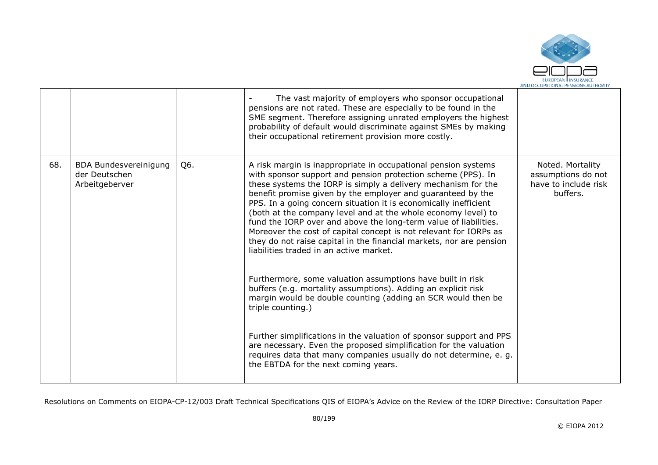

|     |                                                          |     | The vast majority of employers who sponsor occupational<br>pensions are not rated. These are especially to be found in the<br>SME segment. Therefore assigning unrated employers the highest<br>probability of default would discriminate against SMEs by making<br>their occupational retirement provision more costly.                                                                                                                                                                                                                                                                                                                                                                                                                                                                                                                                                                                                                                                                                                                                                                                                                    |                                                                            |
|-----|----------------------------------------------------------|-----|---------------------------------------------------------------------------------------------------------------------------------------------------------------------------------------------------------------------------------------------------------------------------------------------------------------------------------------------------------------------------------------------------------------------------------------------------------------------------------------------------------------------------------------------------------------------------------------------------------------------------------------------------------------------------------------------------------------------------------------------------------------------------------------------------------------------------------------------------------------------------------------------------------------------------------------------------------------------------------------------------------------------------------------------------------------------------------------------------------------------------------------------|----------------------------------------------------------------------------|
| 68. | BDA Bundesvereinigung<br>der Deutschen<br>Arbeitgeberver | Q6. | A risk margin is inappropriate in occupational pension systems<br>with sponsor support and pension protection scheme (PPS). In<br>these systems the IORP is simply a delivery mechanism for the<br>benefit promise given by the employer and guaranteed by the<br>PPS. In a going concern situation it is economically inefficient<br>(both at the company level and at the whole economy level) to<br>fund the IORP over and above the long-term value of liabilities.<br>Moreover the cost of capital concept is not relevant for IORPs as<br>they do not raise capital in the financial markets, nor are pension<br>liabilities traded in an active market.<br>Furthermore, some valuation assumptions have built in risk<br>buffers (e.g. mortality assumptions). Adding an explicit risk<br>margin would be double counting (adding an SCR would then be<br>triple counting.)<br>Further simplifications in the valuation of sponsor support and PPS<br>are necessary. Even the proposed simplification for the valuation<br>requires data that many companies usually do not determine, e. g.<br>the EBTDA for the next coming years. | Noted. Mortality<br>assumptions do not<br>have to include risk<br>buffers. |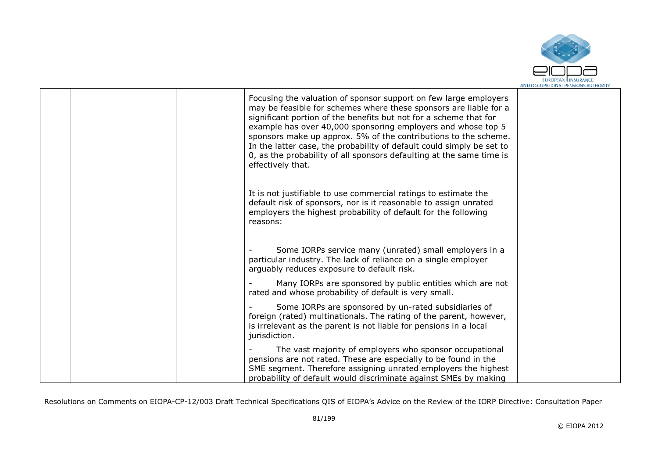

|  | Focusing the valuation of sponsor support on few large employers<br>may be feasible for schemes where these sponsors are liable for a<br>significant portion of the benefits but not for a scheme that for<br>example has over 40,000 sponsoring employers and whose top 5<br>sponsors make up approx. 5% of the contributions to the scheme.<br>In the latter case, the probability of default could simply be set to<br>0, as the probability of all sponsors defaulting at the same time is<br>effectively that. |  |
|--|---------------------------------------------------------------------------------------------------------------------------------------------------------------------------------------------------------------------------------------------------------------------------------------------------------------------------------------------------------------------------------------------------------------------------------------------------------------------------------------------------------------------|--|
|  | It is not justifiable to use commercial ratings to estimate the<br>default risk of sponsors, nor is it reasonable to assign unrated<br>employers the highest probability of default for the following<br>reasons:                                                                                                                                                                                                                                                                                                   |  |
|  | Some IORPs service many (unrated) small employers in a<br>particular industry. The lack of reliance on a single employer<br>arguably reduces exposure to default risk.                                                                                                                                                                                                                                                                                                                                              |  |
|  | Many IORPs are sponsored by public entities which are not<br>rated and whose probability of default is very small.                                                                                                                                                                                                                                                                                                                                                                                                  |  |
|  | Some IORPs are sponsored by un-rated subsidiaries of<br>foreign (rated) multinationals. The rating of the parent, however,<br>is irrelevant as the parent is not liable for pensions in a local<br>jurisdiction.                                                                                                                                                                                                                                                                                                    |  |
|  | The vast majority of employers who sponsor occupational<br>pensions are not rated. These are especially to be found in the<br>SME segment. Therefore assigning unrated employers the highest<br>probability of default would discriminate against SMEs by making                                                                                                                                                                                                                                                    |  |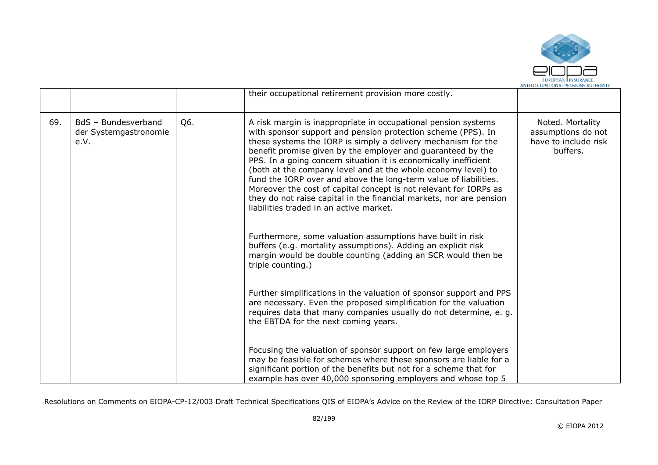

|     |                                                      |     | their occupational retirement provision more costly.                                                                                                                                                                                                                                                                                                                                                                                                                                                                                                                                                                                                                                                                                                                                                                                                          |                                                                            |
|-----|------------------------------------------------------|-----|---------------------------------------------------------------------------------------------------------------------------------------------------------------------------------------------------------------------------------------------------------------------------------------------------------------------------------------------------------------------------------------------------------------------------------------------------------------------------------------------------------------------------------------------------------------------------------------------------------------------------------------------------------------------------------------------------------------------------------------------------------------------------------------------------------------------------------------------------------------|----------------------------------------------------------------------------|
| 69. | BdS - Bundesverband<br>der Systemgastronomie<br>e.V. | Q6. | A risk margin is inappropriate in occupational pension systems<br>with sponsor support and pension protection scheme (PPS). In<br>these systems the IORP is simply a delivery mechanism for the<br>benefit promise given by the employer and guaranteed by the<br>PPS. In a going concern situation it is economically inefficient<br>(both at the company level and at the whole economy level) to<br>fund the IORP over and above the long-term value of liabilities.<br>Moreover the cost of capital concept is not relevant for IORPs as<br>they do not raise capital in the financial markets, nor are pension<br>liabilities traded in an active market.<br>Furthermore, some valuation assumptions have built in risk<br>buffers (e.g. mortality assumptions). Adding an explicit risk<br>margin would be double counting (adding an SCR would then be | Noted. Mortality<br>assumptions do not<br>have to include risk<br>buffers. |
|     |                                                      |     | triple counting.)<br>Further simplifications in the valuation of sponsor support and PPS<br>are necessary. Even the proposed simplification for the valuation<br>requires data that many companies usually do not determine, e. g.<br>the EBTDA for the next coming years.                                                                                                                                                                                                                                                                                                                                                                                                                                                                                                                                                                                    |                                                                            |
|     |                                                      |     | Focusing the valuation of sponsor support on few large employers<br>may be feasible for schemes where these sponsors are liable for a<br>significant portion of the benefits but not for a scheme that for<br>example has over 40,000 sponsoring employers and whose top 5                                                                                                                                                                                                                                                                                                                                                                                                                                                                                                                                                                                    |                                                                            |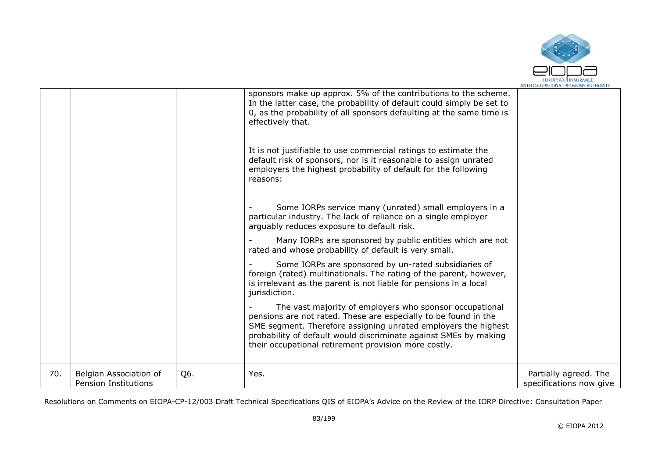

|     |                                                       |     | sponsors make up approx. 5% of the contributions to the scheme.<br>In the latter case, the probability of default could simply be set to<br>0, as the probability of all sponsors defaulting at the same time is<br>effectively that.                                                                                    |                                                  |
|-----|-------------------------------------------------------|-----|--------------------------------------------------------------------------------------------------------------------------------------------------------------------------------------------------------------------------------------------------------------------------------------------------------------------------|--------------------------------------------------|
|     |                                                       |     | It is not justifiable to use commercial ratings to estimate the<br>default risk of sponsors, nor is it reasonable to assign unrated<br>employers the highest probability of default for the following<br>reasons:                                                                                                        |                                                  |
|     |                                                       |     | Some IORPs service many (unrated) small employers in a<br>particular industry. The lack of reliance on a single employer<br>arguably reduces exposure to default risk.                                                                                                                                                   |                                                  |
|     |                                                       |     | Many IORPs are sponsored by public entities which are not<br>rated and whose probability of default is very small.                                                                                                                                                                                                       |                                                  |
|     |                                                       |     | Some IORPs are sponsored by un-rated subsidiaries of<br>foreign (rated) multinationals. The rating of the parent, however,<br>is irrelevant as the parent is not liable for pensions in a local<br>jurisdiction.                                                                                                         |                                                  |
|     |                                                       |     | The vast majority of employers who sponsor occupational<br>pensions are not rated. These are especially to be found in the<br>SME segment. Therefore assigning unrated employers the highest<br>probability of default would discriminate against SMEs by making<br>their occupational retirement provision more costly. |                                                  |
| 70. | Belgian Association of<br><b>Pension Institutions</b> | Q6. | Yes.                                                                                                                                                                                                                                                                                                                     | Partially agreed. The<br>specifications now give |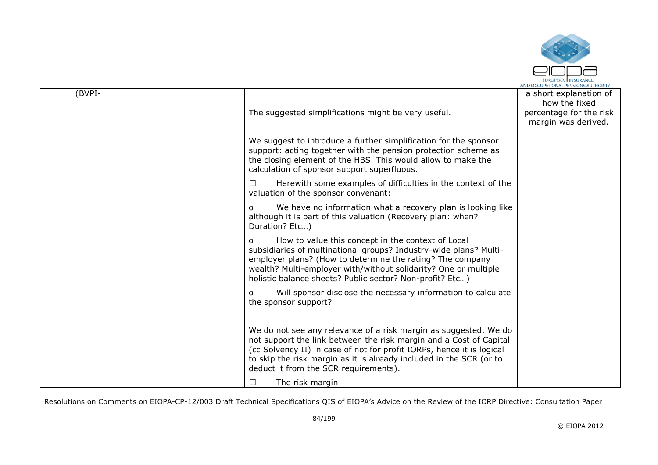

| (BVPI- | The suggested simplifications might be very useful.                                                                                                                                                                                                                                                                             | a short explanation of<br>how the fixed<br>percentage for the risk<br>margin was derived. |
|--------|---------------------------------------------------------------------------------------------------------------------------------------------------------------------------------------------------------------------------------------------------------------------------------------------------------------------------------|-------------------------------------------------------------------------------------------|
|        | We suggest to introduce a further simplification for the sponsor<br>support: acting together with the pension protection scheme as<br>the closing element of the HBS. This would allow to make the<br>calculation of sponsor support superfluous.                                                                               |                                                                                           |
|        | Herewith some examples of difficulties in the context of the<br>$\Box$<br>valuation of the sponsor convenant:                                                                                                                                                                                                                   |                                                                                           |
|        | We have no information what a recovery plan is looking like<br>$\Omega$<br>although it is part of this valuation (Recovery plan: when?<br>Duration? Etc)                                                                                                                                                                        |                                                                                           |
|        | How to value this concept in the context of Local<br>$\Omega$<br>subsidiaries of multinational groups? Industry-wide plans? Multi-<br>employer plans? (How to determine the rating? The company<br>wealth? Multi-employer with/without solidarity? One or multiple<br>holistic balance sheets? Public sector? Non-profit? Etc)  |                                                                                           |
|        | Will sponsor disclose the necessary information to calculate<br>O<br>the sponsor support?                                                                                                                                                                                                                                       |                                                                                           |
|        | We do not see any relevance of a risk margin as suggested. We do<br>not support the link between the risk margin and a Cost of Capital<br>(cc Solvency II) in case of not for profit IORPs, hence it is logical<br>to skip the risk margin as it is already included in the SCR (or to<br>deduct it from the SCR requirements). |                                                                                           |
|        | The risk margin<br>ப                                                                                                                                                                                                                                                                                                            |                                                                                           |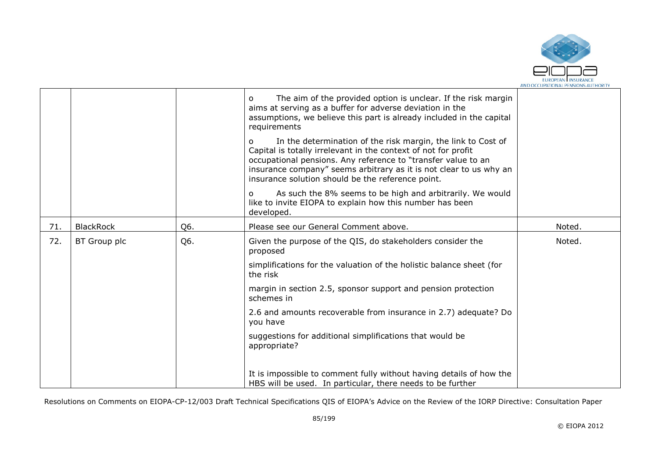

|     |                  |     | The aim of the provided option is unclear. If the risk margin<br>$\Omega$<br>aims at serving as a buffer for adverse deviation in the<br>assumptions, we believe this part is already included in the capital<br>requirements                                                                                                   |        |
|-----|------------------|-----|---------------------------------------------------------------------------------------------------------------------------------------------------------------------------------------------------------------------------------------------------------------------------------------------------------------------------------|--------|
|     |                  |     | In the determination of the risk margin, the link to Cost of<br>O<br>Capital is totally irrelevant in the context of not for profit<br>occupational pensions. Any reference to "transfer value to an<br>insurance company" seems arbitrary as it is not clear to us why an<br>insurance solution should be the reference point. |        |
|     |                  |     | As such the 8% seems to be high and arbitrarily. We would<br>O<br>like to invite EIOPA to explain how this number has been<br>developed.                                                                                                                                                                                        |        |
| 71. | <b>BlackRock</b> | Q6. | Please see our General Comment above.                                                                                                                                                                                                                                                                                           | Noted. |
| 72. | BT Group plc     | Q6. | Given the purpose of the QIS, do stakeholders consider the<br>proposed                                                                                                                                                                                                                                                          | Noted. |
|     |                  |     | simplifications for the valuation of the holistic balance sheet (for<br>the risk                                                                                                                                                                                                                                                |        |
|     |                  |     | margin in section 2.5, sponsor support and pension protection<br>schemes in                                                                                                                                                                                                                                                     |        |
|     |                  |     | 2.6 and amounts recoverable from insurance in 2.7) adequate? Do<br>you have                                                                                                                                                                                                                                                     |        |
|     |                  |     | suggestions for additional simplifications that would be<br>appropriate?                                                                                                                                                                                                                                                        |        |
|     |                  |     | It is impossible to comment fully without having details of how the<br>HBS will be used. In particular, there needs to be further                                                                                                                                                                                               |        |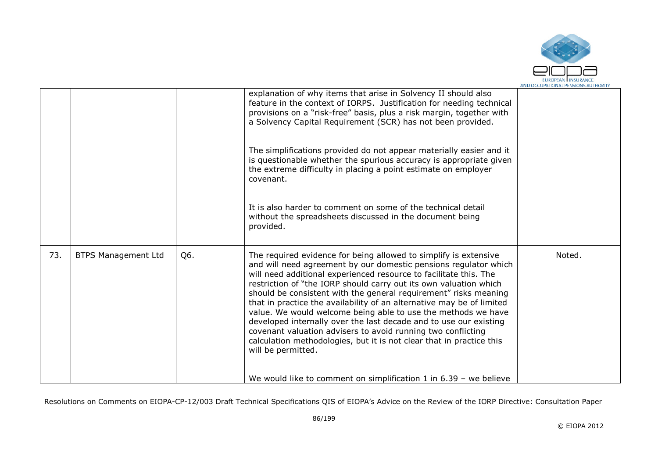

|     |                            |     | explanation of why items that arise in Solvency II should also<br>feature in the context of IORPS. Justification for needing technical<br>provisions on a "risk-free" basis, plus a risk margin, together with<br>a Solvency Capital Requirement (SCR) has not been provided.<br>The simplifications provided do not appear materially easier and it<br>is questionable whether the spurious accuracy is appropriate given<br>the extreme difficulty in placing a point estimate on employer<br>covenant.<br>It is also harder to comment on some of the technical detail<br>without the spreadsheets discussed in the document being<br>provided.                                                                                                                                                     |        |
|-----|----------------------------|-----|--------------------------------------------------------------------------------------------------------------------------------------------------------------------------------------------------------------------------------------------------------------------------------------------------------------------------------------------------------------------------------------------------------------------------------------------------------------------------------------------------------------------------------------------------------------------------------------------------------------------------------------------------------------------------------------------------------------------------------------------------------------------------------------------------------|--------|
| 73. | <b>BTPS Management Ltd</b> | Q6. | The required evidence for being allowed to simplify is extensive<br>and will need agreement by our domestic pensions regulator which<br>will need additional experienced resource to facilitate this. The<br>restriction of "the IORP should carry out its own valuation which<br>should be consistent with the general requirement" risks meaning<br>that in practice the availability of an alternative may be of limited<br>value. We would welcome being able to use the methods we have<br>developed internally over the last decade and to use our existing<br>covenant valuation advisers to avoid running two conflicting<br>calculation methodologies, but it is not clear that in practice this<br>will be permitted.<br>We would like to comment on simplification 1 in $6.39$ – we believe | Noted. |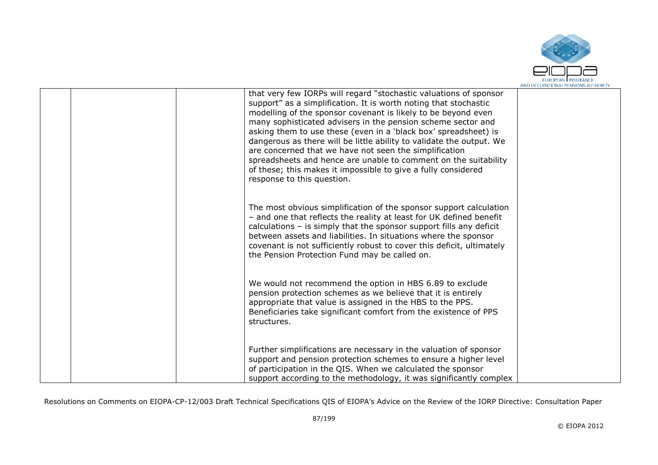

|  | that very few IORPs will regard "stochastic valuations of sponsor<br>support" as a simplification. It is worth noting that stochastic<br>modelling of the sponsor covenant is likely to be beyond even<br>many sophisticated advisers in the pension scheme sector and<br>asking them to use these (even in a 'black box' spreadsheet) is<br>dangerous as there will be little ability to validate the output. We<br>are concerned that we have not seen the simplification<br>spreadsheets and hence are unable to comment on the suitability<br>of these; this makes it impossible to give a fully considered<br>response to this question. |  |
|--|-----------------------------------------------------------------------------------------------------------------------------------------------------------------------------------------------------------------------------------------------------------------------------------------------------------------------------------------------------------------------------------------------------------------------------------------------------------------------------------------------------------------------------------------------------------------------------------------------------------------------------------------------|--|
|  | The most obvious simplification of the sponsor support calculation<br>- and one that reflects the reality at least for UK defined benefit<br>calculations $-$ is simply that the sponsor support fills any deficit<br>between assets and liabilities. In situations where the sponsor<br>covenant is not sufficiently robust to cover this deficit, ultimately<br>the Pension Protection Fund may be called on.                                                                                                                                                                                                                               |  |
|  | We would not recommend the option in HBS 6.89 to exclude<br>pension protection schemes as we believe that it is entirely<br>appropriate that value is assigned in the HBS to the PPS.<br>Beneficiaries take significant comfort from the existence of PPS<br>structures.                                                                                                                                                                                                                                                                                                                                                                      |  |
|  | Further simplifications are necessary in the valuation of sponsor<br>support and pension protection schemes to ensure a higher level<br>of participation in the QIS. When we calculated the sponsor<br>support according to the methodology, it was significantly complex                                                                                                                                                                                                                                                                                                                                                                     |  |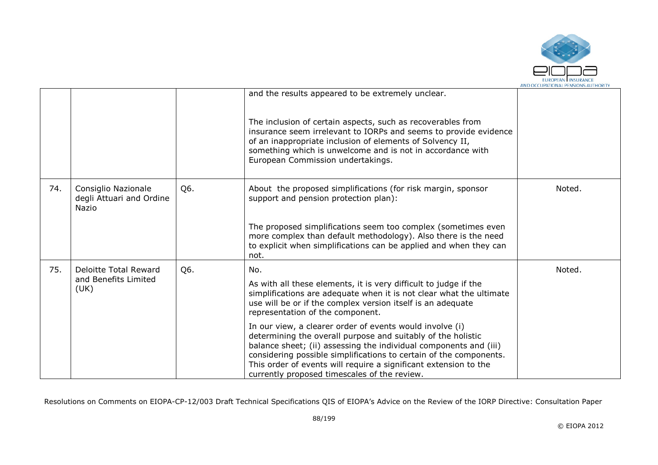

|     |                                                          |     | and the results appeared to be extremely unclear.                                                                                                                                                                                                                                                                                                                                       |        |
|-----|----------------------------------------------------------|-----|-----------------------------------------------------------------------------------------------------------------------------------------------------------------------------------------------------------------------------------------------------------------------------------------------------------------------------------------------------------------------------------------|--------|
|     |                                                          |     | The inclusion of certain aspects, such as recoverables from<br>insurance seem irrelevant to IORPs and seems to provide evidence<br>of an inappropriate inclusion of elements of Solvency II,<br>something which is unwelcome and is not in accordance with<br>European Commission undertakings.                                                                                         |        |
| 74. | Consiglio Nazionale<br>degli Attuari and Ordine<br>Nazio | Q6. | About the proposed simplifications (for risk margin, sponsor<br>support and pension protection plan):                                                                                                                                                                                                                                                                                   | Noted. |
|     |                                                          |     | The proposed simplifications seem too complex (sometimes even<br>more complex than default methodology). Also there is the need<br>to explicit when simplifications can be applied and when they can<br>not.                                                                                                                                                                            |        |
| 75. | Deloitte Total Reward                                    | Q6. | No.                                                                                                                                                                                                                                                                                                                                                                                     | Noted. |
|     | and Benefits Limited<br>(UK)                             |     | As with all these elements, it is very difficult to judge if the<br>simplifications are adequate when it is not clear what the ultimate<br>use will be or if the complex version itself is an adequate<br>representation of the component.                                                                                                                                              |        |
|     |                                                          |     | In our view, a clearer order of events would involve (i)<br>determining the overall purpose and suitably of the holistic<br>balance sheet; (ii) assessing the individual components and (iii)<br>considering possible simplifications to certain of the components.<br>This order of events will require a significant extension to the<br>currently proposed timescales of the review. |        |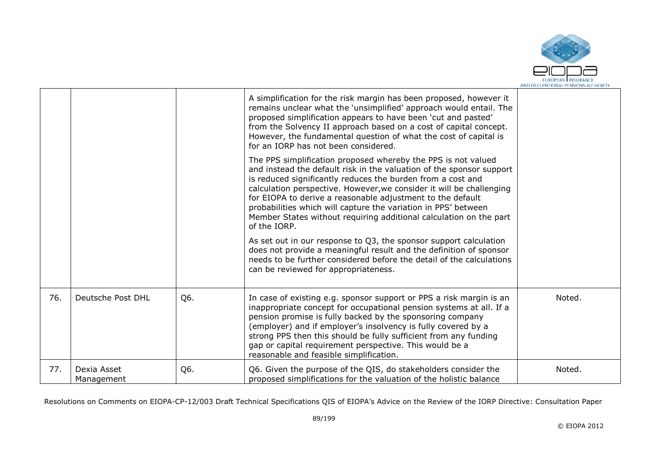

|     |                           |     | A simplification for the risk margin has been proposed, however it<br>remains unclear what the 'unsimplified' approach would entail. The<br>proposed simplification appears to have been 'cut and pasted'<br>from the Solvency II approach based on a cost of capital concept.<br>However, the fundamental question of what the cost of capital is<br>for an IORP has not been considered.                                                                                                         |        |
|-----|---------------------------|-----|----------------------------------------------------------------------------------------------------------------------------------------------------------------------------------------------------------------------------------------------------------------------------------------------------------------------------------------------------------------------------------------------------------------------------------------------------------------------------------------------------|--------|
|     |                           |     | The PPS simplification proposed whereby the PPS is not valued<br>and instead the default risk in the valuation of the sponsor support<br>is reduced significantly reduces the burden from a cost and<br>calculation perspective. However, we consider it will be challenging<br>for EIOPA to derive a reasonable adjustment to the default<br>probabilities which will capture the variation in PPS' between<br>Member States without requiring additional calculation on the part<br>of the IORP. |        |
|     |                           |     | As set out in our response to Q3, the sponsor support calculation<br>does not provide a meaningful result and the definition of sponsor<br>needs to be further considered before the detail of the calculations<br>can be reviewed for appropriateness.                                                                                                                                                                                                                                            |        |
| 76. | Deutsche Post DHL         | Q6. | In case of existing e.g. sponsor support or PPS a risk margin is an<br>inappropriate concept for occupational pension systems at all. If a<br>pension promise is fully backed by the sponsoring company<br>(employer) and if employer's insolvency is fully covered by a<br>strong PPS then this should be fully sufficient from any funding<br>gap or capital requirement perspective. This would be a<br>reasonable and feasible simplification.                                                 | Noted. |
| 77. | Dexia Asset<br>Management | Q6. | Q6. Given the purpose of the QIS, do stakeholders consider the<br>proposed simplifications for the valuation of the holistic balance                                                                                                                                                                                                                                                                                                                                                               | Noted. |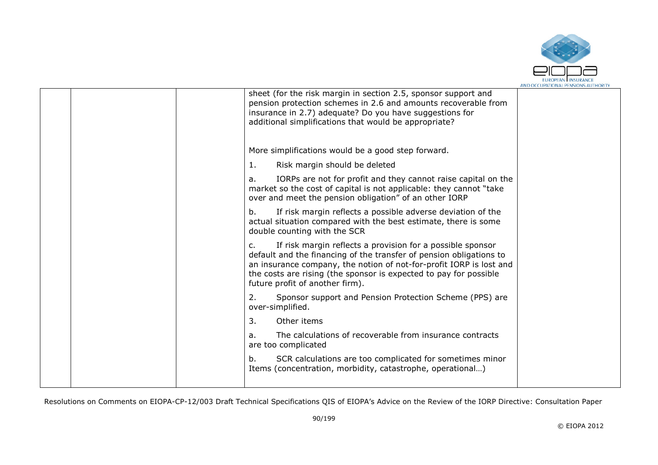

|  |                                                                                                                                                                                                                                                                                                                        | AND CALLUPATIONAL FENSIONS AUTHORIT |
|--|------------------------------------------------------------------------------------------------------------------------------------------------------------------------------------------------------------------------------------------------------------------------------------------------------------------------|-------------------------------------|
|  | sheet (for the risk margin in section 2.5, sponsor support and<br>pension protection schemes in 2.6 and amounts recoverable from<br>insurance in 2.7) adequate? Do you have suggestions for<br>additional simplifications that would be appropriate?                                                                   |                                     |
|  | More simplifications would be a good step forward.                                                                                                                                                                                                                                                                     |                                     |
|  | Risk margin should be deleted<br>1.                                                                                                                                                                                                                                                                                    |                                     |
|  | IORPs are not for profit and they cannot raise capital on the<br>a.<br>market so the cost of capital is not applicable: they cannot "take<br>over and meet the pension obligation" of an other IORP                                                                                                                    |                                     |
|  | If risk margin reflects a possible adverse deviation of the<br>b.<br>actual situation compared with the best estimate, there is some<br>double counting with the SCR                                                                                                                                                   |                                     |
|  | If risk margin reflects a provision for a possible sponsor<br>c.<br>default and the financing of the transfer of pension obligations to<br>an insurance company, the notion of not-for-profit IORP is lost and<br>the costs are rising (the sponsor is expected to pay for possible<br>future profit of another firm). |                                     |
|  | Sponsor support and Pension Protection Scheme (PPS) are<br>2.<br>over-simplified.                                                                                                                                                                                                                                      |                                     |
|  | 3.<br>Other items                                                                                                                                                                                                                                                                                                      |                                     |
|  | The calculations of recoverable from insurance contracts<br>a.<br>are too complicated                                                                                                                                                                                                                                  |                                     |
|  | SCR calculations are too complicated for sometimes minor<br>b.<br>Items (concentration, morbidity, catastrophe, operational)                                                                                                                                                                                           |                                     |
|  |                                                                                                                                                                                                                                                                                                                        |                                     |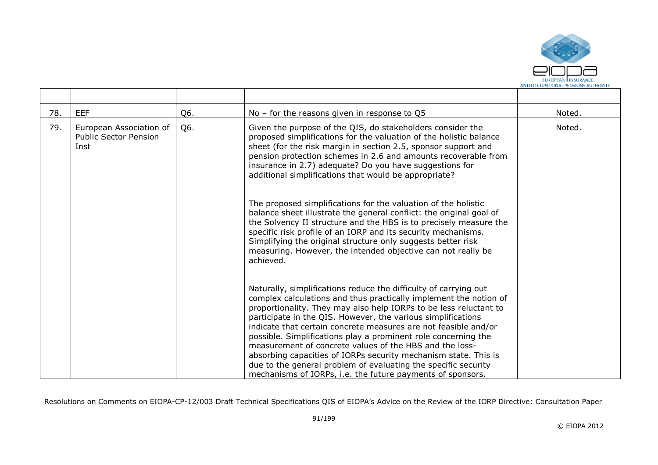

| 78. | <b>EEF</b>                                                      | Q6. | No – for the reasons given in response to $Q5$                                                                                                                                                                                                                                                                                                                                                                                                                                                                                                                                                                                                                                | Noted. |
|-----|-----------------------------------------------------------------|-----|-------------------------------------------------------------------------------------------------------------------------------------------------------------------------------------------------------------------------------------------------------------------------------------------------------------------------------------------------------------------------------------------------------------------------------------------------------------------------------------------------------------------------------------------------------------------------------------------------------------------------------------------------------------------------------|--------|
| 79. | European Association of<br><b>Public Sector Pension</b><br>Inst | Q6. | Given the purpose of the QIS, do stakeholders consider the<br>proposed simplifications for the valuation of the holistic balance<br>sheet (for the risk margin in section 2.5, sponsor support and<br>pension protection schemes in 2.6 and amounts recoverable from<br>insurance in 2.7) adequate? Do you have suggestions for<br>additional simplifications that would be appropriate?                                                                                                                                                                                                                                                                                      | Noted. |
|     |                                                                 |     | The proposed simplifications for the valuation of the holistic<br>balance sheet illustrate the general conflict: the original goal of<br>the Solvency II structure and the HBS is to precisely measure the<br>specific risk profile of an IORP and its security mechanisms.<br>Simplifying the original structure only suggests better risk<br>measuring. However, the intended objective can not really be<br>achieved.                                                                                                                                                                                                                                                      |        |
|     |                                                                 |     | Naturally, simplifications reduce the difficulty of carrying out<br>complex calculations and thus practically implement the notion of<br>proportionality. They may also help IORPs to be less reluctant to<br>participate in the QIS. However, the various simplifications<br>indicate that certain concrete measures are not feasible and/or<br>possible. Simplifications play a prominent role concerning the<br>measurement of concrete values of the HBS and the loss-<br>absorbing capacities of IORPs security mechanism state. This is<br>due to the general problem of evaluating the specific security<br>mechanisms of IORPs, i.e. the future payments of sponsors. |        |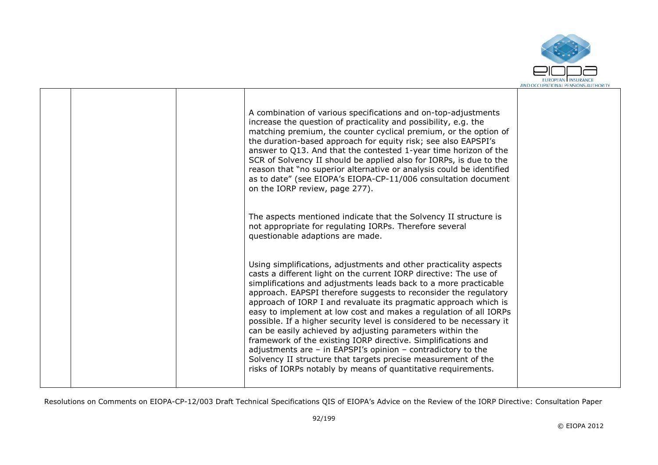

|  | A combination of various specifications and on-top-adjustments<br>increase the question of practicality and possibility, e.g. the<br>matching premium, the counter cyclical premium, or the option of<br>the duration-based approach for equity risk; see also EAPSPI's<br>answer to Q13. And that the contested 1-year time horizon of the<br>SCR of Solvency II should be applied also for IORPs, is due to the<br>reason that "no superior alternative or analysis could be identified<br>as to date" (see EIOPA's EIOPA-CP-11/006 consultation document<br>on the IORP review, page 277).                                                                                                                                                                                                                                        |  |
|--|--------------------------------------------------------------------------------------------------------------------------------------------------------------------------------------------------------------------------------------------------------------------------------------------------------------------------------------------------------------------------------------------------------------------------------------------------------------------------------------------------------------------------------------------------------------------------------------------------------------------------------------------------------------------------------------------------------------------------------------------------------------------------------------------------------------------------------------|--|
|  | The aspects mentioned indicate that the Solvency II structure is<br>not appropriate for regulating IORPs. Therefore several<br>questionable adaptions are made.                                                                                                                                                                                                                                                                                                                                                                                                                                                                                                                                                                                                                                                                      |  |
|  | Using simplifications, adjustments and other practicality aspects<br>casts a different light on the current IORP directive: The use of<br>simplifications and adjustments leads back to a more practicable<br>approach. EAPSPI therefore suggests to reconsider the regulatory<br>approach of IORP I and revaluate its pragmatic approach which is<br>easy to implement at low cost and makes a regulation of all IORPs<br>possible. If a higher security level is considered to be necessary it<br>can be easily achieved by adjusting parameters within the<br>framework of the existing IORP directive. Simplifications and<br>adjustments are $-$ in EAPSPI's opinion $-$ contradictory to the<br>Solvency II structure that targets precise measurement of the<br>risks of IORPs notably by means of quantitative requirements. |  |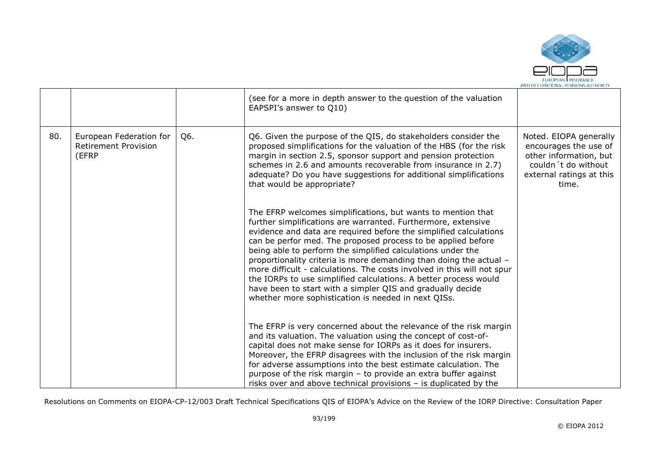

|     |                                                                 |     | (see for a more in depth answer to the question of the valuation<br>EAPSPI's answer to Q10)                                                                                                                                                                                                                                                                                                                                                                                                                                                                                                                                                                                 |                                                                                                                                       |
|-----|-----------------------------------------------------------------|-----|-----------------------------------------------------------------------------------------------------------------------------------------------------------------------------------------------------------------------------------------------------------------------------------------------------------------------------------------------------------------------------------------------------------------------------------------------------------------------------------------------------------------------------------------------------------------------------------------------------------------------------------------------------------------------------|---------------------------------------------------------------------------------------------------------------------------------------|
| 80. | European Federation for<br><b>Retirement Provision</b><br>(EFRP | Q6. | Q6. Given the purpose of the QIS, do stakeholders consider the<br>proposed simplifications for the valuation of the HBS (for the risk<br>margin in section 2.5, sponsor support and pension protection<br>schemes in 2.6 and amounts recoverable from insurance in 2.7)<br>adequate? Do you have suggestions for additional simplifications<br>that would be appropriate?                                                                                                                                                                                                                                                                                                   | Noted. EIOPA generally<br>encourages the use of<br>other information, but<br>couldn't do without<br>external ratings at this<br>time. |
|     |                                                                 |     | The EFRP welcomes simplifications, but wants to mention that<br>further simplifications are warranted. Furthermore, extensive<br>evidence and data are required before the simplified calculations<br>can be perfor med. The proposed process to be applied before<br>being able to perform the simplified calculations under the<br>proportionality criteria is more demanding than doing the actual -<br>more difficult - calculations. The costs involved in this will not spur<br>the IORPs to use simplified calculations. A better process would<br>have been to start with a simpler QIS and gradually decide<br>whether more sophistication is needed in next QISs. |                                                                                                                                       |
|     |                                                                 |     | The EFRP is very concerned about the relevance of the risk margin<br>and its valuation. The valuation using the concept of cost-of-<br>capital does not make sense for IORPs as it does for insurers.<br>Moreover, the EFRP disagrees with the inclusion of the risk margin<br>for adverse assumptions into the best estimate calculation. The<br>purpose of the risk margin - to provide an extra buffer against<br>risks over and above technical provisions – is duplicated by the                                                                                                                                                                                       |                                                                                                                                       |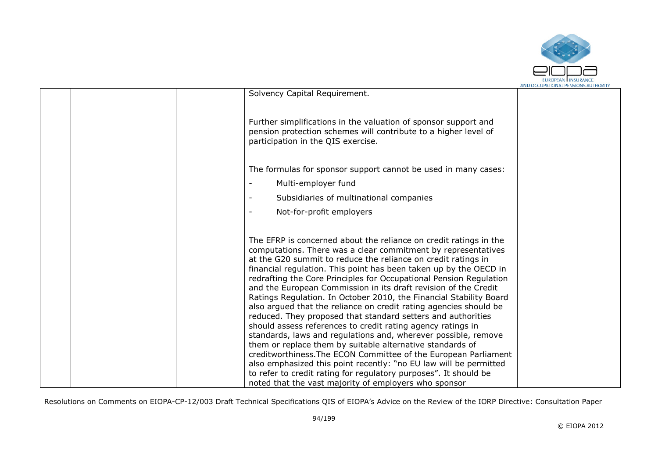

|  |                                                                                                                                                                                                                                                                                                                                                                                                                                                                                                                                                                                                                                                                                                                                                                                                                                                                                                                                                                                                                                        | AND OCCUPATIONAL FENSIONS AUTHONT |
|--|----------------------------------------------------------------------------------------------------------------------------------------------------------------------------------------------------------------------------------------------------------------------------------------------------------------------------------------------------------------------------------------------------------------------------------------------------------------------------------------------------------------------------------------------------------------------------------------------------------------------------------------------------------------------------------------------------------------------------------------------------------------------------------------------------------------------------------------------------------------------------------------------------------------------------------------------------------------------------------------------------------------------------------------|-----------------------------------|
|  | Solvency Capital Requirement.                                                                                                                                                                                                                                                                                                                                                                                                                                                                                                                                                                                                                                                                                                                                                                                                                                                                                                                                                                                                          |                                   |
|  | Further simplifications in the valuation of sponsor support and<br>pension protection schemes will contribute to a higher level of<br>participation in the QIS exercise.                                                                                                                                                                                                                                                                                                                                                                                                                                                                                                                                                                                                                                                                                                                                                                                                                                                               |                                   |
|  | The formulas for sponsor support cannot be used in many cases:                                                                                                                                                                                                                                                                                                                                                                                                                                                                                                                                                                                                                                                                                                                                                                                                                                                                                                                                                                         |                                   |
|  | Multi-employer fund                                                                                                                                                                                                                                                                                                                                                                                                                                                                                                                                                                                                                                                                                                                                                                                                                                                                                                                                                                                                                    |                                   |
|  | Subsidiaries of multinational companies                                                                                                                                                                                                                                                                                                                                                                                                                                                                                                                                                                                                                                                                                                                                                                                                                                                                                                                                                                                                |                                   |
|  | Not-for-profit employers                                                                                                                                                                                                                                                                                                                                                                                                                                                                                                                                                                                                                                                                                                                                                                                                                                                                                                                                                                                                               |                                   |
|  |                                                                                                                                                                                                                                                                                                                                                                                                                                                                                                                                                                                                                                                                                                                                                                                                                                                                                                                                                                                                                                        |                                   |
|  | The EFRP is concerned about the reliance on credit ratings in the<br>computations. There was a clear commitment by representatives<br>at the G20 summit to reduce the reliance on credit ratings in<br>financial regulation. This point has been taken up by the OECD in<br>redrafting the Core Principles for Occupational Pension Regulation<br>and the European Commission in its draft revision of the Credit<br>Ratings Regulation. In October 2010, the Financial Stability Board<br>also argued that the reliance on credit rating agencies should be<br>reduced. They proposed that standard setters and authorities<br>should assess references to credit rating agency ratings in<br>standards, laws and regulations and, wherever possible, remove<br>them or replace them by suitable alternative standards of<br>creditworthiness. The ECON Committee of the European Parliament<br>also emphasized this point recently: "no EU law will be permitted<br>to refer to credit rating for regulatory purposes". It should be |                                   |
|  | noted that the vast majority of employers who sponsor                                                                                                                                                                                                                                                                                                                                                                                                                                                                                                                                                                                                                                                                                                                                                                                                                                                                                                                                                                                  |                                   |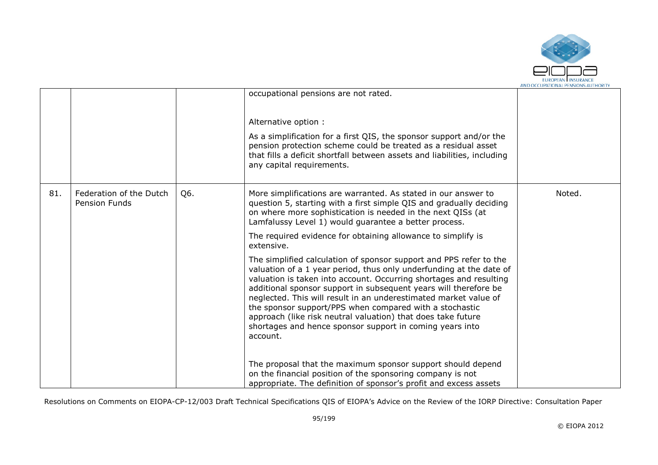

|     |                                          |     | occupational pensions are not rated.                                                                                                                                                                                                                                                                                                                                                                                                                                                                                                                                     |        |
|-----|------------------------------------------|-----|--------------------------------------------------------------------------------------------------------------------------------------------------------------------------------------------------------------------------------------------------------------------------------------------------------------------------------------------------------------------------------------------------------------------------------------------------------------------------------------------------------------------------------------------------------------------------|--------|
|     |                                          |     | Alternative option:<br>As a simplification for a first QIS, the sponsor support and/or the<br>pension protection scheme could be treated as a residual asset<br>that fills a deficit shortfall between assets and liabilities, including<br>any capital requirements.                                                                                                                                                                                                                                                                                                    |        |
| 81. | Federation of the Dutch<br>Pension Funds | Q6. | More simplifications are warranted. As stated in our answer to<br>question 5, starting with a first simple QIS and gradually deciding<br>on where more sophistication is needed in the next QISs (at<br>Lamfalussy Level 1) would quarantee a better process.<br>The required evidence for obtaining allowance to simplify is                                                                                                                                                                                                                                            | Noted. |
|     |                                          |     | extensive.<br>The simplified calculation of sponsor support and PPS refer to the<br>valuation of a 1 year period, thus only underfunding at the date of<br>valuation is taken into account. Occurring shortages and resulting<br>additional sponsor support in subsequent years will therefore be<br>neglected. This will result in an underestimated market value of<br>the sponsor support/PPS when compared with a stochastic<br>approach (like risk neutral valuation) that does take future<br>shortages and hence sponsor support in coming years into<br>account. |        |
|     |                                          |     | The proposal that the maximum sponsor support should depend<br>on the financial position of the sponsoring company is not<br>appropriate. The definition of sponsor's profit and excess assets                                                                                                                                                                                                                                                                                                                                                                           |        |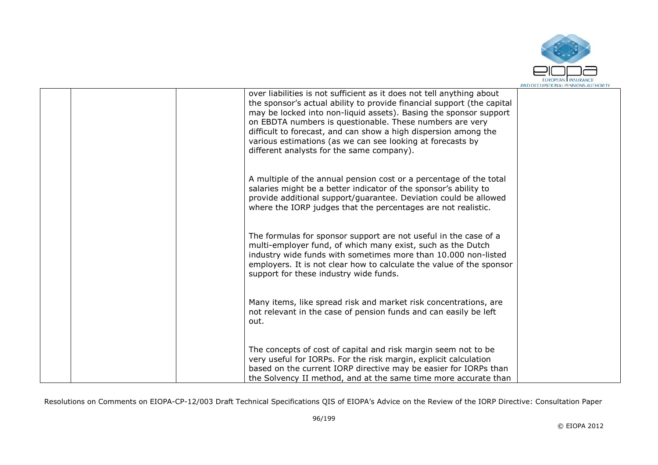

|  | over liabilities is not sufficient as it does not tell anything about<br>the sponsor's actual ability to provide financial support (the capital<br>may be locked into non-liquid assets). Basing the sponsor support<br>on EBDTA numbers is questionable. These numbers are very<br>difficult to forecast, and can show a high dispersion among the<br>various estimations (as we can see looking at forecasts by<br>different analysts for the same company). |  |
|--|----------------------------------------------------------------------------------------------------------------------------------------------------------------------------------------------------------------------------------------------------------------------------------------------------------------------------------------------------------------------------------------------------------------------------------------------------------------|--|
|  | A multiple of the annual pension cost or a percentage of the total<br>salaries might be a better indicator of the sponsor's ability to<br>provide additional support/guarantee. Deviation could be allowed<br>where the IORP judges that the percentages are not realistic.                                                                                                                                                                                    |  |
|  | The formulas for sponsor support are not useful in the case of a<br>multi-employer fund, of which many exist, such as the Dutch<br>industry wide funds with sometimes more than 10.000 non-listed<br>employers. It is not clear how to calculate the value of the sponsor<br>support for these industry wide funds.                                                                                                                                            |  |
|  | Many items, like spread risk and market risk concentrations, are<br>not relevant in the case of pension funds and can easily be left<br>out.                                                                                                                                                                                                                                                                                                                   |  |
|  | The concepts of cost of capital and risk margin seem not to be<br>very useful for IORPs. For the risk margin, explicit calculation<br>based on the current IORP directive may be easier for IORPs than<br>the Solvency II method, and at the same time more accurate than                                                                                                                                                                                      |  |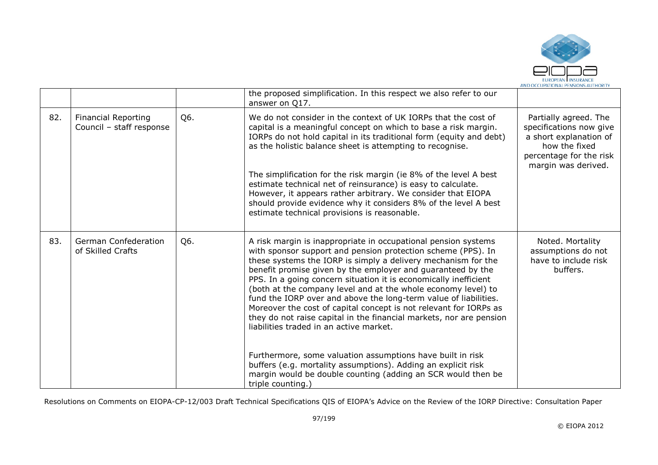

|     |                                                        |     | the proposed simplification. In this respect we also refer to our<br>answer on Q17.                                                                                                                                                                                                                                                                                                                                                                                                                                                                                                                                                                                                                                                                                                                                                                                                |                                                                                                                                               |
|-----|--------------------------------------------------------|-----|------------------------------------------------------------------------------------------------------------------------------------------------------------------------------------------------------------------------------------------------------------------------------------------------------------------------------------------------------------------------------------------------------------------------------------------------------------------------------------------------------------------------------------------------------------------------------------------------------------------------------------------------------------------------------------------------------------------------------------------------------------------------------------------------------------------------------------------------------------------------------------|-----------------------------------------------------------------------------------------------------------------------------------------------|
| 82. | <b>Financial Reporting</b><br>Council - staff response | Q6. | We do not consider in the context of UK IORPs that the cost of<br>capital is a meaningful concept on which to base a risk margin.<br>IORPs do not hold capital in its traditional form (equity and debt)<br>as the holistic balance sheet is attempting to recognise.<br>The simplification for the risk margin (ie 8% of the level A best<br>estimate technical net of reinsurance) is easy to calculate.<br>However, it appears rather arbitrary. We consider that EIOPA<br>should provide evidence why it considers 8% of the level A best<br>estimate technical provisions is reasonable.                                                                                                                                                                                                                                                                                      | Partially agreed. The<br>specifications now give<br>a short explanation of<br>how the fixed<br>percentage for the risk<br>margin was derived. |
| 83. | German Confederation<br>of Skilled Crafts              | Q6. | A risk margin is inappropriate in occupational pension systems<br>with sponsor support and pension protection scheme (PPS). In<br>these systems the IORP is simply a delivery mechanism for the<br>benefit promise given by the employer and guaranteed by the<br>PPS. In a going concern situation it is economically inefficient<br>(both at the company level and at the whole economy level) to<br>fund the IORP over and above the long-term value of liabilities.<br>Moreover the cost of capital concept is not relevant for IORPs as<br>they do not raise capital in the financial markets, nor are pension<br>liabilities traded in an active market.<br>Furthermore, some valuation assumptions have built in risk<br>buffers (e.g. mortality assumptions). Adding an explicit risk<br>margin would be double counting (adding an SCR would then be<br>triple counting.) | Noted. Mortality<br>assumptions do not<br>have to include risk<br>buffers.                                                                    |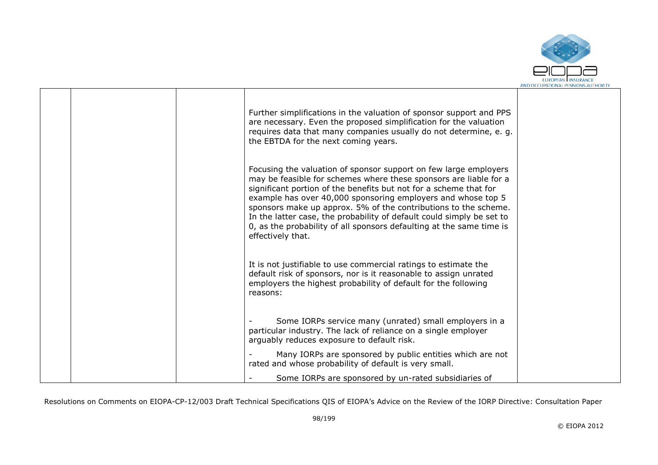

|  | Further simplifications in the valuation of sponsor support and PPS<br>are necessary. Even the proposed simplification for the valuation<br>requires data that many companies usually do not determine, e. g.<br>the EBTDA for the next coming years.                                                                                                                                                                                                                                                               |  |
|--|---------------------------------------------------------------------------------------------------------------------------------------------------------------------------------------------------------------------------------------------------------------------------------------------------------------------------------------------------------------------------------------------------------------------------------------------------------------------------------------------------------------------|--|
|  | Focusing the valuation of sponsor support on few large employers<br>may be feasible for schemes where these sponsors are liable for a<br>significant portion of the benefits but not for a scheme that for<br>example has over 40,000 sponsoring employers and whose top 5<br>sponsors make up approx. 5% of the contributions to the scheme.<br>In the latter case, the probability of default could simply be set to<br>0, as the probability of all sponsors defaulting at the same time is<br>effectively that. |  |
|  | It is not justifiable to use commercial ratings to estimate the<br>default risk of sponsors, nor is it reasonable to assign unrated<br>employers the highest probability of default for the following<br>reasons:                                                                                                                                                                                                                                                                                                   |  |
|  | Some IORPs service many (unrated) small employers in a<br>particular industry. The lack of reliance on a single employer<br>arguably reduces exposure to default risk.                                                                                                                                                                                                                                                                                                                                              |  |
|  | Many IORPs are sponsored by public entities which are not<br>rated and whose probability of default is very small.                                                                                                                                                                                                                                                                                                                                                                                                  |  |
|  | Some IORPs are sponsored by un-rated subsidiaries of                                                                                                                                                                                                                                                                                                                                                                                                                                                                |  |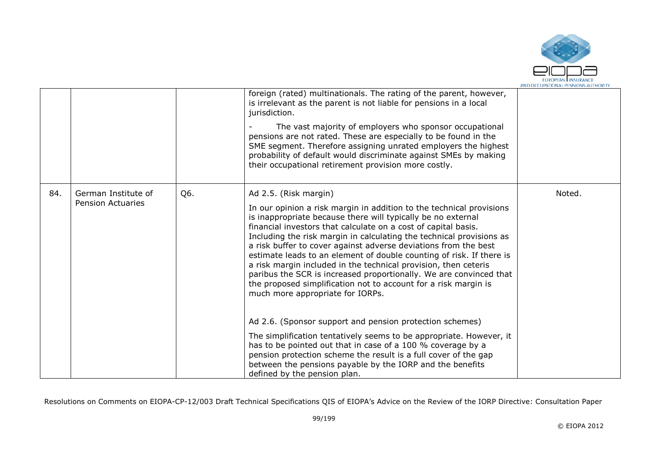

|     |                                                 |     | foreign (rated) multinationals. The rating of the parent, however,<br>is irrelevant as the parent is not liable for pensions in a local<br>jurisdiction.<br>The vast majority of employers who sponsor occupational<br>pensions are not rated. These are especially to be found in the<br>SME segment. Therefore assigning unrated employers the highest<br>probability of default would discriminate against SMEs by making<br>their occupational retirement provision more costly.                                                                                                                                                                                                               |        |
|-----|-------------------------------------------------|-----|----------------------------------------------------------------------------------------------------------------------------------------------------------------------------------------------------------------------------------------------------------------------------------------------------------------------------------------------------------------------------------------------------------------------------------------------------------------------------------------------------------------------------------------------------------------------------------------------------------------------------------------------------------------------------------------------------|--------|
| 84. | German Institute of<br><b>Pension Actuaries</b> | Q6. | Ad 2.5. (Risk margin)<br>In our opinion a risk margin in addition to the technical provisions<br>is inappropriate because there will typically be no external<br>financial investors that calculate on a cost of capital basis.<br>Including the risk margin in calculating the technical provisions as<br>a risk buffer to cover against adverse deviations from the best<br>estimate leads to an element of double counting of risk. If there is<br>a risk margin included in the technical provision, then ceteris<br>paribus the SCR is increased proportionally. We are convinced that<br>the proposed simplification not to account for a risk margin is<br>much more appropriate for IORPs. | Noted. |
|     |                                                 |     | Ad 2.6. (Sponsor support and pension protection schemes)<br>The simplification tentatively seems to be appropriate. However, it<br>has to be pointed out that in case of a 100 % coverage by a<br>pension protection scheme the result is a full cover of the gap<br>between the pensions payable by the IORP and the benefits<br>defined by the pension plan.                                                                                                                                                                                                                                                                                                                                     |        |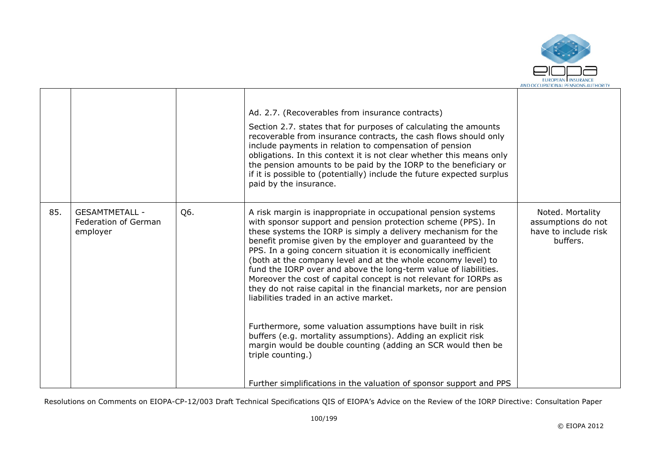

|                                                                                                                                                                                                                                                                                                                                                                                                                                                                                                                                                                                                                                                                                                                                                                                                                                                                                                                                                                                                                                                  |  | Ad. 2.7. (Recoverables from insurance contracts)<br>Section 2.7. states that for purposes of calculating the amounts<br>recoverable from insurance contracts, the cash flows should only<br>include payments in relation to compensation of pension<br>obligations. In this context it is not clear whether this means only<br>the pension amounts to be paid by the IORP to the beneficiary or<br>if it is possible to (potentially) include the future expected surplus<br>paid by the insurance. |                                                                |
|--------------------------------------------------------------------------------------------------------------------------------------------------------------------------------------------------------------------------------------------------------------------------------------------------------------------------------------------------------------------------------------------------------------------------------------------------------------------------------------------------------------------------------------------------------------------------------------------------------------------------------------------------------------------------------------------------------------------------------------------------------------------------------------------------------------------------------------------------------------------------------------------------------------------------------------------------------------------------------------------------------------------------------------------------|--|-----------------------------------------------------------------------------------------------------------------------------------------------------------------------------------------------------------------------------------------------------------------------------------------------------------------------------------------------------------------------------------------------------------------------------------------------------------------------------------------------------|----------------------------------------------------------------|
| 85.<br>Q6.<br><b>GESAMTMETALL -</b><br>A risk margin is inappropriate in occupational pension systems<br>with sponsor support and pension protection scheme (PPS). In<br>Federation of German<br>these systems the IORP is simply a delivery mechanism for the<br>employer<br>benefit promise given by the employer and guaranteed by the<br>buffers.<br>PPS. In a going concern situation it is economically inefficient<br>(both at the company level and at the whole economy level) to<br>fund the IORP over and above the long-term value of liabilities.<br>Moreover the cost of capital concept is not relevant for IORPs as<br>they do not raise capital in the financial markets, nor are pension<br>liabilities traded in an active market.<br>Furthermore, some valuation assumptions have built in risk<br>buffers (e.g. mortality assumptions). Adding an explicit risk<br>margin would be double counting (adding an SCR would then be<br>triple counting.)<br>Further simplifications in the valuation of sponsor support and PPS |  |                                                                                                                                                                                                                                                                                                                                                                                                                                                                                                     | Noted. Mortality<br>assumptions do not<br>have to include risk |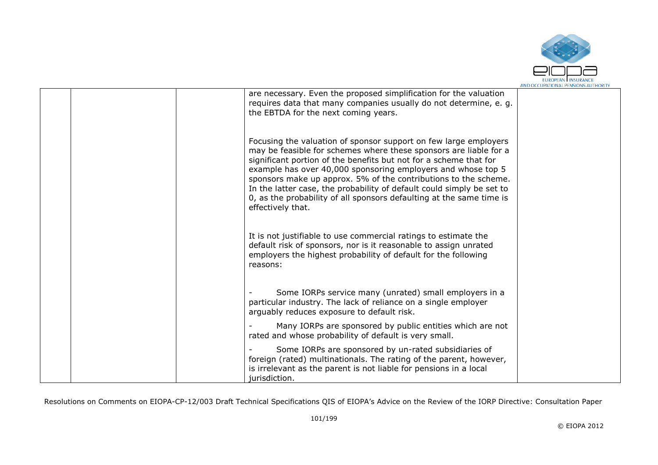

|  | are necessary. Even the proposed simplification for the valuation<br>requires data that many companies usually do not determine, e. g.<br>the EBTDA for the next coming years.                                                                                                                                                                                                                                                                                                                                      |  |
|--|---------------------------------------------------------------------------------------------------------------------------------------------------------------------------------------------------------------------------------------------------------------------------------------------------------------------------------------------------------------------------------------------------------------------------------------------------------------------------------------------------------------------|--|
|  | Focusing the valuation of sponsor support on few large employers<br>may be feasible for schemes where these sponsors are liable for a<br>significant portion of the benefits but not for a scheme that for<br>example has over 40,000 sponsoring employers and whose top 5<br>sponsors make up approx. 5% of the contributions to the scheme.<br>In the latter case, the probability of default could simply be set to<br>0, as the probability of all sponsors defaulting at the same time is<br>effectively that. |  |
|  | It is not justifiable to use commercial ratings to estimate the<br>default risk of sponsors, nor is it reasonable to assign unrated<br>employers the highest probability of default for the following<br>reasons:                                                                                                                                                                                                                                                                                                   |  |
|  | Some IORPs service many (unrated) small employers in a<br>particular industry. The lack of reliance on a single employer<br>arguably reduces exposure to default risk.                                                                                                                                                                                                                                                                                                                                              |  |
|  | Many IORPs are sponsored by public entities which are not<br>rated and whose probability of default is very small.                                                                                                                                                                                                                                                                                                                                                                                                  |  |
|  | Some IORPs are sponsored by un-rated subsidiaries of<br>foreign (rated) multinationals. The rating of the parent, however,<br>is irrelevant as the parent is not liable for pensions in a local<br>jurisdiction.                                                                                                                                                                                                                                                                                                    |  |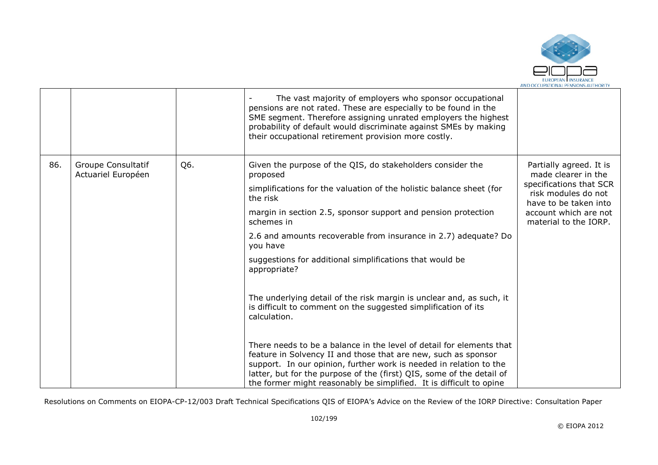

|     |                                                 |     | The vast majority of employers who sponsor occupational<br>pensions are not rated. These are especially to be found in the<br>SME segment. Therefore assigning unrated employers the highest<br>probability of default would discriminate against SMEs by making<br>their occupational retirement provision more costly.                                                                                                                                                                                                                                                                                                                                                                                                                                                                                                                                                                                                       |                                                                                                                                                                             |
|-----|-------------------------------------------------|-----|--------------------------------------------------------------------------------------------------------------------------------------------------------------------------------------------------------------------------------------------------------------------------------------------------------------------------------------------------------------------------------------------------------------------------------------------------------------------------------------------------------------------------------------------------------------------------------------------------------------------------------------------------------------------------------------------------------------------------------------------------------------------------------------------------------------------------------------------------------------------------------------------------------------------------------|-----------------------------------------------------------------------------------------------------------------------------------------------------------------------------|
| 86. | <b>Groupe Consultatif</b><br>Actuariel Européen | Q6. | Given the purpose of the QIS, do stakeholders consider the<br>proposed<br>simplifications for the valuation of the holistic balance sheet (for<br>the risk<br>margin in section 2.5, sponsor support and pension protection<br>schemes in<br>2.6 and amounts recoverable from insurance in 2.7) adequate? Do<br>you have<br>suggestions for additional simplifications that would be<br>appropriate?<br>The underlying detail of the risk margin is unclear and, as such, it<br>is difficult to comment on the suggested simplification of its<br>calculation.<br>There needs to be a balance in the level of detail for elements that<br>feature in Solvency II and those that are new, such as sponsor<br>support. In our opinion, further work is needed in relation to the<br>latter, but for the purpose of the (first) QIS, some of the detail of<br>the former might reasonably be simplified. It is difficult to opine | Partially agreed. It is<br>made clearer in the<br>specifications that SCR<br>risk modules do not<br>have to be taken into<br>account which are not<br>material to the IORP. |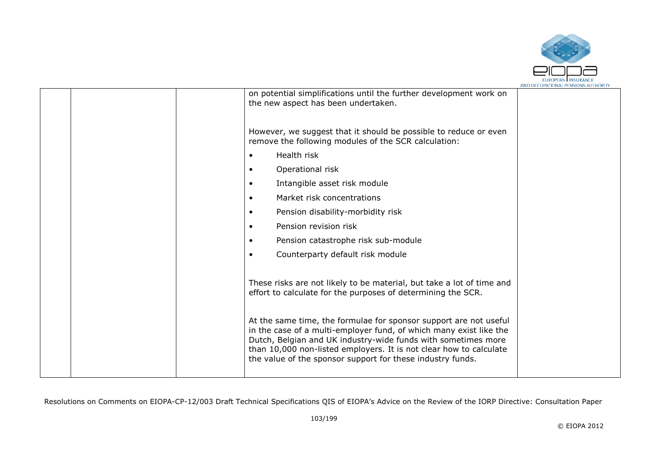

|  |                                                                                                                                                                                                                                                                                                                                              | AND OCCUPATIONAL FENSIONS AUTHONT |
|--|----------------------------------------------------------------------------------------------------------------------------------------------------------------------------------------------------------------------------------------------------------------------------------------------------------------------------------------------|-----------------------------------|
|  | on potential simplifications until the further development work on<br>the new aspect has been undertaken.                                                                                                                                                                                                                                    |                                   |
|  | However, we suggest that it should be possible to reduce or even<br>remove the following modules of the SCR calculation:                                                                                                                                                                                                                     |                                   |
|  | Health risk                                                                                                                                                                                                                                                                                                                                  |                                   |
|  | Operational risk                                                                                                                                                                                                                                                                                                                             |                                   |
|  | Intangible asset risk module                                                                                                                                                                                                                                                                                                                 |                                   |
|  | Market risk concentrations                                                                                                                                                                                                                                                                                                                   |                                   |
|  | Pension disability-morbidity risk                                                                                                                                                                                                                                                                                                            |                                   |
|  | Pension revision risk                                                                                                                                                                                                                                                                                                                        |                                   |
|  | Pension catastrophe risk sub-module                                                                                                                                                                                                                                                                                                          |                                   |
|  | Counterparty default risk module                                                                                                                                                                                                                                                                                                             |                                   |
|  | These risks are not likely to be material, but take a lot of time and<br>effort to calculate for the purposes of determining the SCR.                                                                                                                                                                                                        |                                   |
|  | At the same time, the formulae for sponsor support are not useful<br>in the case of a multi-employer fund, of which many exist like the<br>Dutch, Belgian and UK industry-wide funds with sometimes more<br>than 10,000 non-listed employers. It is not clear how to calculate<br>the value of the sponsor support for these industry funds. |                                   |
|  |                                                                                                                                                                                                                                                                                                                                              |                                   |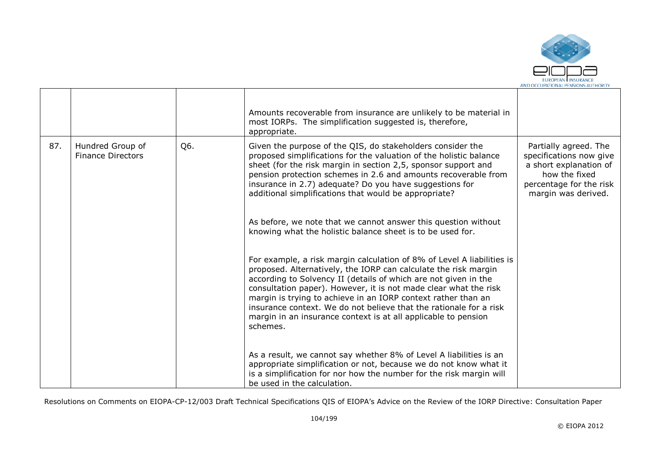

|     |                                              |     | Amounts recoverable from insurance are unlikely to be material in<br>most IORPs. The simplification suggested is, therefore,<br>appropriate.                                                                                                                                                                                                                                                                                                                                                          |                                                                                                                                               |
|-----|----------------------------------------------|-----|-------------------------------------------------------------------------------------------------------------------------------------------------------------------------------------------------------------------------------------------------------------------------------------------------------------------------------------------------------------------------------------------------------------------------------------------------------------------------------------------------------|-----------------------------------------------------------------------------------------------------------------------------------------------|
| 87. | Hundred Group of<br><b>Finance Directors</b> | Q6. | Given the purpose of the QIS, do stakeholders consider the<br>proposed simplifications for the valuation of the holistic balance<br>sheet (for the risk margin in section 2,5, sponsor support and<br>pension protection schemes in 2.6 and amounts recoverable from<br>insurance in 2.7) adequate? Do you have suggestions for<br>additional simplifications that would be appropriate?                                                                                                              | Partially agreed. The<br>specifications now give<br>a short explanation of<br>how the fixed<br>percentage for the risk<br>margin was derived. |
|     |                                              |     | As before, we note that we cannot answer this question without<br>knowing what the holistic balance sheet is to be used for.                                                                                                                                                                                                                                                                                                                                                                          |                                                                                                                                               |
|     |                                              |     | For example, a risk margin calculation of 8% of Level A liabilities is<br>proposed. Alternatively, the IORP can calculate the risk margin<br>according to Solvency II (details of which are not given in the<br>consultation paper). However, it is not made clear what the risk<br>margin is trying to achieve in an IORP context rather than an<br>insurance context. We do not believe that the rationale for a risk<br>margin in an insurance context is at all applicable to pension<br>schemes. |                                                                                                                                               |
|     |                                              |     | As a result, we cannot say whether 8% of Level A liabilities is an<br>appropriate simplification or not, because we do not know what it<br>is a simplification for nor how the number for the risk margin will<br>be used in the calculation.                                                                                                                                                                                                                                                         |                                                                                                                                               |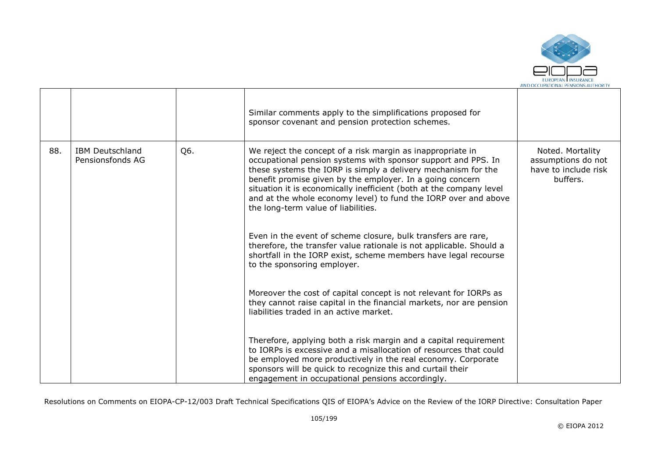

|     |                                            |     | Similar comments apply to the simplifications proposed for<br>sponsor covenant and pension protection schemes.                                                                                                                                                                                                                                                                                                                             |                                                                            |
|-----|--------------------------------------------|-----|--------------------------------------------------------------------------------------------------------------------------------------------------------------------------------------------------------------------------------------------------------------------------------------------------------------------------------------------------------------------------------------------------------------------------------------------|----------------------------------------------------------------------------|
| 88. | <b>IBM Deutschland</b><br>Pensionsfonds AG | Q6. | We reject the concept of a risk margin as inappropriate in<br>occupational pension systems with sponsor support and PPS. In<br>these systems the IORP is simply a delivery mechanism for the<br>benefit promise given by the employer. In a going concern<br>situation it is economically inefficient (both at the company level<br>and at the whole economy level) to fund the IORP over and above<br>the long-term value of liabilities. | Noted. Mortality<br>assumptions do not<br>have to include risk<br>buffers. |
|     |                                            |     | Even in the event of scheme closure, bulk transfers are rare,<br>therefore, the transfer value rationale is not applicable. Should a<br>shortfall in the IORP exist, scheme members have legal recourse<br>to the sponsoring employer.                                                                                                                                                                                                     |                                                                            |
|     |                                            |     | Moreover the cost of capital concept is not relevant for IORPs as<br>they cannot raise capital in the financial markets, nor are pension<br>liabilities traded in an active market.                                                                                                                                                                                                                                                        |                                                                            |
|     |                                            |     | Therefore, applying both a risk margin and a capital requirement<br>to IORPs is excessive and a misallocation of resources that could<br>be employed more productively in the real economy. Corporate<br>sponsors will be quick to recognize this and curtail their<br>engagement in occupational pensions accordingly.                                                                                                                    |                                                                            |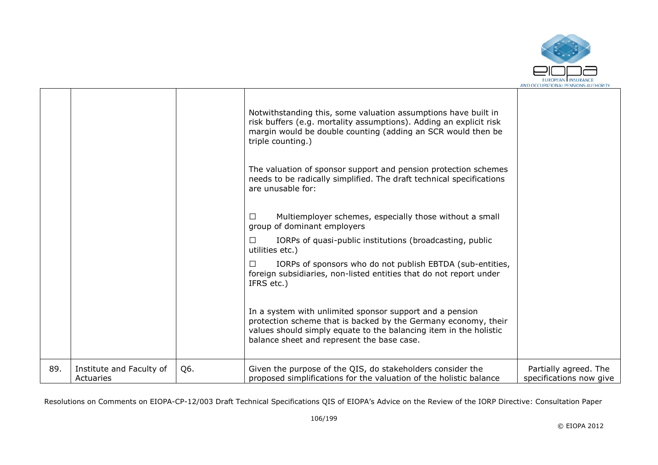

|     |                                       |     | Notwithstanding this, some valuation assumptions have built in<br>risk buffers (e.g. mortality assumptions). Adding an explicit risk<br>margin would be double counting (adding an SCR would then be<br>triple counting.)<br>The valuation of sponsor support and pension protection schemes<br>needs to be radically simplified. The draft technical specifications<br>are unusable for: |                                                  |
|-----|---------------------------------------|-----|-------------------------------------------------------------------------------------------------------------------------------------------------------------------------------------------------------------------------------------------------------------------------------------------------------------------------------------------------------------------------------------------|--------------------------------------------------|
|     |                                       |     | Multiemployer schemes, especially those without a small<br>П<br>group of dominant employers                                                                                                                                                                                                                                                                                               |                                                  |
|     |                                       |     | IORPs of quasi-public institutions (broadcasting, public<br>ΙI<br>utilities etc.)                                                                                                                                                                                                                                                                                                         |                                                  |
|     |                                       |     | IORPs of sponsors who do not publish EBTDA (sub-entities,<br>П<br>foreign subsidiaries, non-listed entities that do not report under<br>IFRS etc.)                                                                                                                                                                                                                                        |                                                  |
|     |                                       |     | In a system with unlimited sponsor support and a pension<br>protection scheme that is backed by the Germany economy, their<br>values should simply equate to the balancing item in the holistic<br>balance sheet and represent the base case.                                                                                                                                             |                                                  |
| 89. | Institute and Faculty of<br>Actuaries | Q6. | Given the purpose of the QIS, do stakeholders consider the<br>proposed simplifications for the valuation of the holistic balance                                                                                                                                                                                                                                                          | Partially agreed. The<br>specifications now give |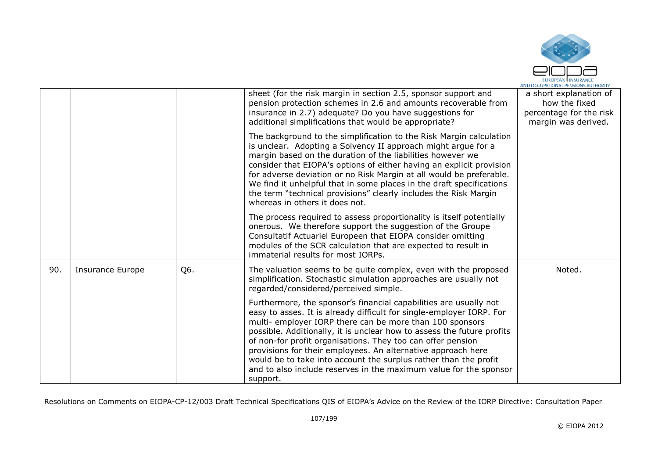

|     |                  |     | sheet (for the risk margin in section 2.5, sponsor support and<br>pension protection schemes in 2.6 and amounts recoverable from<br>insurance in 2.7) adequate? Do you have suggestions for<br>additional simplifications that would be appropriate?                                                                                                                                                                                                                                                                                                               | a short explanation of<br>how the fixed<br>percentage for the risk<br>margin was derived. |
|-----|------------------|-----|--------------------------------------------------------------------------------------------------------------------------------------------------------------------------------------------------------------------------------------------------------------------------------------------------------------------------------------------------------------------------------------------------------------------------------------------------------------------------------------------------------------------------------------------------------------------|-------------------------------------------------------------------------------------------|
|     |                  |     | The background to the simplification to the Risk Margin calculation<br>is unclear. Adopting a Solvency II approach might argue for a<br>margin based on the duration of the liabilities however we<br>consider that EIOPA's options of either having an explicit provision<br>for adverse deviation or no Risk Margin at all would be preferable.<br>We find it unhelpful that in some places in the draft specifications<br>the term "technical provisions" clearly includes the Risk Margin<br>whereas in others it does not.                                    |                                                                                           |
|     |                  |     | The process required to assess proportionality is itself potentially<br>onerous. We therefore support the suggestion of the Groupe<br>Consultatif Actuariel Europeen that EIOPA consider omitting<br>modules of the SCR calculation that are expected to result in<br>immaterial results for most IORPs.                                                                                                                                                                                                                                                           |                                                                                           |
| 90. | Insurance Europe | Q6. | The valuation seems to be quite complex, even with the proposed<br>simplification. Stochastic simulation approaches are usually not<br>regarded/considered/perceived simple.                                                                                                                                                                                                                                                                                                                                                                                       | Noted.                                                                                    |
|     |                  |     | Furthermore, the sponsor's financial capabilities are usually not<br>easy to asses. It is already difficult for single-employer IORP. For<br>multi-employer IORP there can be more than 100 sponsors<br>possible. Additionally, it is unclear how to assess the future profits<br>of non-for profit organisations. They too can offer pension<br>provisions for their employees. An alternative approach here<br>would be to take into account the surplus rather than the profit<br>and to also include reserves in the maximum value for the sponsor<br>support. |                                                                                           |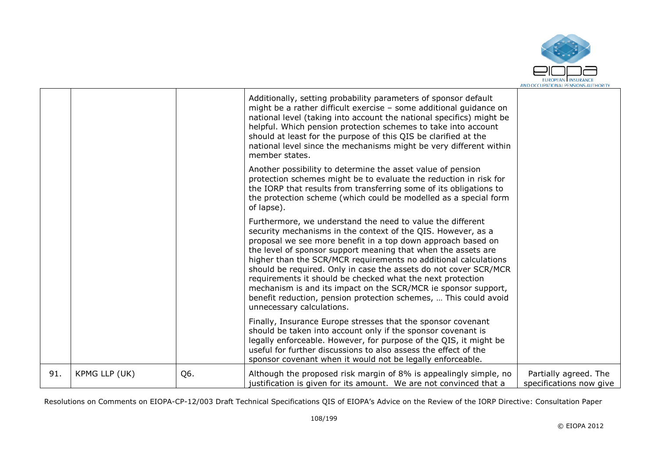

|     |               |     | Additionally, setting probability parameters of sponsor default<br>might be a rather difficult exercise - some additional guidance on<br>national level (taking into account the national specifics) might be<br>helpful. Which pension protection schemes to take into account<br>should at least for the purpose of this QIS be clarified at the<br>national level since the mechanisms might be very different within<br>member states.                                                                                                                                                                                          |                                                  |
|-----|---------------|-----|-------------------------------------------------------------------------------------------------------------------------------------------------------------------------------------------------------------------------------------------------------------------------------------------------------------------------------------------------------------------------------------------------------------------------------------------------------------------------------------------------------------------------------------------------------------------------------------------------------------------------------------|--------------------------------------------------|
|     |               |     | Another possibility to determine the asset value of pension<br>protection schemes might be to evaluate the reduction in risk for<br>the IORP that results from transferring some of its obligations to<br>the protection scheme (which could be modelled as a special form<br>of lapse).                                                                                                                                                                                                                                                                                                                                            |                                                  |
|     |               |     | Furthermore, we understand the need to value the different<br>security mechanisms in the context of the QIS. However, as a<br>proposal we see more benefit in a top down approach based on<br>the level of sponsor support meaning that when the assets are<br>higher than the SCR/MCR requirements no additional calculations<br>should be required. Only in case the assets do not cover SCR/MCR<br>requirements it should be checked what the next protection<br>mechanism is and its impact on the SCR/MCR ie sponsor support,<br>benefit reduction, pension protection schemes,  This could avoid<br>unnecessary calculations. |                                                  |
|     |               |     | Finally, Insurance Europe stresses that the sponsor covenant<br>should be taken into account only if the sponsor covenant is<br>legally enforceable. However, for purpose of the QIS, it might be<br>useful for further discussions to also assess the effect of the<br>sponsor covenant when it would not be legally enforceable.                                                                                                                                                                                                                                                                                                  |                                                  |
| 91. | KPMG LLP (UK) | Q6. | Although the proposed risk margin of 8% is appealingly simple, no<br>justification is given for its amount. We are not convinced that a                                                                                                                                                                                                                                                                                                                                                                                                                                                                                             | Partially agreed. The<br>specifications now give |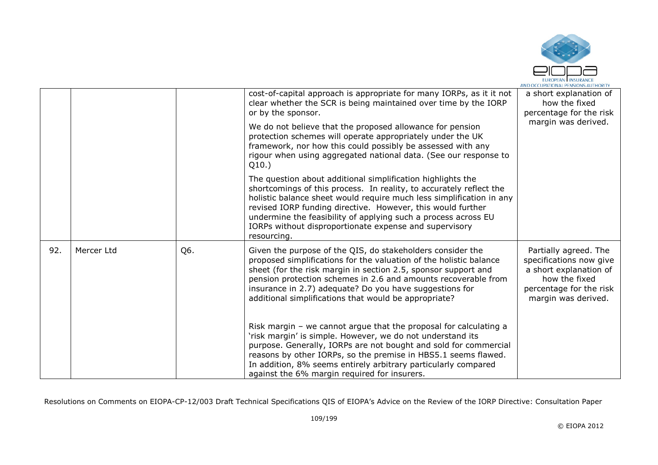

|     |            |     | cost-of-capital approach is appropriate for many IORPs, as it it not<br>clear whether the SCR is being maintained over time by the IORP<br>or by the sponsor.                                                                                                                                                                                                                                                        | a short explanation of<br>how the fixed<br>percentage for the risk                                                                            |
|-----|------------|-----|----------------------------------------------------------------------------------------------------------------------------------------------------------------------------------------------------------------------------------------------------------------------------------------------------------------------------------------------------------------------------------------------------------------------|-----------------------------------------------------------------------------------------------------------------------------------------------|
|     |            |     | We do not believe that the proposed allowance for pension<br>protection schemes will operate appropriately under the UK<br>framework, nor how this could possibly be assessed with any<br>rigour when using aggregated national data. (See our response to<br>Q10.                                                                                                                                                   | margin was derived.                                                                                                                           |
|     |            |     | The question about additional simplification highlights the<br>shortcomings of this process. In reality, to accurately reflect the<br>holistic balance sheet would require much less simplification in any<br>revised IORP funding directive. However, this would further<br>undermine the feasibility of applying such a process across EU<br>IORPs without disproportionate expense and supervisory<br>resourcing. |                                                                                                                                               |
| 92. | Mercer Ltd | Q6. | Given the purpose of the QIS, do stakeholders consider the<br>proposed simplifications for the valuation of the holistic balance<br>sheet (for the risk margin in section 2.5, sponsor support and<br>pension protection schemes in 2.6 and amounts recoverable from<br>insurance in 2.7) adequate? Do you have suggestions for<br>additional simplifications that would be appropriate?                             | Partially agreed. The<br>specifications now give<br>a short explanation of<br>how the fixed<br>percentage for the risk<br>margin was derived. |
|     |            |     | Risk margin $-$ we cannot argue that the proposal for calculating a<br>'risk margin' is simple. However, we do not understand its<br>purpose. Generally, IORPs are not bought and sold for commercial<br>reasons by other IORPs, so the premise in HBS5.1 seems flawed.<br>In addition, 8% seems entirely arbitrary particularly compared<br>against the 6% margin required for insurers.                            |                                                                                                                                               |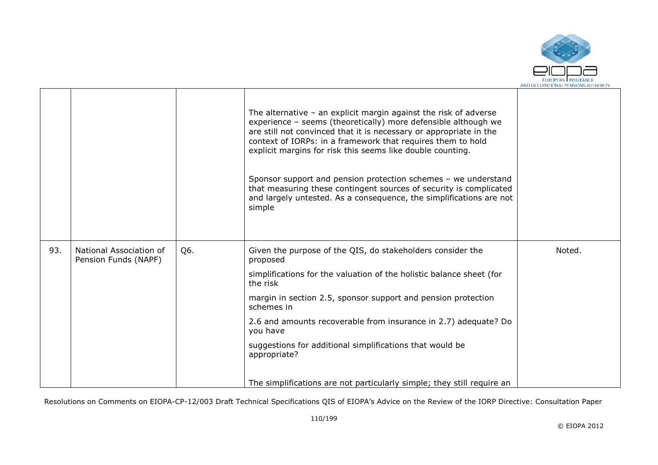

|     |                                                 |     | The alternative $-$ an explicit margin against the risk of adverse<br>experience - seems (theoretically) more defensible although we<br>are still not convinced that it is necessary or appropriate in the<br>context of IORPs: in a framework that requires them to hold<br>explicit margins for risk this seems like double counting.<br>Sponsor support and pension protection schemes - we understand<br>that measuring these contingent sources of security is complicated<br>and largely untested. As a consequence, the simplifications are not<br>simple |        |
|-----|-------------------------------------------------|-----|------------------------------------------------------------------------------------------------------------------------------------------------------------------------------------------------------------------------------------------------------------------------------------------------------------------------------------------------------------------------------------------------------------------------------------------------------------------------------------------------------------------------------------------------------------------|--------|
| 93. | National Association of<br>Pension Funds (NAPF) | Q6. | Given the purpose of the QIS, do stakeholders consider the<br>proposed                                                                                                                                                                                                                                                                                                                                                                                                                                                                                           | Noted. |
|     |                                                 |     | simplifications for the valuation of the holistic balance sheet (for<br>the risk                                                                                                                                                                                                                                                                                                                                                                                                                                                                                 |        |
|     |                                                 |     | margin in section 2.5, sponsor support and pension protection<br>schemes in                                                                                                                                                                                                                                                                                                                                                                                                                                                                                      |        |
|     |                                                 |     | 2.6 and amounts recoverable from insurance in 2.7) adequate? Do<br>you have                                                                                                                                                                                                                                                                                                                                                                                                                                                                                      |        |
|     |                                                 |     | suggestions for additional simplifications that would be<br>appropriate?                                                                                                                                                                                                                                                                                                                                                                                                                                                                                         |        |
|     |                                                 |     | The simplifications are not particularly simple; they still require an                                                                                                                                                                                                                                                                                                                                                                                                                                                                                           |        |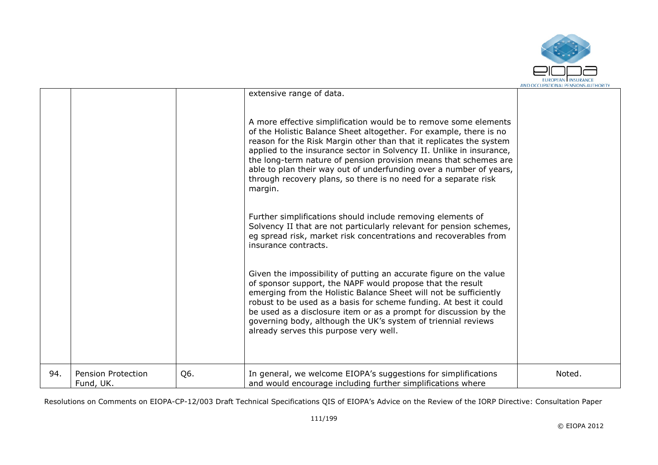

|     |                                        |     | extensive range of data.                                                                                                                                                                                                                                                                                                                                                                                                                                                                                                                                                                                                                                                                                                                                                                                                                                                                                                                                                                                                                                                                                                                                                                                      |        |
|-----|----------------------------------------|-----|---------------------------------------------------------------------------------------------------------------------------------------------------------------------------------------------------------------------------------------------------------------------------------------------------------------------------------------------------------------------------------------------------------------------------------------------------------------------------------------------------------------------------------------------------------------------------------------------------------------------------------------------------------------------------------------------------------------------------------------------------------------------------------------------------------------------------------------------------------------------------------------------------------------------------------------------------------------------------------------------------------------------------------------------------------------------------------------------------------------------------------------------------------------------------------------------------------------|--------|
|     |                                        |     | A more effective simplification would be to remove some elements<br>of the Holistic Balance Sheet altogether. For example, there is no<br>reason for the Risk Margin other than that it replicates the system<br>applied to the insurance sector in Solvency II. Unlike in insurance,<br>the long-term nature of pension provision means that schemes are<br>able to plan their way out of underfunding over a number of years,<br>through recovery plans, so there is no need for a separate risk<br>margin.<br>Further simplifications should include removing elements of<br>Solvency II that are not particularly relevant for pension schemes,<br>eg spread risk, market risk concentrations and recoverables from<br>insurance contracts.<br>Given the impossibility of putting an accurate figure on the value<br>of sponsor support, the NAPF would propose that the result<br>emerging from the Holistic Balance Sheet will not be sufficiently<br>robust to be used as a basis for scheme funding. At best it could<br>be used as a disclosure item or as a prompt for discussion by the<br>governing body, although the UK's system of triennial reviews<br>already serves this purpose very well. |        |
| 94. | <b>Pension Protection</b><br>Fund, UK. | Q6. | In general, we welcome EIOPA's suggestions for simplifications<br>and would encourage including further simplifications where                                                                                                                                                                                                                                                                                                                                                                                                                                                                                                                                                                                                                                                                                                                                                                                                                                                                                                                                                                                                                                                                                 | Noted. |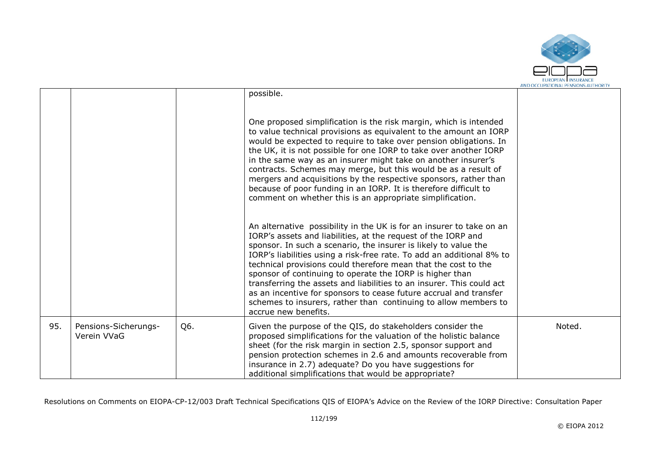

|     |                                     |     | possible.<br>One proposed simplification is the risk margin, which is intended<br>to value technical provisions as equivalent to the amount an IORP<br>would be expected to require to take over pension obligations. In<br>the UK, it is not possible for one IORP to take over another IORP<br>in the same way as an insurer might take on another insurer's<br>contracts. Schemes may merge, but this would be as a result of<br>mergers and acquisitions by the respective sponsors, rather than<br>because of poor funding in an IORP. It is therefore difficult to<br>comment on whether this is an appropriate simplification.<br>An alternative possibility in the UK is for an insurer to take on an<br>IORP's assets and liabilities, at the request of the IORP and<br>sponsor. In such a scenario, the insurer is likely to value the<br>IORP's liabilities using a risk-free rate. To add an additional 8% to<br>technical provisions could therefore mean that the cost to the<br>sponsor of continuing to operate the IORP is higher than<br>transferring the assets and liabilities to an insurer. This could act<br>as an incentive for sponsors to cease future accrual and transfer |        |
|-----|-------------------------------------|-----|--------------------------------------------------------------------------------------------------------------------------------------------------------------------------------------------------------------------------------------------------------------------------------------------------------------------------------------------------------------------------------------------------------------------------------------------------------------------------------------------------------------------------------------------------------------------------------------------------------------------------------------------------------------------------------------------------------------------------------------------------------------------------------------------------------------------------------------------------------------------------------------------------------------------------------------------------------------------------------------------------------------------------------------------------------------------------------------------------------------------------------------------------------------------------------------------------------|--------|
|     |                                     |     | schemes to insurers, rather than continuing to allow members to<br>accrue new benefits.                                                                                                                                                                                                                                                                                                                                                                                                                                                                                                                                                                                                                                                                                                                                                                                                                                                                                                                                                                                                                                                                                                                |        |
| 95. | Pensions-Sicherungs-<br>Verein VVaG | Q6. | Given the purpose of the QIS, do stakeholders consider the<br>proposed simplifications for the valuation of the holistic balance<br>sheet (for the risk margin in section 2.5, sponsor support and<br>pension protection schemes in 2.6 and amounts recoverable from<br>insurance in 2.7) adequate? Do you have suggestions for<br>additional simplifications that would be appropriate?                                                                                                                                                                                                                                                                                                                                                                                                                                                                                                                                                                                                                                                                                                                                                                                                               | Noted. |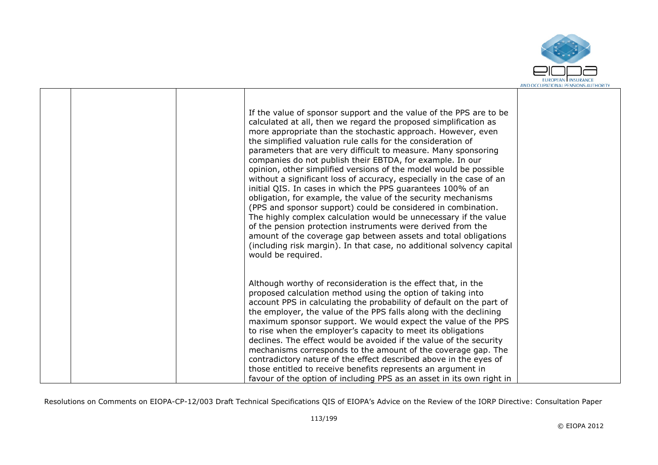

|  | If the value of sponsor support and the value of the PPS are to be<br>calculated at all, then we regard the proposed simplification as<br>more appropriate than the stochastic approach. However, even<br>the simplified valuation rule calls for the consideration of<br>parameters that are very difficult to measure. Many sponsoring<br>companies do not publish their EBTDA, for example. In our<br>opinion, other simplified versions of the model would be possible<br>without a significant loss of accuracy, especially in the case of an<br>initial QIS. In cases in which the PPS guarantees 100% of an<br>obligation, for example, the value of the security mechanisms<br>(PPS and sponsor support) could be considered in combination.<br>The highly complex calculation would be unnecessary if the value<br>of the pension protection instruments were derived from the<br>amount of the coverage gap between assets and total obligations<br>(including risk margin). In that case, no additional solvency capital<br>would be required. |  |
|--|-----------------------------------------------------------------------------------------------------------------------------------------------------------------------------------------------------------------------------------------------------------------------------------------------------------------------------------------------------------------------------------------------------------------------------------------------------------------------------------------------------------------------------------------------------------------------------------------------------------------------------------------------------------------------------------------------------------------------------------------------------------------------------------------------------------------------------------------------------------------------------------------------------------------------------------------------------------------------------------------------------------------------------------------------------------|--|
|  | Although worthy of reconsideration is the effect that, in the<br>proposed calculation method using the option of taking into<br>account PPS in calculating the probability of default on the part of<br>the employer, the value of the PPS falls along with the declining<br>maximum sponsor support. We would expect the value of the PPS<br>to rise when the employer's capacity to meet its obligations<br>declines. The effect would be avoided if the value of the security<br>mechanisms corresponds to the amount of the coverage gap. The<br>contradictory nature of the effect described above in the eyes of<br>those entitled to receive benefits represents an argument in<br>favour of the option of including PPS as an asset in its own right in                                                                                                                                                                                                                                                                                           |  |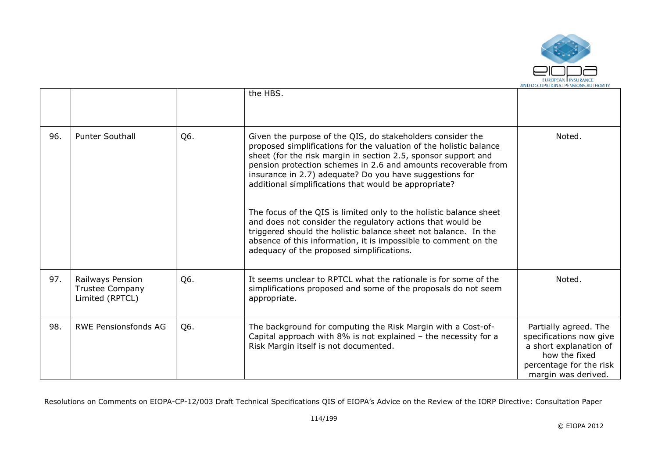

|     |                                                        |     | the HBS.                                                                                                                                                                                                                                                                                                                                                                                                                                                                                                                                                                                                                                                                                                        |                                                                                                                                               |
|-----|--------------------------------------------------------|-----|-----------------------------------------------------------------------------------------------------------------------------------------------------------------------------------------------------------------------------------------------------------------------------------------------------------------------------------------------------------------------------------------------------------------------------------------------------------------------------------------------------------------------------------------------------------------------------------------------------------------------------------------------------------------------------------------------------------------|-----------------------------------------------------------------------------------------------------------------------------------------------|
| 96. | <b>Punter Southall</b>                                 | Q6. | Given the purpose of the QIS, do stakeholders consider the<br>proposed simplifications for the valuation of the holistic balance<br>sheet (for the risk margin in section 2.5, sponsor support and<br>pension protection schemes in 2.6 and amounts recoverable from<br>insurance in 2.7) adequate? Do you have suggestions for<br>additional simplifications that would be appropriate?<br>The focus of the QIS is limited only to the holistic balance sheet<br>and does not consider the regulatory actions that would be<br>triggered should the holistic balance sheet not balance. In the<br>absence of this information, it is impossible to comment on the<br>adequacy of the proposed simplifications. | Noted.                                                                                                                                        |
| 97. | Railways Pension<br>Trustee Company<br>Limited (RPTCL) | Q6. | It seems unclear to RPTCL what the rationale is for some of the<br>simplifications proposed and some of the proposals do not seem<br>appropriate.                                                                                                                                                                                                                                                                                                                                                                                                                                                                                                                                                               | Noted.                                                                                                                                        |
| 98. | <b>RWE Pensionsfonds AG</b>                            | Q6. | The background for computing the Risk Margin with a Cost-of-<br>Capital approach with $8\%$ is not explained $-$ the necessity for a<br>Risk Margin itself is not documented.                                                                                                                                                                                                                                                                                                                                                                                                                                                                                                                                   | Partially agreed. The<br>specifications now give<br>a short explanation of<br>how the fixed<br>percentage for the risk<br>margin was derived. |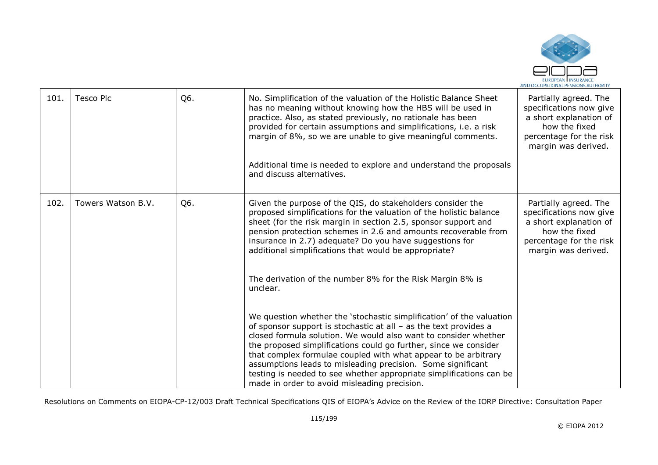

| 101. | <b>Tesco Plc</b>   | Q6. | No. Simplification of the valuation of the Holistic Balance Sheet<br>has no meaning without knowing how the HBS will be used in<br>practice. Also, as stated previously, no rationale has been<br>provided for certain assumptions and simplifications, i.e. a risk<br>margin of 8%, so we are unable to give meaningful comments.<br>Additional time is needed to explore and understand the proposals<br>and discuss alternatives.                                                                                                                                                                                                                                                                                                                                                                                                                                                                                                                                                                           | Partially agreed. The<br>specifications now give<br>a short explanation of<br>how the fixed<br>percentage for the risk<br>margin was derived. |
|------|--------------------|-----|----------------------------------------------------------------------------------------------------------------------------------------------------------------------------------------------------------------------------------------------------------------------------------------------------------------------------------------------------------------------------------------------------------------------------------------------------------------------------------------------------------------------------------------------------------------------------------------------------------------------------------------------------------------------------------------------------------------------------------------------------------------------------------------------------------------------------------------------------------------------------------------------------------------------------------------------------------------------------------------------------------------|-----------------------------------------------------------------------------------------------------------------------------------------------|
| 102. | Towers Watson B.V. | Q6. | Given the purpose of the QIS, do stakeholders consider the<br>proposed simplifications for the valuation of the holistic balance<br>sheet (for the risk margin in section 2.5, sponsor support and<br>pension protection schemes in 2.6 and amounts recoverable from<br>insurance in 2.7) adequate? Do you have suggestions for<br>additional simplifications that would be appropriate?<br>The derivation of the number 8% for the Risk Margin 8% is<br>unclear.<br>We question whether the 'stochastic simplification' of the valuation<br>of sponsor support is stochastic at all $-$ as the text provides a<br>closed formula solution. We would also want to consider whether<br>the proposed simplifications could go further, since we consider<br>that complex formulae coupled with what appear to be arbitrary<br>assumptions leads to misleading precision. Some significant<br>testing is needed to see whether appropriate simplifications can be<br>made in order to avoid misleading precision. | Partially agreed. The<br>specifications now give<br>a short explanation of<br>how the fixed<br>percentage for the risk<br>margin was derived. |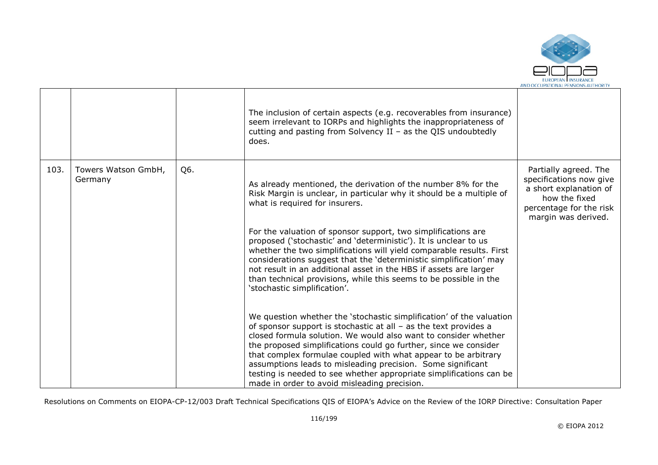

|      |                                |     | The inclusion of certain aspects (e.g. recoverables from insurance)<br>seem irrelevant to IORPs and highlights the inappropriateness of<br>cutting and pasting from Solvency II – as the QIS undoubtedly<br>does.                                                                                                                                                                                                                                                                                                                         |                                                                                                                                               |
|------|--------------------------------|-----|-------------------------------------------------------------------------------------------------------------------------------------------------------------------------------------------------------------------------------------------------------------------------------------------------------------------------------------------------------------------------------------------------------------------------------------------------------------------------------------------------------------------------------------------|-----------------------------------------------------------------------------------------------------------------------------------------------|
| 103. | Towers Watson GmbH,<br>Germany | Q6. | As already mentioned, the derivation of the number 8% for the<br>Risk Margin is unclear, in particular why it should be a multiple of<br>what is required for insurers.                                                                                                                                                                                                                                                                                                                                                                   | Partially agreed. The<br>specifications now give<br>a short explanation of<br>how the fixed<br>percentage for the risk<br>margin was derived. |
|      |                                |     | For the valuation of sponsor support, two simplifications are<br>proposed ('stochastic' and 'deterministic'). It is unclear to us<br>whether the two simplifications will yield comparable results. First<br>considerations suggest that the 'deterministic simplification' may<br>not result in an additional asset in the HBS if assets are larger<br>than technical provisions, while this seems to be possible in the<br>'stochastic simplification'.                                                                                 |                                                                                                                                               |
|      |                                |     | We question whether the 'stochastic simplification' of the valuation<br>of sponsor support is stochastic at all $-$ as the text provides a<br>closed formula solution. We would also want to consider whether<br>the proposed simplifications could go further, since we consider<br>that complex formulae coupled with what appear to be arbitrary<br>assumptions leads to misleading precision. Some significant<br>testing is needed to see whether appropriate simplifications can be<br>made in order to avoid misleading precision. |                                                                                                                                               |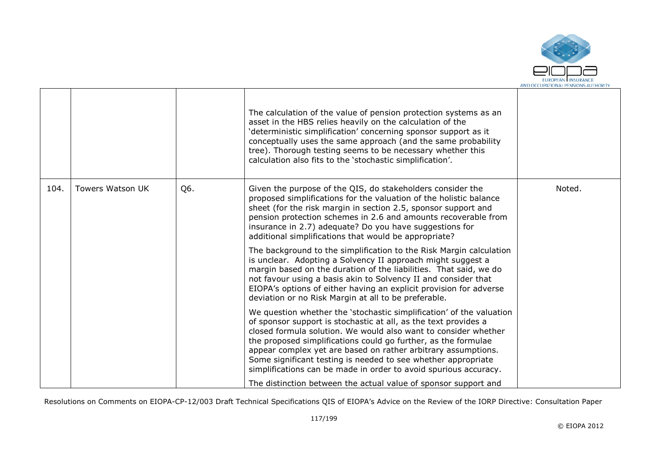

|      |                         |     | The calculation of the value of pension protection systems as an<br>asset in the HBS relies heavily on the calculation of the<br>'deterministic simplification' concerning sponsor support as it<br>conceptually uses the same approach (and the same probability<br>tree). Thorough testing seems to be necessary whether this<br>calculation also fits to the 'stochastic simplification'.                                                                                       |        |
|------|-------------------------|-----|------------------------------------------------------------------------------------------------------------------------------------------------------------------------------------------------------------------------------------------------------------------------------------------------------------------------------------------------------------------------------------------------------------------------------------------------------------------------------------|--------|
| 104. | <b>Towers Watson UK</b> | Q6. | Given the purpose of the QIS, do stakeholders consider the<br>proposed simplifications for the valuation of the holistic balance<br>sheet (for the risk margin in section 2.5, sponsor support and<br>pension protection schemes in 2.6 and amounts recoverable from<br>insurance in 2.7) adequate? Do you have suggestions for<br>additional simplifications that would be appropriate?                                                                                           | Noted. |
|      |                         |     | The background to the simplification to the Risk Margin calculation<br>is unclear. Adopting a Solvency II approach might suggest a<br>margin based on the duration of the liabilities. That said, we do<br>not favour using a basis akin to Solvency II and consider that<br>EIOPA's options of either having an explicit provision for adverse<br>deviation or no Risk Margin at all to be preferable.                                                                            |        |
|      |                         |     | We question whether the 'stochastic simplification' of the valuation<br>of sponsor support is stochastic at all, as the text provides a<br>closed formula solution. We would also want to consider whether<br>the proposed simplifications could go further, as the formulae<br>appear complex yet are based on rather arbitrary assumptions.<br>Some significant testing is needed to see whether appropriate<br>simplifications can be made in order to avoid spurious accuracy. |        |
|      |                         |     | The distinction between the actual value of sponsor support and                                                                                                                                                                                                                                                                                                                                                                                                                    |        |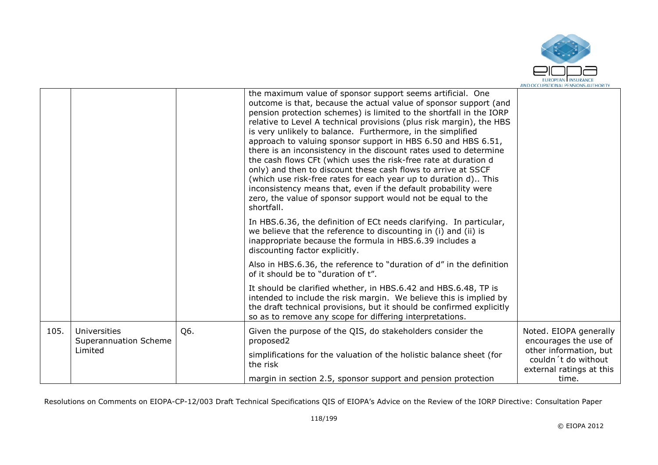

|      |                                       |     | the maximum value of sponsor support seems artificial. One<br>outcome is that, because the actual value of sponsor support (and<br>pension protection schemes) is limited to the shortfall in the IORP<br>relative to Level A technical provisions (plus risk margin), the HBS<br>is very unlikely to balance. Furthermore, in the simplified<br>approach to valuing sponsor support in HBS 6.50 and HBS 6.51,<br>there is an inconsistency in the discount rates used to determine<br>the cash flows CFt (which uses the risk-free rate at duration d<br>only) and then to discount these cash flows to arrive at SSCF<br>(which use risk-free rates for each year up to duration d) This<br>inconsistency means that, even if the default probability were<br>zero, the value of sponsor support would not be equal to the<br>shortfall. |                                                                           |
|------|---------------------------------------|-----|--------------------------------------------------------------------------------------------------------------------------------------------------------------------------------------------------------------------------------------------------------------------------------------------------------------------------------------------------------------------------------------------------------------------------------------------------------------------------------------------------------------------------------------------------------------------------------------------------------------------------------------------------------------------------------------------------------------------------------------------------------------------------------------------------------------------------------------------|---------------------------------------------------------------------------|
|      |                                       |     | In HBS.6.36, the definition of ECt needs clarifying. In particular,<br>we believe that the reference to discounting in (i) and (ii) is<br>inappropriate because the formula in HBS.6.39 includes a<br>discounting factor explicitly.                                                                                                                                                                                                                                                                                                                                                                                                                                                                                                                                                                                                       |                                                                           |
|      |                                       |     | Also in HBS.6.36, the reference to "duration of d" in the definition<br>of it should be to "duration of t".                                                                                                                                                                                                                                                                                                                                                                                                                                                                                                                                                                                                                                                                                                                                |                                                                           |
|      |                                       |     | It should be clarified whether, in HBS.6.42 and HBS.6.48, TP is<br>intended to include the risk margin. We believe this is implied by<br>the draft technical provisions, but it should be confirmed explicitly<br>so as to remove any scope for differing interpretations.                                                                                                                                                                                                                                                                                                                                                                                                                                                                                                                                                                 |                                                                           |
| 105. | Universities<br>Superannuation Scheme | Q6. | Given the purpose of the QIS, do stakeholders consider the<br>proposed2                                                                                                                                                                                                                                                                                                                                                                                                                                                                                                                                                                                                                                                                                                                                                                    | Noted. EIOPA generally<br>encourages the use of                           |
|      | Limited                               |     | simplifications for the valuation of the holistic balance sheet (for<br>the risk                                                                                                                                                                                                                                                                                                                                                                                                                                                                                                                                                                                                                                                                                                                                                           | other information, but<br>couldn't do without<br>external ratings at this |
|      |                                       |     | margin in section 2.5, sponsor support and pension protection                                                                                                                                                                                                                                                                                                                                                                                                                                                                                                                                                                                                                                                                                                                                                                              | time.                                                                     |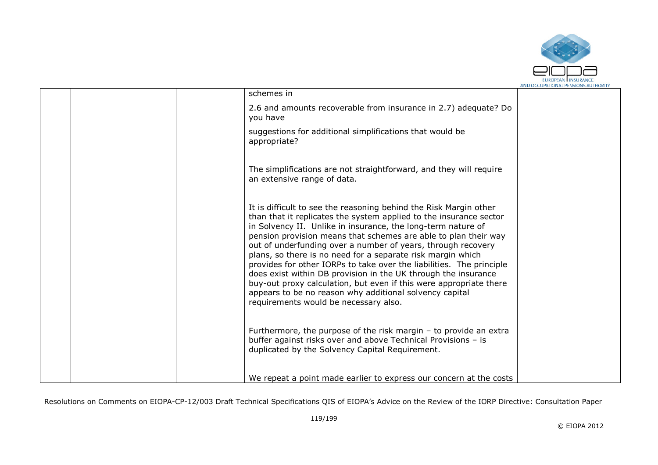

|  | schemes in                                                                                                                                                                                                                                                                                                                                                                                                                                                                                                                                                                                                                                                                                                                    |  |
|--|-------------------------------------------------------------------------------------------------------------------------------------------------------------------------------------------------------------------------------------------------------------------------------------------------------------------------------------------------------------------------------------------------------------------------------------------------------------------------------------------------------------------------------------------------------------------------------------------------------------------------------------------------------------------------------------------------------------------------------|--|
|  | 2.6 and amounts recoverable from insurance in 2.7) adequate? Do<br>you have                                                                                                                                                                                                                                                                                                                                                                                                                                                                                                                                                                                                                                                   |  |
|  | suggestions for additional simplifications that would be<br>appropriate?                                                                                                                                                                                                                                                                                                                                                                                                                                                                                                                                                                                                                                                      |  |
|  | The simplifications are not straightforward, and they will require<br>an extensive range of data.                                                                                                                                                                                                                                                                                                                                                                                                                                                                                                                                                                                                                             |  |
|  | It is difficult to see the reasoning behind the Risk Margin other<br>than that it replicates the system applied to the insurance sector<br>in Solvency II. Unlike in insurance, the long-term nature of<br>pension provision means that schemes are able to plan their way<br>out of underfunding over a number of years, through recovery<br>plans, so there is no need for a separate risk margin which<br>provides for other IORPs to take over the liabilities. The principle<br>does exist within DB provision in the UK through the insurance<br>buy-out proxy calculation, but even if this were appropriate there<br>appears to be no reason why additional solvency capital<br>requirements would be necessary also. |  |
|  | Furthermore, the purpose of the risk margin $-$ to provide an extra<br>buffer against risks over and above Technical Provisions - is<br>duplicated by the Solvency Capital Requirement.                                                                                                                                                                                                                                                                                                                                                                                                                                                                                                                                       |  |
|  | We repeat a point made earlier to express our concern at the costs                                                                                                                                                                                                                                                                                                                                                                                                                                                                                                                                                                                                                                                            |  |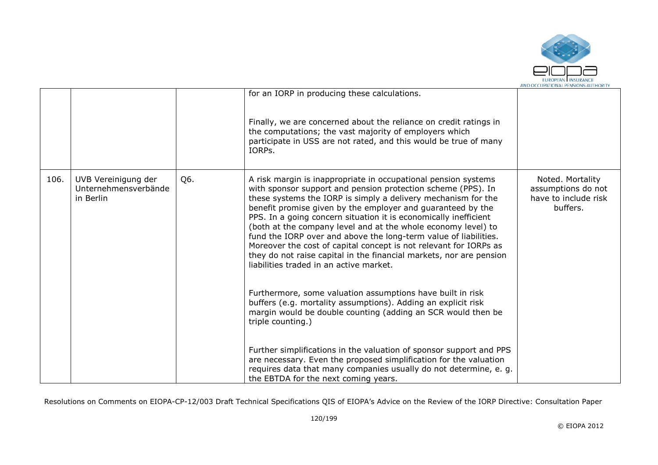

|      |                                                          |     | for an IORP in producing these calculations.                                                                                                                                                                                                                                                                                                                                                                                                                                                                                                                                                                                                                                                                                                                                                                                                                                       |                                                                            |
|------|----------------------------------------------------------|-----|------------------------------------------------------------------------------------------------------------------------------------------------------------------------------------------------------------------------------------------------------------------------------------------------------------------------------------------------------------------------------------------------------------------------------------------------------------------------------------------------------------------------------------------------------------------------------------------------------------------------------------------------------------------------------------------------------------------------------------------------------------------------------------------------------------------------------------------------------------------------------------|----------------------------------------------------------------------------|
|      |                                                          |     | Finally, we are concerned about the reliance on credit ratings in<br>the computations; the vast majority of employers which<br>participate in USS are not rated, and this would be true of many<br>IORPs.                                                                                                                                                                                                                                                                                                                                                                                                                                                                                                                                                                                                                                                                          |                                                                            |
| 106. | UVB Vereinigung der<br>Unternehmensverbände<br>in Berlin | Q6. | A risk margin is inappropriate in occupational pension systems<br>with sponsor support and pension protection scheme (PPS). In<br>these systems the IORP is simply a delivery mechanism for the<br>benefit promise given by the employer and guaranteed by the<br>PPS. In a going concern situation it is economically inefficient<br>(both at the company level and at the whole economy level) to<br>fund the IORP over and above the long-term value of liabilities.<br>Moreover the cost of capital concept is not relevant for IORPs as<br>they do not raise capital in the financial markets, nor are pension<br>liabilities traded in an active market.<br>Furthermore, some valuation assumptions have built in risk<br>buffers (e.g. mortality assumptions). Adding an explicit risk<br>margin would be double counting (adding an SCR would then be<br>triple counting.) | Noted. Mortality<br>assumptions do not<br>have to include risk<br>buffers. |
|      |                                                          |     | Further simplifications in the valuation of sponsor support and PPS<br>are necessary. Even the proposed simplification for the valuation<br>requires data that many companies usually do not determine, e. g.<br>the EBTDA for the next coming years.                                                                                                                                                                                                                                                                                                                                                                                                                                                                                                                                                                                                                              |                                                                            |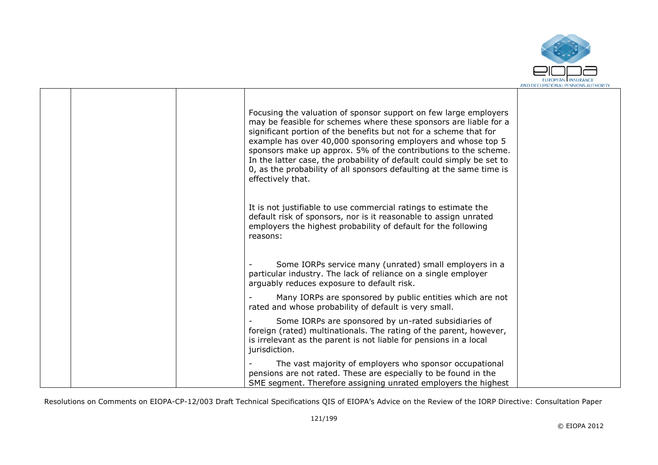

|  | Focusing the valuation of sponsor support on few large employers<br>may be feasible for schemes where these sponsors are liable for a<br>significant portion of the benefits but not for a scheme that for<br>example has over 40,000 sponsoring employers and whose top 5<br>sponsors make up approx. 5% of the contributions to the scheme.<br>In the latter case, the probability of default could simply be set to<br>0, as the probability of all sponsors defaulting at the same time is<br>effectively that. |  |
|--|---------------------------------------------------------------------------------------------------------------------------------------------------------------------------------------------------------------------------------------------------------------------------------------------------------------------------------------------------------------------------------------------------------------------------------------------------------------------------------------------------------------------|--|
|  | It is not justifiable to use commercial ratings to estimate the<br>default risk of sponsors, nor is it reasonable to assign unrated<br>employers the highest probability of default for the following<br>reasons:                                                                                                                                                                                                                                                                                                   |  |
|  | Some IORPs service many (unrated) small employers in a<br>particular industry. The lack of reliance on a single employer<br>arguably reduces exposure to default risk.                                                                                                                                                                                                                                                                                                                                              |  |
|  | Many IORPs are sponsored by public entities which are not<br>rated and whose probability of default is very small.                                                                                                                                                                                                                                                                                                                                                                                                  |  |
|  | Some IORPs are sponsored by un-rated subsidiaries of<br>foreign (rated) multinationals. The rating of the parent, however,<br>is irrelevant as the parent is not liable for pensions in a local<br>jurisdiction.                                                                                                                                                                                                                                                                                                    |  |
|  | The vast majority of employers who sponsor occupational<br>pensions are not rated. These are especially to be found in the<br>SME segment. Therefore assigning unrated employers the highest                                                                                                                                                                                                                                                                                                                        |  |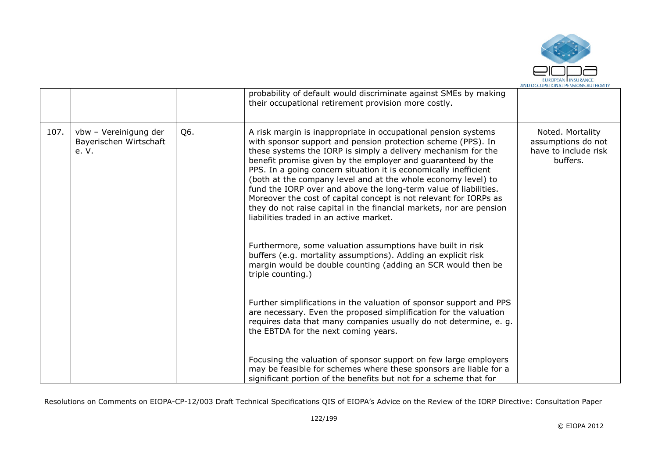

|      |                                                          |     | probability of default would discriminate against SMEs by making<br>their occupational retirement provision more costly.                                                                                                                                                                                                                                                                                                                                                                                                                                                                                                                                       |                                                                            |
|------|----------------------------------------------------------|-----|----------------------------------------------------------------------------------------------------------------------------------------------------------------------------------------------------------------------------------------------------------------------------------------------------------------------------------------------------------------------------------------------------------------------------------------------------------------------------------------------------------------------------------------------------------------------------------------------------------------------------------------------------------------|----------------------------------------------------------------------------|
| 107. | vbw - Vereinigung der<br>Bayerischen Wirtschaft<br>e. V. | Q6. | A risk margin is inappropriate in occupational pension systems<br>with sponsor support and pension protection scheme (PPS). In<br>these systems the IORP is simply a delivery mechanism for the<br>benefit promise given by the employer and guaranteed by the<br>PPS. In a going concern situation it is economically inefficient<br>(both at the company level and at the whole economy level) to<br>fund the IORP over and above the long-term value of liabilities.<br>Moreover the cost of capital concept is not relevant for IORPs as<br>they do not raise capital in the financial markets, nor are pension<br>liabilities traded in an active market. | Noted. Mortality<br>assumptions do not<br>have to include risk<br>buffers. |
|      |                                                          |     | Furthermore, some valuation assumptions have built in risk<br>buffers (e.g. mortality assumptions). Adding an explicit risk<br>margin would be double counting (adding an SCR would then be<br>triple counting.)                                                                                                                                                                                                                                                                                                                                                                                                                                               |                                                                            |
|      |                                                          |     | Further simplifications in the valuation of sponsor support and PPS<br>are necessary. Even the proposed simplification for the valuation<br>requires data that many companies usually do not determine, e. g.<br>the EBTDA for the next coming years.                                                                                                                                                                                                                                                                                                                                                                                                          |                                                                            |
|      |                                                          |     | Focusing the valuation of sponsor support on few large employers<br>may be feasible for schemes where these sponsors are liable for a<br>significant portion of the benefits but not for a scheme that for                                                                                                                                                                                                                                                                                                                                                                                                                                                     |                                                                            |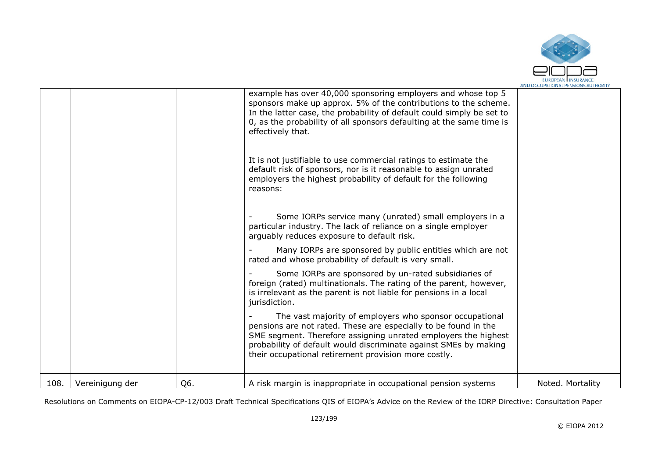

|      |                 |     | example has over 40,000 sponsoring employers and whose top 5<br>sponsors make up approx. 5% of the contributions to the scheme.<br>In the latter case, the probability of default could simply be set to<br>0, as the probability of all sponsors defaulting at the same time is<br>effectively that.                    |                  |
|------|-----------------|-----|--------------------------------------------------------------------------------------------------------------------------------------------------------------------------------------------------------------------------------------------------------------------------------------------------------------------------|------------------|
|      |                 |     | It is not justifiable to use commercial ratings to estimate the<br>default risk of sponsors, nor is it reasonable to assign unrated<br>employers the highest probability of default for the following<br>reasons:                                                                                                        |                  |
|      |                 |     | Some IORPs service many (unrated) small employers in a<br>particular industry. The lack of reliance on a single employer<br>arguably reduces exposure to default risk.                                                                                                                                                   |                  |
|      |                 |     | Many IORPs are sponsored by public entities which are not<br>rated and whose probability of default is very small.                                                                                                                                                                                                       |                  |
|      |                 |     | Some IORPs are sponsored by un-rated subsidiaries of<br>foreign (rated) multinationals. The rating of the parent, however,<br>is irrelevant as the parent is not liable for pensions in a local<br>jurisdiction.                                                                                                         |                  |
|      |                 |     | The vast majority of employers who sponsor occupational<br>pensions are not rated. These are especially to be found in the<br>SME segment. Therefore assigning unrated employers the highest<br>probability of default would discriminate against SMEs by making<br>their occupational retirement provision more costly. |                  |
| 108. | Vereinigung der | Q6. | A risk margin is inappropriate in occupational pension systems                                                                                                                                                                                                                                                           | Noted. Mortality |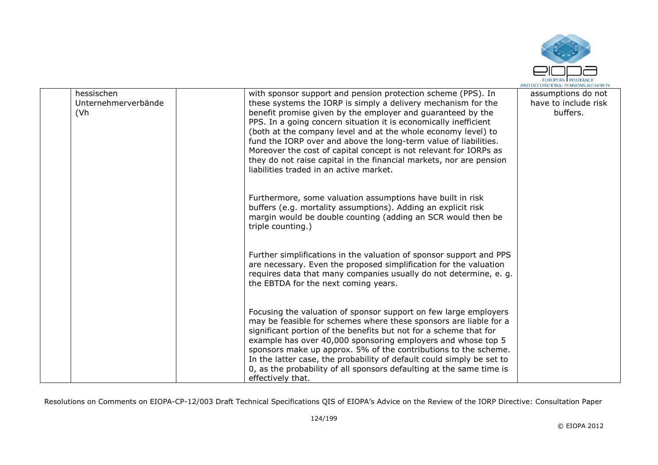

| hessischen<br>(Vh | Unternehmerverbände | with sponsor support and pension protection scheme (PPS). In<br>these systems the IORP is simply a delivery mechanism for the<br>benefit promise given by the employer and guaranteed by the<br>PPS. In a going concern situation it is economically inefficient<br>(both at the company level and at the whole economy level) to<br>fund the IORP over and above the long-term value of liabilities.<br>Moreover the cost of capital concept is not relevant for IORPs as<br>they do not raise capital in the financial markets, nor are pension<br>liabilities traded in an active market. | assumptions do not<br>have to include risk<br>buffers. |
|-------------------|---------------------|----------------------------------------------------------------------------------------------------------------------------------------------------------------------------------------------------------------------------------------------------------------------------------------------------------------------------------------------------------------------------------------------------------------------------------------------------------------------------------------------------------------------------------------------------------------------------------------------|--------------------------------------------------------|
|                   |                     | Furthermore, some valuation assumptions have built in risk<br>buffers (e.g. mortality assumptions). Adding an explicit risk<br>margin would be double counting (adding an SCR would then be<br>triple counting.)                                                                                                                                                                                                                                                                                                                                                                             |                                                        |
|                   |                     | Further simplifications in the valuation of sponsor support and PPS<br>are necessary. Even the proposed simplification for the valuation<br>requires data that many companies usually do not determine, e. g.<br>the EBTDA for the next coming years.                                                                                                                                                                                                                                                                                                                                        |                                                        |
|                   |                     | Focusing the valuation of sponsor support on few large employers<br>may be feasible for schemes where these sponsors are liable for a<br>significant portion of the benefits but not for a scheme that for<br>example has over 40,000 sponsoring employers and whose top 5<br>sponsors make up approx. 5% of the contributions to the scheme.<br>In the latter case, the probability of default could simply be set to<br>0, as the probability of all sponsors defaulting at the same time is<br>effectively that.                                                                          |                                                        |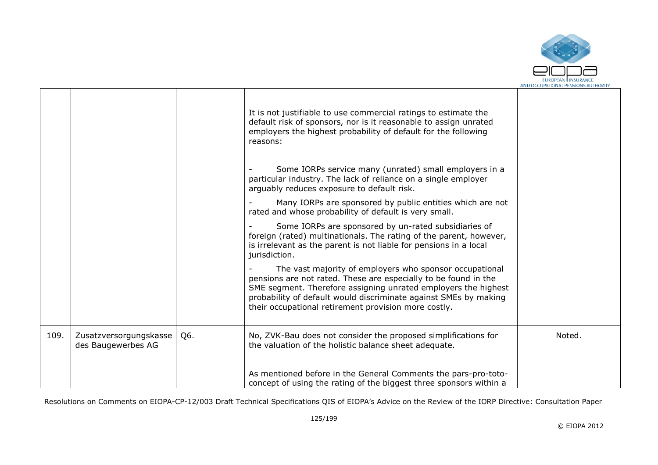

|      |                                              |     | It is not justifiable to use commercial ratings to estimate the<br>default risk of sponsors, nor is it reasonable to assign unrated<br>employers the highest probability of default for the following<br>reasons:<br>Some IORPs service many (unrated) small employers in a<br>particular industry. The lack of reliance on a single employer<br>arguably reduces exposure to default risk. |        |
|------|----------------------------------------------|-----|---------------------------------------------------------------------------------------------------------------------------------------------------------------------------------------------------------------------------------------------------------------------------------------------------------------------------------------------------------------------------------------------|--------|
|      |                                              |     | Many IORPs are sponsored by public entities which are not<br>rated and whose probability of default is very small.                                                                                                                                                                                                                                                                          |        |
|      |                                              |     | Some IORPs are sponsored by un-rated subsidiaries of<br>foreign (rated) multinationals. The rating of the parent, however,<br>is irrelevant as the parent is not liable for pensions in a local<br>jurisdiction.                                                                                                                                                                            |        |
|      |                                              |     | The vast majority of employers who sponsor occupational<br>pensions are not rated. These are especially to be found in the<br>SME segment. Therefore assigning unrated employers the highest<br>probability of default would discriminate against SMEs by making<br>their occupational retirement provision more costly.                                                                    |        |
| 109. | Zusatzversorgungskasse<br>des Baugewerbes AG | Q6. | No, ZVK-Bau does not consider the proposed simplifications for<br>the valuation of the holistic balance sheet adequate.                                                                                                                                                                                                                                                                     | Noted. |
|      |                                              |     | As mentioned before in the General Comments the pars-pro-toto-<br>concept of using the rating of the biggest three sponsors within a                                                                                                                                                                                                                                                        |        |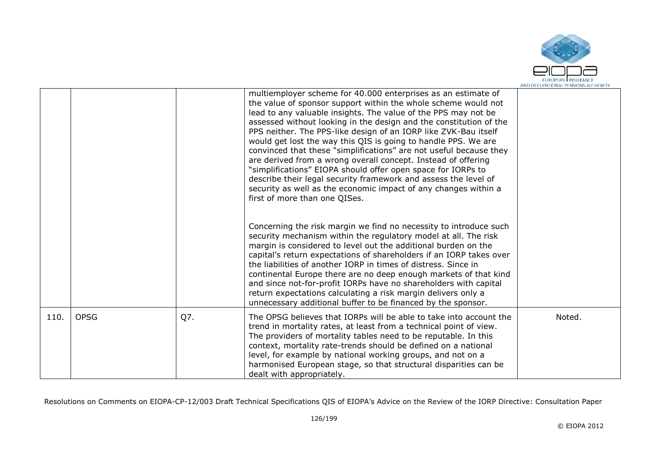

|      |             |     | multiemployer scheme for 40.000 enterprises as an estimate of<br>the value of sponsor support within the whole scheme would not<br>lead to any valuable insights. The value of the PPS may not be<br>assessed without looking in the design and the constitution of the<br>PPS neither. The PPS-like design of an IORP like ZVK-Bau itself<br>would get lost the way this QIS is going to handle PPS. We are<br>convinced that these "simplifications" are not useful because they<br>are derived from a wrong overall concept. Instead of offering<br>"simplifications" EIOPA should offer open space for IORPs to<br>describe their legal security framework and assess the level of<br>security as well as the economic impact of any changes within a<br>first of more than one QISes. |        |
|------|-------------|-----|--------------------------------------------------------------------------------------------------------------------------------------------------------------------------------------------------------------------------------------------------------------------------------------------------------------------------------------------------------------------------------------------------------------------------------------------------------------------------------------------------------------------------------------------------------------------------------------------------------------------------------------------------------------------------------------------------------------------------------------------------------------------------------------------|--------|
|      |             |     | Concerning the risk margin we find no necessity to introduce such<br>security mechanism within the regulatory model at all. The risk<br>margin is considered to level out the additional burden on the<br>capital's return expectations of shareholders if an IORP takes over<br>the liabilities of another IORP in times of distress. Since in<br>continental Europe there are no deep enough markets of that kind<br>and since not-for-profit IORPs have no shareholders with capital<br>return expectations calculating a risk margin delivers only a<br>unnecessary additional buffer to be financed by the sponsor.                                                                                                                                                                   |        |
| 110. | <b>OPSG</b> | Q7. | The OPSG believes that IORPs will be able to take into account the<br>trend in mortality rates, at least from a technical point of view.<br>The providers of mortality tables need to be reputable. In this<br>context, mortality rate-trends should be defined on a national<br>level, for example by national working groups, and not on a<br>harmonised European stage, so that structural disparities can be<br>dealt with appropriately.                                                                                                                                                                                                                                                                                                                                              | Noted. |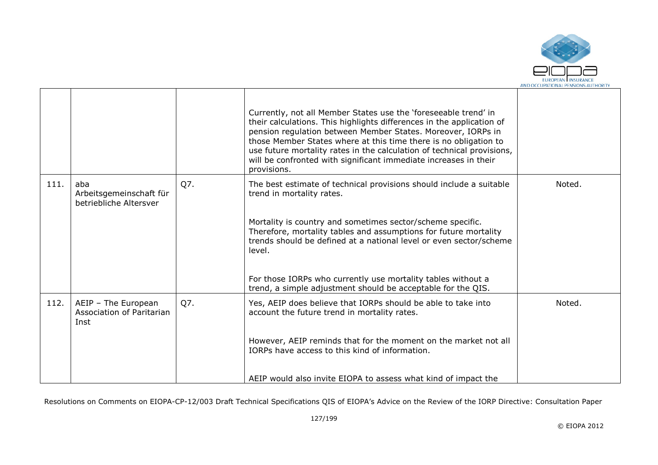

|      |                                                          |     | Currently, not all Member States use the 'foreseeable trend' in<br>their calculations. This highlights differences in the application of<br>pension regulation between Member States. Moreover, IORPs in<br>those Member States where at this time there is no obligation to<br>use future mortality rates in the calculation of technical provisions,<br>will be confronted with significant immediate increases in their<br>provisions. |        |
|------|----------------------------------------------------------|-----|-------------------------------------------------------------------------------------------------------------------------------------------------------------------------------------------------------------------------------------------------------------------------------------------------------------------------------------------------------------------------------------------------------------------------------------------|--------|
| 111. | aba<br>Arbeitsgemeinschaft für<br>betriebliche Altersver | Q7. | The best estimate of technical provisions should include a suitable<br>trend in mortality rates.                                                                                                                                                                                                                                                                                                                                          | Noted. |
|      |                                                          |     | Mortality is country and sometimes sector/scheme specific.<br>Therefore, mortality tables and assumptions for future mortality<br>trends should be defined at a national level or even sector/scheme<br>level.                                                                                                                                                                                                                            |        |
|      |                                                          |     | For those IORPs who currently use mortality tables without a<br>trend, a simple adjustment should be acceptable for the QIS.                                                                                                                                                                                                                                                                                                              |        |
| 112. | AEIP - The European<br>Association of Paritarian<br>Inst | Q7. | Yes, AEIP does believe that IORPs should be able to take into<br>account the future trend in mortality rates.                                                                                                                                                                                                                                                                                                                             | Noted. |
|      |                                                          |     | However, AEIP reminds that for the moment on the market not all<br>IORPs have access to this kind of information.                                                                                                                                                                                                                                                                                                                         |        |
|      |                                                          |     | AEIP would also invite EIOPA to assess what kind of impact the                                                                                                                                                                                                                                                                                                                                                                            |        |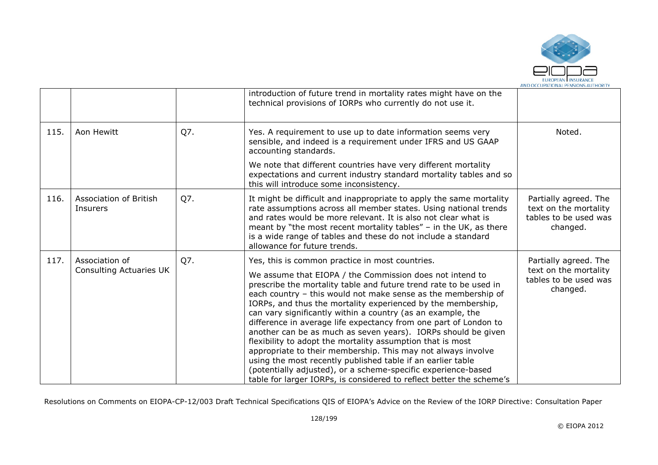

|      |                                                  |     | introduction of future trend in mortality rates might have on the<br>technical provisions of IORPs who currently do not use it.                                                                                                                                                                                                                                                                                                                                                                                                                                                                                                                                                                                                                                                                                                                             |                                                                                     |
|------|--------------------------------------------------|-----|-------------------------------------------------------------------------------------------------------------------------------------------------------------------------------------------------------------------------------------------------------------------------------------------------------------------------------------------------------------------------------------------------------------------------------------------------------------------------------------------------------------------------------------------------------------------------------------------------------------------------------------------------------------------------------------------------------------------------------------------------------------------------------------------------------------------------------------------------------------|-------------------------------------------------------------------------------------|
| 115. | Aon Hewitt                                       | Q7. | Yes. A requirement to use up to date information seems very<br>sensible, and indeed is a requirement under IFRS and US GAAP<br>accounting standards.                                                                                                                                                                                                                                                                                                                                                                                                                                                                                                                                                                                                                                                                                                        | Noted.                                                                              |
|      |                                                  |     | We note that different countries have very different mortality<br>expectations and current industry standard mortality tables and so<br>this will introduce some inconsistency.                                                                                                                                                                                                                                                                                                                                                                                                                                                                                                                                                                                                                                                                             |                                                                                     |
| 116. | Association of British<br>Insurers               | Q7. | It might be difficult and inappropriate to apply the same mortality<br>rate assumptions across all member states. Using national trends<br>and rates would be more relevant. It is also not clear what is<br>meant by "the most recent mortality tables" $-$ in the UK, as there<br>is a wide range of tables and these do not include a standard<br>allowance for future trends.                                                                                                                                                                                                                                                                                                                                                                                                                                                                           | Partially agreed. The<br>text on the mortality<br>tables to be used was<br>changed. |
| 117. | Association of<br><b>Consulting Actuaries UK</b> | Q7. | Yes, this is common practice in most countries.<br>We assume that EIOPA / the Commission does not intend to<br>prescribe the mortality table and future trend rate to be used in<br>each country - this would not make sense as the membership of<br>IORPs, and thus the mortality experienced by the membership,<br>can vary significantly within a country (as an example, the<br>difference in average life expectancy from one part of London to<br>another can be as much as seven years). IORPs should be given<br>flexibility to adopt the mortality assumption that is most<br>appropriate to their membership. This may not always involve<br>using the most recently published table if an earlier table<br>(potentially adjusted), or a scheme-specific experience-based<br>table for larger IORPs, is considered to reflect better the scheme's | Partially agreed. The<br>text on the mortality<br>tables to be used was<br>changed. |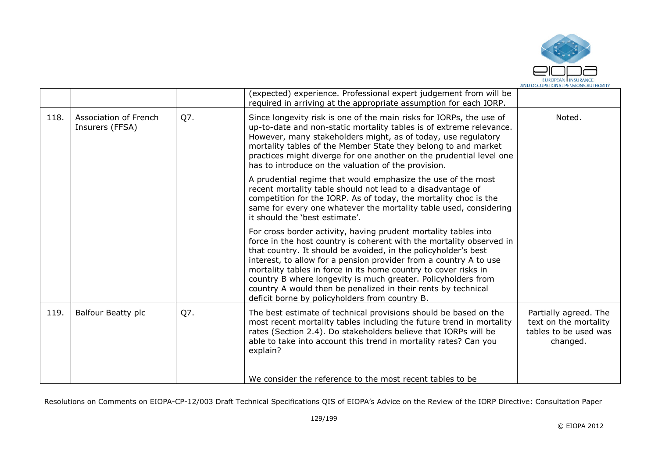

|      |                                          |     | (expected) experience. Professional expert judgement from will be<br>required in arriving at the appropriate assumption for each IORP.                                                                                                                                                                                                                                                                                                                                                                                                |                                                                                     |
|------|------------------------------------------|-----|---------------------------------------------------------------------------------------------------------------------------------------------------------------------------------------------------------------------------------------------------------------------------------------------------------------------------------------------------------------------------------------------------------------------------------------------------------------------------------------------------------------------------------------|-------------------------------------------------------------------------------------|
| 118. | Association of French<br>Insurers (FFSA) | Q7. | Since longevity risk is one of the main risks for IORPs, the use of<br>up-to-date and non-static mortality tables is of extreme relevance.<br>However, many stakeholders might, as of today, use regulatory<br>mortality tables of the Member State they belong to and market<br>practices might diverge for one another on the prudential level one<br>has to introduce on the valuation of the provision.                                                                                                                           | Noted.                                                                              |
|      |                                          |     | A prudential regime that would emphasize the use of the most<br>recent mortality table should not lead to a disadvantage of<br>competition for the IORP. As of today, the mortality choc is the<br>same for every one whatever the mortality table used, considering<br>it should the 'best estimate'.                                                                                                                                                                                                                                |                                                                                     |
|      |                                          |     | For cross border activity, having prudent mortality tables into<br>force in the host country is coherent with the mortality observed in<br>that country. It should be avoided, in the policyholder's best<br>interest, to allow for a pension provider from a country A to use<br>mortality tables in force in its home country to cover risks in<br>country B where longevity is much greater. Policyholders from<br>country A would then be penalized in their rents by technical<br>deficit borne by policyholders from country B. |                                                                                     |
| 119. | <b>Balfour Beatty plc</b>                | Q7. | The best estimate of technical provisions should be based on the<br>most recent mortality tables including the future trend in mortality<br>rates (Section 2.4). Do stakeholders believe that IORPs will be<br>able to take into account this trend in mortality rates? Can you<br>explain?                                                                                                                                                                                                                                           | Partially agreed. The<br>text on the mortality<br>tables to be used was<br>changed. |
|      |                                          |     | We consider the reference to the most recent tables to be                                                                                                                                                                                                                                                                                                                                                                                                                                                                             |                                                                                     |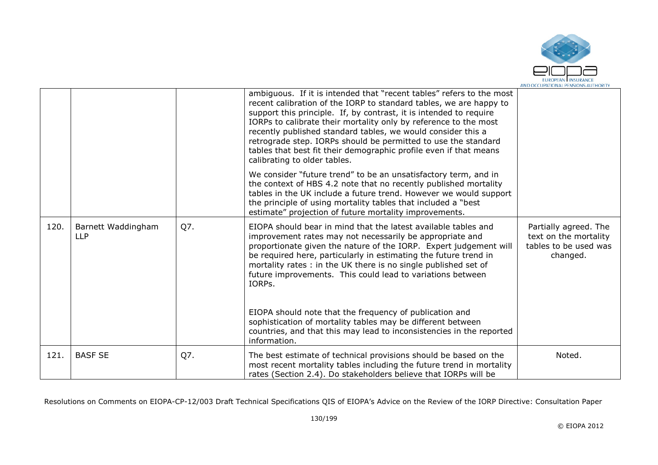

|      |                                  |     | ambiguous. If it is intended that "recent tables" refers to the most<br>recent calibration of the IORP to standard tables, we are happy to<br>support this principle. If, by contrast, it is intended to require<br>IORPs to calibrate their mortality only by reference to the most<br>recently published standard tables, we would consider this a<br>retrograde step. IORPs should be permitted to use the standard<br>tables that best fit their demographic profile even if that means<br>calibrating to older tables.             |                                                                                     |
|------|----------------------------------|-----|-----------------------------------------------------------------------------------------------------------------------------------------------------------------------------------------------------------------------------------------------------------------------------------------------------------------------------------------------------------------------------------------------------------------------------------------------------------------------------------------------------------------------------------------|-------------------------------------------------------------------------------------|
|      |                                  |     | We consider "future trend" to be an unsatisfactory term, and in<br>the context of HBS 4.2 note that no recently published mortality<br>tables in the UK include a future trend. However we would support<br>the principle of using mortality tables that included a "best"<br>estimate" projection of future mortality improvements.                                                                                                                                                                                                    |                                                                                     |
| 120. | Barnett Waddingham<br><b>LLP</b> | Q7. | EIOPA should bear in mind that the latest available tables and<br>improvement rates may not necessarily be appropriate and<br>proportionate given the nature of the IORP. Expert judgement will<br>be required here, particularly in estimating the future trend in<br>mortality rates: in the UK there is no single published set of<br>future improvements. This could lead to variations between<br>IORPs.<br>EIOPA should note that the frequency of publication and<br>sophistication of mortality tables may be different between | Partially agreed. The<br>text on the mortality<br>tables to be used was<br>changed. |
|      |                                  |     | countries, and that this may lead to inconsistencies in the reported<br>information.                                                                                                                                                                                                                                                                                                                                                                                                                                                    |                                                                                     |
| 121. | <b>BASF SE</b>                   | Q7. | The best estimate of technical provisions should be based on the<br>most recent mortality tables including the future trend in mortality<br>rates (Section 2.4). Do stakeholders believe that IORPs will be                                                                                                                                                                                                                                                                                                                             | Noted.                                                                              |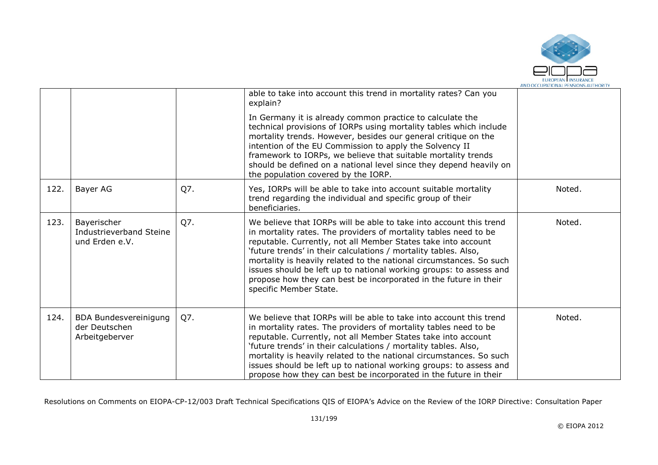

|      |                                                                 |     | able to take into account this trend in mortality rates? Can you<br>explain?<br>In Germany it is already common practice to calculate the<br>technical provisions of IORPs using mortality tables which include<br>mortality trends. However, besides our general critique on the<br>intention of the EU Commission to apply the Solvency II<br>framework to IORPs, we believe that suitable mortality trends<br>should be defined on a national level since they depend heavily on<br>the population covered by the IORP. |        |
|------|-----------------------------------------------------------------|-----|----------------------------------------------------------------------------------------------------------------------------------------------------------------------------------------------------------------------------------------------------------------------------------------------------------------------------------------------------------------------------------------------------------------------------------------------------------------------------------------------------------------------------|--------|
| 122. | Bayer AG                                                        | Q7. | Yes, IORPs will be able to take into account suitable mortality<br>trend regarding the individual and specific group of their<br>beneficiaries.                                                                                                                                                                                                                                                                                                                                                                            | Noted. |
| 123. | Bayerischer<br>Industrieverband Steine<br>und Erden e.V.        | Q7. | We believe that IORPs will be able to take into account this trend<br>in mortality rates. The providers of mortality tables need to be<br>reputable. Currently, not all Member States take into account<br>'future trends' in their calculations / mortality tables. Also,<br>mortality is heavily related to the national circumstances. So such<br>issues should be left up to national working groups: to assess and<br>propose how they can best be incorporated in the future in their<br>specific Member State.      | Noted. |
| 124. | <b>BDA Bundesvereinigung</b><br>der Deutschen<br>Arbeitgeberver | Q7. | We believe that IORPs will be able to take into account this trend<br>in mortality rates. The providers of mortality tables need to be<br>reputable. Currently, not all Member States take into account<br>'future trends' in their calculations / mortality tables. Also,<br>mortality is heavily related to the national circumstances. So such<br>issues should be left up to national working groups: to assess and<br>propose how they can best be incorporated in the future in their                                | Noted. |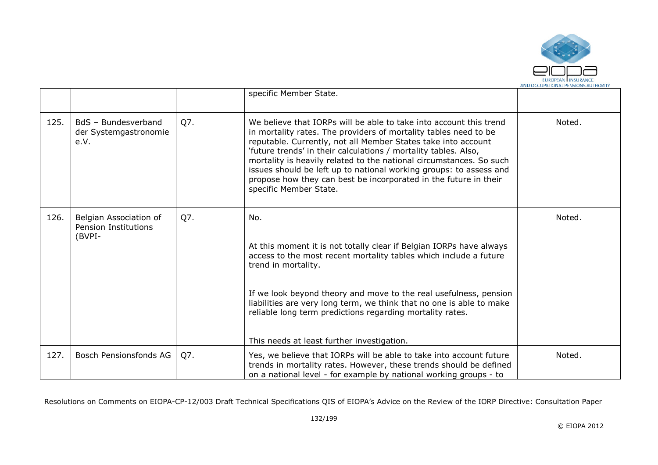

|      |                                                                 |     | specific Member State.                                                                                                                                                                                                                                                                                                                                                                                                                                                                                                |        |
|------|-----------------------------------------------------------------|-----|-----------------------------------------------------------------------------------------------------------------------------------------------------------------------------------------------------------------------------------------------------------------------------------------------------------------------------------------------------------------------------------------------------------------------------------------------------------------------------------------------------------------------|--------|
| 125. | BdS - Bundesverband<br>der Systemgastronomie<br>e.V.            | Q7. | We believe that IORPs will be able to take into account this trend<br>in mortality rates. The providers of mortality tables need to be<br>reputable. Currently, not all Member States take into account<br>'future trends' in their calculations / mortality tables. Also,<br>mortality is heavily related to the national circumstances. So such<br>issues should be left up to national working groups: to assess and<br>propose how they can best be incorporated in the future in their<br>specific Member State. | Noted. |
| 126. | Belgian Association of<br><b>Pension Institutions</b><br>(BVPI- | Q7. | No.<br>At this moment it is not totally clear if Belgian IORPs have always<br>access to the most recent mortality tables which include a future<br>trend in mortality.<br>If we look beyond theory and move to the real usefulness, pension<br>liabilities are very long term, we think that no one is able to make<br>reliable long term predictions regarding mortality rates.<br>This needs at least further investigation.                                                                                        | Noted. |
| 127. | Bosch Pensionsfonds AG                                          | Q7. | Yes, we believe that IORPs will be able to take into account future<br>trends in mortality rates. However, these trends should be defined<br>on a national level - for example by national working groups - to                                                                                                                                                                                                                                                                                                        | Noted. |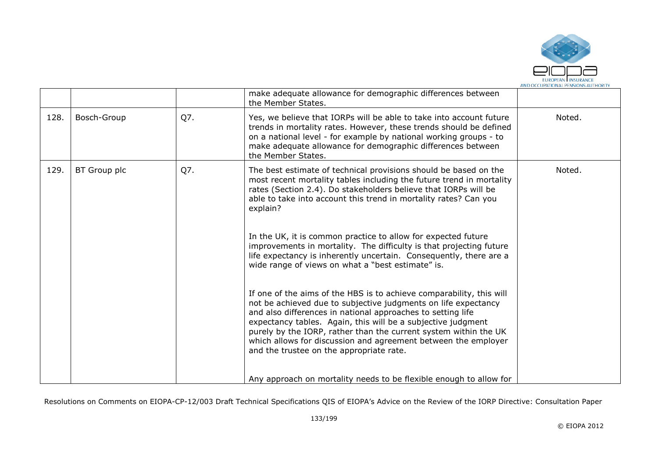

|      |              |     | make adequate allowance for demographic differences between<br>the Member States.                                                                                                                                                                                                                                                                                                                                                                       |        |
|------|--------------|-----|---------------------------------------------------------------------------------------------------------------------------------------------------------------------------------------------------------------------------------------------------------------------------------------------------------------------------------------------------------------------------------------------------------------------------------------------------------|--------|
| 128. | Bosch-Group  | Q7. | Yes, we believe that IORPs will be able to take into account future<br>trends in mortality rates. However, these trends should be defined<br>on a national level - for example by national working groups - to<br>make adequate allowance for demographic differences between<br>the Member States.                                                                                                                                                     | Noted. |
| 129. | BT Group plc | Q7. | The best estimate of technical provisions should be based on the<br>most recent mortality tables including the future trend in mortality<br>rates (Section 2.4). Do stakeholders believe that IORPs will be<br>able to take into account this trend in mortality rates? Can you<br>explain?                                                                                                                                                             | Noted. |
|      |              |     | In the UK, it is common practice to allow for expected future<br>improvements in mortality. The difficulty is that projecting future<br>life expectancy is inherently uncertain. Consequently, there are a<br>wide range of views on what a "best estimate" is.                                                                                                                                                                                         |        |
|      |              |     | If one of the aims of the HBS is to achieve comparability, this will<br>not be achieved due to subjective judgments on life expectancy<br>and also differences in national approaches to setting life<br>expectancy tables. Again, this will be a subjective judgment<br>purely by the IORP, rather than the current system within the UK<br>which allows for discussion and agreement between the employer<br>and the trustee on the appropriate rate. |        |
|      |              |     | Any approach on mortality needs to be flexible enough to allow for                                                                                                                                                                                                                                                                                                                                                                                      |        |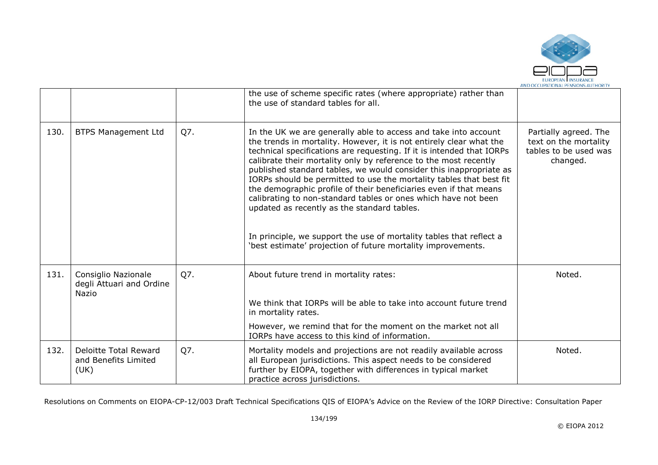

|      |                                                              |     | the use of scheme specific rates (where appropriate) rather than<br>the use of standard tables for all.                                                                                                                                                                                                                                                                                                                                                                                                                                                                                                                                                                                                                                                       |                                                                                     |
|------|--------------------------------------------------------------|-----|---------------------------------------------------------------------------------------------------------------------------------------------------------------------------------------------------------------------------------------------------------------------------------------------------------------------------------------------------------------------------------------------------------------------------------------------------------------------------------------------------------------------------------------------------------------------------------------------------------------------------------------------------------------------------------------------------------------------------------------------------------------|-------------------------------------------------------------------------------------|
| 130. | <b>BTPS Management Ltd</b>                                   | Q7. | In the UK we are generally able to access and take into account<br>the trends in mortality. However, it is not entirely clear what the<br>technical specifications are requesting. If it is intended that IORPs<br>calibrate their mortality only by reference to the most recently<br>published standard tables, we would consider this inappropriate as<br>IORPs should be permitted to use the mortality tables that best fit<br>the demographic profile of their beneficiaries even if that means<br>calibrating to non-standard tables or ones which have not been<br>updated as recently as the standard tables.<br>In principle, we support the use of mortality tables that reflect a<br>'best estimate' projection of future mortality improvements. | Partially agreed. The<br>text on the mortality<br>tables to be used was<br>changed. |
| 131. | Consiglio Nazionale<br>degli Attuari and Ordine<br>Nazio     | Q7. | About future trend in mortality rates:                                                                                                                                                                                                                                                                                                                                                                                                                                                                                                                                                                                                                                                                                                                        | Noted.                                                                              |
|      |                                                              |     | We think that IORPs will be able to take into account future trend<br>in mortality rates.                                                                                                                                                                                                                                                                                                                                                                                                                                                                                                                                                                                                                                                                     |                                                                                     |
|      |                                                              |     | However, we remind that for the moment on the market not all<br>IORPs have access to this kind of information.                                                                                                                                                                                                                                                                                                                                                                                                                                                                                                                                                                                                                                                |                                                                                     |
| 132. | <b>Deloitte Total Reward</b><br>and Benefits Limited<br>(UK) | Q7. | Mortality models and projections are not readily available across<br>all European jurisdictions. This aspect needs to be considered<br>further by EIOPA, together with differences in typical market<br>practice across jurisdictions.                                                                                                                                                                                                                                                                                                                                                                                                                                                                                                                        | Noted.                                                                              |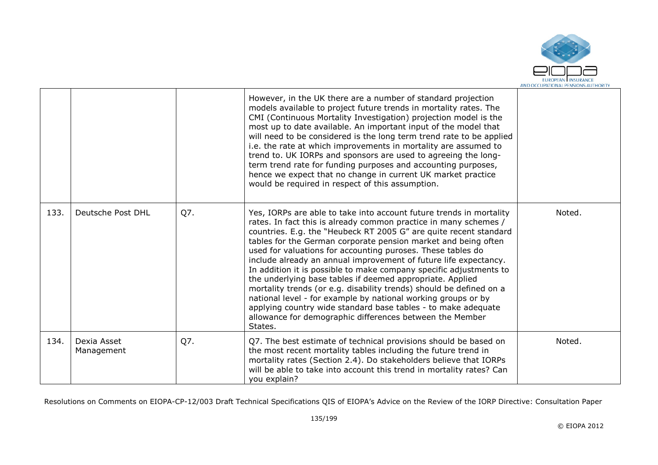

|      |                           |     | However, in the UK there are a number of standard projection<br>models available to project future trends in mortality rates. The<br>CMI (Continuous Mortality Investigation) projection model is the<br>most up to date available. An important input of the model that<br>will need to be considered is the long term trend rate to be applied<br>i.e. the rate at which improvements in mortality are assumed to<br>trend to. UK IORPs and sponsors are used to agreeing the long-<br>term trend rate for funding purposes and accounting purposes,<br>hence we expect that no change in current UK market practice<br>would be required in respect of this assumption.                                                                                                                                                           |        |
|------|---------------------------|-----|--------------------------------------------------------------------------------------------------------------------------------------------------------------------------------------------------------------------------------------------------------------------------------------------------------------------------------------------------------------------------------------------------------------------------------------------------------------------------------------------------------------------------------------------------------------------------------------------------------------------------------------------------------------------------------------------------------------------------------------------------------------------------------------------------------------------------------------|--------|
| 133. | Deutsche Post DHL         | Q7. | Yes, IORPs are able to take into account future trends in mortality<br>rates. In fact this is already common practice in many schemes /<br>countries. E.g. the "Heubeck RT 2005 G" are quite recent standard<br>tables for the German corporate pension market and being often<br>used for valuations for accounting puroses. These tables do<br>include already an annual improvement of future life expectancy.<br>In addition it is possible to make company specific adjustments to<br>the underlying base tables if deemed appropriate. Applied<br>mortality trends (or e.g. disability trends) should be defined on a<br>national level - for example by national working groups or by<br>applying country wide standard base tables - to make adequate<br>allowance for demographic differences between the Member<br>States. | Noted. |
| 134. | Dexia Asset<br>Management | Q7. | Q7. The best estimate of technical provisions should be based on<br>the most recent mortality tables including the future trend in<br>mortality rates (Section 2.4). Do stakeholders believe that IORPs<br>will be able to take into account this trend in mortality rates? Can<br>you explain?                                                                                                                                                                                                                                                                                                                                                                                                                                                                                                                                      | Noted. |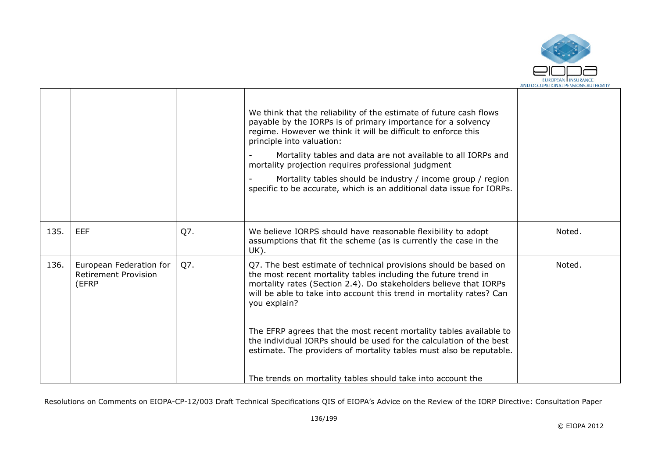

|      |                                                                 |     | We think that the reliability of the estimate of future cash flows<br>payable by the IORPs is of primary importance for a solvency<br>regime. However we think it will be difficult to enforce this<br>principle into valuation:<br>Mortality tables and data are not available to all IORPs and<br>mortality projection requires professional judgment<br>Mortality tables should be industry / income group / region<br>specific to be accurate, which is an additional data issue for IORPs.                     |        |
|------|-----------------------------------------------------------------|-----|---------------------------------------------------------------------------------------------------------------------------------------------------------------------------------------------------------------------------------------------------------------------------------------------------------------------------------------------------------------------------------------------------------------------------------------------------------------------------------------------------------------------|--------|
| 135. | <b>EEF</b>                                                      | Q7. | We believe IORPS should have reasonable flexibility to adopt<br>assumptions that fit the scheme (as is currently the case in the<br>UK).                                                                                                                                                                                                                                                                                                                                                                            | Noted. |
| 136. | European Federation for<br><b>Retirement Provision</b><br>(EFRP | Q7. | Q7. The best estimate of technical provisions should be based on<br>the most recent mortality tables including the future trend in<br>mortality rates (Section 2.4). Do stakeholders believe that IORPs<br>will be able to take into account this trend in mortality rates? Can<br>you explain?<br>The EFRP agrees that the most recent mortality tables available to<br>the individual IORPs should be used for the calculation of the best<br>estimate. The providers of mortality tables must also be reputable. | Noted. |
|      |                                                                 |     | The trends on mortality tables should take into account the                                                                                                                                                                                                                                                                                                                                                                                                                                                         |        |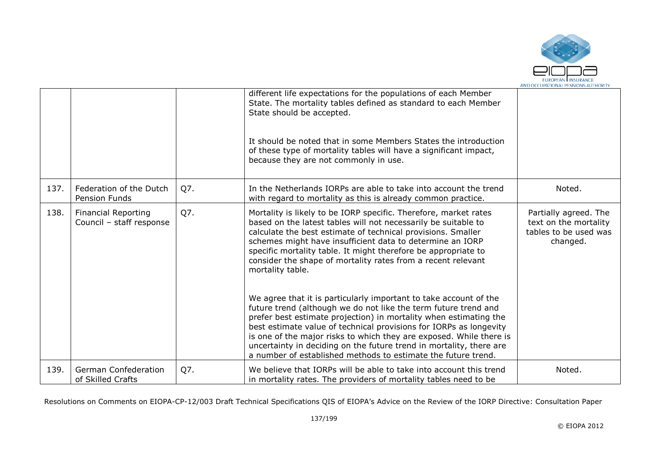

|      |                                                        |     | different life expectations for the populations of each Member<br>State. The mortality tables defined as standard to each Member<br>State should be accepted.                                                                                                                                                                                                                                                                                                                                                                                                                                                                                                                                                                                                                                                                                          |                                                                                     |
|------|--------------------------------------------------------|-----|--------------------------------------------------------------------------------------------------------------------------------------------------------------------------------------------------------------------------------------------------------------------------------------------------------------------------------------------------------------------------------------------------------------------------------------------------------------------------------------------------------------------------------------------------------------------------------------------------------------------------------------------------------------------------------------------------------------------------------------------------------------------------------------------------------------------------------------------------------|-------------------------------------------------------------------------------------|
|      |                                                        |     | It should be noted that in some Members States the introduction<br>of these type of mortality tables will have a significant impact,<br>because they are not commonly in use.                                                                                                                                                                                                                                                                                                                                                                                                                                                                                                                                                                                                                                                                          |                                                                                     |
| 137. | Federation of the Dutch<br>Pension Funds               | Q7. | In the Netherlands IORPs are able to take into account the trend<br>with regard to mortality as this is already common practice.                                                                                                                                                                                                                                                                                                                                                                                                                                                                                                                                                                                                                                                                                                                       | Noted.                                                                              |
| 138. | <b>Financial Reporting</b><br>Council - staff response | Q7. | Mortality is likely to be IORP specific. Therefore, market rates<br>based on the latest tables will not necessarily be suitable to<br>calculate the best estimate of technical provisions. Smaller<br>schemes might have insufficient data to determine an IORP<br>specific mortality table. It might therefore be appropriate to<br>consider the shape of mortality rates from a recent relevant<br>mortality table.<br>We agree that it is particularly important to take account of the<br>future trend (although we do not like the term future trend and<br>prefer best estimate projection) in mortality when estimating the<br>best estimate value of technical provisions for IORPs as longevity<br>is one of the major risks to which they are exposed. While there is<br>uncertainty in deciding on the future trend in mortality, there are | Partially agreed. The<br>text on the mortality<br>tables to be used was<br>changed. |
|      |                                                        |     | a number of established methods to estimate the future trend.                                                                                                                                                                                                                                                                                                                                                                                                                                                                                                                                                                                                                                                                                                                                                                                          |                                                                                     |
| 139. | <b>German Confederation</b><br>of Skilled Crafts       | Q7. | We believe that IORPs will be able to take into account this trend<br>in mortality rates. The providers of mortality tables need to be                                                                                                                                                                                                                                                                                                                                                                                                                                                                                                                                                                                                                                                                                                                 | Noted.                                                                              |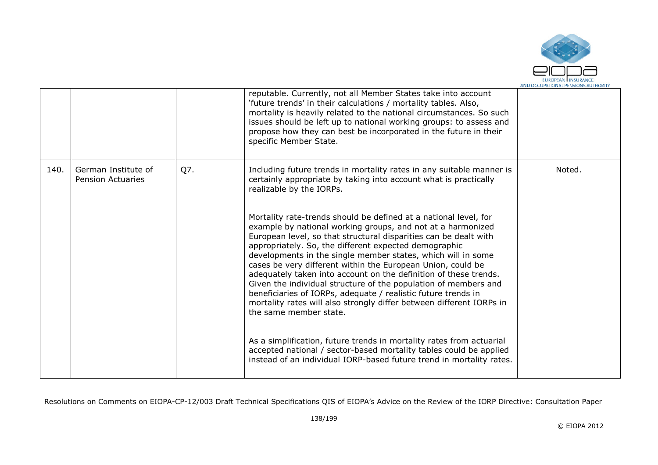

|      |                                                 |     | reputable. Currently, not all Member States take into account<br>'future trends' in their calculations / mortality tables. Also,<br>mortality is heavily related to the national circumstances. So such<br>issues should be left up to national working groups: to assess and<br>propose how they can best be incorporated in the future in their<br>specific Member State.                                                                                                                                                                                                                                                                                                                                                                                                                                                                         |        |
|------|-------------------------------------------------|-----|-----------------------------------------------------------------------------------------------------------------------------------------------------------------------------------------------------------------------------------------------------------------------------------------------------------------------------------------------------------------------------------------------------------------------------------------------------------------------------------------------------------------------------------------------------------------------------------------------------------------------------------------------------------------------------------------------------------------------------------------------------------------------------------------------------------------------------------------------------|--------|
| 140. | German Institute of<br><b>Pension Actuaries</b> | Q7. | Including future trends in mortality rates in any suitable manner is<br>certainly appropriate by taking into account what is practically<br>realizable by the IORPs.                                                                                                                                                                                                                                                                                                                                                                                                                                                                                                                                                                                                                                                                                | Noted. |
|      |                                                 |     | Mortality rate-trends should be defined at a national level, for<br>example by national working groups, and not at a harmonized<br>European level, so that structural disparities can be dealt with<br>appropriately. So, the different expected demographic<br>developments in the single member states, which will in some<br>cases be very different within the European Union, could be<br>adequately taken into account on the definition of these trends.<br>Given the individual structure of the population of members and<br>beneficiaries of IORPs, adequate / realistic future trends in<br>mortality rates will also strongly differ between different IORPs in<br>the same member state.<br>As a simplification, future trends in mortality rates from actuarial<br>accepted national / sector-based mortality tables could be applied |        |
|      |                                                 |     | instead of an individual IORP-based future trend in mortality rates.                                                                                                                                                                                                                                                                                                                                                                                                                                                                                                                                                                                                                                                                                                                                                                                |        |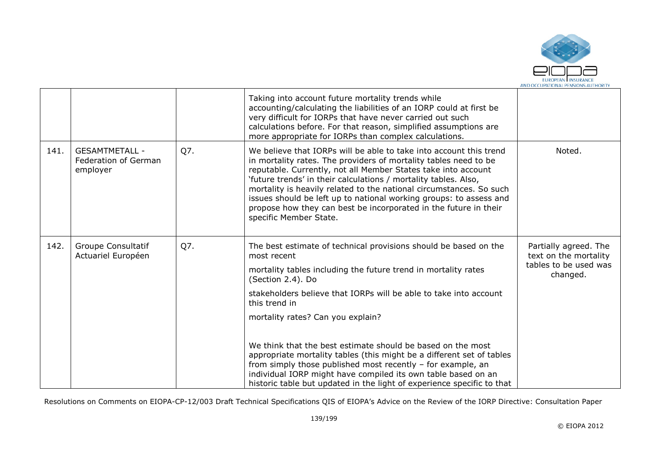

|      |                                                           |     | Taking into account future mortality trends while<br>accounting/calculating the liabilities of an IORP could at first be<br>very difficult for IORPs that have never carried out such<br>calculations before. For that reason, simplified assumptions are<br>more appropriate for IORPs than complex calculations.                                                                                                                                                                                                    |                                                |
|------|-----------------------------------------------------------|-----|-----------------------------------------------------------------------------------------------------------------------------------------------------------------------------------------------------------------------------------------------------------------------------------------------------------------------------------------------------------------------------------------------------------------------------------------------------------------------------------------------------------------------|------------------------------------------------|
| 141. | <b>GESAMTMETALL -</b><br>Federation of German<br>employer | Q7. | We believe that IORPs will be able to take into account this trend<br>in mortality rates. The providers of mortality tables need to be<br>reputable. Currently, not all Member States take into account<br>'future trends' in their calculations / mortality tables. Also,<br>mortality is heavily related to the national circumstances. So such<br>issues should be left up to national working groups: to assess and<br>propose how they can best be incorporated in the future in their<br>specific Member State. | Noted.                                         |
| 142. | Groupe Consultatif<br>Actuariel Européen                  | Q7. | The best estimate of technical provisions should be based on the<br>most recent                                                                                                                                                                                                                                                                                                                                                                                                                                       | Partially agreed. The<br>text on the mortality |
|      |                                                           |     | mortality tables including the future trend in mortality rates<br>(Section 2.4). Do                                                                                                                                                                                                                                                                                                                                                                                                                                   | tables to be used was<br>changed.              |
|      |                                                           |     | stakeholders believe that IORPs will be able to take into account<br>this trend in                                                                                                                                                                                                                                                                                                                                                                                                                                    |                                                |
|      |                                                           |     | mortality rates? Can you explain?                                                                                                                                                                                                                                                                                                                                                                                                                                                                                     |                                                |
|      |                                                           |     | We think that the best estimate should be based on the most<br>appropriate mortality tables (this might be a different set of tables<br>from simply those published most recently - for example, an<br>individual IORP might have compiled its own table based on an<br>historic table but updated in the light of experience specific to that                                                                                                                                                                        |                                                |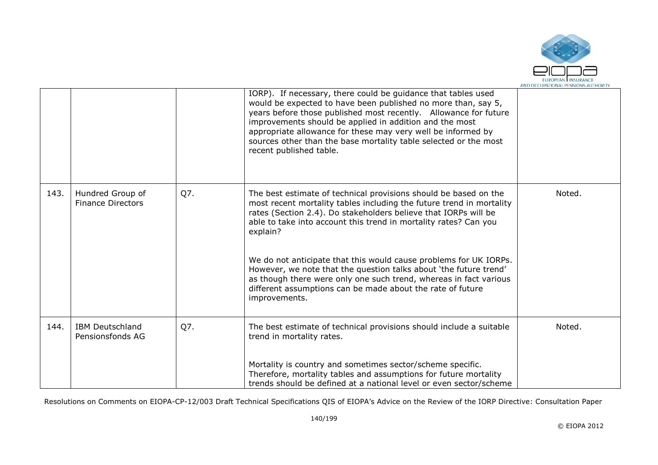

|      |                                              |     | IORP). If necessary, there could be guidance that tables used<br>would be expected to have been published no more than, say 5,<br>years before those published most recently. Allowance for future<br>improvements should be applied in addition and the most<br>appropriate allowance for these may very well be informed by<br>sources other than the base mortality table selected or the most<br>recent published table. |        |
|------|----------------------------------------------|-----|------------------------------------------------------------------------------------------------------------------------------------------------------------------------------------------------------------------------------------------------------------------------------------------------------------------------------------------------------------------------------------------------------------------------------|--------|
| 143. | Hundred Group of<br><b>Finance Directors</b> | Q7. | The best estimate of technical provisions should be based on the<br>most recent mortality tables including the future trend in mortality<br>rates (Section 2.4). Do stakeholders believe that IORPs will be<br>able to take into account this trend in mortality rates? Can you<br>explain?                                                                                                                                  | Noted. |
|      |                                              |     | We do not anticipate that this would cause problems for UK IORPs.<br>However, we note that the question talks about 'the future trend'<br>as though there were only one such trend, whereas in fact various<br>different assumptions can be made about the rate of future<br>improvements.                                                                                                                                   |        |
| 144. | <b>IBM Deutschland</b><br>Pensionsfonds AG   | Q7. | The best estimate of technical provisions should include a suitable<br>trend in mortality rates.                                                                                                                                                                                                                                                                                                                             | Noted. |
|      |                                              |     | Mortality is country and sometimes sector/scheme specific.<br>Therefore, mortality tables and assumptions for future mortality<br>trends should be defined at a national level or even sector/scheme                                                                                                                                                                                                                         |        |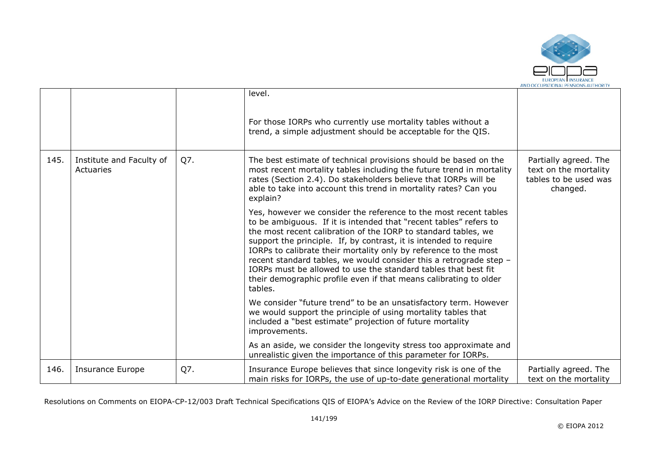

|      |                                       |     | level.<br>For those IORPs who currently use mortality tables without a<br>trend, a simple adjustment should be acceptable for the QIS.                                                                                                                                                                                                                                                                                                                                                                                                                                   |                                                                                     |
|------|---------------------------------------|-----|--------------------------------------------------------------------------------------------------------------------------------------------------------------------------------------------------------------------------------------------------------------------------------------------------------------------------------------------------------------------------------------------------------------------------------------------------------------------------------------------------------------------------------------------------------------------------|-------------------------------------------------------------------------------------|
| 145. | Institute and Faculty of<br>Actuaries | Q7. | The best estimate of technical provisions should be based on the<br>most recent mortality tables including the future trend in mortality<br>rates (Section 2.4). Do stakeholders believe that IORPs will be<br>able to take into account this trend in mortality rates? Can you<br>explain?                                                                                                                                                                                                                                                                              | Partially agreed. The<br>text on the mortality<br>tables to be used was<br>changed. |
|      |                                       |     | Yes, however we consider the reference to the most recent tables<br>to be ambiguous. If it is intended that "recent tables" refers to<br>the most recent calibration of the IORP to standard tables, we<br>support the principle. If, by contrast, it is intended to require<br>IORPs to calibrate their mortality only by reference to the most<br>recent standard tables, we would consider this a retrograde step -<br>IORPs must be allowed to use the standard tables that best fit<br>their demographic profile even if that means calibrating to older<br>tables. |                                                                                     |
|      |                                       |     | We consider "future trend" to be an unsatisfactory term. However<br>we would support the principle of using mortality tables that<br>included a "best estimate" projection of future mortality<br>improvements.                                                                                                                                                                                                                                                                                                                                                          |                                                                                     |
|      |                                       |     | As an aside, we consider the longevity stress too approximate and<br>unrealistic given the importance of this parameter for IORPs.                                                                                                                                                                                                                                                                                                                                                                                                                                       |                                                                                     |
| 146. | <b>Insurance Europe</b>               | Q7. | Insurance Europe believes that since longevity risk is one of the<br>main risks for IORPs, the use of up-to-date generational mortality                                                                                                                                                                                                                                                                                                                                                                                                                                  | Partially agreed. The<br>text on the mortality                                      |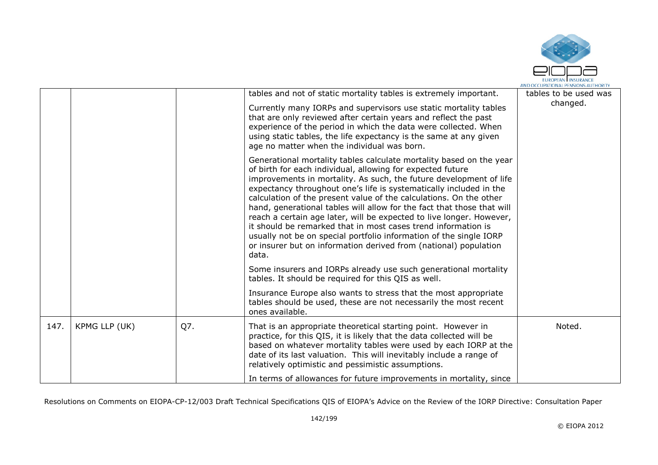

|      |               |     | tables and not of static mortality tables is extremely important.<br>Currently many IORPs and supervisors use static mortality tables<br>that are only reviewed after certain years and reflect the past<br>experience of the period in which the data were collected. When<br>using static tables, the life expectancy is the same at any given<br>age no matter when the individual was born.                                                                                                                                                                                                                                                                                                                           | tables to be used was<br>changed. |
|------|---------------|-----|---------------------------------------------------------------------------------------------------------------------------------------------------------------------------------------------------------------------------------------------------------------------------------------------------------------------------------------------------------------------------------------------------------------------------------------------------------------------------------------------------------------------------------------------------------------------------------------------------------------------------------------------------------------------------------------------------------------------------|-----------------------------------|
|      |               |     | Generational mortality tables calculate mortality based on the year<br>of birth for each individual, allowing for expected future<br>improvements in mortality. As such, the future development of life<br>expectancy throughout one's life is systematically included in the<br>calculation of the present value of the calculations. On the other<br>hand, generational tables will allow for the fact that those that will<br>reach a certain age later, will be expected to live longer. However,<br>it should be remarked that in most cases trend information is<br>usually not be on special portfolio information of the single IORP<br>or insurer but on information derived from (national) population<br>data. |                                   |
|      |               |     | Some insurers and IORPs already use such generational mortality<br>tables. It should be required for this QIS as well.                                                                                                                                                                                                                                                                                                                                                                                                                                                                                                                                                                                                    |                                   |
|      |               |     | Insurance Europe also wants to stress that the most appropriate<br>tables should be used, these are not necessarily the most recent<br>ones available.                                                                                                                                                                                                                                                                                                                                                                                                                                                                                                                                                                    |                                   |
| 147. | KPMG LLP (UK) | Q7. | That is an appropriate theoretical starting point. However in<br>practice, for this QIS, it is likely that the data collected will be<br>based on whatever mortality tables were used by each IORP at the<br>date of its last valuation. This will inevitably include a range of<br>relatively optimistic and pessimistic assumptions.                                                                                                                                                                                                                                                                                                                                                                                    | Noted.                            |
|      |               |     | In terms of allowances for future improvements in mortality, since                                                                                                                                                                                                                                                                                                                                                                                                                                                                                                                                                                                                                                                        |                                   |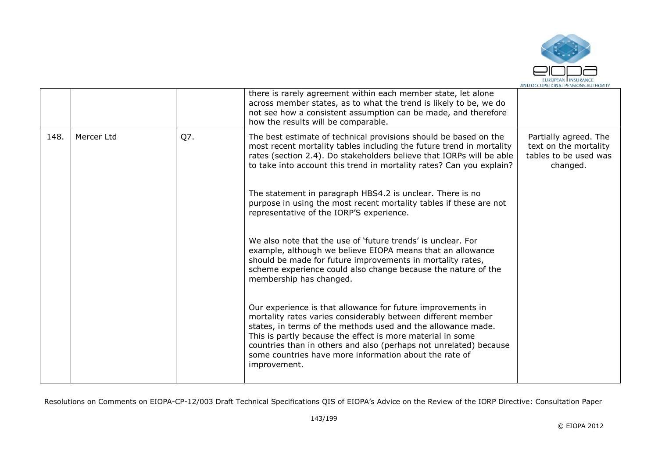

|      |            |     | there is rarely agreement within each member state, let alone<br>across member states, as to what the trend is likely to be, we do<br>not see how a consistent assumption can be made, and therefore<br>how the results will be comparable.                                                                                                                                                              |                                                                                     |
|------|------------|-----|----------------------------------------------------------------------------------------------------------------------------------------------------------------------------------------------------------------------------------------------------------------------------------------------------------------------------------------------------------------------------------------------------------|-------------------------------------------------------------------------------------|
| 148. | Mercer Ltd | Q7. | The best estimate of technical provisions should be based on the<br>most recent mortality tables including the future trend in mortality<br>rates (section 2.4). Do stakeholders believe that IORPs will be able<br>to take into account this trend in mortality rates? Can you explain?                                                                                                                 | Partially agreed. The<br>text on the mortality<br>tables to be used was<br>changed. |
|      |            |     | The statement in paragraph HBS4.2 is unclear. There is no<br>purpose in using the most recent mortality tables if these are not<br>representative of the IORP'S experience.                                                                                                                                                                                                                              |                                                                                     |
|      |            |     | We also note that the use of 'future trends' is unclear. For<br>example, although we believe EIOPA means that an allowance<br>should be made for future improvements in mortality rates,<br>scheme experience could also change because the nature of the<br>membership has changed.                                                                                                                     |                                                                                     |
|      |            |     | Our experience is that allowance for future improvements in<br>mortality rates varies considerably between different member<br>states, in terms of the methods used and the allowance made.<br>This is partly because the effect is more material in some<br>countries than in others and also (perhaps not unrelated) because<br>some countries have more information about the rate of<br>improvement. |                                                                                     |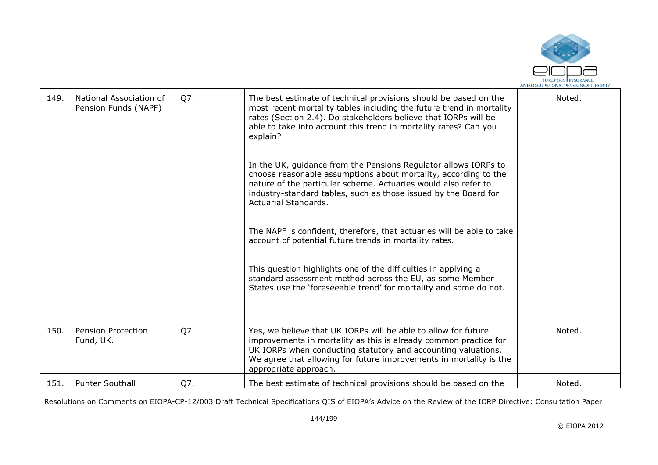

| 149. | National Association of<br>Pension Funds (NAPF) | Q7. | The best estimate of technical provisions should be based on the<br>most recent mortality tables including the future trend in mortality<br>rates (Section 2.4). Do stakeholders believe that IORPs will be<br>able to take into account this trend in mortality rates? Can you<br>explain?<br>In the UK, guidance from the Pensions Regulator allows IORPs to<br>choose reasonable assumptions about mortality, according to the<br>nature of the particular scheme. Actuaries would also refer to<br>industry-standard tables, such as those issued by the Board for<br>Actuarial Standards.<br>The NAPF is confident, therefore, that actuaries will be able to take<br>account of potential future trends in mortality rates.<br>This question highlights one of the difficulties in applying a<br>standard assessment method across the EU, as some Member<br>States use the 'foreseeable trend' for mortality and some do not. | Noted. |
|------|-------------------------------------------------|-----|--------------------------------------------------------------------------------------------------------------------------------------------------------------------------------------------------------------------------------------------------------------------------------------------------------------------------------------------------------------------------------------------------------------------------------------------------------------------------------------------------------------------------------------------------------------------------------------------------------------------------------------------------------------------------------------------------------------------------------------------------------------------------------------------------------------------------------------------------------------------------------------------------------------------------------------|--------|
| 150. | <b>Pension Protection</b><br>Fund, UK.          | Q7. | Yes, we believe that UK IORPs will be able to allow for future<br>improvements in mortality as this is already common practice for<br>UK IORPs when conducting statutory and accounting valuations.<br>We agree that allowing for future improvements in mortality is the                                                                                                                                                                                                                                                                                                                                                                                                                                                                                                                                                                                                                                                            | Noted. |
| 151. | <b>Punter Southall</b>                          | Q7. | appropriate approach.<br>The best estimate of technical provisions should be based on the                                                                                                                                                                                                                                                                                                                                                                                                                                                                                                                                                                                                                                                                                                                                                                                                                                            | Noted. |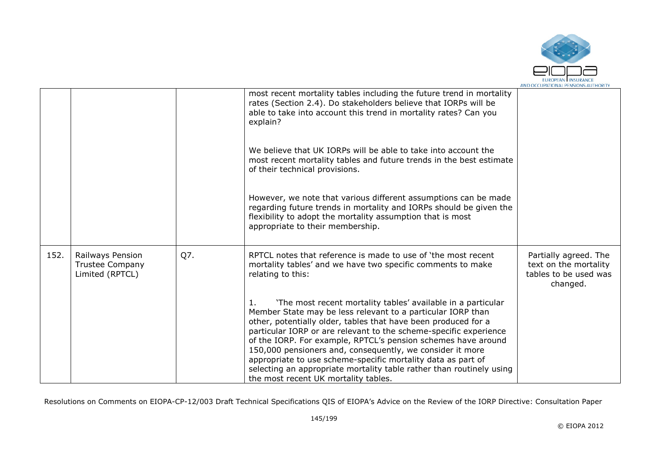

|      |                                                               |     | most recent mortality tables including the future trend in mortality<br>rates (Section 2.4). Do stakeholders believe that IORPs will be<br>able to take into account this trend in mortality rates? Can you<br>explain?                                                                                                                                                                                                                                                                                                                                                                |                                                                                     |
|------|---------------------------------------------------------------|-----|----------------------------------------------------------------------------------------------------------------------------------------------------------------------------------------------------------------------------------------------------------------------------------------------------------------------------------------------------------------------------------------------------------------------------------------------------------------------------------------------------------------------------------------------------------------------------------------|-------------------------------------------------------------------------------------|
|      |                                                               |     | We believe that UK IORPs will be able to take into account the<br>most recent mortality tables and future trends in the best estimate<br>of their technical provisions.                                                                                                                                                                                                                                                                                                                                                                                                                |                                                                                     |
|      |                                                               |     | However, we note that various different assumptions can be made<br>regarding future trends in mortality and IORPs should be given the<br>flexibility to adopt the mortality assumption that is most<br>appropriate to their membership.                                                                                                                                                                                                                                                                                                                                                |                                                                                     |
| 152. | Railways Pension<br><b>Trustee Company</b><br>Limited (RPTCL) | Q7. | RPTCL notes that reference is made to use of 'the most recent<br>mortality tables' and we have two specific comments to make<br>relating to this:                                                                                                                                                                                                                                                                                                                                                                                                                                      | Partially agreed. The<br>text on the mortality<br>tables to be used was<br>changed. |
|      |                                                               |     | 'The most recent mortality tables' available in a particular<br>1.<br>Member State may be less relevant to a particular IORP than<br>other, potentially older, tables that have been produced for a<br>particular IORP or are relevant to the scheme-specific experience<br>of the IORP. For example, RPTCL's pension schemes have around<br>150,000 pensioners and, consequently, we consider it more<br>appropriate to use scheme-specific mortality data as part of<br>selecting an appropriate mortality table rather than routinely using<br>the most recent UK mortality tables. |                                                                                     |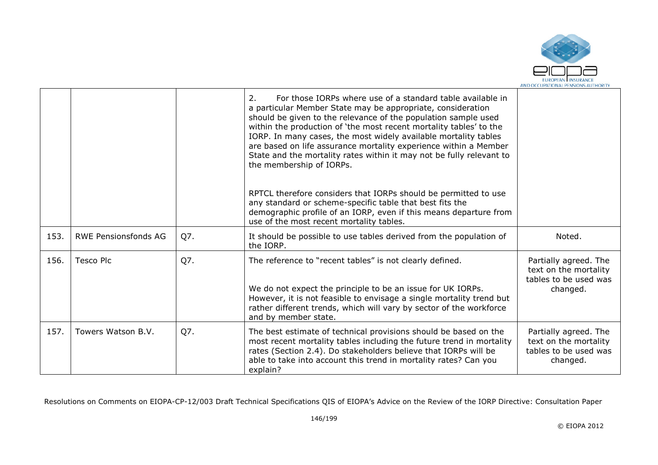

|      |                             |     | 2.<br>For those IORPs where use of a standard table available in<br>a particular Member State may be appropriate, consideration<br>should be given to the relevance of the population sample used<br>within the production of 'the most recent mortality tables' to the<br>IORP. In many cases, the most widely available mortality tables<br>are based on life assurance mortality experience within a Member<br>State and the mortality rates within it may not be fully relevant to<br>the membership of IORPs. |                                                                                     |
|------|-----------------------------|-----|--------------------------------------------------------------------------------------------------------------------------------------------------------------------------------------------------------------------------------------------------------------------------------------------------------------------------------------------------------------------------------------------------------------------------------------------------------------------------------------------------------------------|-------------------------------------------------------------------------------------|
|      |                             |     | RPTCL therefore considers that IORPs should be permitted to use<br>any standard or scheme-specific table that best fits the<br>demographic profile of an IORP, even if this means departure from<br>use of the most recent mortality tables.                                                                                                                                                                                                                                                                       |                                                                                     |
| 153. | <b>RWE Pensionsfonds AG</b> | Q7. | It should be possible to use tables derived from the population of<br>the IORP.                                                                                                                                                                                                                                                                                                                                                                                                                                    | Noted.                                                                              |
| 156. | <b>Tesco Plc</b>            | Q7. | The reference to "recent tables" is not clearly defined.<br>We do not expect the principle to be an issue for UK IORPs.<br>However, it is not feasible to envisage a single mortality trend but<br>rather different trends, which will vary by sector of the workforce<br>and by member state.                                                                                                                                                                                                                     | Partially agreed. The<br>text on the mortality<br>tables to be used was<br>changed. |
| 157. | Towers Watson B.V.          | Q7. | The best estimate of technical provisions should be based on the<br>most recent mortality tables including the future trend in mortality<br>rates (Section 2.4). Do stakeholders believe that IORPs will be<br>able to take into account this trend in mortality rates? Can you<br>explain?                                                                                                                                                                                                                        | Partially agreed. The<br>text on the mortality<br>tables to be used was<br>changed. |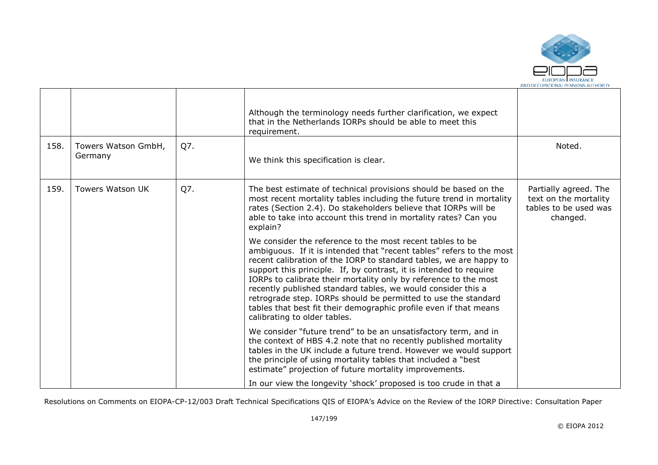

| 158. | Towers Watson GmbH,<br>Germany | Q7. | Although the terminology needs further clarification, we expect<br>that in the Netherlands IORPs should be able to meet this<br>requirement.<br>We think this specification is clear.                                                                                                                                                                                                                                                                                                                                                                                                    | Noted.                                                                              |
|------|--------------------------------|-----|------------------------------------------------------------------------------------------------------------------------------------------------------------------------------------------------------------------------------------------------------------------------------------------------------------------------------------------------------------------------------------------------------------------------------------------------------------------------------------------------------------------------------------------------------------------------------------------|-------------------------------------------------------------------------------------|
| 159. | <b>Towers Watson UK</b>        | Q7. | The best estimate of technical provisions should be based on the<br>most recent mortality tables including the future trend in mortality<br>rates (Section 2.4). Do stakeholders believe that IORPs will be<br>able to take into account this trend in mortality rates? Can you<br>explain?                                                                                                                                                                                                                                                                                              | Partially agreed. The<br>text on the mortality<br>tables to be used was<br>changed. |
|      |                                |     | We consider the reference to the most recent tables to be<br>ambiguous. If it is intended that "recent tables" refers to the most<br>recent calibration of the IORP to standard tables, we are happy to<br>support this principle. If, by contrast, it is intended to require<br>IORPs to calibrate their mortality only by reference to the most<br>recently published standard tables, we would consider this a<br>retrograde step. IORPs should be permitted to use the standard<br>tables that best fit their demographic profile even if that means<br>calibrating to older tables. |                                                                                     |
|      |                                |     | We consider "future trend" to be an unsatisfactory term, and in<br>the context of HBS 4.2 note that no recently published mortality<br>tables in the UK include a future trend. However we would support<br>the principle of using mortality tables that included a "best"<br>estimate" projection of future mortality improvements.<br>In our view the longevity 'shock' proposed is too crude in that a                                                                                                                                                                                |                                                                                     |

- 17

т

┱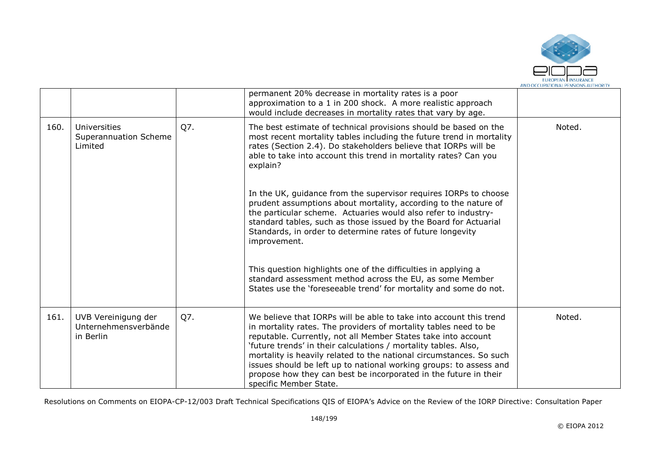

|      |                                                          |     | permanent 20% decrease in mortality rates is a poor<br>approximation to a 1 in 200 shock. A more realistic approach<br>would include decreases in mortality rates that vary by age.                                                                                                                                                                                                                                                                                                                                   |        |
|------|----------------------------------------------------------|-----|-----------------------------------------------------------------------------------------------------------------------------------------------------------------------------------------------------------------------------------------------------------------------------------------------------------------------------------------------------------------------------------------------------------------------------------------------------------------------------------------------------------------------|--------|
| 160. | Universities<br>Superannuation Scheme<br>Limited         | Q7. | The best estimate of technical provisions should be based on the<br>most recent mortality tables including the future trend in mortality<br>rates (Section 2.4). Do stakeholders believe that IORPs will be<br>able to take into account this trend in mortality rates? Can you<br>explain?                                                                                                                                                                                                                           | Noted. |
|      |                                                          |     | In the UK, guidance from the supervisor requires IORPs to choose<br>prudent assumptions about mortality, according to the nature of<br>the particular scheme. Actuaries would also refer to industry-<br>standard tables, such as those issued by the Board for Actuarial<br>Standards, in order to determine rates of future longevity<br>improvement.                                                                                                                                                               |        |
|      |                                                          |     | This question highlights one of the difficulties in applying a<br>standard assessment method across the EU, as some Member<br>States use the 'foreseeable trend' for mortality and some do not.                                                                                                                                                                                                                                                                                                                       |        |
| 161. | UVB Vereinigung der<br>Unternehmensverbände<br>in Berlin | Q7. | We believe that IORPs will be able to take into account this trend<br>in mortality rates. The providers of mortality tables need to be<br>reputable. Currently, not all Member States take into account<br>'future trends' in their calculations / mortality tables. Also,<br>mortality is heavily related to the national circumstances. So such<br>issues should be left up to national working groups: to assess and<br>propose how they can best be incorporated in the future in their<br>specific Member State. | Noted. |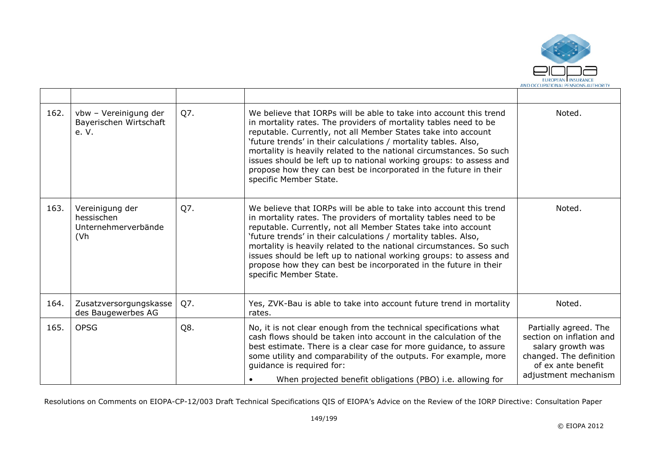

| 162. | vbw - Vereinigung der<br>Bayerischen Wirtschaft<br>e. V.                  | Q7. | We believe that IORPs will be able to take into account this trend<br>in mortality rates. The providers of mortality tables need to be<br>reputable. Currently, not all Member States take into account<br>'future trends' in their calculations / mortality tables. Also,<br>mortality is heavily related to the national circumstances. So such<br>issues should be left up to national working groups: to assess and<br>propose how they can best be incorporated in the future in their<br>specific Member State. | Noted.                                                                                                                                          |
|------|---------------------------------------------------------------------------|-----|-----------------------------------------------------------------------------------------------------------------------------------------------------------------------------------------------------------------------------------------------------------------------------------------------------------------------------------------------------------------------------------------------------------------------------------------------------------------------------------------------------------------------|-------------------------------------------------------------------------------------------------------------------------------------------------|
| 163. | Vereinigung der<br>hessischen<br>Unternehmerverbände<br>(V <sub>h</sub> ) | Q7. | We believe that IORPs will be able to take into account this trend<br>in mortality rates. The providers of mortality tables need to be<br>reputable. Currently, not all Member States take into account<br>'future trends' in their calculations / mortality tables. Also,<br>mortality is heavily related to the national circumstances. So such<br>issues should be left up to national working groups: to assess and<br>propose how they can best be incorporated in the future in their<br>specific Member State. | Noted.                                                                                                                                          |
| 164. | Zusatzversorgungskasse<br>des Baugewerbes AG                              | Q7. | Yes, ZVK-Bau is able to take into account future trend in mortality<br>rates.                                                                                                                                                                                                                                                                                                                                                                                                                                         | Noted.                                                                                                                                          |
| 165. | <b>OPSG</b>                                                               | Q8. | No, it is not clear enough from the technical specifications what<br>cash flows should be taken into account in the calculation of the<br>best estimate. There is a clear case for more guidance, to assure<br>some utility and comparability of the outputs. For example, more<br>guidance is required for:<br>When projected benefit obligations (PBO) i.e. allowing for                                                                                                                                            | Partially agreed. The<br>section on inflation and<br>salary growth was<br>changed. The definition<br>of ex ante benefit<br>adjustment mechanism |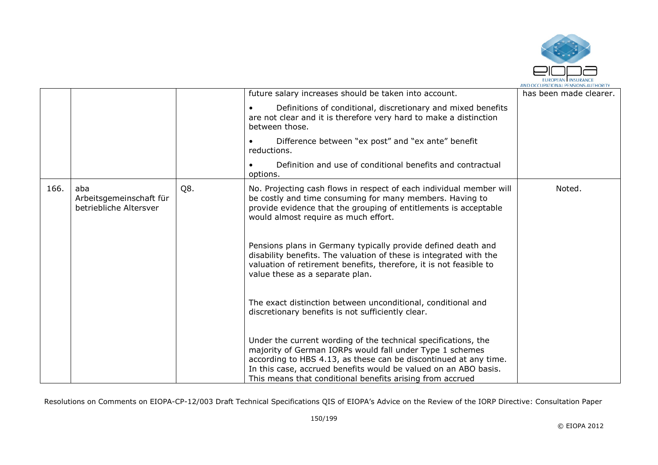

|      |                                                          |     | future salary increases should be taken into account.                                                                                                                                                                                                                                                                          | has been made clearer. |
|------|----------------------------------------------------------|-----|--------------------------------------------------------------------------------------------------------------------------------------------------------------------------------------------------------------------------------------------------------------------------------------------------------------------------------|------------------------|
|      |                                                          |     | Definitions of conditional, discretionary and mixed benefits<br>are not clear and it is therefore very hard to make a distinction<br>between those.                                                                                                                                                                            |                        |
|      |                                                          |     | Difference between "ex post" and "ex ante" benefit<br>reductions.                                                                                                                                                                                                                                                              |                        |
|      |                                                          |     | Definition and use of conditional benefits and contractual<br>options.                                                                                                                                                                                                                                                         |                        |
| 166. | aba<br>Arbeitsgemeinschaft für<br>betriebliche Altersver | Q8. | No. Projecting cash flows in respect of each individual member will<br>be costly and time consuming for many members. Having to<br>provide evidence that the grouping of entitlements is acceptable<br>would almost require as much effort.                                                                                    | Noted.                 |
|      |                                                          |     | Pensions plans in Germany typically provide defined death and<br>disability benefits. The valuation of these is integrated with the<br>valuation of retirement benefits, therefore, it is not feasible to<br>value these as a separate plan.                                                                                   |                        |
|      |                                                          |     | The exact distinction between unconditional, conditional and<br>discretionary benefits is not sufficiently clear.                                                                                                                                                                                                              |                        |
|      |                                                          |     | Under the current wording of the technical specifications, the<br>majority of German IORPs would fall under Type 1 schemes<br>according to HBS 4.13, as these can be discontinued at any time.<br>In this case, accrued benefits would be valued on an ABO basis.<br>This means that conditional benefits arising from accrued |                        |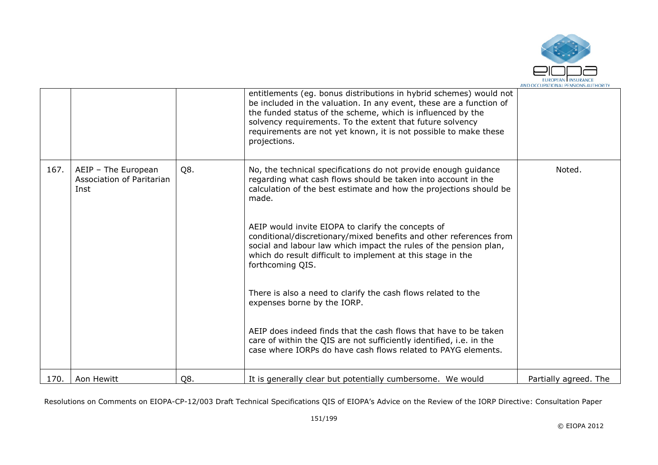

|      |                                                          |     | entitlements (eg. bonus distributions in hybrid schemes) would not<br>be included in the valuation. In any event, these are a function of<br>the funded status of the scheme, which is influenced by the<br>solvency requirements. To the extent that future solvency<br>requirements are not yet known, it is not possible to make these<br>projections.                                                                                                                                                                                                                                                                                                                                                                                      |                       |
|------|----------------------------------------------------------|-----|------------------------------------------------------------------------------------------------------------------------------------------------------------------------------------------------------------------------------------------------------------------------------------------------------------------------------------------------------------------------------------------------------------------------------------------------------------------------------------------------------------------------------------------------------------------------------------------------------------------------------------------------------------------------------------------------------------------------------------------------|-----------------------|
| 167. | AEIP - The European<br>Association of Paritarian<br>Inst | Q8. | No, the technical specifications do not provide enough guidance<br>regarding what cash flows should be taken into account in the<br>calculation of the best estimate and how the projections should be<br>made.<br>AEIP would invite EIOPA to clarify the concepts of<br>conditional/discretionary/mixed benefits and other references from<br>social and labour law which impact the rules of the pension plan,<br>which do result difficult to implement at this stage in the<br>forthcoming QIS.<br>There is also a need to clarify the cash flows related to the<br>expenses borne by the IORP.<br>AEIP does indeed finds that the cash flows that have to be taken<br>care of within the QIS are not sufficiently identified, i.e. in the | Noted.                |
| 170. | Aon Hewitt                                               | Q8. | case where IORPs do have cash flows related to PAYG elements.<br>It is generally clear but potentially cumbersome. We would                                                                                                                                                                                                                                                                                                                                                                                                                                                                                                                                                                                                                    | Partially agreed. The |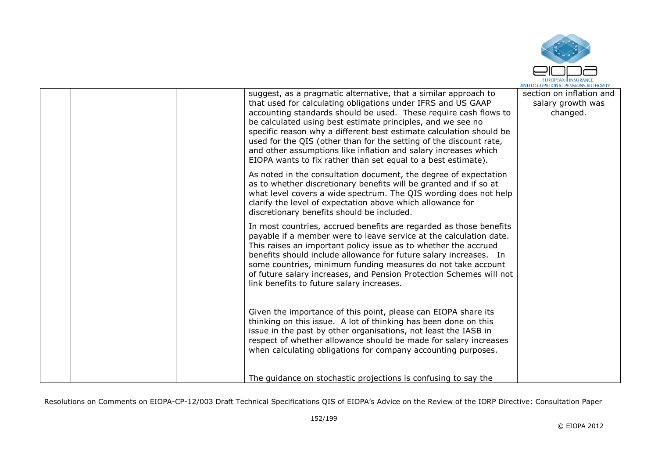

|  | suggest, as a pragmatic alternative, that a similar approach to<br>that used for calculating obligations under IFRS and US GAAP<br>accounting standards should be used. These require cash flows to<br>be calculated using best estimate principles, and we see no<br>specific reason why a different best estimate calculation should be<br>used for the QIS (other than for the setting of the discount rate,<br>and other assumptions like inflation and salary increases which<br>EIOPA wants to fix rather than set equal to a best estimate). | section on inflation and<br>salary growth was<br>changed. |
|--|-----------------------------------------------------------------------------------------------------------------------------------------------------------------------------------------------------------------------------------------------------------------------------------------------------------------------------------------------------------------------------------------------------------------------------------------------------------------------------------------------------------------------------------------------------|-----------------------------------------------------------|
|  | As noted in the consultation document, the degree of expectation<br>as to whether discretionary benefits will be granted and if so at<br>what level covers a wide spectrum. The QIS wording does not help<br>clarify the level of expectation above which allowance for<br>discretionary benefits should be included.                                                                                                                                                                                                                               |                                                           |
|  | In most countries, accrued benefits are regarded as those benefits<br>payable if a member were to leave service at the calculation date.<br>This raises an important policy issue as to whether the accrued<br>benefits should include allowance for future salary increases. In<br>some countries, minimum funding measures do not take account<br>of future salary increases, and Pension Protection Schemes will not<br>link benefits to future salary increases.                                                                                |                                                           |
|  | Given the importance of this point, please can EIOPA share its<br>thinking on this issue. A lot of thinking has been done on this<br>issue in the past by other organisations, not least the IASB in<br>respect of whether allowance should be made for salary increases<br>when calculating obligations for company accounting purposes.                                                                                                                                                                                                           |                                                           |
|  | The guidance on stochastic projections is confusing to say the                                                                                                                                                                                                                                                                                                                                                                                                                                                                                      |                                                           |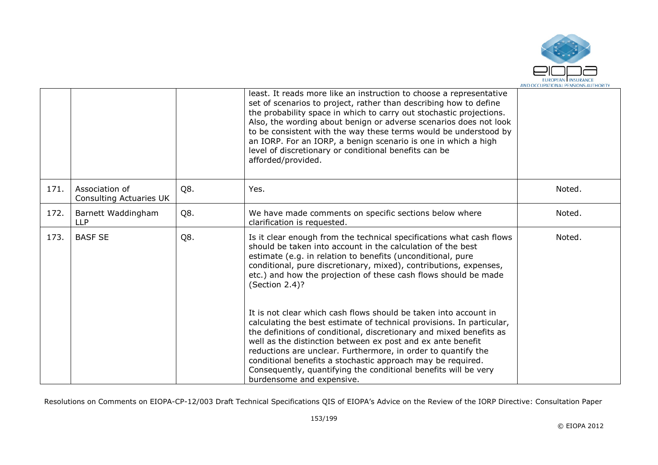

|      |                                                  |     | least. It reads more like an instruction to choose a representative<br>set of scenarios to project, rather than describing how to define<br>the probability space in which to carry out stochastic projections.<br>Also, the wording about benign or adverse scenarios does not look<br>to be consistent with the way these terms would be understood by<br>an IORP. For an IORP, a benign scenario is one in which a high<br>level of discretionary or conditional benefits can be<br>afforded/provided.       |        |
|------|--------------------------------------------------|-----|-----------------------------------------------------------------------------------------------------------------------------------------------------------------------------------------------------------------------------------------------------------------------------------------------------------------------------------------------------------------------------------------------------------------------------------------------------------------------------------------------------------------|--------|
| 171. | Association of<br><b>Consulting Actuaries UK</b> | Q8. | Yes.                                                                                                                                                                                                                                                                                                                                                                                                                                                                                                            | Noted. |
| 172. | Barnett Waddingham<br><b>LLP</b>                 | Q8. | We have made comments on specific sections below where<br>clarification is requested.                                                                                                                                                                                                                                                                                                                                                                                                                           | Noted. |
| 173. | <b>BASF SE</b>                                   | Q8. | Is it clear enough from the technical specifications what cash flows<br>should be taken into account in the calculation of the best<br>estimate (e.g. in relation to benefits (unconditional, pure<br>conditional, pure discretionary, mixed), contributions, expenses,<br>etc.) and how the projection of these cash flows should be made<br>(Section 2.4)?                                                                                                                                                    | Noted. |
|      |                                                  |     | It is not clear which cash flows should be taken into account in<br>calculating the best estimate of technical provisions. In particular,<br>the definitions of conditional, discretionary and mixed benefits as<br>well as the distinction between ex post and ex ante benefit<br>reductions are unclear. Furthermore, in order to quantify the<br>conditional benefits a stochastic approach may be required.<br>Consequently, quantifying the conditional benefits will be very<br>burdensome and expensive. |        |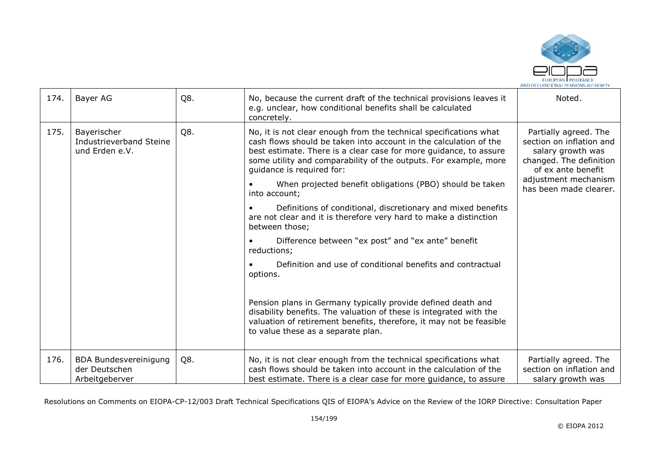

| 174. | Bayer AG                                                        | Q8. | No, because the current draft of the technical provisions leaves it<br>e.g. unclear, how conditional benefits shall be calculated<br>concretely.                                                                                                                                                                                                                                                                                                                                                                                                                                                                                                                                                                                                                                                                                                                                                                                                   | Noted.                                                                                                                                                                    |
|------|-----------------------------------------------------------------|-----|----------------------------------------------------------------------------------------------------------------------------------------------------------------------------------------------------------------------------------------------------------------------------------------------------------------------------------------------------------------------------------------------------------------------------------------------------------------------------------------------------------------------------------------------------------------------------------------------------------------------------------------------------------------------------------------------------------------------------------------------------------------------------------------------------------------------------------------------------------------------------------------------------------------------------------------------------|---------------------------------------------------------------------------------------------------------------------------------------------------------------------------|
| 175. | Bayerischer<br>Industrieverband Steine<br>und Erden e.V.        | Q8. | No, it is not clear enough from the technical specifications what<br>cash flows should be taken into account in the calculation of the<br>best estimate. There is a clear case for more guidance, to assure<br>some utility and comparability of the outputs. For example, more<br>quidance is required for:<br>When projected benefit obligations (PBO) should be taken<br>into account;<br>Definitions of conditional, discretionary and mixed benefits<br>are not clear and it is therefore very hard to make a distinction<br>between those;<br>Difference between "ex post" and "ex ante" benefit<br>reductions;<br>Definition and use of conditional benefits and contractual<br>options.<br>Pension plans in Germany typically provide defined death and<br>disability benefits. The valuation of these is integrated with the<br>valuation of retirement benefits, therefore, it may not be feasible<br>to value these as a separate plan. | Partially agreed. The<br>section on inflation and<br>salary growth was<br>changed. The definition<br>of ex ante benefit<br>adjustment mechanism<br>has been made clearer. |
| 176. | <b>BDA Bundesvereinigung</b><br>der Deutschen<br>Arbeitgeberver | Q8. | No, it is not clear enough from the technical specifications what<br>cash flows should be taken into account in the calculation of the<br>best estimate. There is a clear case for more guidance, to assure                                                                                                                                                                                                                                                                                                                                                                                                                                                                                                                                                                                                                                                                                                                                        | Partially agreed. The<br>section on inflation and<br>salary growth was                                                                                                    |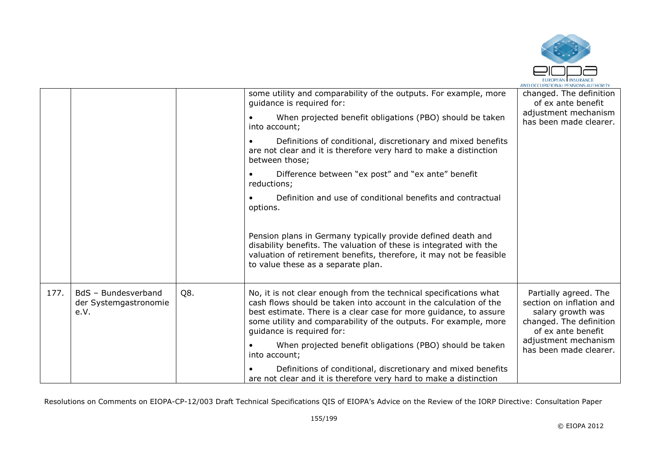

|      |                                                      |     |                                                                                                                                                                                                                                                                                                              | AND OLLUPATIONAL PENSIONS AUTHORITY                                                                                     |
|------|------------------------------------------------------|-----|--------------------------------------------------------------------------------------------------------------------------------------------------------------------------------------------------------------------------------------------------------------------------------------------------------------|-------------------------------------------------------------------------------------------------------------------------|
|      |                                                      |     | some utility and comparability of the outputs. For example, more<br>quidance is required for:                                                                                                                                                                                                                | changed. The definition<br>of ex ante benefit<br>adjustment mechanism<br>has been made clearer.                         |
|      |                                                      |     | When projected benefit obligations (PBO) should be taken<br>into account;                                                                                                                                                                                                                                    |                                                                                                                         |
|      |                                                      |     | Definitions of conditional, discretionary and mixed benefits<br>are not clear and it is therefore very hard to make a distinction<br>between those;                                                                                                                                                          |                                                                                                                         |
|      |                                                      |     | Difference between "ex post" and "ex ante" benefit<br>reductions;                                                                                                                                                                                                                                            |                                                                                                                         |
|      |                                                      |     | Definition and use of conditional benefits and contractual<br>options.                                                                                                                                                                                                                                       |                                                                                                                         |
|      |                                                      |     | Pension plans in Germany typically provide defined death and<br>disability benefits. The valuation of these is integrated with the<br>valuation of retirement benefits, therefore, it may not be feasible<br>to value these as a separate plan.                                                              |                                                                                                                         |
| 177. | BdS - Bundesverband<br>der Systemgastronomie<br>e.V. | Q8. | No, it is not clear enough from the technical specifications what<br>cash flows should be taken into account in the calculation of the<br>best estimate. There is a clear case for more quidance, to assure<br>some utility and comparability of the outputs. For example, more<br>guidance is required for: | Partially agreed. The<br>section on inflation and<br>salary growth was<br>changed. The definition<br>of ex ante benefit |
|      |                                                      |     | When projected benefit obligations (PBO) should be taken<br>into account;                                                                                                                                                                                                                                    | adjustment mechanism<br>has been made clearer.                                                                          |
|      |                                                      |     | Definitions of conditional, discretionary and mixed benefits<br>are not clear and it is therefore very hard to make a distinction                                                                                                                                                                            |                                                                                                                         |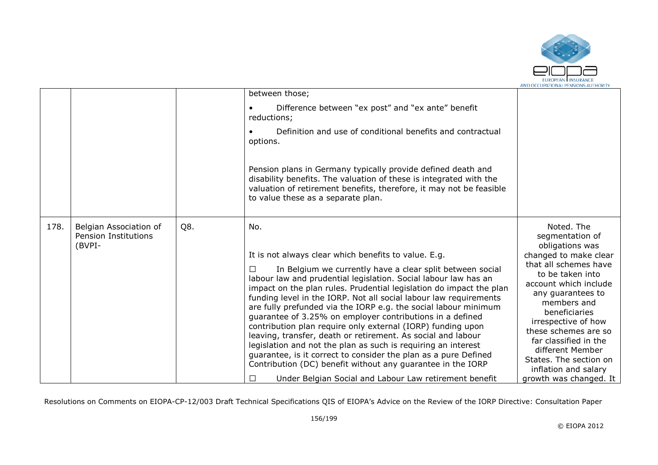

|      |                                                          |     | between those;<br>Difference between "ex post" and "ex ante" benefit<br>reductions;<br>Definition and use of conditional benefits and contractual<br>options.<br>Pension plans in Germany typically provide defined death and<br>disability benefits. The valuation of these is integrated with the<br>valuation of retirement benefits, therefore, it may not be feasible<br>to value these as a separate plan.                                                                                                                                                                                                                                                                                                                                                                                                                                                    |                                                                                                                                                                                                                                                                                                                                                                              |
|------|----------------------------------------------------------|-----|---------------------------------------------------------------------------------------------------------------------------------------------------------------------------------------------------------------------------------------------------------------------------------------------------------------------------------------------------------------------------------------------------------------------------------------------------------------------------------------------------------------------------------------------------------------------------------------------------------------------------------------------------------------------------------------------------------------------------------------------------------------------------------------------------------------------------------------------------------------------|------------------------------------------------------------------------------------------------------------------------------------------------------------------------------------------------------------------------------------------------------------------------------------------------------------------------------------------------------------------------------|
| 178. | Belgian Association of<br>Pension Institutions<br>(BVPI- | Q8. | No.<br>It is not always clear which benefits to value. E.g.<br>In Belgium we currently have a clear split between social<br>labour law and prudential legislation. Social labour law has an<br>impact on the plan rules. Prudential legislation do impact the plan<br>funding level in the IORP. Not all social labour law requirements<br>are fully prefunded via the IORP e.g. the social labour minimum<br>guarantee of 3.25% on employer contributions in a defined<br>contribution plan require only external (IORP) funding upon<br>leaving, transfer, death or retirement. As social and labour<br>legislation and not the plan as such is requiring an interest<br>guarantee, is it correct to consider the plan as a pure Defined<br>Contribution (DC) benefit without any guarantee in the IORP<br>Under Belgian Social and Labour Law retirement benefit | Noted. The<br>segmentation of<br>obligations was<br>changed to make clear<br>that all schemes have<br>to be taken into<br>account which include<br>any guarantees to<br>members and<br>beneficiaries<br>irrespective of how<br>these schemes are so<br>far classified in the<br>different Member<br>States. The section on<br>inflation and salary<br>growth was changed. It |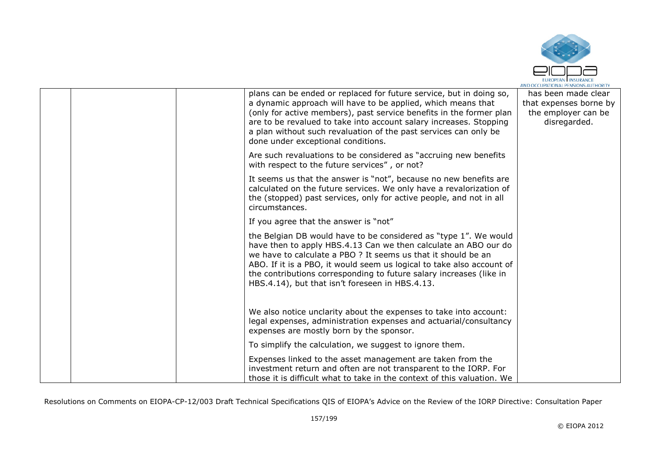

|  | plans can be ended or replaced for future service, but in doing so,<br>a dynamic approach will have to be applied, which means that<br>(only for active members), past service benefits in the former plan<br>are to be revalued to take into account salary increases. Stopping<br>a plan without such revaluation of the past services can only be<br>done under exceptional conditions.              | has been made clear<br>that expenses borne by<br>the employer can be<br>disregarded. |
|--|---------------------------------------------------------------------------------------------------------------------------------------------------------------------------------------------------------------------------------------------------------------------------------------------------------------------------------------------------------------------------------------------------------|--------------------------------------------------------------------------------------|
|  | Are such revaluations to be considered as "accruing new benefits"<br>with respect to the future services", or not?                                                                                                                                                                                                                                                                                      |                                                                                      |
|  | It seems us that the answer is "not", because no new benefits are<br>calculated on the future services. We only have a revalorization of<br>the (stopped) past services, only for active people, and not in all<br>circumstances.                                                                                                                                                                       |                                                                                      |
|  | If you agree that the answer is "not"                                                                                                                                                                                                                                                                                                                                                                   |                                                                                      |
|  | the Belgian DB would have to be considered as "type 1". We would<br>have then to apply HBS.4.13 Can we then calculate an ABO our do<br>we have to calculate a PBO ? It seems us that it should be an<br>ABO. If it is a PBO, it would seem us logical to take also account of<br>the contributions corresponding to future salary increases (like in<br>HBS.4.14), but that isn't foreseen in HBS.4.13. |                                                                                      |
|  | We also notice unclarity about the expenses to take into account:<br>legal expenses, administration expenses and actuarial/consultancy<br>expenses are mostly born by the sponsor.                                                                                                                                                                                                                      |                                                                                      |
|  | To simplify the calculation, we suggest to ignore them.                                                                                                                                                                                                                                                                                                                                                 |                                                                                      |
|  | Expenses linked to the asset management are taken from the<br>investment return and often are not transparent to the IORP. For<br>those it is difficult what to take in the context of this valuation. We                                                                                                                                                                                               |                                                                                      |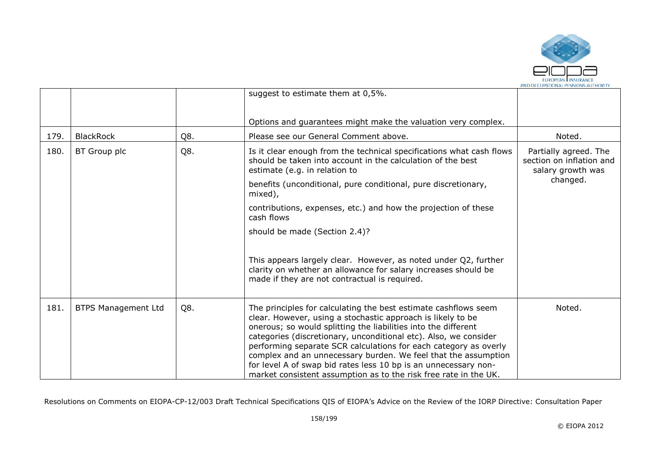

|      |                            |     | suggest to estimate them at 0,5%.                                                                                                                                                                                                                                                                                                                                                                                                                                                                                                                 |                                                                                    |
|------|----------------------------|-----|---------------------------------------------------------------------------------------------------------------------------------------------------------------------------------------------------------------------------------------------------------------------------------------------------------------------------------------------------------------------------------------------------------------------------------------------------------------------------------------------------------------------------------------------------|------------------------------------------------------------------------------------|
|      |                            |     |                                                                                                                                                                                                                                                                                                                                                                                                                                                                                                                                                   |                                                                                    |
|      |                            |     | Options and guarantees might make the valuation very complex.                                                                                                                                                                                                                                                                                                                                                                                                                                                                                     |                                                                                    |
| 179. | <b>BlackRock</b>           | Q8. | Please see our General Comment above.                                                                                                                                                                                                                                                                                                                                                                                                                                                                                                             | Noted.                                                                             |
| 180. | BT Group plc               | Q8. | Is it clear enough from the technical specifications what cash flows<br>should be taken into account in the calculation of the best<br>estimate (e.g. in relation to<br>benefits (unconditional, pure conditional, pure discretionary,                                                                                                                                                                                                                                                                                                            | Partially agreed. The<br>section on inflation and<br>salary growth was<br>changed. |
|      |                            |     | mixed),                                                                                                                                                                                                                                                                                                                                                                                                                                                                                                                                           |                                                                                    |
|      |                            |     | contributions, expenses, etc.) and how the projection of these<br>cash flows                                                                                                                                                                                                                                                                                                                                                                                                                                                                      |                                                                                    |
|      |                            |     | should be made (Section 2.4)?                                                                                                                                                                                                                                                                                                                                                                                                                                                                                                                     |                                                                                    |
|      |                            |     | This appears largely clear. However, as noted under Q2, further<br>clarity on whether an allowance for salary increases should be<br>made if they are not contractual is required.                                                                                                                                                                                                                                                                                                                                                                |                                                                                    |
| 181. | <b>BTPS Management Ltd</b> | Q8. | The principles for calculating the best estimate cashflows seem<br>clear. However, using a stochastic approach is likely to be<br>onerous; so would splitting the liabilities into the different<br>categories (discretionary, unconditional etc). Also, we consider<br>performing separate SCR calculations for each category as overly<br>complex and an unnecessary burden. We feel that the assumption<br>for level A of swap bid rates less 10 bp is an unnecessary non-<br>market consistent assumption as to the risk free rate in the UK. | Noted.                                                                             |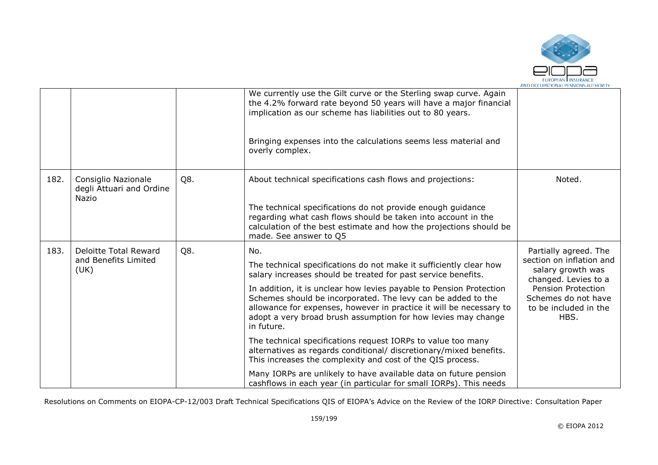

|      |                                                          |     | We currently use the Gilt curve or the Sterling swap curve. Again<br>the 4.2% forward rate beyond 50 years will have a major financial<br>implication as our scheme has liabilities out to 80 years.<br>Bringing expenses into the calculations seems less material and<br>overly complex. |                                                                                                |
|------|----------------------------------------------------------|-----|--------------------------------------------------------------------------------------------------------------------------------------------------------------------------------------------------------------------------------------------------------------------------------------------|------------------------------------------------------------------------------------------------|
| 182. | Consiglio Nazionale<br>degli Attuari and Ordine<br>Nazio | Q8. | About technical specifications cash flows and projections:<br>The technical specifications do not provide enough guidance<br>regarding what cash flows should be taken into account in the<br>calculation of the best estimate and how the projections should be                           | Noted.                                                                                         |
|      |                                                          |     | made. See answer to Q5                                                                                                                                                                                                                                                                     |                                                                                                |
| 183. | Deloitte Total Reward<br>and Benefits Limited<br>(UK)    | Q8. | No.<br>The technical specifications do not make it sufficiently clear how<br>salary increases should be treated for past service benefits.                                                                                                                                                 | Partially agreed. The<br>section on inflation and<br>salary growth was<br>changed. Levies to a |
|      |                                                          |     | In addition, it is unclear how levies payable to Pension Protection<br>Schemes should be incorporated. The levy can be added to the<br>allowance for expenses, however in practice it will be necessary to<br>adopt a very broad brush assumption for how levies may change<br>in future.  | Pension Protection<br>Schemes do not have<br>to be included in the<br>HBS.                     |
|      |                                                          |     | The technical specifications request IORPs to value too many<br>alternatives as regards conditional/ discretionary/mixed benefits.<br>This increases the complexity and cost of the QIS process.                                                                                           |                                                                                                |
|      |                                                          |     | Many IORPs are unlikely to have available data on future pension<br>cashflows in each year (in particular for small IORPs). This needs                                                                                                                                                     |                                                                                                |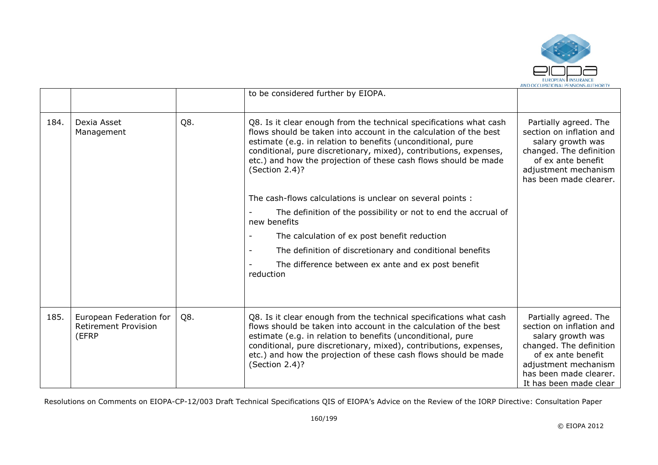

|      |                                                                 |     | to be considered further by EIOPA.                                                                                                                                                                                                                                                                                                                                  |                                                                                                                                                                                                     |
|------|-----------------------------------------------------------------|-----|---------------------------------------------------------------------------------------------------------------------------------------------------------------------------------------------------------------------------------------------------------------------------------------------------------------------------------------------------------------------|-----------------------------------------------------------------------------------------------------------------------------------------------------------------------------------------------------|
| 184. | Dexia Asset<br>Management                                       | Q8. | Q8. Is it clear enough from the technical specifications what cash<br>flows should be taken into account in the calculation of the best<br>estimate (e.g. in relation to benefits (unconditional, pure<br>conditional, pure discretionary, mixed), contributions, expenses,<br>etc.) and how the projection of these cash flows should be made<br>(Section 2.4)?    | Partially agreed. The<br>section on inflation and<br>salary growth was<br>changed. The definition<br>of ex ante benefit<br>adjustment mechanism<br>has been made clearer.                           |
|      |                                                                 |     | The cash-flows calculations is unclear on several points :                                                                                                                                                                                                                                                                                                          |                                                                                                                                                                                                     |
|      |                                                                 |     | The definition of the possibility or not to end the accrual of<br>new benefits                                                                                                                                                                                                                                                                                      |                                                                                                                                                                                                     |
|      |                                                                 |     | The calculation of ex post benefit reduction                                                                                                                                                                                                                                                                                                                        |                                                                                                                                                                                                     |
|      |                                                                 |     | The definition of discretionary and conditional benefits                                                                                                                                                                                                                                                                                                            |                                                                                                                                                                                                     |
|      |                                                                 |     | The difference between ex ante and ex post benefit<br>reduction                                                                                                                                                                                                                                                                                                     |                                                                                                                                                                                                     |
|      |                                                                 |     |                                                                                                                                                                                                                                                                                                                                                                     |                                                                                                                                                                                                     |
| 185. | European Federation for<br><b>Retirement Provision</b><br>(EFRP | Q8. | Q8. Is it clear enough from the technical specifications what cash<br>flows should be taken into account in the calculation of the best<br>estimate (e.g. in relation to benefits (unconditional, pure<br>conditional, pure discretionary, mixed), contributions, expenses,<br>etc.) and how the projection of these cash flows should be made<br>(Section $2.4$ )? | Partially agreed. The<br>section on inflation and<br>salary growth was<br>changed. The definition<br>of ex ante benefit<br>adjustment mechanism<br>has been made clearer.<br>It has been made clear |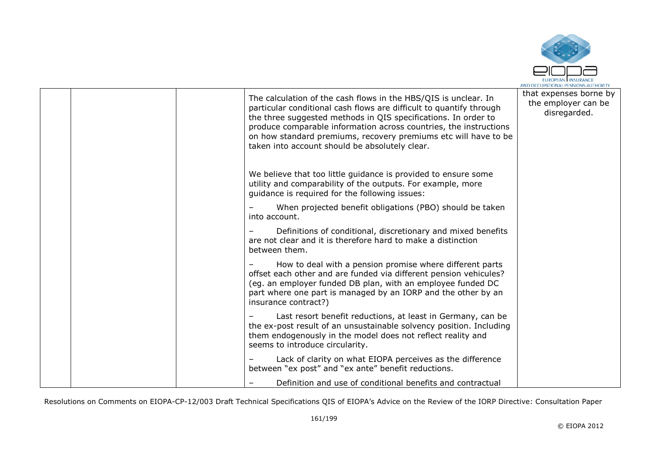

|  | The calculation of the cash flows in the HBS/QIS is unclear. In<br>particular conditional cash flows are difficult to quantify through<br>the three suggested methods in QIS specifications. In order to<br>produce comparable information across countries, the instructions<br>on how standard premiums, recovery premiums etc will have to be<br>taken into account should be absolutely clear. | that expenses borne by<br>the employer can be<br>disregarded. |
|--|----------------------------------------------------------------------------------------------------------------------------------------------------------------------------------------------------------------------------------------------------------------------------------------------------------------------------------------------------------------------------------------------------|---------------------------------------------------------------|
|  | We believe that too little guidance is provided to ensure some<br>utility and comparability of the outputs. For example, more<br>guidance is required for the following issues:                                                                                                                                                                                                                    |                                                               |
|  | When projected benefit obligations (PBO) should be taken<br>into account.                                                                                                                                                                                                                                                                                                                          |                                                               |
|  | Definitions of conditional, discretionary and mixed benefits<br>are not clear and it is therefore hard to make a distinction<br>between them.                                                                                                                                                                                                                                                      |                                                               |
|  | How to deal with a pension promise where different parts<br>offset each other and are funded via different pension vehicules?<br>(eg. an employer funded DB plan, with an employee funded DC<br>part where one part is managed by an IORP and the other by an<br>insurance contract?)                                                                                                              |                                                               |
|  | Last resort benefit reductions, at least in Germany, can be<br>the ex-post result of an unsustainable solvency position. Including<br>them endogenously in the model does not reflect reality and<br>seems to introduce circularity.                                                                                                                                                               |                                                               |
|  | Lack of clarity on what EIOPA perceives as the difference<br>between "ex post" and "ex ante" benefit reductions.                                                                                                                                                                                                                                                                                   |                                                               |
|  | Definition and use of conditional benefits and contractual                                                                                                                                                                                                                                                                                                                                         |                                                               |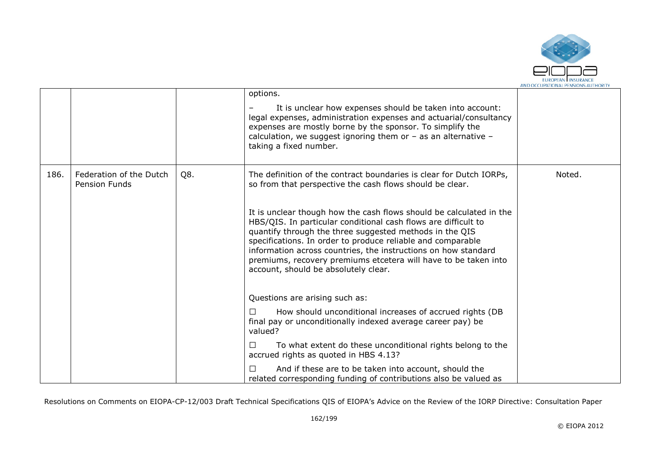

|      |                                                 |     | options.<br>It is unclear how expenses should be taken into account:<br>legal expenses, administration expenses and actuarial/consultancy<br>expenses are mostly borne by the sponsor. To simplify the<br>calculation, we suggest ignoring them or $-$ as an alternative $-$<br>taking a fixed number.                                                                                                                                       |        |
|------|-------------------------------------------------|-----|----------------------------------------------------------------------------------------------------------------------------------------------------------------------------------------------------------------------------------------------------------------------------------------------------------------------------------------------------------------------------------------------------------------------------------------------|--------|
| 186. | Federation of the Dutch<br><b>Pension Funds</b> | Q8. | The definition of the contract boundaries is clear for Dutch IORPs,<br>so from that perspective the cash flows should be clear.                                                                                                                                                                                                                                                                                                              | Noted. |
|      |                                                 |     | It is unclear though how the cash flows should be calculated in the<br>HBS/QIS. In particular conditional cash flows are difficult to<br>quantify through the three suggested methods in the QIS<br>specifications. In order to produce reliable and comparable<br>information across countries, the instructions on how standard<br>premiums, recovery premiums etcetera will have to be taken into<br>account, should be absolutely clear. |        |
|      |                                                 |     | Questions are arising such as:                                                                                                                                                                                                                                                                                                                                                                                                               |        |
|      |                                                 |     | How should unconditional increases of accrued rights (DB<br>П<br>final pay or unconditionally indexed average career pay) be<br>valued?                                                                                                                                                                                                                                                                                                      |        |
|      |                                                 |     | To what extent do these unconditional rights belong to the<br>□<br>accrued rights as quoted in HBS 4.13?                                                                                                                                                                                                                                                                                                                                     |        |
|      |                                                 |     | And if these are to be taken into account, should the<br>□<br>related corresponding funding of contributions also be valued as                                                                                                                                                                                                                                                                                                               |        |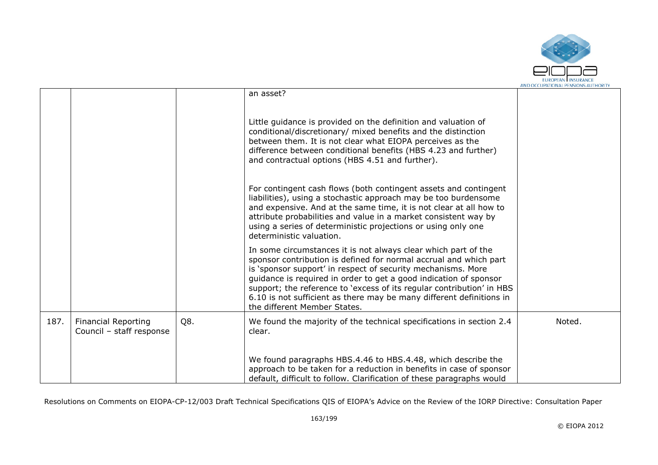

|      |                                                        |     | an asset?                                                                                                                                                                                                                                                                                                                                                                                                                                                 |        |
|------|--------------------------------------------------------|-----|-----------------------------------------------------------------------------------------------------------------------------------------------------------------------------------------------------------------------------------------------------------------------------------------------------------------------------------------------------------------------------------------------------------------------------------------------------------|--------|
|      |                                                        |     | Little guidance is provided on the definition and valuation of<br>conditional/discretionary/ mixed benefits and the distinction<br>between them. It is not clear what EIOPA perceives as the<br>difference between conditional benefits (HBS 4.23 and further)<br>and contractual options (HBS 4.51 and further).                                                                                                                                         |        |
|      |                                                        |     | For contingent cash flows (both contingent assets and contingent<br>liabilities), using a stochastic approach may be too burdensome<br>and expensive. And at the same time, it is not clear at all how to<br>attribute probabilities and value in a market consistent way by<br>using a series of deterministic projections or using only one<br>deterministic valuation.                                                                                 |        |
|      |                                                        |     | In some circumstances it is not always clear which part of the<br>sponsor contribution is defined for normal accrual and which part<br>is 'sponsor support' in respect of security mechanisms. More<br>guidance is required in order to get a good indication of sponsor<br>support; the reference to 'excess of its regular contribution' in HBS<br>6.10 is not sufficient as there may be many different definitions in<br>the different Member States. |        |
| 187. | <b>Financial Reporting</b><br>Council - staff response | Q8. | We found the majority of the technical specifications in section 2.4<br>clear.                                                                                                                                                                                                                                                                                                                                                                            | Noted. |
|      |                                                        |     | We found paragraphs HBS.4.46 to HBS.4.48, which describe the<br>approach to be taken for a reduction in benefits in case of sponsor<br>default, difficult to follow. Clarification of these paragraphs would                                                                                                                                                                                                                                              |        |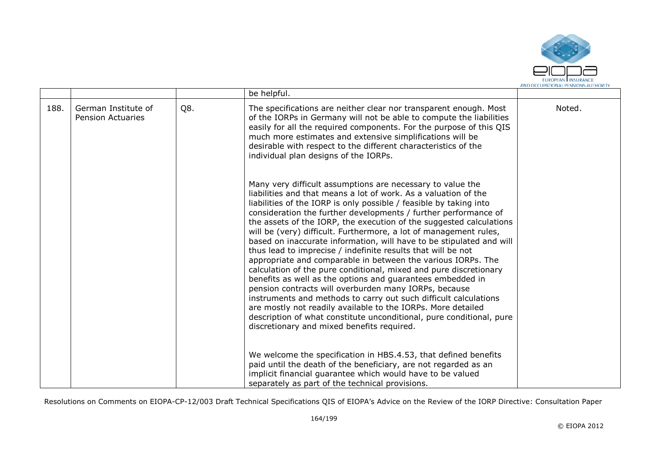

|      |                                                 |     | be helpful.                                                                                                                                                                                                                                                                                                                                                                                                                                                                                                                                                                                                                                                                                                                                                                                                                                                                                                                                                                                                                                                                      |        |
|------|-------------------------------------------------|-----|----------------------------------------------------------------------------------------------------------------------------------------------------------------------------------------------------------------------------------------------------------------------------------------------------------------------------------------------------------------------------------------------------------------------------------------------------------------------------------------------------------------------------------------------------------------------------------------------------------------------------------------------------------------------------------------------------------------------------------------------------------------------------------------------------------------------------------------------------------------------------------------------------------------------------------------------------------------------------------------------------------------------------------------------------------------------------------|--------|
| 188. | German Institute of<br><b>Pension Actuaries</b> | Q8. | The specifications are neither clear nor transparent enough. Most<br>of the IORPs in Germany will not be able to compute the liabilities<br>easily for all the required components. For the purpose of this QIS<br>much more estimates and extensive simplifications will be<br>desirable with respect to the different characteristics of the<br>individual plan designs of the IORPs.                                                                                                                                                                                                                                                                                                                                                                                                                                                                                                                                                                                                                                                                                          | Noted. |
|      |                                                 |     | Many very difficult assumptions are necessary to value the<br>liabilities and that means a lot of work. As a valuation of the<br>liabilities of the IORP is only possible / feasible by taking into<br>consideration the further developments / further performance of<br>the assets of the IORP, the execution of the suggested calculations<br>will be (very) difficult. Furthermore, a lot of management rules,<br>based on inaccurate information, will have to be stipulated and will<br>thus lead to imprecise / indefinite results that will be not<br>appropriate and comparable in between the various IORPs. The<br>calculation of the pure conditional, mixed and pure discretionary<br>benefits as well as the options and guarantees embedded in<br>pension contracts will overburden many IORPs, because<br>instruments and methods to carry out such difficult calculations<br>are mostly not readily available to the IORPs. More detailed<br>description of what constitute unconditional, pure conditional, pure<br>discretionary and mixed benefits required. |        |
|      |                                                 |     | We welcome the specification in HBS.4.53, that defined benefits<br>paid until the death of the beneficiary, are not regarded as an<br>implicit financial guarantee which would have to be valued<br>separately as part of the technical provisions.                                                                                                                                                                                                                                                                                                                                                                                                                                                                                                                                                                                                                                                                                                                                                                                                                              |        |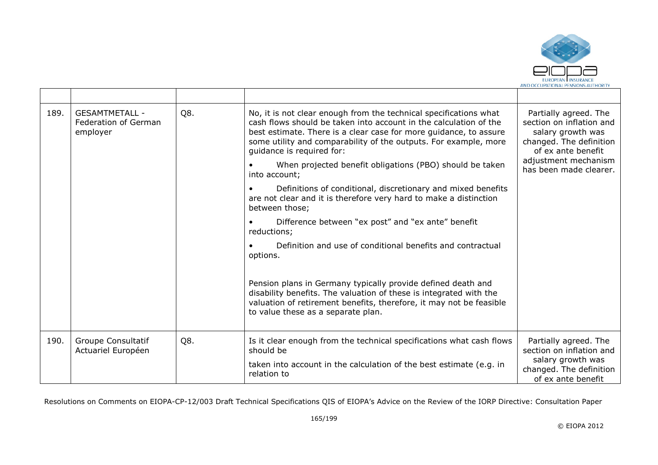

| 189. |                                          | <b>GESAMTMETALL -</b><br>Federation of German<br>employer | Q8.                                                                                                                                                                                                                                             | No, it is not clear enough from the technical specifications what<br>cash flows should be taken into account in the calculation of the<br>best estimate. There is a clear case for more guidance, to assure<br>some utility and comparability of the outputs. For example, more<br>guidance is required for:<br>When projected benefit obligations (PBO) should be taken<br>into account; | Partially agreed. The<br>section on inflation and<br>salary growth was<br>changed. The definition<br>of ex ante benefit<br>adjustment mechanism<br>has been made clearer. |
|------|------------------------------------------|-----------------------------------------------------------|-------------------------------------------------------------------------------------------------------------------------------------------------------------------------------------------------------------------------------------------------|-------------------------------------------------------------------------------------------------------------------------------------------------------------------------------------------------------------------------------------------------------------------------------------------------------------------------------------------------------------------------------------------|---------------------------------------------------------------------------------------------------------------------------------------------------------------------------|
|      |                                          |                                                           | Definitions of conditional, discretionary and mixed benefits<br>are not clear and it is therefore very hard to make a distinction<br>between those;                                                                                             |                                                                                                                                                                                                                                                                                                                                                                                           |                                                                                                                                                                           |
|      |                                          |                                                           | Difference between "ex post" and "ex ante" benefit<br>reductions;                                                                                                                                                                               |                                                                                                                                                                                                                                                                                                                                                                                           |                                                                                                                                                                           |
|      |                                          |                                                           | Definition and use of conditional benefits and contractual<br>options.                                                                                                                                                                          |                                                                                                                                                                                                                                                                                                                                                                                           |                                                                                                                                                                           |
|      |                                          |                                                           | Pension plans in Germany typically provide defined death and<br>disability benefits. The valuation of these is integrated with the<br>valuation of retirement benefits, therefore, it may not be feasible<br>to value these as a separate plan. |                                                                                                                                                                                                                                                                                                                                                                                           |                                                                                                                                                                           |
| 190. | Groupe Consultatif<br>Actuariel Européen | Q8.                                                       | Is it clear enough from the technical specifications what cash flows<br>should be                                                                                                                                                               | Partially agreed. The<br>section on inflation and                                                                                                                                                                                                                                                                                                                                         |                                                                                                                                                                           |
|      |                                          |                                                           | taken into account in the calculation of the best estimate (e.g. in<br>relation to                                                                                                                                                              | salary growth was<br>changed. The definition<br>of ex ante benefit                                                                                                                                                                                                                                                                                                                        |                                                                                                                                                                           |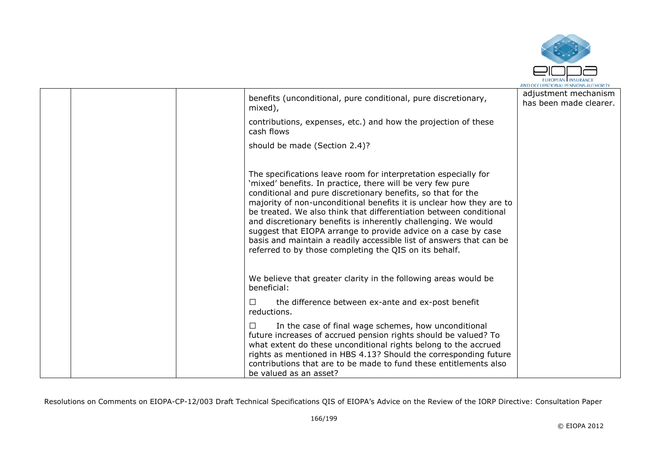

|  | benefits (unconditional, pure conditional, pure discretionary,<br>mixed),                                                                                                                                                                                                                                                                                                                                                                                                                                                                                                                                        | adjustment mechanism<br>has been made clearer. |
|--|------------------------------------------------------------------------------------------------------------------------------------------------------------------------------------------------------------------------------------------------------------------------------------------------------------------------------------------------------------------------------------------------------------------------------------------------------------------------------------------------------------------------------------------------------------------------------------------------------------------|------------------------------------------------|
|  | contributions, expenses, etc.) and how the projection of these<br>cash flows                                                                                                                                                                                                                                                                                                                                                                                                                                                                                                                                     |                                                |
|  | should be made (Section 2.4)?                                                                                                                                                                                                                                                                                                                                                                                                                                                                                                                                                                                    |                                                |
|  | The specifications leave room for interpretation especially for<br>'mixed' benefits. In practice, there will be very few pure<br>conditional and pure discretionary benefits, so that for the<br>majority of non-unconditional benefits it is unclear how they are to<br>be treated. We also think that differentiation between conditional<br>and discretionary benefits is inherently challenging. We would<br>suggest that EIOPA arrange to provide advice on a case by case<br>basis and maintain a readily accessible list of answers that can be<br>referred to by those completing the QIS on its behalf. |                                                |
|  | We believe that greater clarity in the following areas would be<br>beneficial:                                                                                                                                                                                                                                                                                                                                                                                                                                                                                                                                   |                                                |
|  | the difference between ex-ante and ex-post benefit<br>ΙI<br>reductions.                                                                                                                                                                                                                                                                                                                                                                                                                                                                                                                                          |                                                |
|  | In the case of final wage schemes, how unconditional<br>$\perp$<br>future increases of accrued pension rights should be valued? To<br>what extent do these unconditional rights belong to the accrued<br>rights as mentioned in HBS 4.13? Should the corresponding future<br>contributions that are to be made to fund these entitlements also<br>be valued as an asset?                                                                                                                                                                                                                                         |                                                |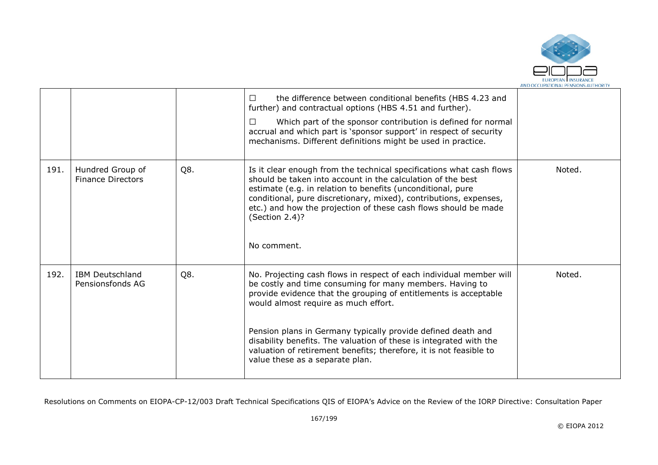

|      |                                              |     | the difference between conditional benefits (HBS 4.23 and<br>$\Box$<br>further) and contractual options (HBS 4.51 and further).<br>Which part of the sponsor contribution is defined for normal<br>□<br>accrual and which part is 'sponsor support' in respect of security<br>mechanisms. Different definitions might be used in practice.                                                                                                                                                 |        |
|------|----------------------------------------------|-----|--------------------------------------------------------------------------------------------------------------------------------------------------------------------------------------------------------------------------------------------------------------------------------------------------------------------------------------------------------------------------------------------------------------------------------------------------------------------------------------------|--------|
| 191. | Hundred Group of<br><b>Finance Directors</b> | Q8. | Is it clear enough from the technical specifications what cash flows<br>should be taken into account in the calculation of the best<br>estimate (e.g. in relation to benefits (unconditional, pure<br>conditional, pure discretionary, mixed), contributions, expenses,<br>etc.) and how the projection of these cash flows should be made<br>(Section 2.4)?<br>No comment.                                                                                                                | Noted. |
| 192. | <b>IBM Deutschland</b><br>Pensionsfonds AG   | Q8. | No. Projecting cash flows in respect of each individual member will<br>be costly and time consuming for many members. Having to<br>provide evidence that the grouping of entitlements is acceptable<br>would almost require as much effort.<br>Pension plans in Germany typically provide defined death and<br>disability benefits. The valuation of these is integrated with the<br>valuation of retirement benefits; therefore, it is not feasible to<br>value these as a separate plan. | Noted. |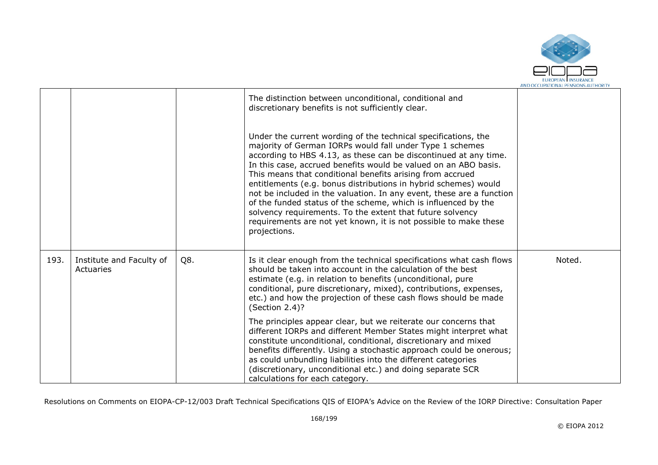

|      |                                       |     | The distinction between unconditional, conditional and<br>discretionary benefits is not sufficiently clear.<br>Under the current wording of the technical specifications, the<br>majority of German IORPs would fall under Type 1 schemes<br>according to HBS 4.13, as these can be discontinued at any time.<br>In this case, accrued benefits would be valued on an ABO basis.<br>This means that conditional benefits arising from accrued<br>entitlements (e.g. bonus distributions in hybrid schemes) would<br>not be included in the valuation. In any event, these are a function<br>of the funded status of the scheme, which is influenced by the<br>solvency requirements. To the extent that future solvency<br>requirements are not yet known, it is not possible to make these<br>projections. |        |
|------|---------------------------------------|-----|-------------------------------------------------------------------------------------------------------------------------------------------------------------------------------------------------------------------------------------------------------------------------------------------------------------------------------------------------------------------------------------------------------------------------------------------------------------------------------------------------------------------------------------------------------------------------------------------------------------------------------------------------------------------------------------------------------------------------------------------------------------------------------------------------------------|--------|
| 193. | Institute and Faculty of<br>Actuaries | Q8. | Is it clear enough from the technical specifications what cash flows<br>should be taken into account in the calculation of the best<br>estimate (e.g. in relation to benefits (unconditional, pure<br>conditional, pure discretionary, mixed), contributions, expenses,<br>etc.) and how the projection of these cash flows should be made<br>(Section 2.4)?                                                                                                                                                                                                                                                                                                                                                                                                                                                | Noted. |
|      |                                       |     | The principles appear clear, but we reiterate our concerns that<br>different IORPs and different Member States might interpret what<br>constitute unconditional, conditional, discretionary and mixed<br>benefits differently. Using a stochastic approach could be onerous;<br>as could unbundling liabilities into the different categories<br>(discretionary, unconditional etc.) and doing separate SCR<br>calculations for each category.                                                                                                                                                                                                                                                                                                                                                              |        |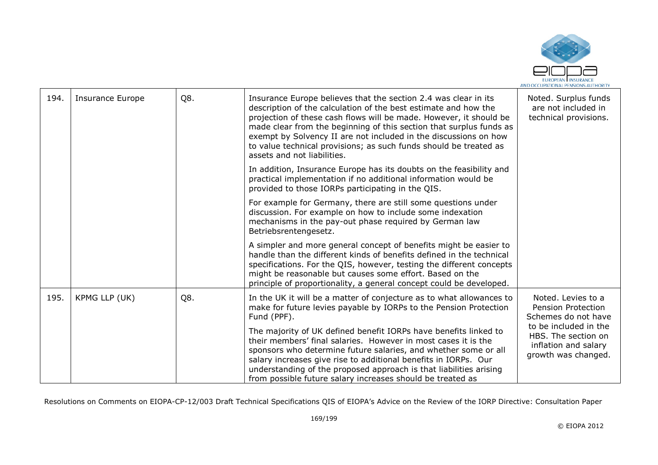

| 194. | <b>Insurance Europe</b> | Q8. | Insurance Europe believes that the section 2.4 was clear in its<br>description of the calculation of the best estimate and how the<br>projection of these cash flows will be made. However, it should be<br>made clear from the beginning of this section that surplus funds as<br>exempt by Solvency II are not included in the discussions on how<br>to value technical provisions; as such funds should be treated as<br>assets and not liabilities. | Noted. Surplus funds<br>are not included in<br>technical provisions.                        |
|------|-------------------------|-----|---------------------------------------------------------------------------------------------------------------------------------------------------------------------------------------------------------------------------------------------------------------------------------------------------------------------------------------------------------------------------------------------------------------------------------------------------------|---------------------------------------------------------------------------------------------|
|      |                         |     | In addition, Insurance Europe has its doubts on the feasibility and<br>practical implementation if no additional information would be<br>provided to those IORPs participating in the QIS.                                                                                                                                                                                                                                                              |                                                                                             |
|      |                         |     | For example for Germany, there are still some questions under<br>discussion. For example on how to include some indexation<br>mechanisms in the pay-out phase required by German law<br>Betriebsrentengesetz.                                                                                                                                                                                                                                           |                                                                                             |
|      |                         |     | A simpler and more general concept of benefits might be easier to<br>handle than the different kinds of benefits defined in the technical<br>specifications. For the QIS, however, testing the different concepts<br>might be reasonable but causes some effort. Based on the<br>principle of proportionality, a general concept could be developed.                                                                                                    |                                                                                             |
| 195. | KPMG LLP (UK)           | Q8. | In the UK it will be a matter of conjecture as to what allowances to<br>make for future levies payable by IORPs to the Pension Protection<br>Fund (PPF).                                                                                                                                                                                                                                                                                                | Noted, Levies to a<br>Pension Protection<br>Schemes do not have                             |
|      |                         |     | The majority of UK defined benefit IORPs have benefits linked to<br>their members' final salaries. However in most cases it is the<br>sponsors who determine future salaries, and whether some or all<br>salary increases give rise to additional benefits in IORPs. Our<br>understanding of the proposed approach is that liabilities arising<br>from possible future salary increases should be treated as                                            | to be included in the<br>HBS. The section on<br>inflation and salary<br>growth was changed. |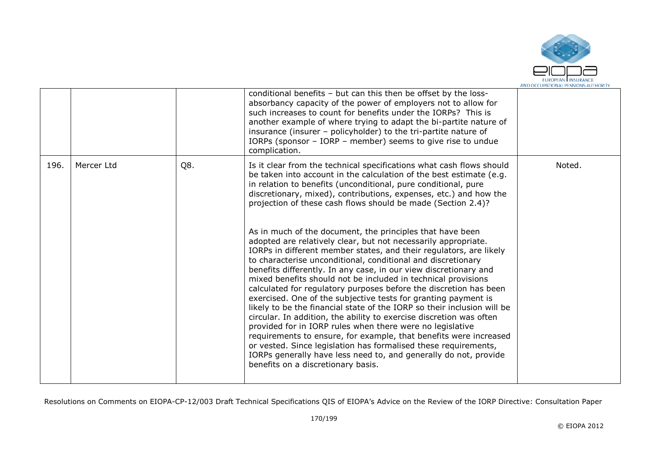

|      |            |     | conditional benefits - but can this then be offset by the loss-<br>absorbancy capacity of the power of employers not to allow for<br>such increases to count for benefits under the IORPs? This is<br>another example of where trying to adapt the bi-partite nature of<br>insurance (insurer - policyholder) to the tri-partite nature of<br>IORPs (sponsor - IORP - member) seems to give rise to undue<br>complication.                                                                                                                                                                                                                                                                                                                                                                                                                                                                                                                                                                                                                                                                                                                                                                                                                                                                                                                                           |        |
|------|------------|-----|----------------------------------------------------------------------------------------------------------------------------------------------------------------------------------------------------------------------------------------------------------------------------------------------------------------------------------------------------------------------------------------------------------------------------------------------------------------------------------------------------------------------------------------------------------------------------------------------------------------------------------------------------------------------------------------------------------------------------------------------------------------------------------------------------------------------------------------------------------------------------------------------------------------------------------------------------------------------------------------------------------------------------------------------------------------------------------------------------------------------------------------------------------------------------------------------------------------------------------------------------------------------------------------------------------------------------------------------------------------------|--------|
| 196. | Mercer Ltd | Q8. | Is it clear from the technical specifications what cash flows should<br>be taken into account in the calculation of the best estimate (e.g.<br>in relation to benefits (unconditional, pure conditional, pure<br>discretionary, mixed), contributions, expenses, etc.) and how the<br>projection of these cash flows should be made (Section 2.4)?<br>As in much of the document, the principles that have been<br>adopted are relatively clear, but not necessarily appropriate.<br>IORPs in different member states, and their regulators, are likely<br>to characterise unconditional, conditional and discretionary<br>benefits differently. In any case, in our view discretionary and<br>mixed benefits should not be included in technical provisions<br>calculated for regulatory purposes before the discretion has been<br>exercised. One of the subjective tests for granting payment is<br>likely to be the financial state of the IORP so their inclusion will be<br>circular. In addition, the ability to exercise discretion was often<br>provided for in IORP rules when there were no legislative<br>requirements to ensure, for example, that benefits were increased<br>or vested. Since legislation has formalised these requirements,<br>IORPs generally have less need to, and generally do not, provide<br>benefits on a discretionary basis. | Noted. |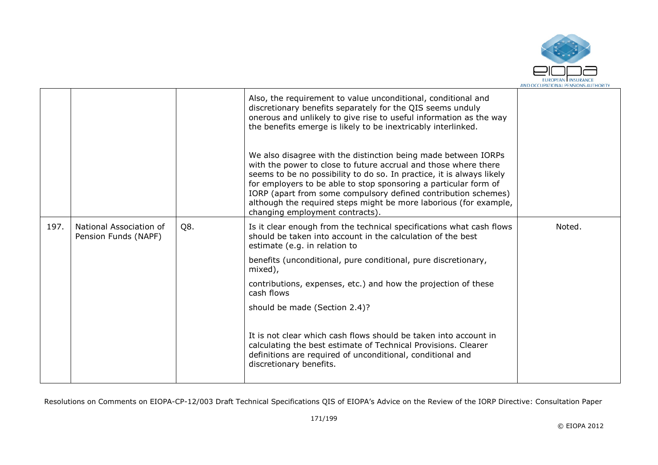

|      |                                                 |     | Also, the requirement to value unconditional, conditional and<br>discretionary benefits separately for the QIS seems unduly<br>onerous and unlikely to give rise to useful information as the way<br>the benefits emerge is likely to be inextricably interlinked.<br>We also disagree with the distinction being made between IORPs<br>with the power to close to future accrual and those where there<br>seems to be no possibility to do so. In practice, it is always likely<br>for employers to be able to stop sponsoring a particular form of<br>IORP (apart from some compulsory defined contribution schemes)<br>although the required steps might be more laborious (for example,<br>changing employment contracts). |        |
|------|-------------------------------------------------|-----|--------------------------------------------------------------------------------------------------------------------------------------------------------------------------------------------------------------------------------------------------------------------------------------------------------------------------------------------------------------------------------------------------------------------------------------------------------------------------------------------------------------------------------------------------------------------------------------------------------------------------------------------------------------------------------------------------------------------------------|--------|
| 197. | National Association of<br>Pension Funds (NAPF) | Q8. | Is it clear enough from the technical specifications what cash flows<br>should be taken into account in the calculation of the best<br>estimate (e.g. in relation to                                                                                                                                                                                                                                                                                                                                                                                                                                                                                                                                                           | Noted. |
|      |                                                 |     | benefits (unconditional, pure conditional, pure discretionary,<br>mixed),                                                                                                                                                                                                                                                                                                                                                                                                                                                                                                                                                                                                                                                      |        |
|      |                                                 |     | contributions, expenses, etc.) and how the projection of these<br>cash flows                                                                                                                                                                                                                                                                                                                                                                                                                                                                                                                                                                                                                                                   |        |
|      |                                                 |     | should be made (Section 2.4)?                                                                                                                                                                                                                                                                                                                                                                                                                                                                                                                                                                                                                                                                                                  |        |
|      |                                                 |     | It is not clear which cash flows should be taken into account in<br>calculating the best estimate of Technical Provisions. Clearer<br>definitions are required of unconditional, conditional and<br>discretionary benefits.                                                                                                                                                                                                                                                                                                                                                                                                                                                                                                    |        |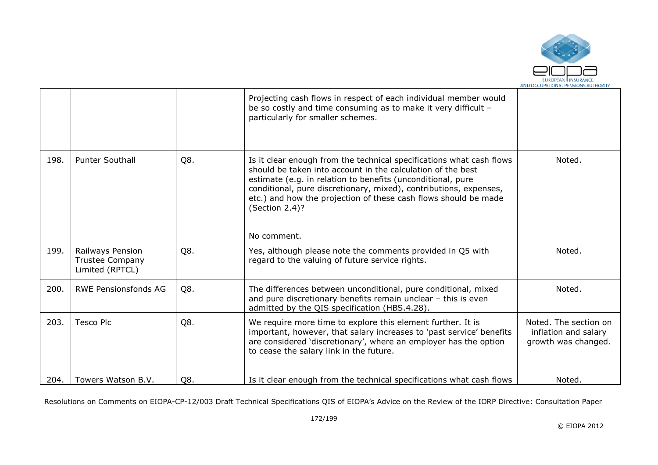

|      |                                                        |     | Projecting cash flows in respect of each individual member would<br>be so costly and time consuming as to make it very difficult -<br>particularly for smaller schemes.                                                                                                                                                                                                     |                                                                      |
|------|--------------------------------------------------------|-----|-----------------------------------------------------------------------------------------------------------------------------------------------------------------------------------------------------------------------------------------------------------------------------------------------------------------------------------------------------------------------------|----------------------------------------------------------------------|
| 198. | <b>Punter Southall</b>                                 | Q8. | Is it clear enough from the technical specifications what cash flows<br>should be taken into account in the calculation of the best<br>estimate (e.g. in relation to benefits (unconditional, pure<br>conditional, pure discretionary, mixed), contributions, expenses,<br>etc.) and how the projection of these cash flows should be made<br>(Section 2.4)?<br>No comment. | Noted.                                                               |
| 199. | Railways Pension<br>Trustee Company<br>Limited (RPTCL) | Q8. | Yes, although please note the comments provided in Q5 with<br>regard to the valuing of future service rights.                                                                                                                                                                                                                                                               | Noted.                                                               |
| 200. | <b>RWE Pensionsfonds AG</b>                            | Q8. | The differences between unconditional, pure conditional, mixed<br>and pure discretionary benefits remain unclear - this is even<br>admitted by the QIS specification (HBS.4.28).                                                                                                                                                                                            | Noted.                                                               |
| 203. | <b>Tesco Plc</b>                                       | Q8. | We require more time to explore this element further. It is<br>important, however, that salary increases to 'past service' benefits<br>are considered 'discretionary', where an employer has the option<br>to cease the salary link in the future.                                                                                                                          | Noted. The section on<br>inflation and salary<br>growth was changed. |
| 204. | Towers Watson B.V.                                     | Q8. | Is it clear enough from the technical specifications what cash flows                                                                                                                                                                                                                                                                                                        | Noted.                                                               |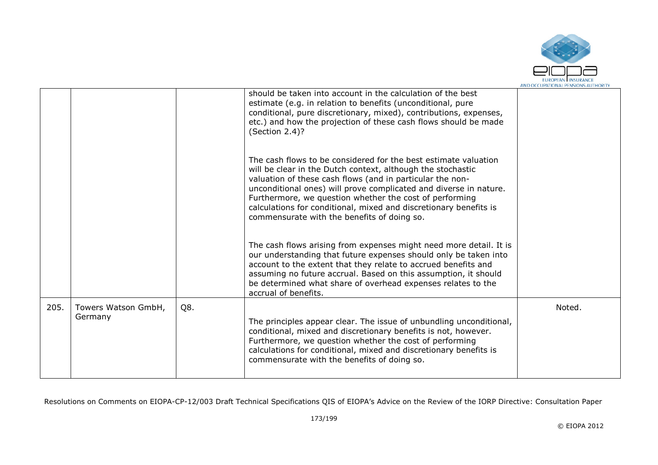

|      |                                |     | should be taken into account in the calculation of the best<br>estimate (e.g. in relation to benefits (unconditional, pure<br>conditional, pure discretionary, mixed), contributions, expenses,<br>etc.) and how the projection of these cash flows should be made<br>(Section 2.4)?                                                                                                                                                            |        |
|------|--------------------------------|-----|-------------------------------------------------------------------------------------------------------------------------------------------------------------------------------------------------------------------------------------------------------------------------------------------------------------------------------------------------------------------------------------------------------------------------------------------------|--------|
|      |                                |     | The cash flows to be considered for the best estimate valuation<br>will be clear in the Dutch context, although the stochastic<br>valuation of these cash flows (and in particular the non-<br>unconditional ones) will prove complicated and diverse in nature.<br>Furthermore, we question whether the cost of performing<br>calculations for conditional, mixed and discretionary benefits is<br>commensurate with the benefits of doing so. |        |
|      |                                |     | The cash flows arising from expenses might need more detail. It is<br>our understanding that future expenses should only be taken into<br>account to the extent that they relate to accrued benefits and<br>assuming no future accrual. Based on this assumption, it should<br>be determined what share of overhead expenses relates to the<br>accrual of benefits.                                                                             |        |
| 205. | Towers Watson GmbH,<br>Germany | Q8. | The principles appear clear. The issue of unbundling unconditional,<br>conditional, mixed and discretionary benefits is not, however.<br>Furthermore, we question whether the cost of performing<br>calculations for conditional, mixed and discretionary benefits is<br>commensurate with the benefits of doing so.                                                                                                                            | Noted. |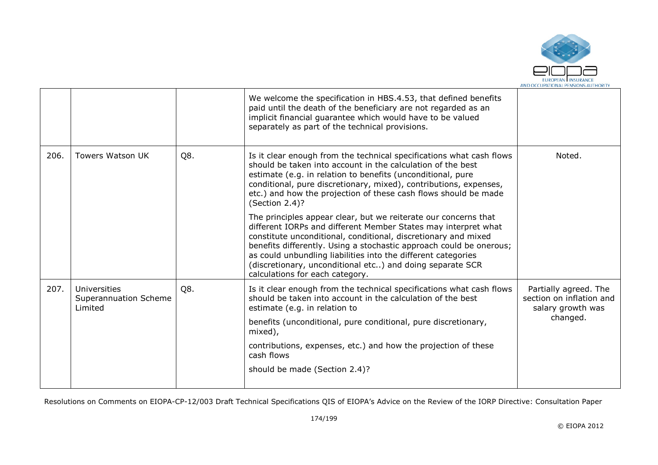

|                                                         |     | We welcome the specification in HBS.4.53, that defined benefits<br>paid until the death of the beneficiary are not regarded as an<br>implicit financial guarantee which would have to be valued<br>separately as part of the technical provisions.                                                                                                                                                                                          |                                                                                    |
|---------------------------------------------------------|-----|---------------------------------------------------------------------------------------------------------------------------------------------------------------------------------------------------------------------------------------------------------------------------------------------------------------------------------------------------------------------------------------------------------------------------------------------|------------------------------------------------------------------------------------|
| <b>Towers Watson UK</b>                                 | Q8. | Is it clear enough from the technical specifications what cash flows<br>should be taken into account in the calculation of the best<br>estimate (e.g. in relation to benefits (unconditional, pure<br>conditional, pure discretionary, mixed), contributions, expenses,<br>etc.) and how the projection of these cash flows should be made<br>(Section 2.4)?                                                                                | Noted.                                                                             |
|                                                         |     | The principles appear clear, but we reiterate our concerns that<br>different IORPs and different Member States may interpret what<br>constitute unconditional, conditional, discretionary and mixed<br>benefits differently. Using a stochastic approach could be onerous;<br>as could unbundling liabilities into the different categories<br>(discretionary, unconditional etc) and doing separate SCR<br>calculations for each category. |                                                                                    |
| <b>Universities</b><br>Superannuation Scheme<br>Limited | Q8. | Is it clear enough from the technical specifications what cash flows<br>should be taken into account in the calculation of the best<br>estimate (e.g. in relation to<br>benefits (unconditional, pure conditional, pure discretionary,<br>mixed),<br>contributions, expenses, etc.) and how the projection of these<br>cash flows<br>should be made (Section 2.4)?                                                                          | Partially agreed. The<br>section on inflation and<br>salary growth was<br>changed. |
|                                                         |     |                                                                                                                                                                                                                                                                                                                                                                                                                                             |                                                                                    |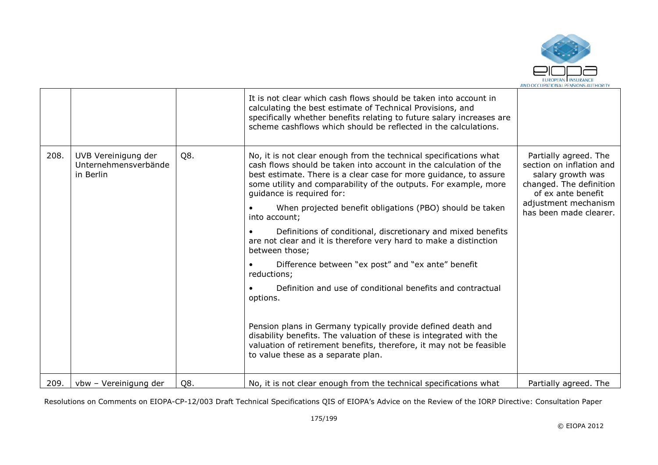

|      |                                                          |     | It is not clear which cash flows should be taken into account in<br>calculating the best estimate of Technical Provisions, and<br>specifically whether benefits relating to future salary increases are<br>scheme cashflows which should be reflected in the calculations.                                                                                                                                                                                                                                                                                                                                                                                                                                                                                                                                                                                                                                                                         |                                                                                                                                                                           |
|------|----------------------------------------------------------|-----|----------------------------------------------------------------------------------------------------------------------------------------------------------------------------------------------------------------------------------------------------------------------------------------------------------------------------------------------------------------------------------------------------------------------------------------------------------------------------------------------------------------------------------------------------------------------------------------------------------------------------------------------------------------------------------------------------------------------------------------------------------------------------------------------------------------------------------------------------------------------------------------------------------------------------------------------------|---------------------------------------------------------------------------------------------------------------------------------------------------------------------------|
| 208. | UVB Vereinigung der<br>Unternehmensverbände<br>in Berlin | Q8. | No, it is not clear enough from the technical specifications what<br>cash flows should be taken into account in the calculation of the<br>best estimate. There is a clear case for more guidance, to assure<br>some utility and comparability of the outputs. For example, more<br>guidance is required for:<br>When projected benefit obligations (PBO) should be taken<br>into account;<br>Definitions of conditional, discretionary and mixed benefits<br>are not clear and it is therefore very hard to make a distinction<br>between those;<br>Difference between "ex post" and "ex ante" benefit<br>reductions;<br>Definition and use of conditional benefits and contractual<br>options.<br>Pension plans in Germany typically provide defined death and<br>disability benefits. The valuation of these is integrated with the<br>valuation of retirement benefits, therefore, it may not be feasible<br>to value these as a separate plan. | Partially agreed. The<br>section on inflation and<br>salary growth was<br>changed. The definition<br>of ex ante benefit<br>adjustment mechanism<br>has been made clearer. |
| 209. | vbw - Vereinigung der                                    | Q8. | No, it is not clear enough from the technical specifications what                                                                                                                                                                                                                                                                                                                                                                                                                                                                                                                                                                                                                                                                                                                                                                                                                                                                                  | Partially agreed. The                                                                                                                                                     |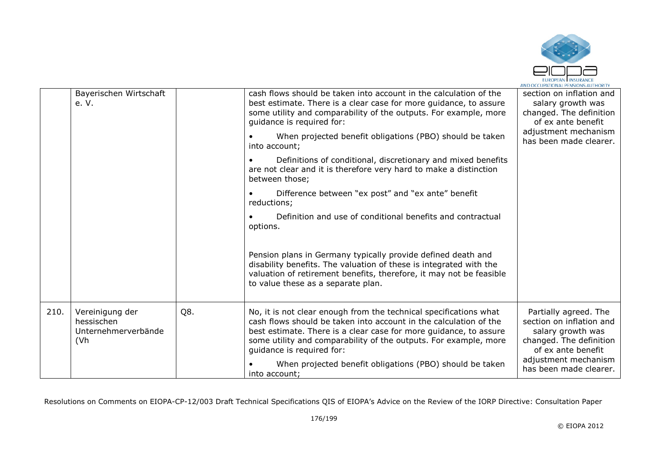

|      | Bayerischen Wirtschaft<br>e. V.                                           |     | cash flows should be taken into account in the calculation of the<br>best estimate. There is a clear case for more guidance, to assure<br>some utility and comparability of the outputs. For example, more<br>quidance is required for:<br>When projected benefit obligations (PBO) should be taken<br>into account;<br>Definitions of conditional, discretionary and mixed benefits<br>are not clear and it is therefore very hard to make a distinction<br>between those;<br>Difference between "ex post" and "ex ante" benefit<br>reductions;<br>Definition and use of conditional benefits and contractual<br>options.<br>Pension plans in Germany typically provide defined death and<br>disability benefits. The valuation of these is integrated with the<br>valuation of retirement benefits, therefore, it may not be feasible<br>to value these as a separate plan. | section on inflation and<br>salary growth was<br>changed. The definition<br>of ex ante benefit<br>adjustment mechanism<br>has been made clearer.                          |
|------|---------------------------------------------------------------------------|-----|-------------------------------------------------------------------------------------------------------------------------------------------------------------------------------------------------------------------------------------------------------------------------------------------------------------------------------------------------------------------------------------------------------------------------------------------------------------------------------------------------------------------------------------------------------------------------------------------------------------------------------------------------------------------------------------------------------------------------------------------------------------------------------------------------------------------------------------------------------------------------------|---------------------------------------------------------------------------------------------------------------------------------------------------------------------------|
| 210. | Vereinigung der<br>hessischen<br>Unternehmerverbände<br>(V <sub>h</sub> ) | Q8. | No, it is not clear enough from the technical specifications what<br>cash flows should be taken into account in the calculation of the<br>best estimate. There is a clear case for more guidance, to assure<br>some utility and comparability of the outputs. For example, more<br>guidance is required for:<br>When projected benefit obligations (PBO) should be taken<br>into account;                                                                                                                                                                                                                                                                                                                                                                                                                                                                                     | Partially agreed. The<br>section on inflation and<br>salary growth was<br>changed. The definition<br>of ex ante benefit<br>adjustment mechanism<br>has been made clearer. |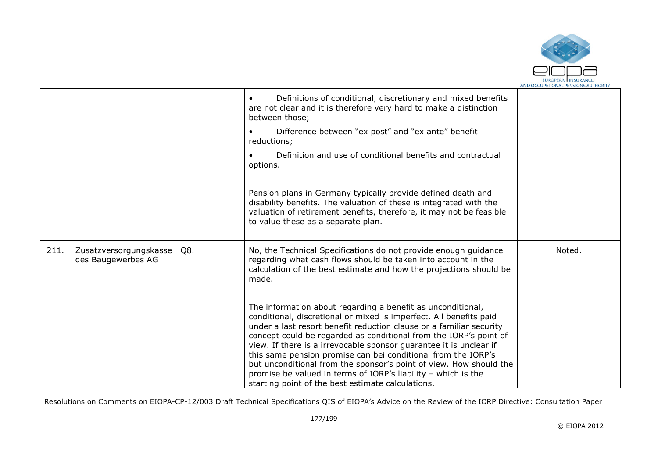

|      |                                              |     | Definitions of conditional, discretionary and mixed benefits<br>are not clear and it is therefore very hard to make a distinction<br>between those;                                                                                                                                                                                                                                                                                                                                                                                                                                                              |        |
|------|----------------------------------------------|-----|------------------------------------------------------------------------------------------------------------------------------------------------------------------------------------------------------------------------------------------------------------------------------------------------------------------------------------------------------------------------------------------------------------------------------------------------------------------------------------------------------------------------------------------------------------------------------------------------------------------|--------|
|      |                                              |     | Difference between "ex post" and "ex ante" benefit<br>reductions;                                                                                                                                                                                                                                                                                                                                                                                                                                                                                                                                                |        |
|      |                                              |     | Definition and use of conditional benefits and contractual<br>options.                                                                                                                                                                                                                                                                                                                                                                                                                                                                                                                                           |        |
|      |                                              |     | Pension plans in Germany typically provide defined death and<br>disability benefits. The valuation of these is integrated with the<br>valuation of retirement benefits, therefore, it may not be feasible<br>to value these as a separate plan.                                                                                                                                                                                                                                                                                                                                                                  |        |
| 211. | Zusatzversorgungskasse<br>des Baugewerbes AG | Q8. | No, the Technical Specifications do not provide enough guidance<br>regarding what cash flows should be taken into account in the<br>calculation of the best estimate and how the projections should be<br>made.                                                                                                                                                                                                                                                                                                                                                                                                  | Noted. |
|      |                                              |     | The information about regarding a benefit as unconditional,<br>conditional, discretional or mixed is imperfect. All benefits paid<br>under a last resort benefit reduction clause or a familiar security<br>concept could be regarded as conditional from the IORP's point of<br>view. If there is a irrevocable sponsor guarantee it is unclear if<br>this same pension promise can bei conditional from the IORP's<br>but unconditional from the sponsor's point of view. How should the<br>promise be valued in terms of IORP's liability - which is the<br>starting point of the best estimate calculations. |        |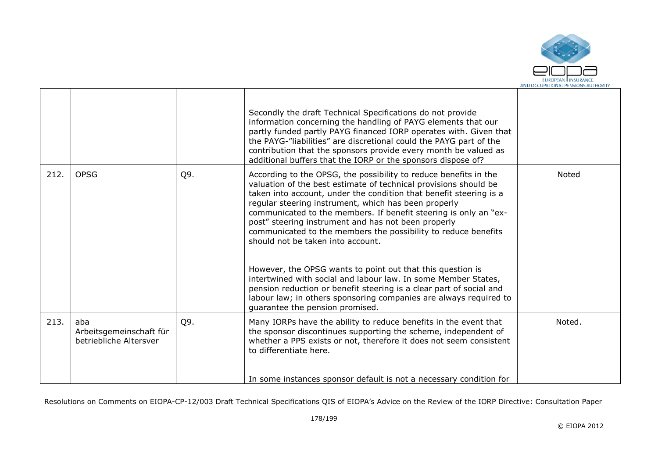

|      |                                                          |     | Secondly the draft Technical Specifications do not provide<br>information concerning the handling of PAYG elements that our<br>partly funded partly PAYG financed IORP operates with. Given that<br>the PAYG-"liabilities" are discretional could the PAYG part of the<br>contribution that the sponsors provide every month be valued as<br>additional buffers that the IORP or the sponsors dispose of?                                                                                                                                                                                                                                                                                                                                                                                                           |        |
|------|----------------------------------------------------------|-----|---------------------------------------------------------------------------------------------------------------------------------------------------------------------------------------------------------------------------------------------------------------------------------------------------------------------------------------------------------------------------------------------------------------------------------------------------------------------------------------------------------------------------------------------------------------------------------------------------------------------------------------------------------------------------------------------------------------------------------------------------------------------------------------------------------------------|--------|
| 212. | <b>OPSG</b>                                              | Q9. | According to the OPSG, the possibility to reduce benefits in the<br>valuation of the best estimate of technical provisions should be<br>taken into account, under the condition that benefit steering is a<br>regular steering instrument, which has been properly<br>communicated to the members. If benefit steering is only an "ex-<br>post" steering instrument and has not been properly<br>communicated to the members the possibility to reduce benefits<br>should not be taken into account.<br>However, the OPSG wants to point out that this question is<br>intertwined with social and labour law. In some Member States,<br>pension reduction or benefit steering is a clear part of social and<br>labour law; in others sponsoring companies are always required to<br>guarantee the pension promised. | Noted  |
| 213. | aba<br>Arbeitsgemeinschaft für<br>betriebliche Altersver | Q9. | Many IORPs have the ability to reduce benefits in the event that<br>the sponsor discontinues supporting the scheme, independent of<br>whether a PPS exists or not, therefore it does not seem consistent<br>to differentiate here.<br>In some instances sponsor default is not a necessary condition for                                                                                                                                                                                                                                                                                                                                                                                                                                                                                                            | Noted. |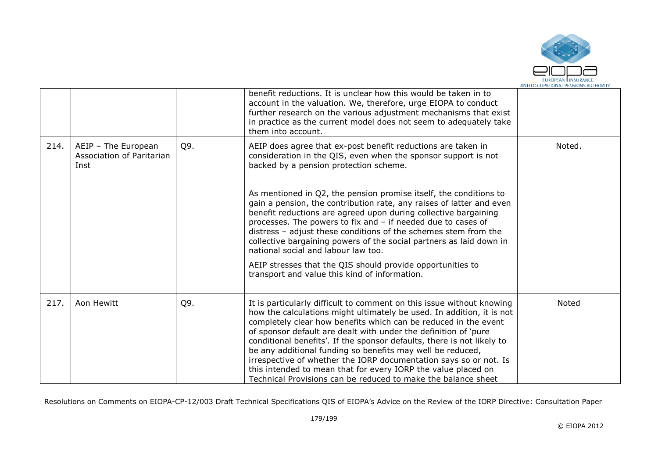

|      |                                                          |     | benefit reductions. It is unclear how this would be taken in to<br>account in the valuation. We, therefore, urge EIOPA to conduct<br>further research on the various adjustment mechanisms that exist<br>in practice as the current model does not seem to adequately take<br>them into account.                                                                                                                                                                                                                                                                                                                                    |        |
|------|----------------------------------------------------------|-----|-------------------------------------------------------------------------------------------------------------------------------------------------------------------------------------------------------------------------------------------------------------------------------------------------------------------------------------------------------------------------------------------------------------------------------------------------------------------------------------------------------------------------------------------------------------------------------------------------------------------------------------|--------|
| 214. | AEIP - The European<br>Association of Paritarian<br>Inst | Q9. | AEIP does agree that ex-post benefit reductions are taken in<br>consideration in the QIS, even when the sponsor support is not<br>backed by a pension protection scheme.                                                                                                                                                                                                                                                                                                                                                                                                                                                            | Noted. |
|      |                                                          |     | As mentioned in Q2, the pension promise itself, the conditions to<br>gain a pension, the contribution rate, any raises of latter and even<br>benefit reductions are agreed upon during collective bargaining<br>processes. The powers to fix and - if needed due to cases of<br>distress - adjust these conditions of the schemes stem from the<br>collective bargaining powers of the social partners as laid down in<br>national social and labour law too.                                                                                                                                                                       |        |
|      |                                                          |     | AEIP stresses that the QIS should provide opportunities to<br>transport and value this kind of information.                                                                                                                                                                                                                                                                                                                                                                                                                                                                                                                         |        |
| 217. | Aon Hewitt                                               | Q9. | It is particularly difficult to comment on this issue without knowing<br>how the calculations might ultimately be used. In addition, it is not<br>completely clear how benefits which can be reduced in the event<br>of sponsor default are dealt with under the definition of 'pure<br>conditional benefits'. If the sponsor defaults, there is not likely to<br>be any additional funding so benefits may well be reduced,<br>irrespective of whether the IORP documentation says so or not. Is<br>this intended to mean that for every IORP the value placed on<br>Technical Provisions can be reduced to make the balance sheet | Noted  |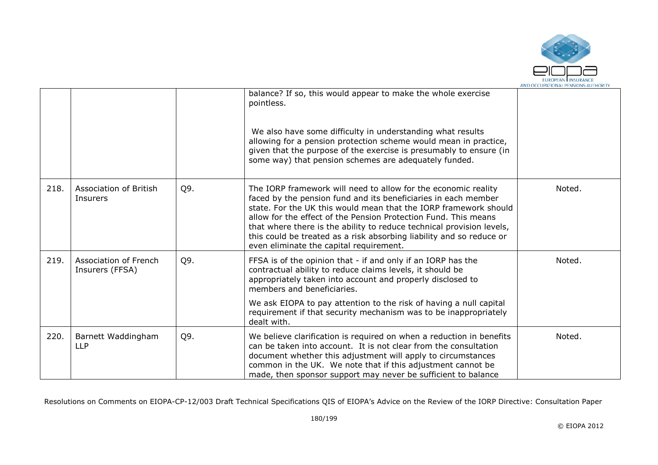

|      |                                                 |     | balance? If so, this would appear to make the whole exercise<br>pointless.<br>We also have some difficulty in understanding what results<br>allowing for a pension protection scheme would mean in practice,<br>given that the purpose of the exercise is presumably to ensure (in<br>some way) that pension schemes are adequately funded.                                                                                                                         |        |
|------|-------------------------------------------------|-----|---------------------------------------------------------------------------------------------------------------------------------------------------------------------------------------------------------------------------------------------------------------------------------------------------------------------------------------------------------------------------------------------------------------------------------------------------------------------|--------|
| 218. | Association of British<br>Insurers              | Q9. | The IORP framework will need to allow for the economic reality<br>faced by the pension fund and its beneficiaries in each member<br>state. For the UK this would mean that the IORP framework should<br>allow for the effect of the Pension Protection Fund. This means<br>that where there is the ability to reduce technical provision levels,<br>this could be treated as a risk absorbing liability and so reduce or<br>even eliminate the capital requirement. | Noted. |
| 219. | <b>Association of French</b><br>Insurers (FFSA) | Q9. | FFSA is of the opinion that - if and only if an IORP has the<br>contractual ability to reduce claims levels, it should be<br>appropriately taken into account and properly disclosed to<br>members and beneficiaries.<br>We ask EIOPA to pay attention to the risk of having a null capital<br>requirement if that security mechanism was to be inappropriately<br>dealt with.                                                                                      | Noted. |
| 220. | Barnett Waddingham<br><b>LLP</b>                | Q9. | We believe clarification is required on when a reduction in benefits<br>can be taken into account. It is not clear from the consultation<br>document whether this adjustment will apply to circumstances<br>common in the UK. We note that if this adjustment cannot be<br>made, then sponsor support may never be sufficient to balance                                                                                                                            | Noted. |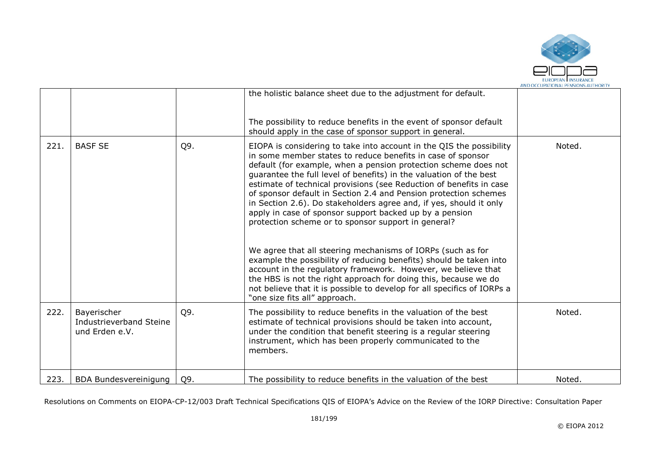

|      |                                                          |     | the holistic balance sheet due to the adjustment for default.                                                                                                                                                                                                                                                                                                                                                                                                                                                                                                                                                                                                                                                                                                                                                                                                                                                                                                                                        |        |
|------|----------------------------------------------------------|-----|------------------------------------------------------------------------------------------------------------------------------------------------------------------------------------------------------------------------------------------------------------------------------------------------------------------------------------------------------------------------------------------------------------------------------------------------------------------------------------------------------------------------------------------------------------------------------------------------------------------------------------------------------------------------------------------------------------------------------------------------------------------------------------------------------------------------------------------------------------------------------------------------------------------------------------------------------------------------------------------------------|--------|
|      |                                                          |     | The possibility to reduce benefits in the event of sponsor default<br>should apply in the case of sponsor support in general.                                                                                                                                                                                                                                                                                                                                                                                                                                                                                                                                                                                                                                                                                                                                                                                                                                                                        |        |
| 221. | <b>BASF SE</b>                                           | Q9. | EIOPA is considering to take into account in the QIS the possibility<br>in some member states to reduce benefits in case of sponsor<br>default (for example, when a pension protection scheme does not<br>guarantee the full level of benefits) in the valuation of the best<br>estimate of technical provisions (see Reduction of benefits in case<br>of sponsor default in Section 2.4 and Pension protection schemes<br>in Section 2.6). Do stakeholders agree and, if yes, should it only<br>apply in case of sponsor support backed up by a pension<br>protection scheme or to sponsor support in general?<br>We agree that all steering mechanisms of IORPs (such as for<br>example the possibility of reducing benefits) should be taken into<br>account in the regulatory framework. However, we believe that<br>the HBS is not the right approach for doing this, because we do<br>not believe that it is possible to develop for all specifics of IORPs a<br>"one size fits all" approach. | Noted. |
| 222. | Bayerischer<br>Industrieverband Steine<br>und Erden e.V. | Q9. | The possibility to reduce benefits in the valuation of the best<br>estimate of technical provisions should be taken into account,<br>under the condition that benefit steering is a regular steering<br>instrument, which has been properly communicated to the<br>members.                                                                                                                                                                                                                                                                                                                                                                                                                                                                                                                                                                                                                                                                                                                          | Noted. |
| 223. | <b>BDA Bundesvereinigung</b>                             | Q9. | The possibility to reduce benefits in the valuation of the best                                                                                                                                                                                                                                                                                                                                                                                                                                                                                                                                                                                                                                                                                                                                                                                                                                                                                                                                      | Noted. |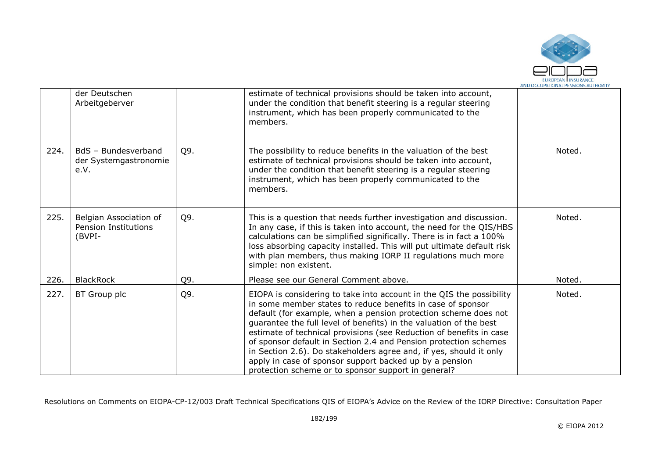

|      | der Deutschen<br>Arbeitgeberver                                 |     | estimate of technical provisions should be taken into account,<br>under the condition that benefit steering is a regular steering<br>instrument, which has been properly communicated to the<br>members.                                                                                                                                                                                                                                                                                                                                                                                                        |        |
|------|-----------------------------------------------------------------|-----|-----------------------------------------------------------------------------------------------------------------------------------------------------------------------------------------------------------------------------------------------------------------------------------------------------------------------------------------------------------------------------------------------------------------------------------------------------------------------------------------------------------------------------------------------------------------------------------------------------------------|--------|
| 224. | BdS - Bundesverband<br>der Systemgastronomie<br>e.V.            | Q9. | The possibility to reduce benefits in the valuation of the best<br>estimate of technical provisions should be taken into account,<br>under the condition that benefit steering is a regular steering<br>instrument, which has been properly communicated to the<br>members.                                                                                                                                                                                                                                                                                                                                     | Noted. |
| 225. | Belgian Association of<br><b>Pension Institutions</b><br>(BVPI- | Q9. | This is a question that needs further investigation and discussion.<br>In any case, if this is taken into account, the need for the QIS/HBS<br>calculations can be simplified significally. There is in fact a 100%<br>loss absorbing capacity installed. This will put ultimate default risk<br>with plan members, thus making IORP II regulations much more<br>simple: non existent.                                                                                                                                                                                                                          | Noted. |
| 226. | <b>BlackRock</b>                                                | Q9. | Please see our General Comment above.                                                                                                                                                                                                                                                                                                                                                                                                                                                                                                                                                                           | Noted. |
| 227. | BT Group plc                                                    | Q9. | EIOPA is considering to take into account in the QIS the possibility<br>in some member states to reduce benefits in case of sponsor<br>default (for example, when a pension protection scheme does not<br>guarantee the full level of benefits) in the valuation of the best<br>estimate of technical provisions (see Reduction of benefits in case<br>of sponsor default in Section 2.4 and Pension protection schemes<br>in Section 2.6). Do stakeholders agree and, if yes, should it only<br>apply in case of sponsor support backed up by a pension<br>protection scheme or to sponsor support in general? | Noted. |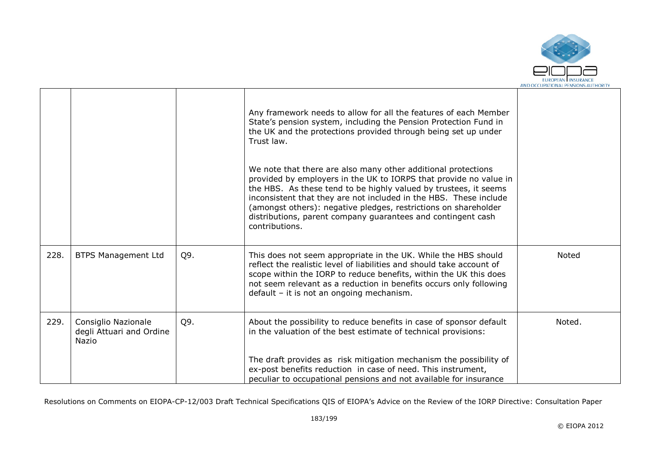

|      |                                                          |     | Any framework needs to allow for all the features of each Member<br>State's pension system, including the Pension Protection Fund in<br>the UK and the protections provided through being set up under<br>Trust law.<br>We note that there are also many other additional protections<br>provided by employers in the UK to IORPS that provide no value in<br>the HBS. As these tend to be highly valued by trustees, it seems<br>inconsistent that they are not included in the HBS. These include<br>(amongst others): negative pledges, restrictions on shareholder<br>distributions, parent company guarantees and contingent cash<br>contributions. |        |
|------|----------------------------------------------------------|-----|----------------------------------------------------------------------------------------------------------------------------------------------------------------------------------------------------------------------------------------------------------------------------------------------------------------------------------------------------------------------------------------------------------------------------------------------------------------------------------------------------------------------------------------------------------------------------------------------------------------------------------------------------------|--------|
| 228. | <b>BTPS Management Ltd</b>                               | Q9. | This does not seem appropriate in the UK. While the HBS should<br>reflect the realistic level of liabilities and should take account of<br>scope within the IORP to reduce benefits, within the UK this does<br>not seem relevant as a reduction in benefits occurs only following<br>default - it is not an ongoing mechanism.                                                                                                                                                                                                                                                                                                                          | Noted  |
| 229. | Consiglio Nazionale<br>degli Attuari and Ordine<br>Nazio | Q9. | About the possibility to reduce benefits in case of sponsor default<br>in the valuation of the best estimate of technical provisions:                                                                                                                                                                                                                                                                                                                                                                                                                                                                                                                    | Noted. |
|      |                                                          |     | The draft provides as risk mitigation mechanism the possibility of<br>ex-post benefits reduction in case of need. This instrument,<br>peculiar to occupational pensions and not available for insurance                                                                                                                                                                                                                                                                                                                                                                                                                                                  |        |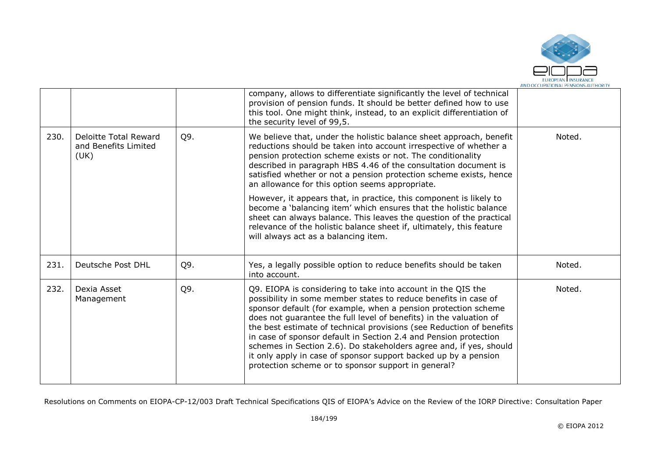

|      |                                                              |     | company, allows to differentiate significantly the level of technical<br>provision of pension funds. It should be better defined how to use<br>this tool. One might think, instead, to an explicit differentiation of<br>the security level of 99,5.                                                                                                                                                                                                                                                                                                                                                                |        |
|------|--------------------------------------------------------------|-----|---------------------------------------------------------------------------------------------------------------------------------------------------------------------------------------------------------------------------------------------------------------------------------------------------------------------------------------------------------------------------------------------------------------------------------------------------------------------------------------------------------------------------------------------------------------------------------------------------------------------|--------|
| 230. | <b>Deloitte Total Reward</b><br>and Benefits Limited<br>(UK) | Q9. | We believe that, under the holistic balance sheet approach, benefit<br>reductions should be taken into account irrespective of whether a<br>pension protection scheme exists or not. The conditionality<br>described in paragraph HBS 4.46 of the consultation document is<br>satisfied whether or not a pension protection scheme exists, hence<br>an allowance for this option seems appropriate.                                                                                                                                                                                                                 | Noted. |
|      |                                                              |     | However, it appears that, in practice, this component is likely to<br>become a 'balancing item' which ensures that the holistic balance<br>sheet can always balance. This leaves the question of the practical<br>relevance of the holistic balance sheet if, ultimately, this feature<br>will always act as a balancing item.                                                                                                                                                                                                                                                                                      |        |
| 231. | Deutsche Post DHL                                            | Q9. | Yes, a legally possible option to reduce benefits should be taken<br>into account.                                                                                                                                                                                                                                                                                                                                                                                                                                                                                                                                  | Noted. |
| 232. | Dexia Asset<br>Management                                    | Q9. | Q9. EIOPA is considering to take into account in the QIS the<br>possibility in some member states to reduce benefits in case of<br>sponsor default (for example, when a pension protection scheme<br>does not guarantee the full level of benefits) in the valuation of<br>the best estimate of technical provisions (see Reduction of benefits<br>in case of sponsor default in Section 2.4 and Pension protection<br>schemes in Section 2.6). Do stakeholders agree and, if yes, should<br>it only apply in case of sponsor support backed up by a pension<br>protection scheme or to sponsor support in general? | Noted. |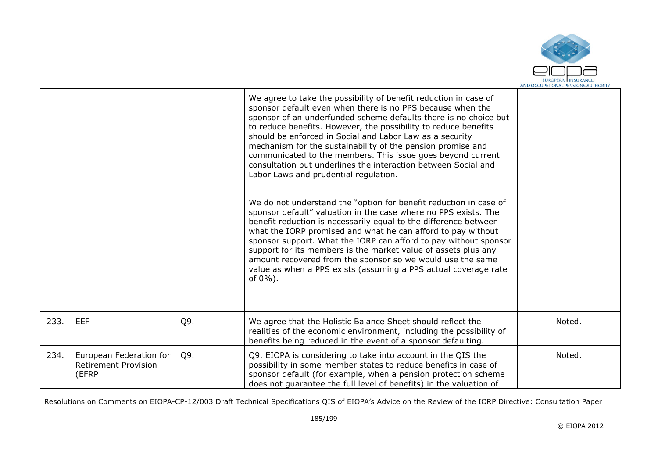

|      |                                                                 |     | We agree to take the possibility of benefit reduction in case of<br>sponsor default even when there is no PPS because when the<br>sponsor of an underfunded scheme defaults there is no choice but<br>to reduce benefits. However, the possibility to reduce benefits<br>should be enforced in Social and Labor Law as a security<br>mechanism for the sustainability of the pension promise and<br>communicated to the members. This issue goes beyond current<br>consultation but underlines the interaction between Social and<br>Labor Laws and prudential regulation.<br>We do not understand the "option for benefit reduction in case of<br>sponsor default" valuation in the case where no PPS exists. The<br>benefit reduction is necessarily equal to the difference between<br>what the IORP promised and what he can afford to pay without<br>sponsor support. What the IORP can afford to pay without sponsor<br>support for its members is the market value of assets plus any<br>amount recovered from the sponsor so we would use the same<br>value as when a PPS exists (assuming a PPS actual coverage rate<br>of $0\%$ ). |        |
|------|-----------------------------------------------------------------|-----|----------------------------------------------------------------------------------------------------------------------------------------------------------------------------------------------------------------------------------------------------------------------------------------------------------------------------------------------------------------------------------------------------------------------------------------------------------------------------------------------------------------------------------------------------------------------------------------------------------------------------------------------------------------------------------------------------------------------------------------------------------------------------------------------------------------------------------------------------------------------------------------------------------------------------------------------------------------------------------------------------------------------------------------------------------------------------------------------------------------------------------------------|--------|
| 233. | <b>EEF</b>                                                      | Q9. | We agree that the Holistic Balance Sheet should reflect the<br>realities of the economic environment, including the possibility of<br>benefits being reduced in the event of a sponsor defaulting.                                                                                                                                                                                                                                                                                                                                                                                                                                                                                                                                                                                                                                                                                                                                                                                                                                                                                                                                           | Noted. |
| 234. | European Federation for<br><b>Retirement Provision</b><br>(EFRP | Q9. | Q9. EIOPA is considering to take into account in the QIS the<br>possibility in some member states to reduce benefits in case of<br>sponsor default (for example, when a pension protection scheme<br>does not quarantee the full level of benefits) in the valuation of                                                                                                                                                                                                                                                                                                                                                                                                                                                                                                                                                                                                                                                                                                                                                                                                                                                                      | Noted. |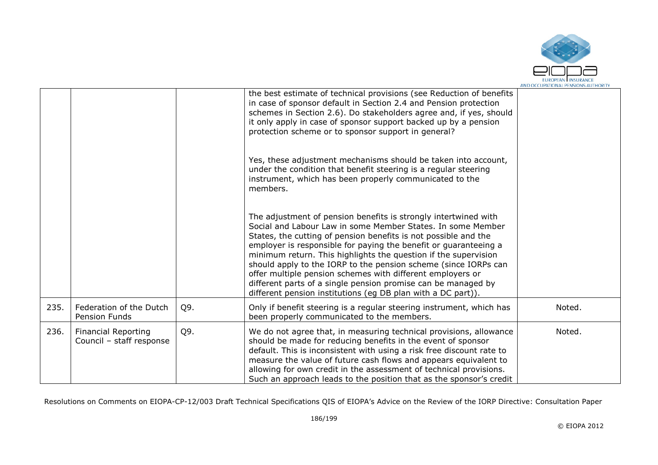

|      |                                                        |     | the best estimate of technical provisions (see Reduction of benefits<br>in case of sponsor default in Section 2.4 and Pension protection<br>schemes in Section 2.6). Do stakeholders agree and, if yes, should<br>it only apply in case of sponsor support backed up by a pension<br>protection scheme or to sponsor support in general?                                                                                                                                                                                                                                                                   |        |
|------|--------------------------------------------------------|-----|------------------------------------------------------------------------------------------------------------------------------------------------------------------------------------------------------------------------------------------------------------------------------------------------------------------------------------------------------------------------------------------------------------------------------------------------------------------------------------------------------------------------------------------------------------------------------------------------------------|--------|
|      |                                                        |     | Yes, these adjustment mechanisms should be taken into account,<br>under the condition that benefit steering is a regular steering<br>instrument, which has been properly communicated to the<br>members.                                                                                                                                                                                                                                                                                                                                                                                                   |        |
|      |                                                        |     | The adjustment of pension benefits is strongly intertwined with<br>Social and Labour Law in some Member States. In some Member<br>States, the cutting of pension benefits is not possible and the<br>employer is responsible for paying the benefit or guaranteeing a<br>minimum return. This highlights the question if the supervision<br>should apply to the IORP to the pension scheme (since IORPs can<br>offer multiple pension schemes with different employers or<br>different parts of a single pension promise can be managed by<br>different pension institutions (eq DB plan with a DC part)). |        |
| 235. | Federation of the Dutch<br>Pension Funds               | Q9. | Only if benefit steering is a regular steering instrument, which has<br>been properly communicated to the members.                                                                                                                                                                                                                                                                                                                                                                                                                                                                                         | Noted. |
| 236. | <b>Financial Reporting</b><br>Council - staff response | Q9. | We do not agree that, in measuring technical provisions, allowance<br>should be made for reducing benefits in the event of sponsor<br>default. This is inconsistent with using a risk free discount rate to<br>measure the value of future cash flows and appears equivalent to<br>allowing for own credit in the assessment of technical provisions.<br>Such an approach leads to the position that as the sponsor's credit                                                                                                                                                                               | Noted. |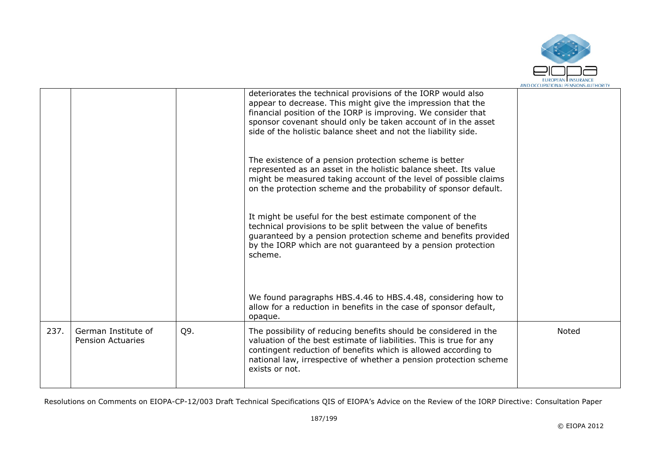

|      |                                                 |     | deteriorates the technical provisions of the IORP would also<br>appear to decrease. This might give the impression that the<br>financial position of the IORP is improving. We consider that<br>sponsor covenant should only be taken account of in the asset<br>side of the holistic balance sheet and not the liability side. |       |
|------|-------------------------------------------------|-----|---------------------------------------------------------------------------------------------------------------------------------------------------------------------------------------------------------------------------------------------------------------------------------------------------------------------------------|-------|
|      |                                                 |     | The existence of a pension protection scheme is better<br>represented as an asset in the holistic balance sheet. Its value<br>might be measured taking account of the level of possible claims<br>on the protection scheme and the probability of sponsor default.                                                              |       |
|      |                                                 |     | It might be useful for the best estimate component of the<br>technical provisions to be split between the value of benefits<br>guaranteed by a pension protection scheme and benefits provided<br>by the IORP which are not quaranteed by a pension protection<br>scheme.                                                       |       |
|      |                                                 |     | We found paragraphs HBS.4.46 to HBS.4.48, considering how to<br>allow for a reduction in benefits in the case of sponsor default,<br>opaque.                                                                                                                                                                                    |       |
| 237. | German Institute of<br><b>Pension Actuaries</b> | Q9. | The possibility of reducing benefits should be considered in the<br>valuation of the best estimate of liabilities. This is true for any<br>contingent reduction of benefits which is allowed according to<br>national law, irrespective of whether a pension protection scheme<br>exists or not.                                | Noted |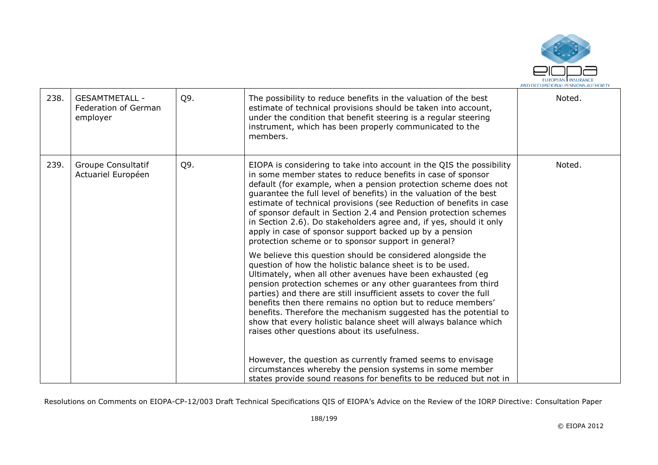

| 238. | <b>GESAMTMETALL -</b><br>Federation of German<br>employer | Q9. | The possibility to reduce benefits in the valuation of the best<br>estimate of technical provisions should be taken into account,<br>under the condition that benefit steering is a regular steering<br>instrument, which has been properly communicated to the<br>members.                                                                                                                                                                                                                                                                                                                                                                                                                                                                                                                                                                                                                                                                                                                                                                                                                                                                                                                                                                                                                                                         | Noted. |
|------|-----------------------------------------------------------|-----|-------------------------------------------------------------------------------------------------------------------------------------------------------------------------------------------------------------------------------------------------------------------------------------------------------------------------------------------------------------------------------------------------------------------------------------------------------------------------------------------------------------------------------------------------------------------------------------------------------------------------------------------------------------------------------------------------------------------------------------------------------------------------------------------------------------------------------------------------------------------------------------------------------------------------------------------------------------------------------------------------------------------------------------------------------------------------------------------------------------------------------------------------------------------------------------------------------------------------------------------------------------------------------------------------------------------------------------|--------|
| 239. | Groupe Consultatif<br>Actuariel Européen                  | Q9. | EIOPA is considering to take into account in the QIS the possibility<br>in some member states to reduce benefits in case of sponsor<br>default (for example, when a pension protection scheme does not<br>guarantee the full level of benefits) in the valuation of the best<br>estimate of technical provisions (see Reduction of benefits in case<br>of sponsor default in Section 2.4 and Pension protection schemes<br>in Section 2.6). Do stakeholders agree and, if yes, should it only<br>apply in case of sponsor support backed up by a pension<br>protection scheme or to sponsor support in general?<br>We believe this question should be considered alongside the<br>question of how the holistic balance sheet is to be used.<br>Ultimately, when all other avenues have been exhausted (eg<br>pension protection schemes or any other guarantees from third<br>parties) and there are still insufficient assets to cover the full<br>benefits then there remains no option but to reduce members'<br>benefits. Therefore the mechanism suggested has the potential to<br>show that every holistic balance sheet will always balance which<br>raises other questions about its usefulness.<br>However, the question as currently framed seems to envisage<br>circumstances whereby the pension systems in some member | Noted. |
|      |                                                           |     | states provide sound reasons for benefits to be reduced but not in                                                                                                                                                                                                                                                                                                                                                                                                                                                                                                                                                                                                                                                                                                                                                                                                                                                                                                                                                                                                                                                                                                                                                                                                                                                                  |        |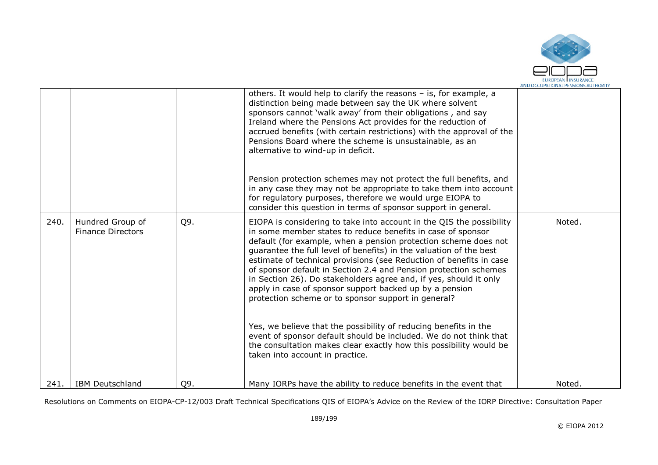

|      |                                              |     | others. It would help to clarify the reasons - is, for example, a<br>distinction being made between say the UK where solvent<br>sponsors cannot 'walk away' from their obligations, and say<br>Ireland where the Pensions Act provides for the reduction of<br>accrued benefits (with certain restrictions) with the approval of the<br>Pensions Board where the scheme is unsustainable, as an<br>alternative to wind-up in deficit.<br>Pension protection schemes may not protect the full benefits, and<br>in any case they may not be appropriate to take them into account<br>for regulatory purposes, therefore we would urge EIOPA to<br>consider this question in terms of sponsor support in general.                                                                                                                                                   |        |
|------|----------------------------------------------|-----|------------------------------------------------------------------------------------------------------------------------------------------------------------------------------------------------------------------------------------------------------------------------------------------------------------------------------------------------------------------------------------------------------------------------------------------------------------------------------------------------------------------------------------------------------------------------------------------------------------------------------------------------------------------------------------------------------------------------------------------------------------------------------------------------------------------------------------------------------------------|--------|
| 240. | Hundred Group of<br><b>Finance Directors</b> | Q9. | EIOPA is considering to take into account in the QIS the possibility<br>in some member states to reduce benefits in case of sponsor<br>default (for example, when a pension protection scheme does not<br>quarantee the full level of benefits) in the valuation of the best<br>estimate of technical provisions (see Reduction of benefits in case<br>of sponsor default in Section 2.4 and Pension protection schemes<br>in Section 26). Do stakeholders agree and, if yes, should it only<br>apply in case of sponsor support backed up by a pension<br>protection scheme or to sponsor support in general?<br>Yes, we believe that the possibility of reducing benefits in the<br>event of sponsor default should be included. We do not think that<br>the consultation makes clear exactly how this possibility would be<br>taken into account in practice. | Noted. |
| 241. | <b>IBM Deutschland</b>                       | Q9. | Many IORPs have the ability to reduce benefits in the event that                                                                                                                                                                                                                                                                                                                                                                                                                                                                                                                                                                                                                                                                                                                                                                                                 | Noted. |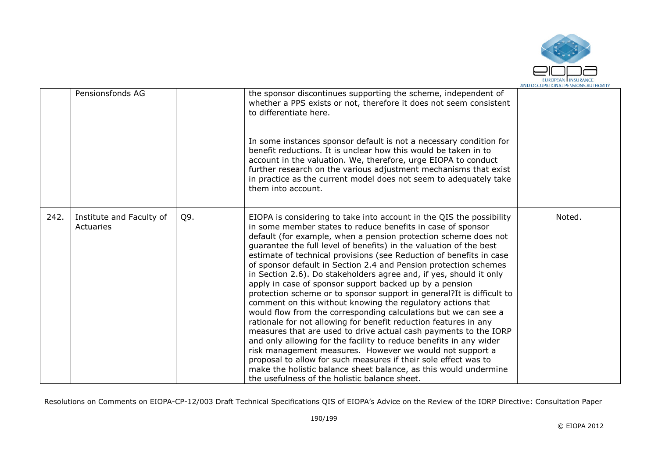

|      | Pensionsfonds AG                      |     | the sponsor discontinues supporting the scheme, independent of<br>whether a PPS exists or not, therefore it does not seem consistent<br>to differentiate here.<br>In some instances sponsor default is not a necessary condition for<br>benefit reductions. It is unclear how this would be taken in to<br>account in the valuation. We, therefore, urge EIOPA to conduct<br>further research on the various adjustment mechanisms that exist<br>in practice as the current model does not seem to adequately take<br>them into account.                                                                                                                                                                                                                                                                                                                                                                                                                                                                                                                                                                                                                                                                                               |        |
|------|---------------------------------------|-----|----------------------------------------------------------------------------------------------------------------------------------------------------------------------------------------------------------------------------------------------------------------------------------------------------------------------------------------------------------------------------------------------------------------------------------------------------------------------------------------------------------------------------------------------------------------------------------------------------------------------------------------------------------------------------------------------------------------------------------------------------------------------------------------------------------------------------------------------------------------------------------------------------------------------------------------------------------------------------------------------------------------------------------------------------------------------------------------------------------------------------------------------------------------------------------------------------------------------------------------|--------|
| 242. | Institute and Faculty of<br>Actuaries | Q9. | EIOPA is considering to take into account in the QIS the possibility<br>in some member states to reduce benefits in case of sponsor<br>default (for example, when a pension protection scheme does not<br>guarantee the full level of benefits) in the valuation of the best<br>estimate of technical provisions (see Reduction of benefits in case<br>of sponsor default in Section 2.4 and Pension protection schemes<br>in Section 2.6). Do stakeholders agree and, if yes, should it only<br>apply in case of sponsor support backed up by a pension<br>protection scheme or to sponsor support in general? It is difficult to<br>comment on this without knowing the regulatory actions that<br>would flow from the corresponding calculations but we can see a<br>rationale for not allowing for benefit reduction features in any<br>measures that are used to drive actual cash payments to the IORP<br>and only allowing for the facility to reduce benefits in any wider<br>risk management measures. However we would not support a<br>proposal to allow for such measures if their sole effect was to<br>make the holistic balance sheet balance, as this would undermine<br>the usefulness of the holistic balance sheet. | Noted. |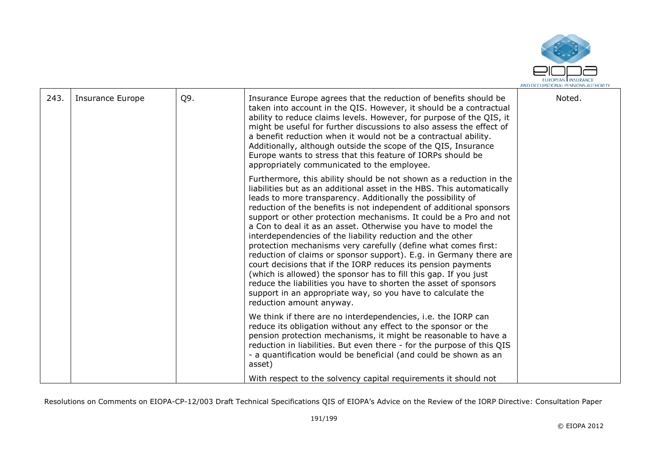

| 243. | Insurance Europe | Q9. | Insurance Europe agrees that the reduction of benefits should be<br>taken into account in the QIS. However, it should be a contractual<br>ability to reduce claims levels. However, for purpose of the QIS, it<br>might be useful for further discussions to also assess the effect of<br>a benefit reduction when it would not be a contractual ability.<br>Additionally, although outside the scope of the QIS, Insurance<br>Europe wants to stress that this feature of IORPs should be<br>appropriately communicated to the employee.                                                                                                                                                                                                                                                                                                                                                                                          | Noted. |
|------|------------------|-----|------------------------------------------------------------------------------------------------------------------------------------------------------------------------------------------------------------------------------------------------------------------------------------------------------------------------------------------------------------------------------------------------------------------------------------------------------------------------------------------------------------------------------------------------------------------------------------------------------------------------------------------------------------------------------------------------------------------------------------------------------------------------------------------------------------------------------------------------------------------------------------------------------------------------------------|--------|
|      |                  |     | Furthermore, this ability should be not shown as a reduction in the<br>liabilities but as an additional asset in the HBS. This automatically<br>leads to more transparency. Additionally the possibility of<br>reduction of the benefits is not independent of additional sponsors<br>support or other protection mechanisms. It could be a Pro and not<br>a Con to deal it as an asset. Otherwise you have to model the<br>interdependencies of the liability reduction and the other<br>protection mechanisms very carefully (define what comes first:<br>reduction of claims or sponsor support). E.g. in Germany there are<br>court decisions that if the IORP reduces its pension payments<br>(which is allowed) the sponsor has to fill this gap. If you just<br>reduce the liabilities you have to shorten the asset of sponsors<br>support in an appropriate way, so you have to calculate the<br>reduction amount anyway. |        |
|      |                  |     | We think if there are no interdependencies, i.e. the IORP can<br>reduce its obligation without any effect to the sponsor or the<br>pension protection mechanisms, it might be reasonable to have a<br>reduction in liabilities. But even there - for the purpose of this QIS<br>- a quantification would be beneficial (and could be shown as an<br>asset)<br>With respect to the solvency capital requirements it should not                                                                                                                                                                                                                                                                                                                                                                                                                                                                                                      |        |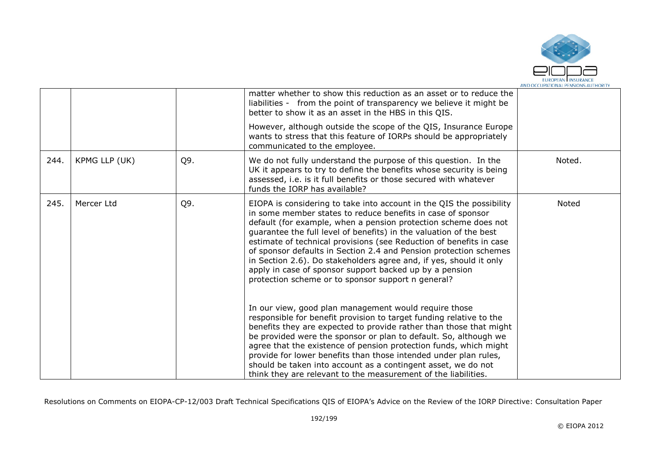

|      |               |            | matter whether to show this reduction as an asset or to reduce the<br>liabilities - from the point of transparency we believe it might be<br>better to show it as an asset in the HBS in this QIS.<br>However, although outside the scope of the QIS, Insurance Europe<br>wants to stress that this feature of IORPs should be appropriately<br>communicated to the employee.                                      |                                                                                                                                                                                                                                                                                                                                                                                                                                                                                                                                                                                                                                                                                                                                                 |       |
|------|---------------|------------|--------------------------------------------------------------------------------------------------------------------------------------------------------------------------------------------------------------------------------------------------------------------------------------------------------------------------------------------------------------------------------------------------------------------|-------------------------------------------------------------------------------------------------------------------------------------------------------------------------------------------------------------------------------------------------------------------------------------------------------------------------------------------------------------------------------------------------------------------------------------------------------------------------------------------------------------------------------------------------------------------------------------------------------------------------------------------------------------------------------------------------------------------------------------------------|-------|
| 244. | KPMG LLP (UK) | Q9.        | We do not fully understand the purpose of this question. In the<br>UK it appears to try to define the benefits whose security is being<br>assessed, i.e. is it full benefits or those secured with whatever<br>funds the IORP has available?                                                                                                                                                                       | Noted.                                                                                                                                                                                                                                                                                                                                                                                                                                                                                                                                                                                                                                                                                                                                          |       |
| 245. |               | Mercer Ltd | Q9.                                                                                                                                                                                                                                                                                                                                                                                                                | EIOPA is considering to take into account in the QIS the possibility<br>in some member states to reduce benefits in case of sponsor<br>default (for example, when a pension protection scheme does not<br>guarantee the full level of benefits) in the valuation of the best<br>estimate of technical provisions (see Reduction of benefits in case<br>of sponsor defaults in Section 2.4 and Pension protection schemes<br>in Section 2.6). Do stakeholders agree and, if yes, should it only<br>apply in case of sponsor support backed up by a pension<br>protection scheme or to sponsor support n general?<br>In our view, good plan management would require those<br>responsible for benefit provision to target funding relative to the | Noted |
|      |               |            | benefits they are expected to provide rather than those that might<br>be provided were the sponsor or plan to default. So, although we<br>agree that the existence of pension protection funds, which might<br>provide for lower benefits than those intended under plan rules,<br>should be taken into account as a contingent asset, we do not<br>think they are relevant to the measurement of the liabilities. |                                                                                                                                                                                                                                                                                                                                                                                                                                                                                                                                                                                                                                                                                                                                                 |       |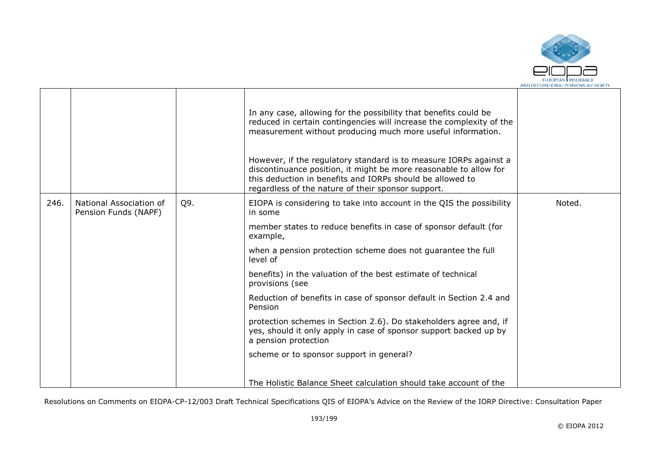

|      |                                                 |     | In any case, allowing for the possibility that benefits could be<br>reduced in certain contingencies will increase the complexity of the<br>measurement without producing much more useful information.<br>However, if the regulatory standard is to measure IORPs against a<br>discontinuance position, it might be more reasonable to allow for<br>this deduction in benefits and IORPs should be allowed to<br>regardless of the nature of their sponsor support. |        |
|------|-------------------------------------------------|-----|----------------------------------------------------------------------------------------------------------------------------------------------------------------------------------------------------------------------------------------------------------------------------------------------------------------------------------------------------------------------------------------------------------------------------------------------------------------------|--------|
| 246. | National Association of<br>Pension Funds (NAPF) | Q9. | EIOPA is considering to take into account in the QIS the possibility<br>in some                                                                                                                                                                                                                                                                                                                                                                                      | Noted. |
|      |                                                 |     | member states to reduce benefits in case of sponsor default (for<br>example,                                                                                                                                                                                                                                                                                                                                                                                         |        |
|      |                                                 |     | when a pension protection scheme does not guarantee the full<br>level of                                                                                                                                                                                                                                                                                                                                                                                             |        |
|      |                                                 |     | benefits) in the valuation of the best estimate of technical<br>provisions (see                                                                                                                                                                                                                                                                                                                                                                                      |        |
|      |                                                 |     | Reduction of benefits in case of sponsor default in Section 2.4 and<br>Pension                                                                                                                                                                                                                                                                                                                                                                                       |        |
|      |                                                 |     | protection schemes in Section 2.6). Do stakeholders agree and, if<br>yes, should it only apply in case of sponsor support backed up by<br>a pension protection                                                                                                                                                                                                                                                                                                       |        |
|      |                                                 |     | scheme or to sponsor support in general?                                                                                                                                                                                                                                                                                                                                                                                                                             |        |
|      |                                                 |     | The Holistic Balance Sheet calculation should take account of the                                                                                                                                                                                                                                                                                                                                                                                                    |        |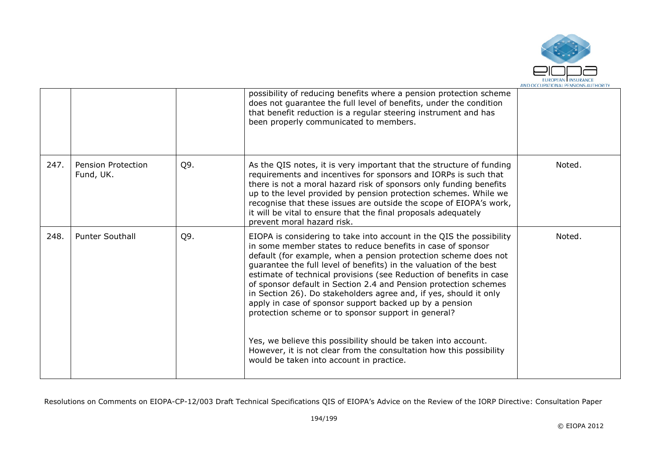

|      |                                 |     | possibility of reducing benefits where a pension protection scheme<br>does not guarantee the full level of benefits, under the condition<br>that benefit reduction is a regular steering instrument and has<br>been properly communicated to members.                                                                                                                                                                                                                                                                                                                                                                                                                                                                                                                                               |        |
|------|---------------------------------|-----|-----------------------------------------------------------------------------------------------------------------------------------------------------------------------------------------------------------------------------------------------------------------------------------------------------------------------------------------------------------------------------------------------------------------------------------------------------------------------------------------------------------------------------------------------------------------------------------------------------------------------------------------------------------------------------------------------------------------------------------------------------------------------------------------------------|--------|
| 247. | Pension Protection<br>Fund, UK. | Q9. | As the QIS notes, it is very important that the structure of funding<br>requirements and incentives for sponsors and IORPs is such that<br>there is not a moral hazard risk of sponsors only funding benefits<br>up to the level provided by pension protection schemes. While we<br>recognise that these issues are outside the scope of EIOPA's work,<br>it will be vital to ensure that the final proposals adequately<br>prevent moral hazard risk.                                                                                                                                                                                                                                                                                                                                             | Noted. |
| 248. | <b>Punter Southall</b>          | Q9. | EIOPA is considering to take into account in the QIS the possibility<br>in some member states to reduce benefits in case of sponsor<br>default (for example, when a pension protection scheme does not<br>guarantee the full level of benefits) in the valuation of the best<br>estimate of technical provisions (see Reduction of benefits in case<br>of sponsor default in Section 2.4 and Pension protection schemes<br>in Section 26). Do stakeholders agree and, if yes, should it only<br>apply in case of sponsor support backed up by a pension<br>protection scheme or to sponsor support in general?<br>Yes, we believe this possibility should be taken into account.<br>However, it is not clear from the consultation how this possibility<br>would be taken into account in practice. | Noted. |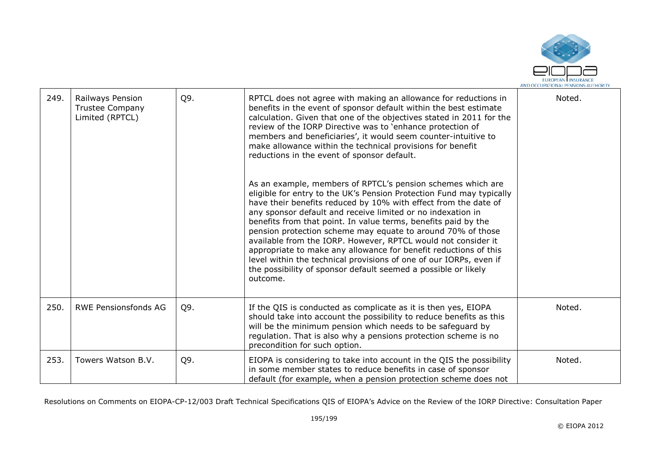

| 249. | Railways Pension<br><b>Trustee Company</b><br>Limited (RPTCL) | Q9. | RPTCL does not agree with making an allowance for reductions in<br>benefits in the event of sponsor default within the best estimate<br>calculation. Given that one of the objectives stated in 2011 for the<br>review of the IORP Directive was to 'enhance protection of<br>members and beneficiaries', it would seem counter-intuitive to<br>make allowance within the technical provisions for benefit<br>reductions in the event of sponsor default.<br>As an example, members of RPTCL's pension schemes which are<br>eligible for entry to the UK's Pension Protection Fund may typically<br>have their benefits reduced by 10% with effect from the date of<br>any sponsor default and receive limited or no indexation in<br>benefits from that point. In value terms, benefits paid by the<br>pension protection scheme may equate to around 70% of those<br>available from the IORP. However, RPTCL would not consider it<br>appropriate to make any allowance for benefit reductions of this<br>level within the technical provisions of one of our IORPs, even if<br>the possibility of sponsor default seemed a possible or likely<br>outcome. | Noted. |
|------|---------------------------------------------------------------|-----|--------------------------------------------------------------------------------------------------------------------------------------------------------------------------------------------------------------------------------------------------------------------------------------------------------------------------------------------------------------------------------------------------------------------------------------------------------------------------------------------------------------------------------------------------------------------------------------------------------------------------------------------------------------------------------------------------------------------------------------------------------------------------------------------------------------------------------------------------------------------------------------------------------------------------------------------------------------------------------------------------------------------------------------------------------------------------------------------------------------------------------------------------------------|--------|
|      |                                                               |     |                                                                                                                                                                                                                                                                                                                                                                                                                                                                                                                                                                                                                                                                                                                                                                                                                                                                                                                                                                                                                                                                                                                                                              |        |
| 250. | <b>RWE Pensionsfonds AG</b>                                   | Q9. | If the QIS is conducted as complicate as it is then yes, EIOPA<br>should take into account the possibility to reduce benefits as this<br>will be the minimum pension which needs to be safeguard by<br>regulation. That is also why a pensions protection scheme is no<br>precondition for such option.                                                                                                                                                                                                                                                                                                                                                                                                                                                                                                                                                                                                                                                                                                                                                                                                                                                      | Noted. |
| 253. | Towers Watson B.V.                                            | Q9. | EIOPA is considering to take into account in the QIS the possibility<br>in some member states to reduce benefits in case of sponsor<br>default (for example, when a pension protection scheme does not                                                                                                                                                                                                                                                                                                                                                                                                                                                                                                                                                                                                                                                                                                                                                                                                                                                                                                                                                       | Noted. |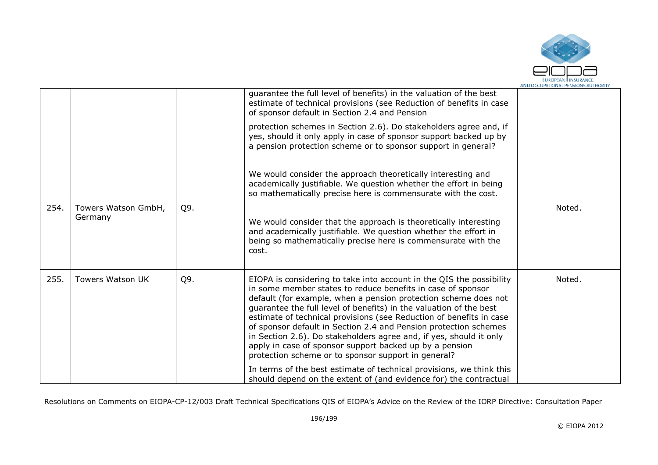

|      |                                |     | guarantee the full level of benefits) in the valuation of the best<br>estimate of technical provisions (see Reduction of benefits in case<br>of sponsor default in Section 2.4 and Pension<br>protection schemes in Section 2.6). Do stakeholders agree and, if<br>yes, should it only apply in case of sponsor support backed up by<br>a pension protection scheme or to sponsor support in general?                                                                                                                                                                                                                                                                                                                                                        |        |
|------|--------------------------------|-----|--------------------------------------------------------------------------------------------------------------------------------------------------------------------------------------------------------------------------------------------------------------------------------------------------------------------------------------------------------------------------------------------------------------------------------------------------------------------------------------------------------------------------------------------------------------------------------------------------------------------------------------------------------------------------------------------------------------------------------------------------------------|--------|
|      |                                |     | We would consider the approach theoretically interesting and<br>academically justifiable. We question whether the effort in being<br>so mathematically precise here is commensurate with the cost.                                                                                                                                                                                                                                                                                                                                                                                                                                                                                                                                                           |        |
| 254. | Towers Watson GmbH,<br>Germany | Q9. | We would consider that the approach is theoretically interesting<br>and academically justifiable. We question whether the effort in<br>being so mathematically precise here is commensurate with the<br>cost.                                                                                                                                                                                                                                                                                                                                                                                                                                                                                                                                                | Noted. |
| 255. | <b>Towers Watson UK</b>        | Q9. | EIOPA is considering to take into account in the QIS the possibility<br>in some member states to reduce benefits in case of sponsor<br>default (for example, when a pension protection scheme does not<br>guarantee the full level of benefits) in the valuation of the best<br>estimate of technical provisions (see Reduction of benefits in case<br>of sponsor default in Section 2.4 and Pension protection schemes<br>in Section 2.6). Do stakeholders agree and, if yes, should it only<br>apply in case of sponsor support backed up by a pension<br>protection scheme or to sponsor support in general?<br>In terms of the best estimate of technical provisions, we think this<br>should depend on the extent of (and evidence for) the contractual | Noted. |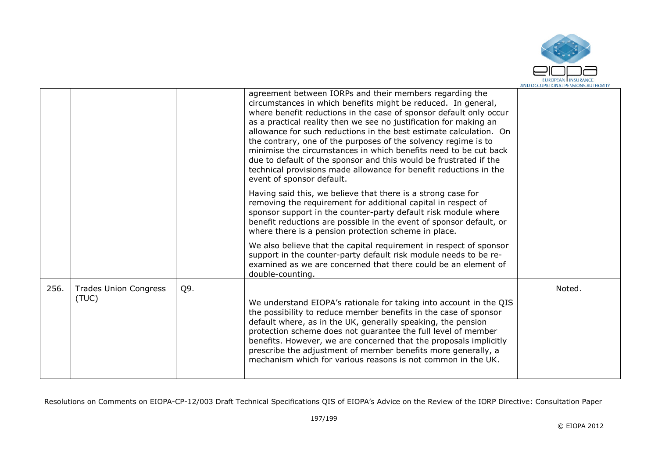

|      |                                       |     | agreement between IORPs and their members regarding the<br>circumstances in which benefits might be reduced. In general,<br>where benefit reductions in the case of sponsor default only occur<br>as a practical reality then we see no justification for making an<br>allowance for such reductions in the best estimate calculation. On<br>the contrary, one of the purposes of the solvency regime is to<br>minimise the circumstances in which benefits need to be cut back<br>due to default of the sponsor and this would be frustrated if the<br>technical provisions made allowance for benefit reductions in the<br>event of sponsor default.<br>Having said this, we believe that there is a strong case for<br>removing the requirement for additional capital in respect of<br>sponsor support in the counter-party default risk module where<br>benefit reductions are possible in the event of sponsor default, or<br>where there is a pension protection scheme in place. |        |
|------|---------------------------------------|-----|------------------------------------------------------------------------------------------------------------------------------------------------------------------------------------------------------------------------------------------------------------------------------------------------------------------------------------------------------------------------------------------------------------------------------------------------------------------------------------------------------------------------------------------------------------------------------------------------------------------------------------------------------------------------------------------------------------------------------------------------------------------------------------------------------------------------------------------------------------------------------------------------------------------------------------------------------------------------------------------|--------|
|      |                                       |     | We also believe that the capital requirement in respect of sponsor<br>support in the counter-party default risk module needs to be re-<br>examined as we are concerned that there could be an element of<br>double-counting.                                                                                                                                                                                                                                                                                                                                                                                                                                                                                                                                                                                                                                                                                                                                                             |        |
| 256. | <b>Trades Union Congress</b><br>(TUC) | Q9. | We understand EIOPA's rationale for taking into account in the QIS<br>the possibility to reduce member benefits in the case of sponsor<br>default where, as in the UK, generally speaking, the pension<br>protection scheme does not guarantee the full level of member<br>benefits. However, we are concerned that the proposals implicitly<br>prescribe the adjustment of member benefits more generally, a<br>mechanism which for various reasons is not common in the UK.                                                                                                                                                                                                                                                                                                                                                                                                                                                                                                            | Noted. |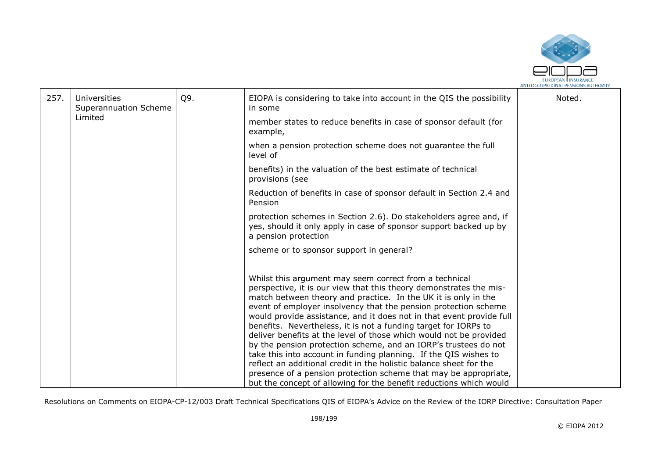

| 257. | Universities<br>Superannuation Scheme | Q9. | EIOPA is considering to take into account in the QIS the possibility<br>in some                                                                                                                                                                                                                                                                                                                                                                                                                                                                                                                                                                                                                                                                                                                                                           | Noted. |
|------|---------------------------------------|-----|-------------------------------------------------------------------------------------------------------------------------------------------------------------------------------------------------------------------------------------------------------------------------------------------------------------------------------------------------------------------------------------------------------------------------------------------------------------------------------------------------------------------------------------------------------------------------------------------------------------------------------------------------------------------------------------------------------------------------------------------------------------------------------------------------------------------------------------------|--------|
|      | Limited                               |     | member states to reduce benefits in case of sponsor default (for<br>example,                                                                                                                                                                                                                                                                                                                                                                                                                                                                                                                                                                                                                                                                                                                                                              |        |
|      |                                       |     | when a pension protection scheme does not guarantee the full<br>level of                                                                                                                                                                                                                                                                                                                                                                                                                                                                                                                                                                                                                                                                                                                                                                  |        |
|      |                                       |     | benefits) in the valuation of the best estimate of technical<br>provisions (see                                                                                                                                                                                                                                                                                                                                                                                                                                                                                                                                                                                                                                                                                                                                                           |        |
|      |                                       |     | Reduction of benefits in case of sponsor default in Section 2.4 and<br>Pension                                                                                                                                                                                                                                                                                                                                                                                                                                                                                                                                                                                                                                                                                                                                                            |        |
|      |                                       |     | protection schemes in Section 2.6). Do stakeholders agree and, if<br>yes, should it only apply in case of sponsor support backed up by<br>a pension protection                                                                                                                                                                                                                                                                                                                                                                                                                                                                                                                                                                                                                                                                            |        |
|      |                                       |     | scheme or to sponsor support in general?                                                                                                                                                                                                                                                                                                                                                                                                                                                                                                                                                                                                                                                                                                                                                                                                  |        |
|      |                                       |     | Whilst this argument may seem correct from a technical<br>perspective, it is our view that this theory demonstrates the mis-<br>match between theory and practice. In the UK it is only in the<br>event of employer insolvency that the pension protection scheme<br>would provide assistance, and it does not in that event provide full<br>benefits. Nevertheless, it is not a funding target for IORPs to<br>deliver benefits at the level of those which would not be provided<br>by the pension protection scheme, and an IORP's trustees do not<br>take this into account in funding planning. If the QIS wishes to<br>reflect an additional credit in the holistic balance sheet for the<br>presence of a pension protection scheme that may be appropriate,<br>but the concept of allowing for the benefit reductions which would |        |